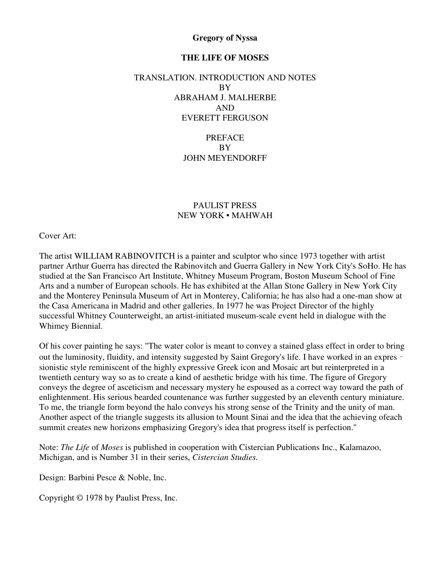### **Gregory of Nyssa**

#### **THE LIFE OF MOSES**

# TRANSLATION. INTRODUCTION AND NOTES BY ABRAHAM J. MALHERBE AND EVERETT FERGUSON

PREFACE BY JOHN MEYENDORFF

## PAULIST PRESS NEW YORK • MAHWAH

Cover Art:

The artist WILLIAM RABINOVITCH is a painter and sculptor who since 1973 together with artist partner Arthur Guerra has directed the Rabinovitch and Guerra Gallery in New York City's SoHo. He has studied at the San Francisco Art Institute, Whitney Museum Program, Boston Museum School of Fine Arts and a number of European schools. He has exhibited at the Allan Stone Gallery in New York City and the Monterey Peninsula Museum of Art in Monterey, California; he has also had a one-man show at the Casa Americana in Madrid and other galleries. In 1977 he was Project Director of the highly successful Whitney Counterweight, an artist-initiated museum-scale event held in dialogue with the Whimey Biennial.

Of his cover painting he says: "The water color is meant to convey a stained glass effect in order to bring out the luminosity, fluidity, and intensity suggested by Saint Gregory's life. I have worked in an expres‐ sionistic style reminiscent of the highly expressive Greek icon and Mosaic art but reinterpreted in a twentieth century way so as to create a kind of aesthetic bridge with his time. The figure of Gregory conveys the degree of asceticism and necessary mystery he espoused as a correct way toward the path of enlightenment. His serious bearded countenance was further suggested by an eleventh century miniature. To me, the triangle form beyond the halo conveys his strong sense of the Trinity and the unity of man. Another aspect of the triangle suggests its allusion to Mount Sinai and the idea that the achieving ofeach summit creates new horizons emphasizing Gregory's idea that progress itself is perfection."

Note: *The Life* of *Moses* is published in cooperation with Cistercian Publications Inc., Kalamazoo, Michigan, and is Number 31 in their series, *Cistercian Studies.*

Design: Barbini Pesce & Noble, Inc.

Copyright © 1978 by Paulist Press, Inc.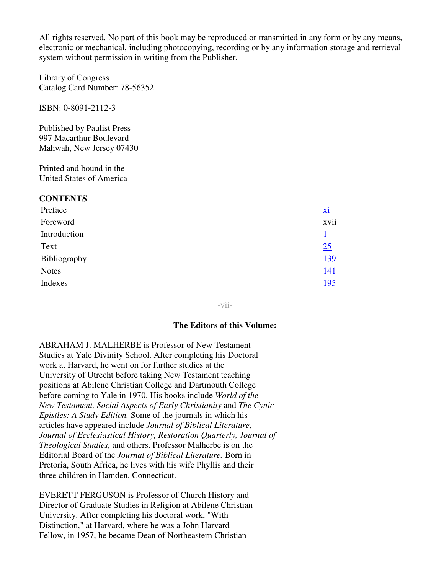All rights reserved. No part of this book may be reproduced or transmitted in any form or by any means, electronic or mechanical, including photocopying, recording or by any information storage and retrieval system without permission in writing from the Publisher.

Library of Congress Catalog Card Number: 78-56352

ISBN: 0-8091-2112-3

Published by Paulist Press 997 Macarthur Boulevard Mahwah, New Jersey 07430

Printed and bound in the United States of America

#### **CONTENTS**

| Preface      | $\underline{\mathbf{xi}}$ |
|--------------|---------------------------|
| Foreword     | xvii                      |
| Introduction |                           |
| Text         | 25                        |
| Bibliography | 139                       |
| <b>Notes</b> | 141                       |
| Indexes      | 195                       |

 $-vii$ 

### **The Editors of this Volume:**

ABRAHAM J. MALHERBE is Professor of New Testament Studies at Yale Divinity School. After completing his Doctoral work at Harvard, he went on for further studies at the University of Utrecht before taking New Testament teaching positions at Abilene Christian College and Dartmouth College before coming to Yale in 1970. His books include *World of the New Testament, Social Aspects of Early Christianity* and *The Cynic Epistles: A Study Edition.* Some of the journals in which his articles have appeared include *Journal of Biblical Literature, Journal of Ecclesiastical History, Restoration Quarterly, Journal of Theological Studies,* and others. Professor Malherbe is on the Editorial Board of the *Journal of Biblical Literature.* Born in Pretoria, South Africa, he lives with his wife Phyllis and their three children in Hamden, Connecticut.

EVERETT FERGUSON is Professor of Church History and Director of Graduate Studies in Religion at Abilene Christian University. After completing his doctoral work, "With Distinction," at Harvard, where he was a John Harvard Fellow, in 1957, he became Dean of Northeastern Christian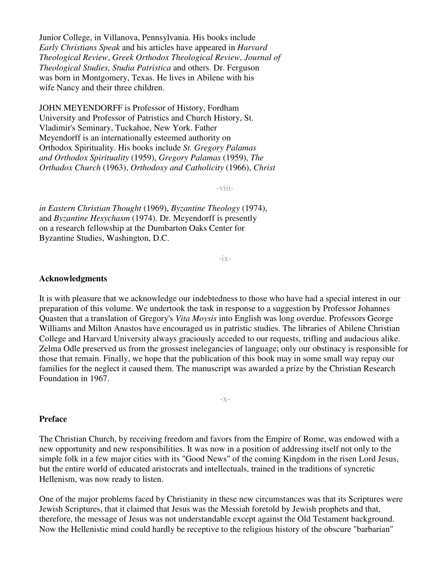Junior College, in Villanova, Pennsylvania. His books include *Early Christians Speak* and his articles have appeared in *Harvard Theological Review*, *Greek Orthodox Theological Review, Journal of Theological Studies, Studia Patristica* and others. Dr. Ferguson was born in Montgomery, Texas. He lives in Abilene with his wife Nancy and their three children.

JOHN MEYENDORFF is Professor of History, Fordham University and Professor of Patristics and Church History, St. Vladimir's Seminary, Tuckahoe, New York. Father Meyendorff is an internationally esteemed authority on Orthodox Spirituality. His books include *St. Gregory Palamas and Orthodox Spirituality* (1959), *Gregory Palamas* (1959), *The Orthadox Church* (1963), *Orthodoxy and Catholicity* (1966), *Christ*

-viii-

*in Eastern Christian Thought* (1969), *Byzantine Theology* (1974), and *Byzantine Hesychasm* (1974). Dr. Meyendorff is presently on a research fellowship at the Dumbarton Oaks Center for Byzantine Studies, Washington, D.C.

 $-ix-$ 

#### **Acknowledgments**

It is with pleasure that we acknowledge our indebtedness to those who have had a special interest in our preparation of this volume. We undertook the task in response to a suggestion by Professor Johannes Quasten that a translation of Gregory's *Vita Moysis* into English was long overdue. Professors George Williams and Milton Anastos have encouraged us in patristic studies. The libraries of Abilene Christian College and Harvard University always graciously acceded to our requests, trifling and audacious alike. Zelma Odle preserved us from the grossest inelegancies of language; only our obstinacy is responsible for those that remain. Finally, we hope that the publication of this book may in some small way repay our families for the neglect it caused them. The manuscript was awarded a prize by the Christian Research Foundation in 1967.

-x-

#### **Preface**

The Christian Church, by receiving freedom and favors from the Empire of Rome, was endowed with a new opportunity and new responsibilities. It was now in a position of addressing itself not only to the simple folk in a few major cities with its "Good News" of the coming Kingdom in the risen Lord Jesus, but the entire world of educated aristocrats and intellectuals, trained in the traditions of syncretic Hellenism, was now ready to listen.

One of the major problems faced by Christianity in these new circumstances was that its Scriptures were Jewish Scriptures, that it claimed that Jesus was the Messiah foretold by Jewish prophets and that, therefore, the message of Jesus was not understandable except against the Old Testament background. Now the Hellenistic mind could hardly be receptive to the religious history of the obscure "barbarian"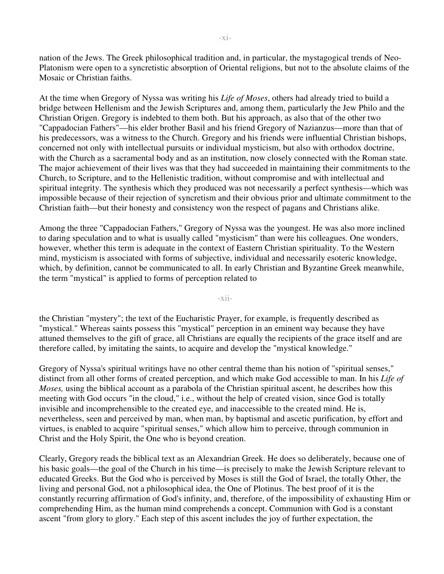nation of the Jews. The Greek philosophical tradition and, in particular, the mystagogical trends of Neo-Platonism were open to a syncretistic absorption of Oriental religions, but not to the absolute claims of the Mosaic or Christian faiths.

At the time when Gregory of Nyssa was writing his *Life of Moses*, others had already tried to build a bridge between Hellenism and the Jewish Scriptures and, among them, particularly the Jew Philo and the Christian Origen. Gregory is indebted to them both. But his approach, as also that of the other two "Cappadocian Fathers"—his elder brother Basil and his friend Gregory of Nazianzus—more than that of his predecessors, was a witness to the Church. Gregory and his friends were influential Christian bishops, concerned not only with intellectual pursuits or individual mysticism, but also with orthodox doctrine, with the Church as a sacramental body and as an institution, now closely connected with the Roman state. The major achievement of their lives was that they had succeeded in maintaining their commitments to the Church, to Scripture, and to the Hellenistic tradition, without compromise and with intellectual and spiritual integrity. The synthesis which they produced was not necessarily a perfect synthesis—which was impossible because of their rejection of syncretism and their obvious prior and ultimate commitment to the Christian faith—but their honesty and consistency won the respect of pagans and Christians alike.

Among the three "Cappadocian Fathers," Gregory of Nyssa was the youngest. He was also more inclined to daring speculation and to what is usually called "mysticism" than were his colleagues. One wonders, however, whether this term is adequate in the context of Eastern Christian spirituality. To the Western mind, mysticism is associated with forms of subjective, individual and necessarily esoteric knowledge, which, by definition, cannot be communicated to all. In early Christian and Byzantine Greek meanwhile, the term "mystical" is applied to forms of perception related to

 $-xii$ -

the Christian "mystery"; the text of the Eucharistic Prayer, for example, is frequently described as "mystical." Whereas saints possess this "mystical" perception in an eminent way because they have attuned themselves to the gift of grace, all Christians are equally the recipients of the grace itself and are therefore called, by imitating the saints, to acquire and develop the "mystical knowledge."

Gregory of Nyssa's spiritual writings have no other central theme than his notion of "spiritual senses," distinct from all other forms of created perception, and which make God accessible to man. In his *Life of Moses,* using the biblical account as a parabola of the Christian spiritual ascent, he describes how this meeting with God occurs "in the cloud," i.e., without the help of created vision, since God is totally invisible and incomprehensible to the created eye, and inaccessible to the created mind. He is, nevertheless, seen and perceived by man, when man, by baptismal and ascetic purification, by effort and virtues, is enabled to acquire "spiritual senses," which allow him to perceive, through communion in Christ and the Holy Spirit, the One who is beyond creation.

Clearly, Gregory reads the biblical text as an Alexandrian Greek. He does so deliberately, because one of his basic goals—the goal of the Church in his time—is precisely to make the Jewish Scripture relevant to educated Greeks. But the God who is perceived by Moses is still the God of Israel, the totally Other, the living and personal God, not a philosophical idea, the One of Plotinus. The best proof of it is the constantly recurring affirmation of God's infinity, and, therefore, of the impossibility of exhausting Him or comprehending Him, as the human mind comprehends a concept. Communion with God is a constant ascent "from glory to glory." Each step of this ascent includes the joy of further expectation, the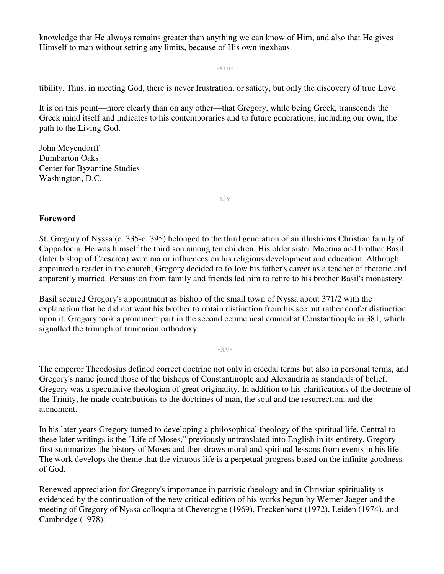knowledge that He always remains greater than anything we can know of Him, and also that He gives Himself to man without setting any limits, because of His own inexhaus

-xiii-

tibility. Thus, in meeting God, there is never frustration, or satiety, but only the discovery of true Love.

It is on this point—more clearly than on any other—that Gregory, while being Greek, transcends the Greek mind itself and indicates to his contemporaries and to future generations, including our own, the path to the Living God.

John Meyendorff Dumbarton Oaks Center for Byzantine Studies Washington, D.C.

-xiv-

#### **Foreword**

St. Gregory of Nyssa (c. 335-c. 395) belonged to the third generation of an illustrious Christian family of Cappadocia. He was himself the third son among ten children. His older sister Macrina and brother Basil (later bishop of Caesarea) were major influences on his religious development and education. Although appointed a reader in the church, Gregory decided to follow his father's career as a teacher of rhetoric and apparently married. Persuasion from family and friends led him to retire to his brother Basil's monastery.

Basil secured Gregory's appointment as bishop of the small town of Nyssa about 371/2 with the explanation that he did not want his brother to obtain distinction from his see but rather confer distinction upon it. Gregory took a prominent part in the second ecumenical council at Constantinople in 381, which signalled the triumph of trinitarian orthodoxy.

 $-XV-$ 

The emperor Theodosius defined correct doctrine not only in creedal terms but also in personal terms, and Gregory's name joined those of the bishops of Constantinople and Alexandria as standards of belief. Gregory was a speculative theologian of great originality. In addition to his clarifications of the doctrine of the Trinity, he made contributions to the doctrines of man, the soul and the resurrection, and the atonement.

In his later years Gregory turned to developing a philosophical theology of the spiritual life. Central to these later writings is the "Life of Moses," previously untranslated into English in its entirety. Gregory first summarizes the history of Moses and then draws moral and spiritual lessons from events in his life. The work develops the theme that the virtuous life is a perpetual progress based on the infinite goodness of God.

Renewed appreciation for Gregory's importance in patristic theology and in Christian spirituality is evidenced by the continuation of the new critical edition of his works begun by Werner Jaeger and the meeting of Gregory of Nyssa colloquia at Chevetogne (1969), Freckenhorst (1972), Leiden (1974), and Cambridge (1978).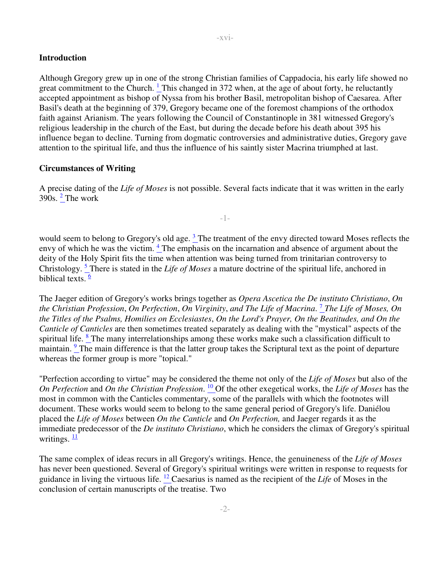### **Introduction**

Although Gregory grew up in one of the strong Christian families of Cappadocia, his early life showed no great commitment to the Church.  $\frac{1}{1}$ This changed in 372 when, at the age of about forty, he reluctantly accepted appointment as bishop of Nyssa from his brother Basil, metropolitan bishop of Caesarea. After Basil's death at the beginning of 379, Gregory became one of the foremost champions of the orthodox faith against Arianism. The years following the Council of Constantinople in 381 witnessed Gregory's religious leadership in the church of the East, but during the decade before his death about 395 his influence began to decline. Turning from dogmatic controversies and administrative duties, Gregory gave attention to the spiritual life, and thus the influence of his saintly sister Macrina triumphed at last.

#### **Circumstances of Writing**

A precise dating of the *Life of Moses* is not possible. Several facts indicate that it was written in the early  $390s.$   $\frac{2}{1}$ The work

-1-

would seem to belong to Gregory's old age.  $\frac{3}{5}$ The treatment of the envy directed toward Moses reflects the envy of which he was the victim.  $\frac{4}{3}$  The emphasis on the incarnation and absence of argument about the deity of the Holy Spirit fits the time when attention was being turned from trinitarian controversy to Christology. <sup>5</sup> There is stated in the *Life of Moses* a mature doctrine of the spiritual life, anchored in biblical texts.  $\frac{6}{5}$ 

The Jaeger edition of Gregory's works brings together as *Opera Ascetica the De instituto Christiano*, *On the Christian Profession*, *On Perfection*, *On Virginity*, *and The Life of Macrina*. <sup>7</sup> *The Life of Moses, On the Titles of the Psalms, Homilies on Ecclesiastes*, *On the Lord's Prayer, On the Beatitudes, and On the Canticle of Canticles* are then sometimes treated separately as dealing with the "mystical" aspects of the spiritual life. <sup>8</sup> The many interrelationships among these works make such a classification difficult to maintain. <sup>9</sup> The main difference is that the latter group takes the Scriptural text as the point of departure whereas the former group is more "topical."

"Perfection according to virtue" may be considered the theme not only of the *Life of Moses* but also of the *On Perfection* and *On the Christian Profession*. <sup>10</sup> Of the other exegetical works, the *Life of Moses* has the most in common with the Canticles commentary, some of the parallels with which the footnotes will document. These works would seem to belong to the same general period of Gregory's life. Daniélou placed the *Life of Moses* between *On the Canticle* and *On Perfection,* and Jaeger regards it as the immediate predecessor of the *De instituto Christiano*, which he considers the climax of Gregory's spiritual writings.  $\frac{11}{1}$ 

The same complex of ideas recurs in all Gregory's writings. Hence, the genuineness of the *Life of Moses* has never been questioned. Several of Gregory's spiritual writings were written in response to requests for guidance in living the virtuous life. <sup>12</sup> Caesarius is named as the recipient of the *Life* of Moses in the conclusion of certain manuscripts of the treatise. Two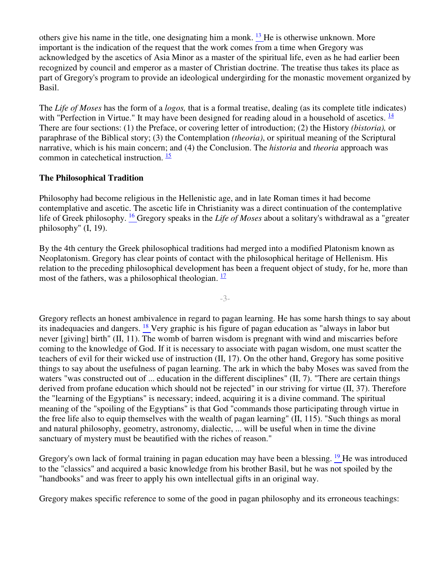others give his name in the title, one designating him a monk.  $^{13}$  He is otherwise unknown. More important is the indication of the request that the work comes from a time when Gregory was acknowledged by the ascetics of Asia Minor as a master of the spiritual life, even as he had earlier been recognized by council and emperor as a master of Christian doctrine. The treatise thus takes its place as part of Gregory's program to provide an ideological undergirding for the monastic movement organized by Basil.

The *Life of Moses* has the form of a *logos,* that is a formal treatise, dealing (as its complete title indicates) with "Perfection in Virtue." It may have been designed for reading aloud in a household of ascetics.  $\frac{14}{1}$ There are four sections: (1) the Preface, or covering letter of introduction; (2) the History *(bistoria),* or paraphrase of the Biblical story; (3) the Contemplation *(theoria)*, or spiritual meaning of the Scriptural narrative, which is his main concern; and (4) the Conclusion. The *historia* and *theoria* approach was common in catechetical instruction. <sup>15</sup>

## **The Philosophical Tradition**

Philosophy had become religious in the Hellenistic age, and in late Roman times it had become contemplative and ascetic. The ascetic life in Christianity was a direct continuation of the contemplative life of Greek philosophy. <sup>16</sup> Gregory speaks in the *Life of Moses* about a solitary's withdrawal as a "greater philosophy" (I, 19).

By the 4th century the Greek philosophical traditions had merged into a modified Platonism known as Neoplatonism. Gregory has clear points of contact with the philosophical heritage of Hellenism. His relation to the preceding philosophical development has been a frequent object of study, for he, more than most of the fathers, was a philosophical theologian. <sup>17</sup>

-3-

Gregory reflects an honest ambivalence in regard to pagan learning. He has some harsh things to say about its inadequacies and dangers. <sup>18</sup> Very graphic is his figure of pagan education as "always in labor but never [giving] birth" (II, 11). The womb of barren wisdom is pregnant with wind and miscarries before coming to the knowledge of God. If it is necessary to associate with pagan wisdom, one must scatter the teachers of evil for their wicked use of instruction (II, 17). On the other hand, Gregory has some positive things to say about the usefulness of pagan learning. The ark in which the baby Moses was saved from the waters "was constructed out of ... education in the different disciplines" (II, 7). "There are certain things derived from profane education which should not be rejected" in our striving for virtue (II, 37). Therefore the "learning of the Egyptians" is necessary; indeed, acquiring it is a divine command. The spiritual meaning of the "spoiling of the Egyptians" is that God "commands those participating through virtue in the free life also to equip themselves with the wealth of pagan learning" (II, 115). "Such things as moral and natural philosophy, geometry, astronomy, dialectic, ... will be useful when in time the divine sanctuary of mystery must be beautified with the riches of reason."

Gregory's own lack of formal training in pagan education may have been a blessing. <sup>19</sup> He was introduced to the "classics" and acquired a basic knowledge from his brother Basil, but he was not spoiled by the "handbooks" and was freer to apply his own intellectual gifts in an original way.

Gregory makes specific reference to some of the good in pagan philosophy and its erroneous teachings: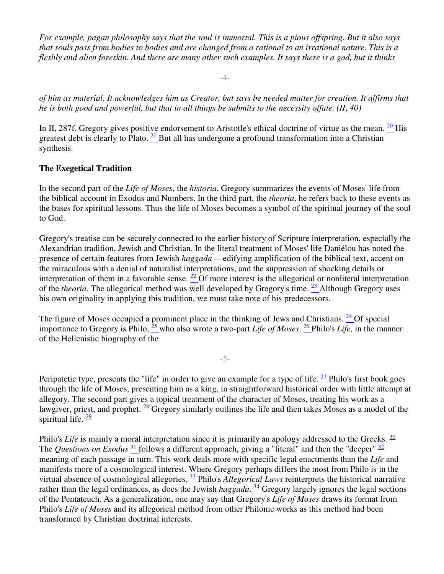*For example, pagan philosophy says that the soul is immortal. This is a pious offspring. But it also says that souls pass from bodies to bodies and are changed from a rational to an irrational nature*. *This is a fleshly and alien foreskin*. *And there are many other such examples. It says there is a god, but it thinks*

 $-4-$ 

*of him as material. It acknowledges him as Creator, but says be needed matter for creation. It affirms that he is both good and powerful, but that in all things be submits to the necessity offate. (II*, *40)*

In II, 287f. Gregory gives positive endorsement to Aristotle's ethical doctrine of virtue as the mean. <sup>20</sup> His greatest debt is clearly to Plato. <sup>21</sup> But all has undergone a profound transformation into a Christian synthesis.

## **The Exegetical Tradition**

In the second part of the *Life of Moses*, the *historia*, Gregory summarizes the events of Moses' life from the biblical account in Exodus and Numbers. In the third part, the *theoria*, he refers back to these events as the bases for spiritual lessons. Thus the life of Moses becomes a symbol of the spiritual journey of the soul to God.

Gregory's treatise can be securely connected to the earlier history of Scripture interpretation, especially the Alexandrian tradition, Jewish and Christian. In the literal treatment of Moses' life Daniélou has noted the presence of certain features from Jewish *haggada* —edifying amplification of the biblical text, accent on the miraculous with a denial of naturalist interpretations, and the suppression of shocking details or interpretation of them in a favorable sense.  $^{22}$  Of more interest is the allegorical or nonliteral interpretation of the *theoria*. The allegorical method was well developed by Gregory's time. <sup>23</sup> Although Gregory uses his own originality in applying this tradition, we must take note of his predecessors.

The figure of Moses occupied a prominent place in the thinking of Jews and Christians. <sup>24</sup> Of special importance to Gregory is Philo,  $\frac{25}{5}$  who also wrote a two-part *Life of Moses*.  $\frac{26}{5}$  Philo's *Life*, in the manner of the Hellenistic biography of the

-5-

Peripatetic type, presents the "life" in order to give an example for a type of life.  $27$  Philo's first book goes through the life of Moses, presenting him as a king, in straightforward historical order with little attempt at allegory. The second part gives a topical treatment of the character of Moses, treating his work as a lawgiver, priest, and prophet. <sup>28</sup> Gregory similarly outlines the life and then takes Moses as a model of the spiritual life.  $\frac{29}{2}$ 

Philo's *Life* is mainly a moral interpretation since it is primarily an apology addressed to the Greeks. <sup>30</sup> The *Questions on Exodus* <sup>31</sup> follows a different approach, giving a "literal" and then the "deeper" <sup>32</sup> meaning of each passage in turn. This work deals more with specific legal enactments than the *Life* and manifests more of a cosmological interest. Where Gregory perhaps differs the most from Philo is in the virtual absence of cosmological allegories. <sup>33</sup> Philo's *Allegorical Laws* reinterprets the historical narrative rather than the legal ordinances, as does the Jewish *haggada*. <sup>34</sup> Gregory largely ignores the legal sections of the Pentateuch. As a generalization, one may say that Gregory's *Life of Moses* draws its format from Philo's *Life of Moses* and its allegorical method from other Philonic works as this method had been transformed by Christian doctrinal interests.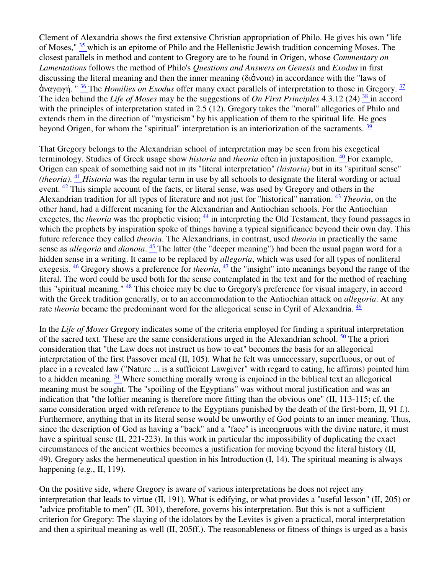Clement of Alexandria shows the first extensive Christian appropriation of Philo. He gives his own "life of Moses,"  $\frac{35}{2}$  which is an epitome of Philo and the Hellenistic Jewish tradition concerning Moses. The closest parallels in method and content to Gregory are to be found in Origen, whose *Commentary on Lamentations* follows the method of Philo's *Questions and Answers on Genesis* and *Exodus* in first discussing the literal meaning and then the inner meaning (διάνοια) in accordance with the "laws of ἀναγωγή. " <sup>36</sup> The *Homilies on Exodus* offer many exact parallels of interpretation to those in Gregory. <sup>37</sup> The idea behind the *Life of Moses* may be the suggestions of *On First Principles* 4.3.12 (24) <sup>38</sup> in accord with the principles of interpretation stated in 2.5 (12). Gregory takes the "moral" allegories of Philo and extends them in the direction of "mysticism" by his application of them to the spiritual life. He goes beyond Origen, for whom the "spiritual" interpretation is an interiorization of the sacraments.  $\frac{39}{10}$ 

That Gregory belongs to the Alexandrian school of interpretation may be seen from his exegetical terminology. Studies of Greek usage show *historia* and *theoria* often in juxtaposition. <sup>40</sup> For example, Origen can speak of something said not in its "literal interpretation" *(historia)* but in its "spiritual sense" *(theoria)*. <sup>41</sup> *Historia* was the regular term in use by all schools to designate the literal wording or actual event. <sup>42</sup> This simple account of the facts, or literal sense, was used by Gregory and others in the Alexandrian tradition for all types of literature and not just for "historical" narration. <sup>43</sup> *Theoria*, on the other hand, had a different meaning for the Alexandrian and Antiochian schools. For the Antiochian exegetes, the *theoria* was the prophetic vision; <sup>44</sup> in interpreting the Old Testament, they found passages in which the prophets by inspiration spoke of things having a typical significance beyond their own day. This future reference they called *theoria*. The Alexandrians, in contrast, used *theoria* in practically the same sense as *allegoria* and *dianoia*. <sup>45</sup> The latter (the "deeper meaning") had been the usual pagan word for a hidden sense in a writing. It came to be replaced by *allegoria*, which was used for all types of nonliteral exegesis. <sup>46</sup> Gregory shows a preference for *theoria*, <sup>47</sup> the "insight" into meanings beyond the range of the literal. The word could be used both for the sense contemplated in the text and for the method of reaching this "spiritual meaning."  $\frac{48}{3}$  This choice may be due to Gregory's preference for visual imagery, in accord with the Greek tradition generally, or to an accommodation to the Antiochian attack on *allegoria*. At any rate *theoria* became the predominant word for the allegorical sense in Cyril of Alexandria.  $\frac{49}{2}$ 

In the *Life of Moses* Gregory indicates some of the criteria employed for finding a spiritual interpretation of the sacred text. These are the same considerations urged in the Alexandrian school. <sup>50</sup> The a priori consideration that "the Law does not instruct us how to eat" becomes the basis for an allegorical interpretation of the first Passover meal (II, 105). What he felt was unnecessary, superfluous, or out of place in a revealed law ("Nature ... is a sufficient Lawgiver" with regard to eating, he affirms) pointed him to a hidden meaning. <sup>51</sup> Where something morally wrong is enjoined in the biblical text an allegorical meaning must be sought. The "spoiling of the Egyptians" was without moral justification and was an indication that "the loftier meaning is therefore more fitting than the obvious one" (II, 113-115; cf. the same consideration urged with reference to the Egyptians punished by the death of the first-born, II, 91 f.). Furthermore, anything that in its literal sense would be unworthy of God points to an inner meaning. Thus, since the description of God as having a "back" and a "face" is incongruous with the divine nature, it must have a spiritual sense (II, 221-223). In this work in particular the impossibility of duplicating the exact circumstances of the ancient worthies becomes a justification for moving beyond the literal history (II, 49). Gregory asks the hermeneutical question in his Introduction (I, 14). The spiritual meaning is always happening (e.g., II, 119).

On the positive side, where Gregory is aware of various interpretations he does not reject any interpretation that leads to virtue (II, 191). What is edifying, or what provides a "useful lesson" (II, 205) or "advice profitable to men" (II, 301), therefore, governs his interpretation. But this is not a sufficient criterion for Gregory: The slaying of the idolators by the Levites is given a practical, moral interpretation and then a spiritual meaning as well (II, 205ff.). The reasonableness or fitness of things is urged as a basis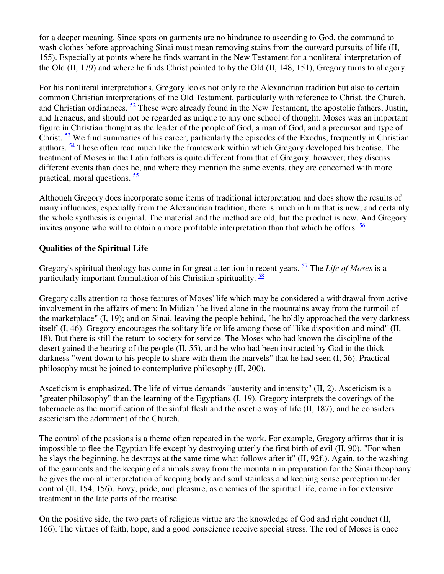for a deeper meaning. Since spots on garments are no hindrance to ascending to God, the command to wash clothes before approaching Sinai must mean removing stains from the outward pursuits of life (II, 155). Especially at points where he finds warrant in the New Testament for a nonliteral interpretation of the Old (II, 179) and where he finds Christ pointed to by the Old (II, 148, 151), Gregory turns to allegory.

For his nonliteral interpretations, Gregory looks not only to the Alexandrian tradition but also to certain common Christian interpretations of the Old Testament, particularly with reference to Christ, the Church, and Christian ordinances. <sup>52</sup> These were already found in the New Testament, the apostolic fathers, Justin, and Irenaeus, and should not be regarded as unique to any one school of thought. Moses was an important figure in Christian thought as the leader of the people of God, a man of God, and a precursor and type of Christ. <sup>53</sup> We find summaries of his career, particularly the episodes of the Exodus, frequently in Christian authors. <sup>54</sup> These often read much like the framework within which Gregory developed his treatise. The treatment of Moses in the Latin fathers is quite different from that of Gregory, however; they discuss different events than does he, and where they mention the same events, they are concerned with more practical, moral questions.  $\frac{55}{5}$ 

Although Gregory does incorporate some items of traditional interpretation and does show the results of many influences, especially from the Alexandrian tradition, there is much in him that is new, and certainly the whole synthesis is original. The material and the method are old, but the product is new. And Gregory invites anyone who will to obtain a more profitable interpretation than that which he offers.  $\frac{56}{5}$ 

## **Qualities of the Spiritual Life**

Gregory's spiritual theology has come in for great attention in recent years. <sup>57</sup> The Life of Moses is a particularly important formulation of his Christian spirituality.  $\frac{58}{2}$ 

Gregory calls attention to those features of Moses' life which may be considered a withdrawal from active involvement in the affairs of men: In Midian "he lived alone in the mountains away from the turmoil of the marketplace" (I, 19); and on Sinai, leaving the people behind, "he boldly approached the very darkness itself' (I, 46). Gregory encourages the solitary life or life among those of "like disposition and mind" (II, 18). But there is still the return to society for service. The Moses who had known the discipline of the desert gained the hearing of the people (II, 55), and he who had been instructed by God in the thick darkness "went down to his people to share with them the marvels" that he had seen (I, 56). Practical philosophy must be joined to contemplative philosophy (II, 200).

Asceticism is emphasized. The life of virtue demands "austerity and intensity" (II, 2). Asceticism is a "greater philosophy" than the learning of the Egyptians (I, 19). Gregory interprets the coverings of the tabernacle as the mortification of the sinful flesh and the ascetic way of life (II, 187), and he considers asceticism the adornment of the Church.

The control of the passions is a theme often repeated in the work. For example, Gregory affirms that it is impossible to flee the Egyptian life except by destroying utterly the first birth of evil (II, 90). "For when he slays the beginning, he destroys at the same time what follows after it" (II, 92f.). Again, to the washing of the garments and the keeping of animals away from the mountain in preparation for the Sinai theophany he gives the moral interpretation of keeping body and soul stainless and keeping sense perception under control (II, 154, 156). Envy, pride, and pleasure, as enemies of the spiritual life, come in for extensive treatment in the late parts of the treatise.

On the positive side, the two parts of religious virtue are the knowledge of God and right conduct (II, 166). The virtues of faith, hope, and a good conscience receive special stress. The rod of Moses is once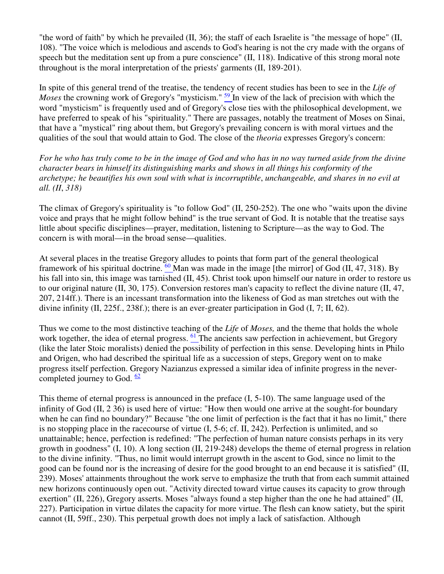"the word of faith" by which he prevailed (II, 36); the staff of each Israelite is "the message of hope" (II, 108). "The voice which is melodious and ascends to God's hearing is not the cry made with the organs of speech but the meditation sent up from a pure conscience" (II, 118). Indicative of this strong moral note throughout is the moral interpretation of the priests' garments (II, 189-201).

In spite of this general trend of the treatise, the tendency of recent studies has been to see in the *Life of Moses* the crowning work of Gregory's "mysticism." <sup>59</sup> In view of the lack of precision with which the word "mysticism" is frequently used and of Gregory's close ties with the philosophical development, we have preferred to speak of his "spirituality." There are passages, notably the treatment of Moses on Sinai, that have a "mystical" ring about them, but Gregory's prevailing concern is with moral virtues and the qualities of the soul that would attain to God. The close of the *theoria* expresses Gregory's concern:

*For he who has truly come to be in the image of God and who has in no way turned aside from the divine character bears in himself its distinguishing marks and shows in all things his conformity of the archetype; he beautifies his own soul with what is incorruptible*, *unchangeable, and shares in no evil at all. (II*, *318)*

The climax of Gregory's spirituality is "to follow God" (II, 250-252). The one who "waits upon the divine voice and prays that he might follow behind" is the true servant of God. It is notable that the treatise says little about specific disciplines—prayer, meditation, listening to Scripture—as the way to God. The concern is with moral—in the broad sense—qualities.

At several places in the treatise Gregory alludes to points that form part of the general theological framework of his spiritual doctrine.  $60$  Man was made in the image [the mirror] of God (II, 47, 318). By his fall into sin, this image was tarnished (II, 45). Christ took upon himself our nature in order to restore us to our original nature (II, 30, 175). Conversion restores man's capacity to reflect the divine nature (II, 47, 207, 214ff.). There is an incessant transformation into the likeness of God as man stretches out with the divine infinity (II, 225f., 238f.); there is an ever-greater participation in God (I, 7; II, 62).

Thus we come to the most distinctive teaching of the *Life* of *Moses,* and the theme that holds the whole work together, the idea of eternal progress. <sup>61</sup> The ancients saw perfection in achievement, but Gregory (like the later Stoic moralists) denied the possibility of perfection in this sense. Developing hints in Philo and Origen, who had described the spiritual life as a succession of steps, Gregory went on to make progress itself perfection. Gregory Nazianzus expressed a similar idea of infinite progress in the nevercompleted journey to God.  $\frac{62}{5}$ 

This theme of eternal progress is announced in the preface (I, 5-10). The same language used of the infinity of God (II, 2 36) is used here of virtue: "How then would one arrive at the sought-for boundary when he can find no boundary?" Because "the one limit of perfection is the fact that it has no limit," there is no stopping place in the racecourse of virtue (I, 5-6; cf. II, 242). Perfection is unlimited, and so unattainable; hence, perfection is redefined: "The perfection of human nature consists perhaps in its very growth in goodness" (I, 10). A long section (II, 219-248) develops the theme of eternal progress in relation to the divine infinity. "Thus, no limit would interrupt growth in the ascent to God, since no limit to the good can be found nor is the increasing of desire for the good brought to an end because it is satisfied" (II, 239). Moses' attainments throughout the work serve to emphasize the truth that from each summit attained new horizons continuously open out. "Activity directed toward virtue causes its capacity to grow through exertion" (II, 226), Gregory asserts. Moses "always found a step higher than the one he had attained" (II, 227). Participation in virtue dilates the capacity for more virtue. The flesh can know satiety, but the spirit cannot (II, 59ff., 230). This perpetual growth does not imply a lack of satisfaction. Although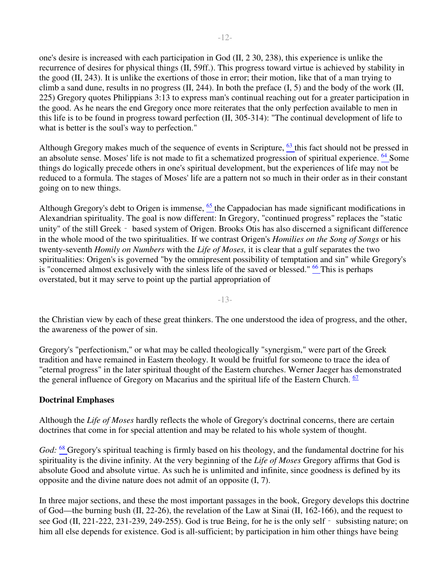one's desire is increased with each participation in God (II, 2 30, 238), this experience is unlike the recurrence of desires for physical things (II, 59ff.). This progress toward virtue is achieved by stability in the good (II, 243). It is unlike the exertions of those in error; their motion, like that of a man trying to climb a sand dune, results in no progress (II, 244). In both the preface (I, 5) and the body of the work (II, 225) Gregory quotes Philippians 3:13 to express man's continual reaching out for a greater participation in the good. As he nears the end Gregory once more reiterates that the only perfection available to men in this life is to be found in progress toward perfection (II, 305-314): "The continual development of life to what is better is the soul's way to perfection."

Although Gregory makes much of the sequence of events in Scripture,  $^{63}$  this fact should not be pressed in an absolute sense. Moses' life is not made to fit a schematized progression of spiritual experience. <sup>64</sup> Some things do logically precede others in one's spiritual development, but the experiences of life may not be reduced to a formula. The stages of Moses' life are a pattern not so much in their order as in their constant going on to new things.

Although Gregory's debt to Origen is immense,  $65$  the Cappadocian has made significant modifications in Alexandrian spirituality. The goal is now different: In Gregory, "continued progress" replaces the "static unity" of the still Greek - based system of Origen. Brooks Otis has also discerned a significant difference in the whole mood of the two spiritualities. If we contrast Origen's *Homilies on the Song of Songs* or his twenty-seventh *Homily on Numbers* with the *Life of Moses,* it is clear that a gulf separates the two spiritualities: Origen's is governed "by the omnipresent possibility of temptation and sin" while Gregory's is "concerned almost exclusively with the sinless life of the saved or blessed."  $\frac{66}{ }$  This is perhaps overstated, but it may serve to point up the partial appropriation of

-13-

the Christian view by each of these great thinkers. The one understood the idea of progress, and the other, the awareness of the power of sin.

Gregory's "perfectionism," or what may be called theologically "synergism," were part of the Greek tradition and have remained in Eastern theology. It would be fruitful for someone to trace the idea of "eternal progress" in the later spiritual thought of the Eastern churches. Werner Jaeger has demonstrated the general influence of Gregory on Macarius and the spiritual life of the Eastern Church.  $\frac{67}{67}$ 

## **Doctrinal Emphases**

Although the *Life of Moses* hardly reflects the whole of Gregory's doctrinal concerns, there are certain doctrines that come in for special attention and may be related to his whole system of thought.

God: <sup>68</sup> Gregory's spiritual teaching is firmly based on his theology, and the fundamental doctrine for his spirituality is the divine infinity. At the very beginning of the *Life of Moses* Gregory affirms that God is absolute Good and absolute virtue. As such he is unlimited and infinite, since goodness is defined by its opposite and the divine nature does not admit of an opposite (I, 7).

In three major sections, and these the most important passages in the book, Gregory develops this doctrine of God—the burning bush (II, 22-26), the revelation of the Law at Sinai (II, 162-166), and the request to see God (II, 221-222, 231-239, 249-255). God is true Being, for he is the only self - subsisting nature; on him all else depends for existence. God is all-sufficient; by participation in him other things have being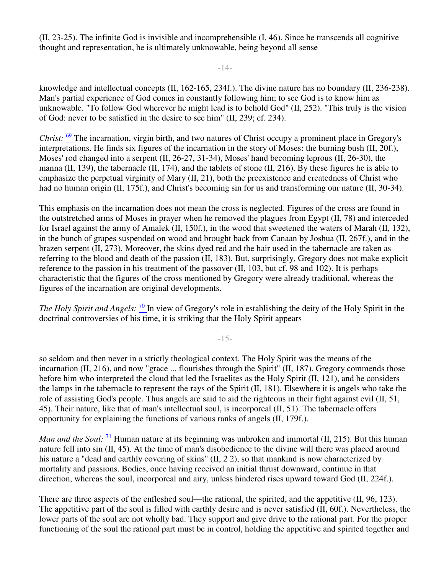(II, 23-25). The infinite God is invisible and incomprehensible (I, 46). Since he transcends all cognitive thought and representation, he is ultimately unknowable, being beyond all sense

-14-

knowledge and intellectual concepts (II, 162-165, 234f.). The divine nature has no boundary (II, 236-238). Man's partial experience of God comes in constantly following him; to see God is to know him as unknowable. "To follow God wherever he might lead is to behold God" (II, 252). "This truly is the vision of God: never to be satisfied in the desire to see him" (II, 239; cf. 234).

*Christ:* <sup>69</sup> The incarnation, virgin birth, and two natures of Christ occupy a prominent place in Gregory's interpretations. He finds six figures of the incarnation in the story of Moses: the burning bush (II, 20f.), Moses' rod changed into a serpent (II, 26-27, 31-34), Moses' hand becoming leprous (II, 26-30), the manna (II, 139), the tabernacle (II, 174), and the tablets of stone (II, 216). By these figures he is able to emphasize the perpetual virginity of Mary (II, 21), both the preexistence and createdness of Christ who had no human origin (II, 175f.), and Christ's becoming sin for us and transforming our nature (II, 30-34).

This emphasis on the incarnation does not mean the cross is neglected. Figures of the cross are found in the outstretched arms of Moses in prayer when he removed the plagues from Egypt (II, 78) and interceded for Israel against the army of Amalek (II, 150f.), in the wood that sweetened the waters of Marah (II, 132), in the bunch of grapes suspended on wood and brought back from Canaan by Joshua (II, 267f.), and in the brazen serpent (II, 273). Moreover, the skins dyed red and the hair used in the tabernacle are taken as referring to the blood and death of the passion (II, 183). But, surprisingly, Gregory does not make explicit reference to the passion in his treatment of the passover (II, 103, but cf. 98 and 102). It is perhaps characteristic that the figures of the cross mentioned by Gregory were already traditional, whereas the figures of the incarnation are original developments.

*The Holy Spirit and Angels:* <sup>70</sup> In view of Gregory's role in establishing the deity of the Holy Spirit in the doctrinal controversies of his time, it is striking that the Holy Spirit appears

-15-

so seldom and then never in a strictly theological context. The Holy Spirit was the means of the incarnation (II, 216), and now "grace ... flourishes through the Spirit" (II, 187). Gregory commends those before him who interpreted the cloud that led the Israelites as the Holy Spirit (II, 121), and he considers the lamps in the tabernacle to represent the rays of the Spirit (II, 181). Elsewhere it is angels who take the role of assisting God's people. Thus angels are said to aid the righteous in their fight against evil (II, 51, 45). Their nature, like that of man's intellectual soul, is incorporeal (II, 51). The tabernacle offers opportunity for explaining the functions of various ranks of angels (II, 179f.).

*Man and the Soul:* <sup>71</sup> Human nature at its beginning was unbroken and immortal (II, 215). But this human nature fell into sin (II, 45). At the time of man's disobedience to the divine will there was placed around his nature a "dead and earthly covering of skins" (II, 2 2), so that mankind is now characterized by mortality and passions. Bodies, once having received an initial thrust downward, continue in that direction, whereas the soul, incorporeal and airy, unless hindered rises upward toward God (II, 224f.).

There are three aspects of the enfleshed soul—the rational, the spirited, and the appetitive (II, 96, 123). The appetitive part of the soul is filled with earthly desire and is never satisfied (II, 60f.). Nevertheless, the lower parts of the soul are not wholly bad. They support and give drive to the rational part. For the proper functioning of the soul the rational part must be in control, holding the appetitive and spirited together and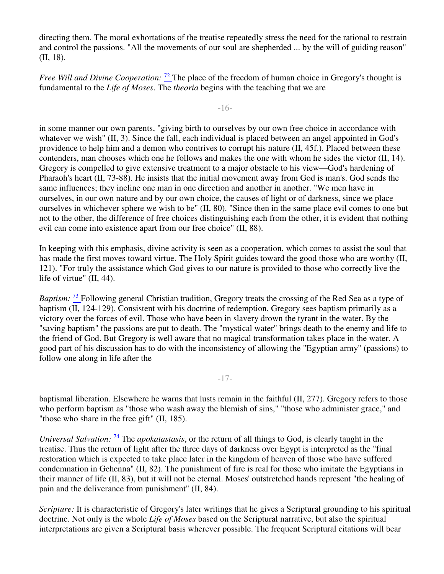directing them. The moral exhortations of the treatise repeatedly stress the need for the rational to restrain and control the passions. "All the movements of our soul are shepherded ... by the will of guiding reason" (II, 18).

*Free Will and Divine Cooperation:* <sup>72</sup> The place of the freedom of human choice in Gregory's thought is fundamental to the *Life of Moses*. The *theoria* begins with the teaching that we are

-16-

in some manner our own parents, "giving birth to ourselves by our own free choice in accordance with whatever we wish" (II, 3). Since the fall, each individual is placed between an angel appointed in God's providence to help him and a demon who contrives to corrupt his nature (II, 45f.). Placed between these contenders, man chooses which one he follows and makes the one with whom he sides the victor (II, 14). Gregory is compelled to give extensive treatment to a major obstacle to his view—God's hardening of Pharaoh's heart (II, 73-88). He insists that the initial movement away from God is man's. God sends the same influences; they incline one man in one direction and another in another. "We men have in ourselves, in our own nature and by our own choice, the causes of light or of darkness, since we place ourselves in whichever sphere we wish to be" (II, 80). "Since then in the same place evil comes to one but not to the other, the difference of free choices distinguishing each from the other, it is evident that nothing evil can come into existence apart from our free choice" (II, 88).

In keeping with this emphasis, divine activity is seen as a cooperation, which comes to assist the soul that has made the first moves toward virtue. The Holy Spirit guides toward the good those who are worthy (II, 121). "For truly the assistance which God gives to our nature is provided to those who correctly live the life of virtue" (II, 44).

*Baptism:* <sup>73</sup> Following general Christian tradition, Gregory treats the crossing of the Red Sea as a type of baptism (II, 124-129). Consistent with his doctrine of redemption, Gregory sees baptism primarily as a victory over the forces of evil. Those who have been in slavery drown the tyrant in the water. By the "saving baptism" the passions are put to death. The "mystical water" brings death to the enemy and life to the friend of God. But Gregory is well aware that no magical transformation takes place in the water. A good part of his discussion has to do with the inconsistency of allowing the "Egyptian army" (passions) to follow one along in life after the

-17-

baptismal liberation. Elsewhere he warns that lusts remain in the faithful (II, 277). Gregory refers to those who perform baptism as "those who wash away the blemish of sins," "those who administer grace," and "those who share in the free gift" (II, 185).

*Universal Salvation:* <sup>74</sup> The *apokatastasis*, or the return of all things to God, is clearly taught in the treatise. Thus the return of light after the three days of darkness over Egypt is interpreted as the "final restoration which is expected to take place later in the kingdom of heaven of those who have suffered condemnation in Gehenna" (II, 82). The punishment of fire is real for those who imitate the Egyptians in their manner of life (II, 83), but it will not be eternal. Moses' outstretched hands represent "the healing of pain and the deliverance from punishment" (II, 84).

*Scripture:* It is characteristic of Gregory's later writings that he gives a Scriptural grounding to his spiritual doctrine. Not only is the whole *Life of Moses* based on the Scriptural narrative, but also the spiritual interpretations are given a Scriptural basis wherever possible. The frequent Scriptural citations will bear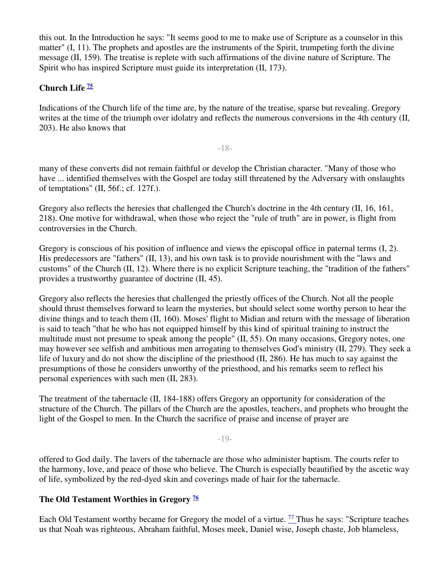this out. In the Introduction he says: "It seems good to me to make use of Scripture as a counselor in this matter" (I, 11). The prophets and apostles are the instruments of the Spirit, trumpeting forth the divine message (II, 159). The treatise is replete with such affirmations of the divine nature of Scripture. The Spirit who has inspired Scripture must guide its interpretation (II, 173).

## **Church Life <sup>75</sup>**

Indications of the Church life of the time are, by the nature of the treatise, sparse but revealing. Gregory writes at the time of the triumph over idolatry and reflects the numerous conversions in the 4th century (II, 203). He also knows that

-18-

many of these converts did not remain faithful or develop the Christian character. "Many of those who have ... identified themselves with the Gospel are today still threatened by the Adversary with onslaughts of temptations" (II, 56f.; cf. 127f.).

Gregory also reflects the heresies that challenged the Church's doctrine in the 4th century (II, 16, 161, 218). One motive for withdrawal, when those who reject the "rule of truth" are in power, is flight from controversies in the Church.

Gregory is conscious of his position of influence and views the episcopal office in paternal terms (I, 2). His predecessors are "fathers" (II, 13), and his own task is to provide nourishment with the "laws and customs" of the Church (II, 12). Where there is no explicit Scripture teaching, the "tradition of the fathers" provides a trustworthy guarantee of doctrine (II, 45).

Gregory also reflects the heresies that challenged the priestly offices of the Church. Not all the people should thrust themselves forward to learn the mysteries, but should select some worthy person to hear the divine things and to teach them (II, 160). Moses' flight to Midian and return with the message of liberation is said to teach "that he who has not equipped himself by this kind of spiritual training to instruct the multitude must not presume to speak among the people" (II, 55). On many occasions, Gregory notes, one may however see selfish and ambitious men arrogating to themselves God's ministry (II, 279). They seek a life of luxury and do not show the discipline of the priesthood (II, 286). He has much to say against the presumptions of those he considers unworthy of the priesthood, and his remarks seem to reflect his personal experiences with such men (II, 283).

The treatment of the tabernacle (II, 184-188) offers Gregory an opportunity for consideration of the structure of the Church. The pillars of the Church are the apostles, teachers, and prophets who brought the light of the Gospel to men. In the Church the sacrifice of praise and incense of prayer are

-19-

offered to God daily. The lavers of the tabernacle are those who administer baptism. The courts refer to the harmony, love, and peace of those who believe. The Church is especially beautified by the ascetic way of life, symbolized by the red-dyed skin and coverings made of hair for the tabernacle.

## **The Old Testament Worthies in Gregory <sup>76</sup>**

Each Old Testament worthy became for Gregory the model of a virtue.  $^{77}$  Thus he says: "Scripture teaches us that Noah was righteous, Abraham faithful, Moses meek, Daniel wise, Joseph chaste, Job blameless,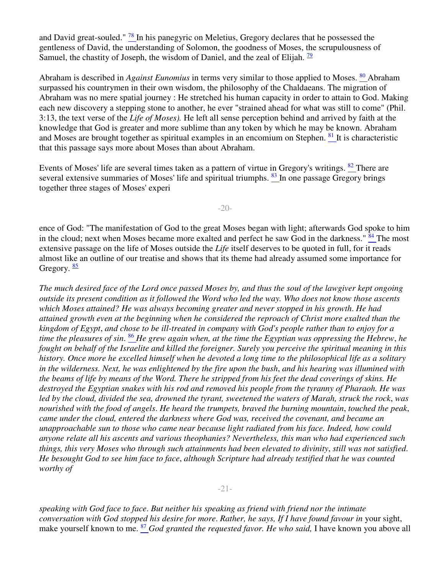and David great-souled." <sup>78</sup> In his panegyric on Meletius, Gregory declares that he possessed the gentleness of David, the understanding of Solomon, the goodness of Moses, the scrupulousness of Samuel, the chastity of Joseph, the wisdom of Daniel, and the zeal of Elijah.  $\frac{79}{2}$ 

Abraham is described in *Against Eunomius* in terms very similar to those applied to Moses. <sup>80</sup> Abraham surpassed his countrymen in their own wisdom, the philosophy of the Chaldaeans. The migration of Abraham was no mere spatial journey : He stretched his human capacity in order to attain to God. Making each new discovery a stepping stone to another, he ever "strained ahead for what was still to come" (Phil. 3:13, the text verse of the *Life of Moses).* He left all sense perception behind and arrived by faith at the knowledge that God is greater and more sublime than any token by which he may be known. Abraham and Moses are brought together as spiritual examples in an encomium on Stephen. <sup>81</sup> It is characteristic that this passage says more about Moses than about Abraham.

Events of Moses' life are several times taken as a pattern of virtue in Gregory's writings. <sup>82</sup> There are several extensive summaries of Moses' life and spiritual triumphs. <sup>83</sup> In one passage Gregory brings together three stages of Moses' experi

-20-

ence of God: "The manifestation of God to the great Moses began with light; afterwards God spoke to him in the cloud; next when Moses became more exalted and perfect he saw God in the darkness." <sup>84</sup> The most extensive passage on the life of Moses outside the *Life* itself deserves to be quoted in full, for it reads almost like an outline of our treatise and shows that its theme had already assumed some importance for Gregory.  $\frac{85}{5}$ 

*The much desired face of the Lord once passed Moses by, and thus the soul of the lawgiver kept ongoing outside its present condition as it followed the Word who led the way. Who does not know those ascents which Moses attained? He was always becoming greater and never stopped in his growth*. *He had attained growth even at the beginning when he considered the reproach of Christ more exalted than the kingdom of Egypt*, *and chose to be ill-treated in company with God's people rather than to enjoy for a time the pleasures of sin*. <sup>86</sup> *He grew again when, at the time the Egyptian was oppressing the Hebrew*, *he fought on behalf of the Israelite and killed the foreigner. Surely you perceive the spiritual meaning in this history. Once more he excelled himself when he devoted a long time to the philosophical life as a solitary in the wilderness. Next, he was enlightened by the fire upon the bush*, *and his hearing was illumined with the beams of life by means of the Word. There he stripped from his feet the dead coverings of skins. He destroyed the Egyptian snakes with his rod and removed his people from the tyranny of Pharaoh. He was led by the cloud, divided the sea, drowned the tyrant, sweetened the waters of Marah, struck the rock*, *was nourished with the food of angels*. *He heard the trumpets, braved the burning mountain*, *touched the peak*, *came under the cloud, entered the darkness where God was, received the covenant, and became an unapproachable sun to those who came near because light radiated from his face. Indeed, how could anyone relate all his ascents and various theophanies? Nevertheless, this man who had experienced such things, this very Moses who through such attainments had been elevated to divinity*, *still was not satisfied*. *He besought God to see him face to face*, *although Scripture had already testified that he was counted worthy of*

-21-

*speaking with God face to face*. *But neither his speaking as friend with friend nor the intimate conversation with God stopped his desire for more*. *Rather, he says, If I have found favour in* your sight, make yourself known to me. <sup>87</sup> *God granted the requested favor. He who said,* I have known you above all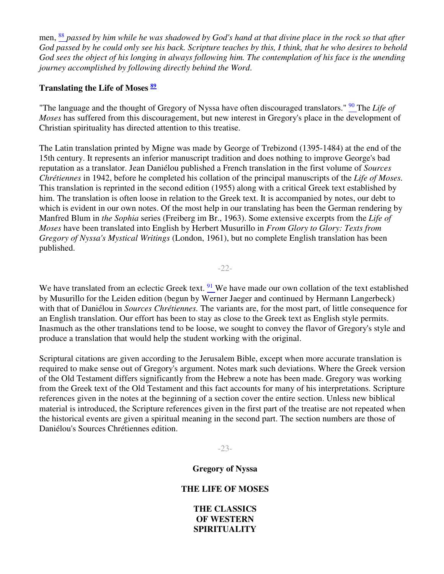men, <sup>88</sup> passed by him while he was shadowed by God's hand at that divine place in the rock so that after *God passed by he could only see his back. Scripture teaches by this, I think, that he who desires to behold God sees the object of his longing in always following him. The contemplation of his face is the unending journey accomplished by following directly behind the Word*.

### **Translating the Life of Moses <sup>89</sup>**

"The language and the thought of Gregory of Nyssa have often discouraged translators." <sup>90</sup> The *Life of Moses* has suffered from this discouragement, but new interest in Gregory's place in the development of Christian spirituality has directed attention to this treatise.

The Latin translation printed by Migne was made by George of Trebizond (1395-1484) at the end of the 15th century. It represents an inferior manuscript tradition and does nothing to improve George's bad reputation as a translator. Jean Daniélou published a French translation in the first volume of *Sources Chrétiennes* in 1942, before he completed his collation of the principal manuscripts of the *Life of Moses.* This translation is reprinted in the second edition (1955) along with a critical Greek text established by him. The translation is often loose in relation to the Greek text. It is accompanied by notes, our debt to which is evident in our own notes. Of the most help in our translating has been the German rendering by Manfred Blum in *the Sophia* series (Freiberg im Br., 1963). Some extensive excerpts from the *Life of Moses* have been translated into English by Herbert Musurillo in *From Glory to Glory: Texts from Gregory of Nyssa's Mystical Writings* (London, 1961), but no complete English translation has been published.

-22-

We have translated from an eclectic Greek text. <sup>91</sup> We have made our own collation of the text established by Musurillo for the Leiden edition (begun by Werner Jaeger and continued by Hermann Langerbeck) with that of Daniélou in *Sources Chrétiennes.* The variants are, for the most part, of little consequence for an English translation. Our effort has been to stay as close to the Greek text as English style permits. Inasmuch as the other translations tend to be loose, we sought to convey the flavor of Gregory's style and produce a translation that would help the student working with the original.

Scriptural citations are given according to the Jerusalem Bible, except when more accurate translation is required to make sense out of Gregory's argument. Notes mark such deviations. Where the Greek version of the Old Testament differs significantly from the Hebrew a note has been made. Gregory was working from the Greek text of the Old Testament and this fact accounts for many of his interpretations. Scripture references given in the notes at the beginning of a section cover the entire section. Unless new biblical material is introduced, the Scripture references given in the first part of the treatise are not repeated when the historical events are given a spiritual meaning in the second part. The section numbers are those of Daniélou's Sources Chrétiennes edition.

-23-

### **Gregory of Nyssa**

## **THE LIFE OF MOSES**

**THE CLASSICS OF WESTERN SPIRITUALITY**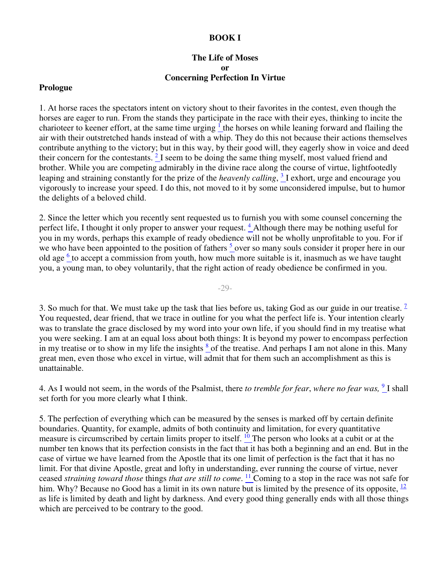### **BOOK I**

#### **The Life of Moses or Concerning Perfection In Virtue**

#### **Prologue**

1. At horse races the spectators intent on victory shout to their favorites in the contest, even though the horses are eager to run. From the stands they participate in the race with their eyes, thinking to incite the charioteer to keener effort, at the same time urging  $\frac{1}{k}$  the horses on while leaning forward and flailing the air with their outstretched hands instead of with a whip. They do this not because their actions themselves contribute anything to the victory; but in this way, by their good will, they eagerly show in voice and deed their concern for the contestants.  $\frac{2}{3}$  seem to be doing the same thing myself, most valued friend and brother. While you are competing admirably in the divine race along the course of virtue, lightfootedly leaping and straining constantly for the prize of the *heavenly calling*, <sup>3</sup> L exhort, urge and encourage you vigorously to increase your speed. I do this, not moved to it by some unconsidered impulse, but to humor the delights of a beloved child.

2. Since the letter which you recently sent requested us to furnish you with some counsel concerning the perfect life, I thought it only proper to answer your request. <sup>4</sup> Although there may be nothing useful for you in my words, perhaps this example of ready obedience will not be wholly unprofitable to you. For if we who have been appointed to the position of fathers  $\frac{5}{2}$  over so many souls consider it proper here in our old age  $\frac{6}{5}$  to accept a commission from youth, how much more suitable is it, inasmuch as we have taught you, a young man, to obey voluntarily, that the right action of ready obedience be confirmed in you.

3. So much for that. We must take up the task that lies before us, taking God as our guide in our treatise.  $\frac{7}{1}$ You requested, dear friend, that we trace in outline for you what the perfect life is. Your intention clearly was to translate the grace disclosed by my word into your own life, if you should find in my treatise what you were seeking. I am at an equal loss about both things: It is beyond my power to encompass perfection in my treatise or to show in my life the insights  $\frac{8}{5}$  of the treatise. And perhaps I am not alone in this. Many great men, even those who excel in virtue, will admit that for them such an accomplishment as this is unattainable.

-29-

4. As I would not seem, in the words of the Psalmist, there *to tremble for fear*, *where no fear was*, <sup>9</sup><sub>1</sub> shall set forth for you more clearly what I think.

5. The perfection of everything which can be measured by the senses is marked off by certain definite boundaries. Quantity, for example, admits of both continuity and limitation, for every quantitative measure is circumscribed by certain limits proper to itself.  $\frac{10}{10}$  The person who looks at a cubit or at the number ten knows that its perfection consists in the fact that it has both a beginning and an end. But in the case of virtue we have learned from the Apostle that its one limit of perfection is the fact that it has no limit. For that divine Apostle, great and lofty in understanding, ever running the course of virtue, never ceased *straining toward those* things *that are still to come*. <sup>11</sup> Coming to a stop in the race was not safe for him. Why? Because no Good has a limit in its own nature but is limited by the presence of its opposite, <sup>12</sup> as life is limited by death and light by darkness. And every good thing generally ends with all those things which are perceived to be contrary to the good.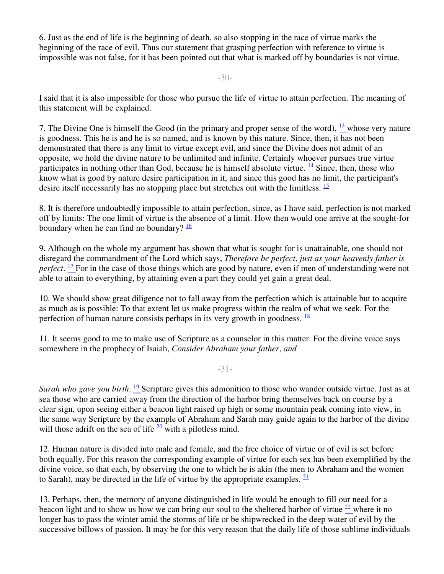6. Just as the end of life is the beginning of death, so also stopping in the race of virtue marks the beginning of the race of evil. Thus our statement that grasping perfection with reference to virtue is impossible was not false, for it has been pointed out that what is marked off by boundaries is not virtue.

 $-3()$ 

I said that it is also impossible for those who pursue the life of virtue to attain perfection. The meaning of this statement will be explained.

7. The Divine One is himself the Good (in the primary and proper sense of the word),  $\frac{13}{2}$  whose very nature is goodness. This he is and he is so named, and is known by this nature. Since, then, it has not been demonstrated that there is any limit to virtue except evil, and since the Divine does not admit of an opposite, we hold the divine nature to be unlimited and infinite. Certainly whoever pursues true virtue participates in nothing other than God, because he is himself absolute virtue. <sup>14</sup> Since, then, those who know what is good by nature desire participation in it, and since this good has no limit, the participant's desire itself necessarily has no stopping place but stretches out with the limitless.  $\frac{15}{2}$ 

8. It is therefore undoubtedly impossible to attain perfection, since, as I have said, perfection is not marked off by limits: The one limit of virtue is the absence of a limit. How then would one arrive at the sought-for boundary when he can find no boundary?  $\frac{16}{1}$ 

9. Although on the whole my argument has shown that what is sought for is unattainable, one should not disregard the commandment of the Lord which says, *Therefore be perfect*, *just as your heavenly father is perfect*. <sup>17</sup> For in the case of those things which are good by nature, even if men of understanding were not able to attain to everything, by attaining even a part they could yet gain a great deal.

10. We should show great diligence not to fall away from the perfection which is attainable but to acquire as much as is possible: To that extent let us make progress within the realm of what we seek. For the perfection of human nature consists perhaps in its very growth in goodness.  $\frac{18}{3}$ 

11. It seems good to me to make use of Scripture as a counselor in this matter. For the divine voice says somewhere in the prophecy of Isaiah, *Consider Abraham your father*, *and*

-31-

Sarah who gave you birth. <sup>19</sup> Scripture gives this admonition to those who wander outside virtue. Just as at sea those who are carried away from the direction of the harbor bring themselves back on course by a clear sign, upon seeing either a beacon light raised up high or some mountain peak coming into view, in the same way Scripture by the example of Abraham and Sarah may guide again to the harbor of the divine will those adrift on the sea of life  $20$  with a pilotless mind.

12. Human nature is divided into male and female, and the free choice of virtue or of evil is set before both equally. For this reason the corresponding example of virtue for each sex has been exemplified by the divine voice, so that each, by observing the one to which he is akin (the men to Abraham and the women to Sarah), may be directed in the life of virtue by the appropriate examples.  $\frac{21}{2}$ 

13. Perhaps, then, the memory of anyone distinguished in life would be enough to fill our need for a beacon light and to show us how we can bring our soul to the sheltered harbor of virtue  $^{22}$  where it no longer has to pass the winter amid the storms of life or be shipwrecked in the deep water of evil by the successive billows of passion. It may be for this very reason that the daily life of those sublime individuals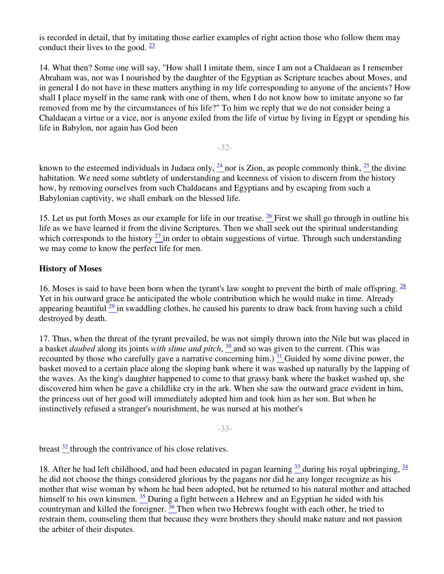is recorded in detail, that by imitating those earlier examples of right action those who follow them may conduct their lives to the good.  $\frac{23}{3}$ 

14. What then? Some one will say, "How shall I imitate them, since I am not a Chaldaean as I remember Abraham was, nor was I nourished by the daughter of the Egyptian as Scripture teaches about Moses, and in general I do not have in these matters anything in my life corresponding to anyone of the ancients? How shall I place myself in the same rank with one of them, when I do not know how to imitate anyone so far removed from me by the circumstances of his life?" To him we reply that we do not consider being a Chaldaean a virtue or a vice, nor is anyone exiled from the life of virtue by living in Egypt or spending his life in Babylon, nor again has God been

-32-

known to the esteemed individuals in Judaea only,  $^{24}$  nor is Zion, as people commonly think,  $^{25}$  the divine habitation. We need some subtlety of understanding and keenness of vision to discern from the history how, by removing ourselves from such Chaldaeans and Egyptians and by escaping from such a Babylonian captivity, we shall embark on the blessed life.

15. Let us put forth Moses as our example for life in our treatise.  $\frac{26}{5}$  First we shall go through in outline his life as we have learned it from the divine Scriptures. Then we shall seek out the spiritual understanding which corresponds to the history  $27$  in order to obtain suggestions of virtue. Through such understanding we may come to know the perfect life for men.

## **History of Moses**

16. Moses is said to have been born when the tyrant's law sought to prevent the birth of male offspring.  $\frac{28}{3}$ Yet in his outward grace he anticipated the whole contribution which he would make in time. Already appearing beautiful  $29$  in swaddling clothes, he caused his parents to draw back from having such a child destroyed by death.

17. Thus, when the threat of the tyrant prevailed, he was not simply thrown into the Nile but was placed in a basket *daubed* along its joints *with slime and pitch*,  $\frac{30}{2}$  and so was given to the current. (This was recounted by those who carefully gave a narrative concerning him.)  $\frac{31}{2}$  Guided by some divine power, the basket moved to a certain place along the sloping bank where it was washed up naturally by the lapping of the waves. As the king's daughter happened to come to that grassy bank where the basket washed up, she discovered him when he gave a childlike cry in the ark. When she saw the outward grace evident in him, the princess out of her good will immediately adopted him and took him as her son. But when he instinctively refused a stranger's nourishment, he was nursed at his mother's

-33-

breast <sup>32</sup> through the contrivance of his close relatives.

18. After he had left childhood, and had been educated in pagan learning  $33$  during his royal upbringing,  $\frac{34}{3}$ he did not choose the things considered glorious by the pagans nor did he any longer recognize as his mother that wise woman by whom he had been adopted, but he returned to his natural mother and attached himself to his own kinsmen. <sup>35</sup> During a fight between a Hebrew and an Egyptian he sided with his countryman and killed the foreigner.  $\frac{36}{3}$  Then when two Hebrews fought with each other, he tried to restrain them, counseling them that because they were brothers they should make nature and not passion the arbiter of their disputes.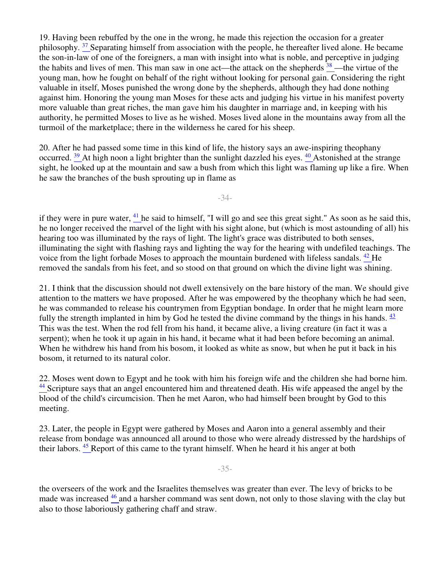19. Having been rebuffed by the one in the wrong, he made this rejection the occasion for a greater philosophy.  $37$  Separating himself from association with the people, he thereafter lived alone. He became the son-in-law of one of the foreigners, a man with insight into what is noble, and perceptive in judging the habits and lives of men. This man saw in one act—the attack on the shepherds  $38$ —the virtue of the young man, how he fought on behalf of the right without looking for personal gain. Considering the right valuable in itself, Moses punished the wrong done by the shepherds, although they had done nothing against him. Honoring the young man Moses for these acts and judging his virtue in his manifest poverty more valuable than great riches, the man gave him his daughter in marriage and, in keeping with his authority, he permitted Moses to live as he wished. Moses lived alone in the mountains away from all the turmoil of the marketplace; there in the wilderness he cared for his sheep.

20. After he had passed some time in this kind of life, the history says an awe-inspiring theophany occurred. <sup>39</sup> At high noon a light brighter than the sunlight dazzled his eyes. <sup>40</sup> Astonished at the strange sight, he looked up at the mountain and saw a bush from which this light was flaming up like a fire. When he saw the branches of the bush sprouting up in flame as

-34-

if they were in pure water, <sup>41</sup> he said to himself, "I will go and see this great sight." As soon as he said this, he no longer received the marvel of the light with his sight alone, but (which is most astounding of all) his hearing too was illuminated by the rays of light. The light's grace was distributed to both senses, illuminating the sight with flashing rays and lighting the way for the hearing with undefiled teachings. The voice from the light forbade Moses to approach the mountain burdened with lifeless sandals. <sup>42</sup> He removed the sandals from his feet, and so stood on that ground on which the divine light was shining.

21. I think that the discussion should not dwell extensively on the bare history of the man. We should give attention to the matters we have proposed. After he was empowered by the theophany which he had seen, he was commanded to release his countrymen from Egyptian bondage. In order that he might learn more fully the strength implanted in him by God he tested the divine command by the things in his hands.  $\frac{43}{2}$ This was the test. When the rod fell from his hand, it became alive, a living creature (in fact it was a serpent); when he took it up again in his hand, it became what it had been before becoming an animal. When he withdrew his hand from his bosom, it looked as white as snow, but when he put it back in his bosom, it returned to its natural color.

22. Moses went down to Egypt and he took with him his foreign wife and the children she had borne him. <sup>44</sup> Scripture says that an angel encountered him and threatened death. His wife appeased the angel by the blood of the child's circumcision. Then he met Aaron, who had himself been brought by God to this meeting.

23. Later, the people in Egypt were gathered by Moses and Aaron into a general assembly and their release from bondage was announced all around to those who were already distressed by the hardships of their labors. <sup>45</sup> Report of this came to the tyrant himself. When he heard it his anger at both

-35-

the overseers of the work and the Israelites themselves was greater than ever. The levy of bricks to be made was increased <sup>46</sup> and a harsher command was sent down, not only to those slaving with the clay but also to those laboriously gathering chaff and straw.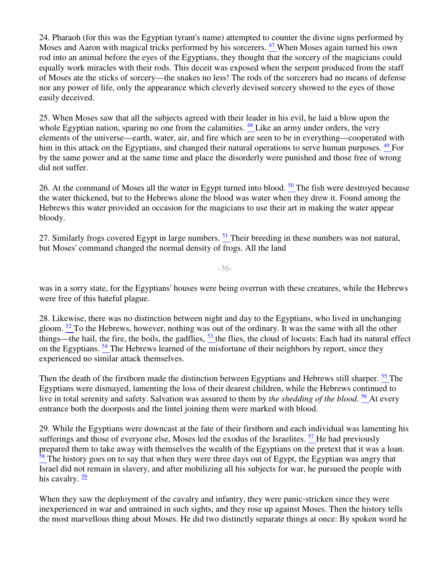24. Pharaoh (for this was the Egyptian tyrant's name) attempted to counter the divine signs performed by Moses and Aaron with magical tricks performed by his sorcerers. <sup>47</sup> When Moses again turned his own rod into an animal before the eyes of the Egyptians, they thought that the sorcery of the magicians could equally work miracles with their rods. This deceit was exposed when the serpent produced from the staff of Moses ate the sticks of sorcery—the snakes no less! The rods of the sorcerers had no means of defense nor any power of life, only the appearance which cleverly devised sorcery showed to the eyes of those easily deceived.

25. When Moses saw that all the subjects agreed with their leader in his evil, he laid a blow upon the whole Egyptian nation, sparing no one from the calamities.  $48$  Like an army under orders, the very elements of the universe—earth, water, air, and fire which are seen to be in everything—cooperated with him in this attack on the Egyptians, and changed their natural operations to serve human purposes. <sup>49</sup> For by the same power and at the same time and place the disorderly were punished and those free of wrong did not suffer.

26. At the command of Moses all the water in Egypt turned into blood.  $50$  The fish were destroyed because the water thickened, but to the Hebrews alone the blood was water when they drew it. Found among the Hebrews this water provided an occasion for the magicians to use their art in making the water appear bloody.

27. Similarly frogs covered Egypt in large numbers. <sup>51</sup> Their breeding in these numbers was not natural, but Moses' command changed the normal density of frogs. All the land

-36-

was in a sorry state, for the Egyptians' houses were being overrun with these creatures, while the Hebrews were free of this hateful plague.

28. Likewise, there was no distinction between night and day to the Egyptians, who lived in unchanging gloom.  $52$  To the Hebrews, however, nothing was out of the ordinary. It was the same with all the other things—the hail, the fire, the boils, the gadflies,  $\frac{53}{10}$  the flies, the cloud of locusts: Each had its natural effect on the Egyptians. <sup>54</sup> The Hebrews learned of the misfortune of their neighbors by report, since they experienced no similar attack themselves.

Then the death of the firstborn made the distinction between Egyptians and Hebrews still sharper. <sup>55</sup> The Egyptians were dismayed, lamenting the loss of their dearest children, while the Hebrews continued to live in total serenity and safety. Salvation was assured to them by *the shedding of the blood*. <sup>56</sup> At every entrance both the doorposts and the lintel joining them were marked with blood.

29. While the Egyptians were downcast at the fate of their firstborn and each individual was lamenting his sufferings and those of everyone else, Moses led the exodus of the Israelites.  $57$  He had previously prepared them to take away with themselves the wealth of the Egyptians on the pretext that it was a loan.  $\frac{58}{58}$  The history goes on to say that when they were three days out of Egypt, the Egyptian was angry that Israel did not remain in slavery, and after mobilizing all his subjects for war, he pursued the people with his cavalry.  $\frac{59}{2}$ 

When they saw the deployment of the cavalry and infantry, they were panic-stricken since they were inexperienced in war and untrained in such sights, and they rose up against Moses. Then the history tells the most marvellous thing about Moses. He did two distinctly separate things at once: By spoken word he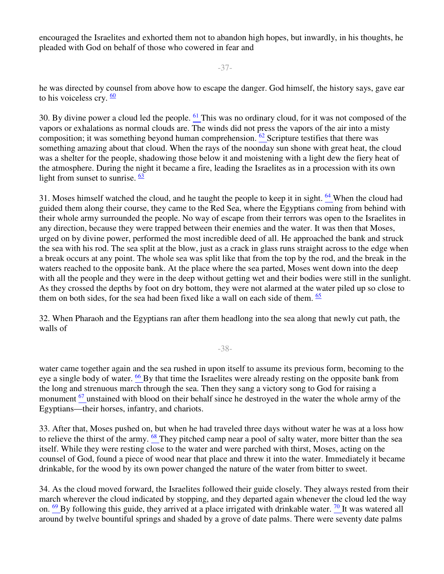encouraged the Israelites and exhorted them not to abandon high hopes, but inwardly, in his thoughts, he pleaded with God on behalf of those who cowered in fear and

-37-

he was directed by counsel from above how to escape the danger. God himself, the history says, gave ear to his voiceless cry.  $\frac{60}{ }$ 

30. By divine power a cloud led the people. <sup>61</sup> This was no ordinary cloud, for it was not composed of the vapors or exhalations as normal clouds are. The winds did not press the vapors of the air into a misty composition; it was something beyond human comprehension.  $62$  Scripture testifies that there was something amazing about that cloud. When the rays of the noonday sun shone with great heat, the cloud was a shelter for the people, shadowing those below it and moistening with a light dew the fiery heat of the atmosphere. During the night it became a fire, leading the Israelites as in a procession with its own light from sunset to sunrise.  $\frac{63}{2}$ 

31. Moses himself watched the cloud, and he taught the people to keep it in sight. <sup>64</sup> When the cloud had guided them along their course, they came to the Red Sea, where the Egyptians coming from behind with their whole army surrounded the people. No way of escape from their terrors was open to the Israelites in any direction, because they were trapped between their enemies and the water. It was then that Moses, urged on by divine power, performed the most incredible deed of all. He approached the bank and struck the sea with his rod. The sea split at the blow, just as a crack in glass runs straight across to the edge when a break occurs at any point. The whole sea was split like that from the top by the rod, and the break in the waters reached to the opposite bank. At the place where the sea parted, Moses went down into the deep with all the people and they were in the deep without getting wet and their bodies were still in the sunlight. As they crossed the depths by foot on dry bottom, they were not alarmed at the water piled up so close to them on both sides, for the sea had been fixed like a wall on each side of them.  $\frac{65}{5}$ 

32. When Pharaoh and the Egyptians ran after them headlong into the sea along that newly cut path, the walls of

-38-

water came together again and the sea rushed in upon itself to assume its previous form, becoming to the eye a single body of water.  $\frac{66}{5}$  By that time the Israelites were already resting on the opposite bank from the long and strenuous march through the sea. Then they sang a victory song to God for raising a monument <sup>67</sup> unstained with blood on their behalf since he destroyed in the water the whole army of the Egyptians—their horses, infantry, and chariots.

33. After that, Moses pushed on, but when he had traveled three days without water he was at a loss how to relieve the thirst of the army. <sup>68</sup> They pitched camp near a pool of salty water, more bitter than the sea itself. While they were resting close to the water and were parched with thirst, Moses, acting on the counsel of God, found a piece of wood near that place and threw it into the water. Immediately it became drinkable, for the wood by its own power changed the nature of the water from bitter to sweet.

34. As the cloud moved forward, the Israelites followed their guide closely. They always rested from their march wherever the cloud indicated by stopping, and they departed again whenever the cloud led the way on.  $^{69}$  By following this guide, they arrived at a place irrigated with drinkable water.  $^{70}$  It was watered all around by twelve bountiful springs and shaded by a grove of date palms. There were seventy date palms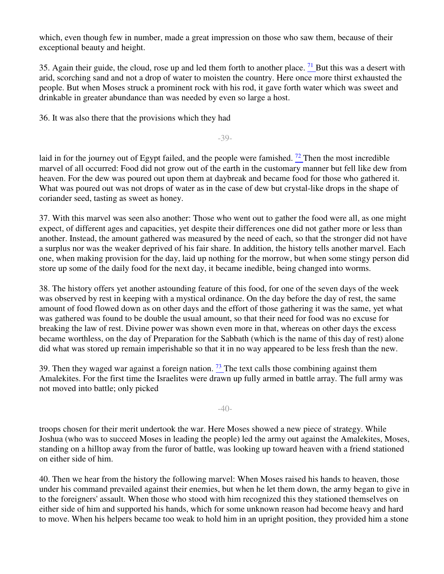which, even though few in number, made a great impression on those who saw them, because of their exceptional beauty and height.

35. Again their guide, the cloud, rose up and led them forth to another place.  $\frac{71}{1}$  But this was a desert with arid, scorching sand and not a drop of water to moisten the country. Here once more thirst exhausted the people. But when Moses struck a prominent rock with his rod, it gave forth water which was sweet and drinkable in greater abundance than was needed by even so large a host.

36. It was also there that the provisions which they had

-39-

laid in for the journey out of Egypt failed, and the people were famished.  $\frac{72}{2}$  Then the most incredible marvel of all occurred: Food did not grow out of the earth in the customary manner but fell like dew from heaven. For the dew was poured out upon them at daybreak and became food for those who gathered it. What was poured out was not drops of water as in the case of dew but crystal-like drops in the shape of coriander seed, tasting as sweet as honey.

37. With this marvel was seen also another: Those who went out to gather the food were all, as one might expect, of different ages and capacities, yet despite their differences one did not gather more or less than another. Instead, the amount gathered was measured by the need of each, so that the stronger did not have a surplus nor was the weaker deprived of his fair share. In addition, the history tells another marvel. Each one, when making provision for the day, laid up nothing for the morrow, but when some stingy person did store up some of the daily food for the next day, it became inedible, being changed into worms.

38. The history offers yet another astounding feature of this food, for one of the seven days of the week was observed by rest in keeping with a mystical ordinance. On the day before the day of rest, the same amount of food flowed down as on other days and the effort of those gathering it was the same, yet what was gathered was found to be double the usual amount, so that their need for food was no excuse for breaking the law of rest. Divine power was shown even more in that, whereas on other days the excess became worthless, on the day of Preparation for the Sabbath (which is the name of this day of rest) alone did what was stored up remain imperishable so that it in no way appeared to be less fresh than the new.

39. Then they waged war against a foreign nation.  $^{73}$  The text calls those combining against them Amalekites. For the first time the Israelites were drawn up fully armed in battle array. The full army was not moved into battle; only picked

 $-40-$ 

troops chosen for their merit undertook the war. Here Moses showed a new piece of strategy. While Joshua (who was to succeed Moses in leading the people) led the army out against the Amalekites, Moses, standing on a hilltop away from the furor of battle, was looking up toward heaven with a friend stationed on either side of him.

40. Then we hear from the history the following marvel: When Moses raised his hands to heaven, those under his command prevailed against their enemies, but when he let them down, the army began to give in to the foreigners' assault. When those who stood with him recognized this they stationed themselves on either side of him and supported his hands, which for some unknown reason had become heavy and hard to move. When his helpers became too weak to hold him in an upright position, they provided him a stone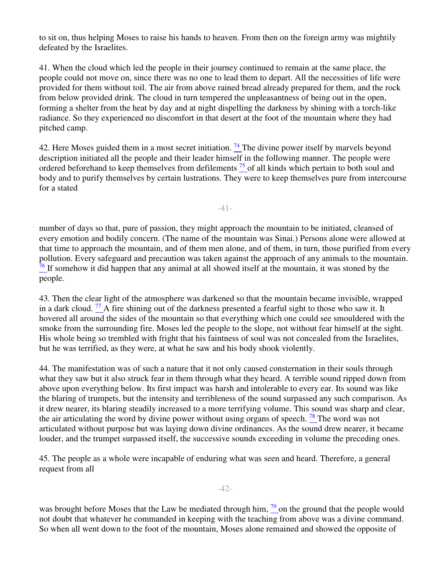to sit on, thus helping Moses to raise his hands to heaven. From then on the foreign army was mightily defeated by the Israelites.

41. When the cloud which led the people in their journey continued to remain at the same place, the people could not move on, since there was no one to lead them to depart. All the necessities of life were provided for them without toil. The air from above rained bread already prepared for them, and the rock from below provided drink. The cloud in turn tempered the unpleasantness of being out in the open, forming a shelter from the heat by day and at night dispelling the darkness by shining with a torch-like radiance. So they experienced no discomfort in that desert at the foot of the mountain where they had pitched camp.

42. Here Moses guided them in a most secret initiation.  $^{74}$  The divine power itself by marvels beyond description initiated all the people and their leader himself in the following manner. The people were ordered beforehand to keep themselves from defilements <sup>75</sup> of all kinds which pertain to both soul and body and to purify themselves by certain lustrations. They were to keep themselves pure from intercourse for a stated

-41-

number of days so that, pure of passion, they might approach the mountain to be initiated, cleansed of every emotion and bodily concern. (The name of the mountain was Sinai.) Persons alone were allowed at that time to approach the mountain, and of them men alone, and of them, in turn, those purified from every pollution. Every safeguard and precaution was taken against the approach of any animals to the mountain.  $\frac{76}{10}$  If somehow it did happen that any animal at all showed itself at the mountain, it was stoned by the people.

43. Then the clear light of the atmosphere was darkened so that the mountain became invisible, wrapped in a dark cloud.  $\frac{77}{10}$  A fire shining out of the darkness presented a fearful sight to those who saw it. It hovered all around the sides of the mountain so that everything which one could see smouldered with the smoke from the surrounding fire. Moses led the people to the slope, not without fear himself at the sight. His whole being so trembled with fright that his faintness of soul was not concealed from the Israelites, but he was terrified, as they were, at what he saw and his body shook violently.

44. The manifestation was of such a nature that it not only caused consternation in their souls through what they saw but it also struck fear in them through what they heard. A terrible sound ripped down from above upon everything below. Its first impact was harsh and intolerable to every ear. Its sound was like the blaring of trumpets, but the intensity and terribleness of the sound surpassed any such comparison. As it drew nearer, its blaring steadily increased to a more terrifying volume. This sound was sharp and clear, the air articulating the word by divine power without using organs of speech.  $^{78}$  The word was not articulated without purpose but was laying down divine ordinances. As the sound drew nearer, it became louder, and the trumpet surpassed itself, the successive sounds exceeding in volume the preceding ones.

45. The people as a whole were incapable of enduring what was seen and heard. Therefore, a general request from all

-42-

was brought before Moses that the Law be mediated through him,  $\frac{79}{2}$  on the ground that the people would not doubt that whatever he commanded in keeping with the teaching from above was a divine command. So when all went down to the foot of the mountain, Moses alone remained and showed the opposite of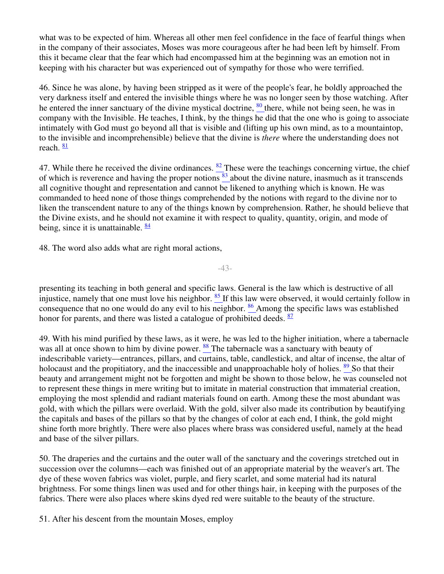what was to be expected of him. Whereas all other men feel confidence in the face of fearful things when in the company of their associates, Moses was more courageous after he had been left by himself. From this it became clear that the fear which had encompassed him at the beginning was an emotion not in keeping with his character but was experienced out of sympathy for those who were terrified.

46. Since he was alone, by having been stripped as it were of the people's fear, he boldly approached the very darkness itself and entered the invisible things where he was no longer seen by those watching. After he entered the inner sanctuary of the divine mystical doctrine, <sup>80</sup> there, while not being seen, he was in company with the Invisible. He teaches, I think, by the things he did that the one who is going to associate intimately with God must go beyond all that is visible and (lifting up his own mind, as to a mountaintop, to the invisible and incomprehensible) believe that the divine is *there* where the understanding does not reach.  $\frac{81}{2}$ 

47. While there he received the divine ordinances.  $\frac{82}{2}$  These were the teachings concerning virtue, the chief of which is reverence and having the proper notions  $83$  about the divine nature, inasmuch as it transcends all cognitive thought and representation and cannot be likened to anything which is known. He was commanded to heed none of those things comprehended by the notions with regard to the divine nor to liken the transcendent nature to any of the things known by comprehension. Rather, he should believe that the Divine exists, and he should not examine it with respect to quality, quantity, origin, and mode of being, since it is unattainable.  $\frac{84}{3}$ 

48. The word also adds what are right moral actions,

-43-

presenting its teaching in both general and specific laws. General is the law which is destructive of all injustice, namely that one must love his neighbor. <sup>85</sup> If this law were observed, it would certainly follow in consequence that no one would do any evil to his neighbor.  $86$  Among the specific laws was established honor for parents, and there was listed a catalogue of prohibited deeds.  $\frac{87}{5}$ 

49. With his mind purified by these laws, as it were, he was led to the higher initiation, where a tabernacle was all at once shown to him by divine power. <sup>88</sup> The tabernacle was a sanctuary with beauty of indescribable variety—entrances, pillars, and curtains, table, candlestick, and altar of incense, the altar of holocaust and the propitiatory, and the inaccessible and unapproachable holy of holies. <sup>89</sup> So that their beauty and arrangement might not be forgotten and might be shown to those below, he was counseled not to represent these things in mere writing but to imitate in material construction that immaterial creation, employing the most splendid and radiant materials found on earth. Among these the most abundant was gold, with which the pillars were overlaid. With the gold, silver also made its contribution by beautifying the capitals and bases of the pillars so that by the changes of color at each end, I think, the gold might shine forth more brightly. There were also places where brass was considered useful, namely at the head and base of the silver pillars.

50. The draperies and the curtains and the outer wall of the sanctuary and the coverings stretched out in succession over the columns—each was finished out of an appropriate material by the weaver's art. The dye of these woven fabrics was violet, purple, and fiery scarlet, and some material had its natural brightness. For some things linen was used and for other things hair, in keeping with the purposes of the fabrics. There were also places where skins dyed red were suitable to the beauty of the structure.

51. After his descent from the mountain Moses, employ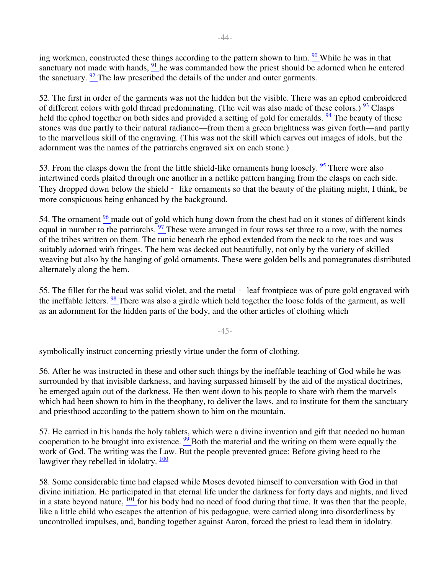ing workmen, constructed these things according to the pattern shown to him. <sup>90</sup> While he was in that sanctuary not made with hands, <sup>91</sup> he was commanded how the priest should be adorned when he entered the sanctuary.  $92$  The law prescribed the details of the under and outer garments.

52. The first in order of the garments was not the hidden but the visible. There was an ephod embroidered of different colors with gold thread predominating. (The veil was also made of these colors.)  $\frac{93}{3}$  Clasps held the ephod together on both sides and provided a setting of gold for emeralds.  $\frac{94}{9}$  The beauty of these stones was due partly to their natural radiance—from them a green brightness was given forth—and partly to the marvellous skill of the engraving. (This was not the skill which carves out images of idols, but the adornment was the names of the patriarchs engraved six on each stone.)

53. From the clasps down the front the little shield-like ornaments hung loosely. <sup>95</sup> There were also intertwined cords plaited through one another in a netlike pattern hanging from the clasps on each side. They dropped down below the shield – like ornaments so that the beauty of the plaiting might, I think, be more conspicuous being enhanced by the background.

54. The ornament <sup>96</sup> made out of gold which hung down from the chest had on it stones of different kinds equal in number to the patriarchs.  $\frac{97}{2}$  These were arranged in four rows set three to a row, with the names of the tribes written on them. The tunic beneath the ephod extended from the neck to the toes and was suitably adorned with fringes. The hem was decked out beautifully, not only by the variety of skilled weaving but also by the hanging of gold ornaments. These were golden bells and pomegranates distributed alternately along the hem.

55. The fillet for the head was solid violet, and the metal‐ leaf frontpiece was of pure gold engraved with the ineffable letters. <sup>98</sup> There was also a girdle which held together the loose folds of the garment, as well as an adornment for the hidden parts of the body, and the other articles of clothing which

-45-

symbolically instruct concerning priestly virtue under the form of clothing.

56. After he was instructed in these and other such things by the ineffable teaching of God while he was surrounded by that invisible darkness, and having surpassed himself by the aid of the mystical doctrines, he emerged again out of the darkness. He then went down to his people to share with them the marvels which had been shown to him in the theophany, to deliver the laws, and to institute for them the sanctuary and priesthood according to the pattern shown to him on the mountain.

57. He carried in his hands the holy tablets, which were a divine invention and gift that needed no human cooperation to be brought into existence. <sup>99</sup> Both the material and the writing on them were equally the work of God. The writing was the Law. But the people prevented grace: Before giving heed to the lawgiver they rebelled in idolatry.  $\frac{100}{100}$ 

58. Some considerable time had elapsed while Moses devoted himself to conversation with God in that divine initiation. He participated in that eternal life under the darkness for forty days and nights, and lived in a state beyond nature,  $\frac{101}{101}$  for his body had no need of food during that time. It was then that the people, like a little child who escapes the attention of his pedagogue, were carried along into disorderliness by uncontrolled impulses, and, banding together against Aaron, forced the priest to lead them in idolatry.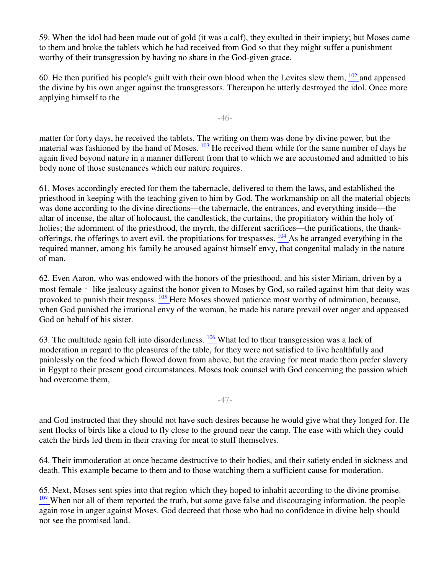59. When the idol had been made out of gold (it was a calf), they exulted in their impiety; but Moses came to them and broke the tablets which he had received from God so that they might suffer a punishment worthy of their transgression by having no share in the God-given grace.

60. He then purified his people's guilt with their own blood when the Levites slew them,  $102$  and appeased the divine by his own anger against the transgressors. Thereupon he utterly destroyed the idol. Once more applying himself to the

-46-

matter for forty days, he received the tablets. The writing on them was done by divine power, but the material was fashioned by the hand of Moses.  $103$  He received them while for the same number of days he again lived beyond nature in a manner different from that to which we are accustomed and admitted to his body none of those sustenances which our nature requires.

61. Moses accordingly erected for them the tabernacle, delivered to them the laws, and established the priesthood in keeping with the teaching given to him by God. The workmanship on all the material objects was done according to the divine directions—the tabernacle, the entrances, and everything inside—the altar of incense, the altar of holocaust, the candlestick, the curtains, the propitiatory within the holy of holies; the adornment of the priesthood, the myrrh, the different sacrifices—the purifications, the thankofferings, the offerings to avert evil, the propitiations for trespasses.  $\frac{104}{4}$ As he arranged everything in the required manner, among his family he aroused against himself envy, that congenital malady in the nature of man.

62. Even Aaron, who was endowed with the honors of the priesthood, and his sister Miriam, driven by a most female – like jealousy against the honor given to Moses by God, so railed against him that deity was provoked to punish their trespass. <sup>105</sup> Here Moses showed patience most worthy of admiration, because, when God punished the irrational envy of the woman, he made his nature prevail over anger and appeased God on behalf of his sister.

63. The multitude again fell into disorderliness.  $106$  What led to their transgression was a lack of moderation in regard to the pleasures of the table, for they were not satisfied to live healthfully and painlessly on the food which flowed down from above, but the craving for meat made them prefer slavery in Egypt to their present good circumstances. Moses took counsel with God concerning the passion which had overcome them,

-47-

and God instructed that they should not have such desires because he would give what they longed for. He sent flocks of birds like a cloud to fly close to the ground near the camp. The ease with which they could catch the birds led them in their craving for meat to stuff themselves.

64. Their immoderation at once became destructive to their bodies, and their satiety ended in sickness and death. This example became to them and to those watching them a sufficient cause for moderation.

65. Next, Moses sent spies into that region which they hoped to inhabit according to the divine promise.  $107$  When not all of them reported the truth, but some gave false and discouraging information, the people again rose in anger against Moses. God decreed that those who had no confidence in divine help should not see the promised land.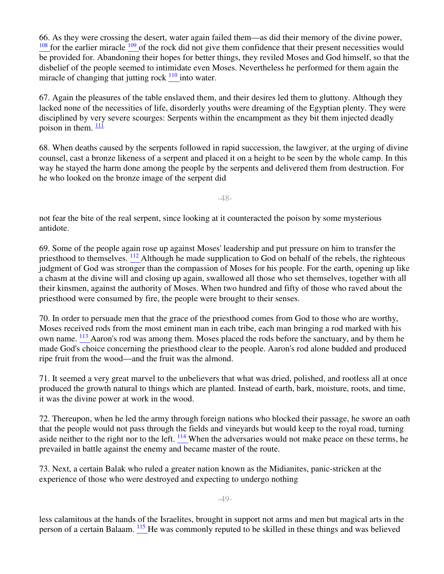66. As they were crossing the desert, water again failed them—as did their memory of the divine power,  $\frac{108}{2}$  for the earlier miracle  $\frac{109}{2}$  of the rock did not give them confidence that their present necessities would be provided for. Abandoning their hopes for better things, they reviled Moses and God himself, so that the disbelief of the people seemed to intimidate even Moses. Nevertheless he performed for them again the miracle of changing that jutting rock  $110$  into water.

67. Again the pleasures of the table enslaved them, and their desires led them to gluttony. Although they lacked none of the necessities of life, disorderly youths were dreaming of the Egyptian plenty. They were disciplined by very severe scourges: Serpents within the encampment as they bit them injected deadly poison in them.  $\frac{111}{11}$ 

68. When deaths caused by the serpents followed in rapid succession, the lawgiver, at the urging of divine counsel, cast a bronze likeness of a serpent and placed it on a height to be seen by the whole camp. In this way he stayed the harm done among the people by the serpents and delivered them from destruction. For he who looked on the bronze image of the serpent did

-48-

not fear the bite of the real serpent, since looking at it counteracted the poison by some mysterious antidote.

69. Some of the people again rose up against Moses' leadership and put pressure on him to transfer the priesthood to themselves. <sup>112</sup> Although he made supplication to God on behalf of the rebels, the righteous judgment of God was stronger than the compassion of Moses for his people. For the earth, opening up like a chasm at the divine will and closing up again, swallowed all those who set themselves, together with all their kinsmen, against the authority of Moses. When two hundred and fifty of those who raved about the priesthood were consumed by fire, the people were brought to their senses.

70. In order to persuade men that the grace of the priesthood comes from God to those who are worthy, Moses received rods from the most eminent man in each tribe, each man bringing a rod marked with his own name. <sup>113</sup> Aaron's rod was among them. Moses placed the rods before the sanctuary, and by them he made God's choice concerning the priesthood clear to the people. Aaron's rod alone budded and produced ripe fruit from the wood—and the fruit was the almond.

71. It seemed a very great marvel to the unbelievers that what was dried, polished, and rootless all at once produced the growth natural to things which are planted. Instead of earth, bark, moisture, roots, and time, it was the divine power at work in the wood.

72. Thereupon, when he led the army through foreign nations who blocked their passage, he swore an oath that the people would not pass through the fields and vineyards but would keep to the royal road, turning aside neither to the right nor to the left. <sup>114</sup> When the adversaries would not make peace on these terms, he prevailed in battle against the enemy and became master of the route.

73. Next, a certain Balak who ruled a greater nation known as the Midianites, panic-stricken at the experience of those who were destroyed and expecting to undergo nothing

-49-

less calamitous at the hands of the Israelites, brought in support not arms and men but magical arts in the person of a certain Balaam. <sup>115</sup> He was commonly reputed to be skilled in these things and was believed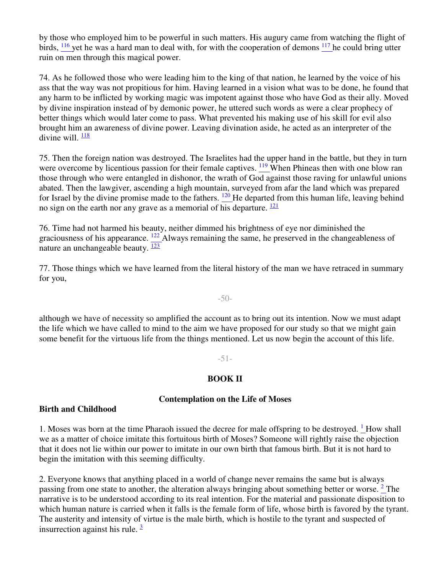by those who employed him to be powerful in such matters. His augury came from watching the flight of birds,  $\frac{116}{12}$  yet he was a hard man to deal with, for with the cooperation of demons  $\frac{117}{12}$  he could bring utter ruin on men through this magical power.

74. As he followed those who were leading him to the king of that nation, he learned by the voice of his ass that the way was not propitious for him. Having learned in a vision what was to be done, he found that any harm to be inflicted by working magic was impotent against those who have God as their ally. Moved by divine inspiration instead of by demonic power, he uttered such words as were a clear prophecy of better things which would later come to pass. What prevented his making use of his skill for evil also brought him an awareness of divine power. Leaving divination aside, he acted as an interpreter of the divine will.  $\frac{118}{1}$ 

75. Then the foreign nation was destroyed. The Israelites had the upper hand in the battle, but they in turn were overcome by licentious passion for their female captives. <sup>119</sup> When Phineas then with one blow ran those through who were entangled in dishonor, the wrath of God against those raving for unlawful unions abated. Then the lawgiver, ascending a high mountain, surveyed from afar the land which was prepared for Israel by the divine promise made to the fathers.  $120$  He departed from this human life, leaving behind no sign on the earth nor any grave as a memorial of his departure.  $\frac{121}{2}$ 

76. Time had not harmed his beauty, neither dimmed his brightness of eye nor diminished the graciousness of his appearance.  $122$  Always remaining the same, he preserved in the changeableness of nature an unchangeable beauty.  $\frac{123}{2}$ 

77. Those things which we have learned from the literal history of the man we have retraced in summary for you,

#### $-50-$

although we have of necessity so amplified the account as to bring out its intention. Now we must adapt the life which we have called to mind to the aim we have proposed for our study so that we might gain some benefit for the virtuous life from the things mentioned. Let us now begin the account of this life.

-51-

### **BOOK II**

### **Contemplation on the Life of Moses**

### **Birth and Childhood**

1. Moses was born at the time Pharaoh issued the decree for male offspring to be destroyed.  $\frac{1}{1}$  How shall we as a matter of choice imitate this fortuitous birth of Moses? Someone will rightly raise the objection that it does not lie within our power to imitate in our own birth that famous birth. But it is not hard to begin the imitation with this seeming difficulty.

2. Everyone knows that anything placed in a world of change never remains the same but is always passing from one state to another, the alteration always bringing about something better or worse. <sup>2</sup> The narrative is to be understood according to its real intention. For the material and passionate disposition to which human nature is carried when it falls is the female form of life, whose birth is favored by the tyrant. The austerity and intensity of virtue is the male birth, which is hostile to the tyrant and suspected of insurrection against his rule.  $\frac{3}{2}$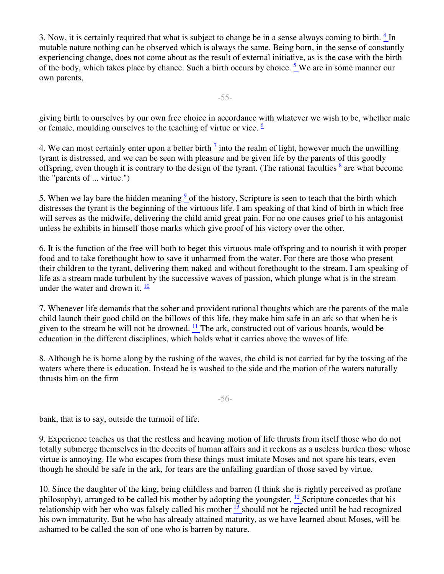3. Now, it is certainly required that what is subject to change be in a sense always coming to birth.  $\frac{4}{1}$ In mutable nature nothing can be observed which is always the same. Being born, in the sense of constantly experiencing change, does not come about as the result of external initiative, as is the case with the birth of the body, which takes place by chance. Such a birth occurs by choice.  $\frac{5}{5}$  We are in some manner our own parents,

-55-

giving birth to ourselves by our own free choice in accordance with whatever we wish to be, whether male or female, moulding ourselves to the teaching of virtue or vice.  $\frac{6}{5}$ 

4. We can most certainly enter upon a better birth  $\frac{7}{1}$  into the realm of light, however much the unwilling tyrant is distressed, and we can be seen with pleasure and be given life by the parents of this goodly offspring, even though it is contrary to the design of the tyrant. (The rational faculties  $\frac{8}{3}$  are what become the "parents of ... virtue.")

5. When we lay bare the hidden meaning  $\frac{9}{5}$  of the history, Scripture is seen to teach that the birth which distresses the tyrant is the beginning of the virtuous life. I am speaking of that kind of birth in which free will serves as the midwife, delivering the child amid great pain. For no one causes grief to his antagonist unless he exhibits in himself those marks which give proof of his victory over the other.

6. It is the function of the free will both to beget this virtuous male offspring and to nourish it with proper food and to take forethought how to save it unharmed from the water. For there are those who present their children to the tyrant, delivering them naked and without forethought to the stream. I am speaking of life as a stream made turbulent by the successive waves of passion, which plunge what is in the stream under the water and drown it.  $\frac{10}{10}$ 

7. Whenever life demands that the sober and provident rational thoughts which are the parents of the male child launch their good child on the billows of this life, they make him safe in an ark so that when he is given to the stream he will not be drowned.  $\frac{11}{1}$  The ark, constructed out of various boards, would be education in the different disciplines, which holds what it carries above the waves of life.

8. Although he is borne along by the rushing of the waves, the child is not carried far by the tossing of the waters where there is education. Instead he is washed to the side and the motion of the waters naturally thrusts him on the firm

-56-

bank, that is to say, outside the turmoil of life.

9. Experience teaches us that the restless and heaving motion of life thrusts from itself those who do not totally submerge themselves in the deceits of human affairs and it reckons as a useless burden those whose virtue is annoying. He who escapes from these things must imitate Moses and not spare his tears, even though he should be safe in the ark, for tears are the unfailing guardian of those saved by virtue.

10. Since the daughter of the king, being childless and barren (I think she is rightly perceived as profane philosophy), arranged to be called his mother by adopting the youngster,  $\frac{12}{12}$  Scripture concedes that his relationship with her who was falsely called his mother  $\frac{13}{2}$  should not be rejected until he had recognized his own immaturity. But he who has already attained maturity, as we have learned about Moses, will be ashamed to be called the son of one who is barren by nature.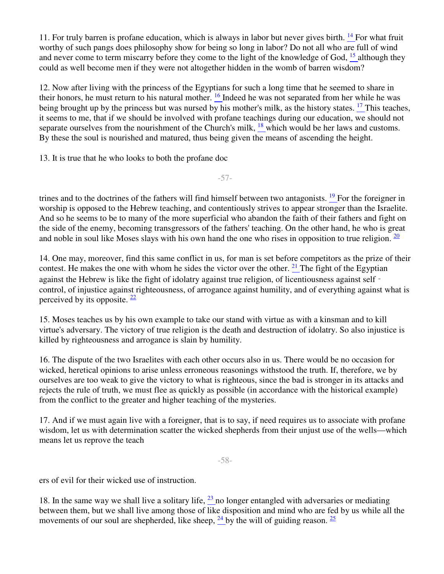11. For truly barren is profane education, which is always in labor but never gives birth. <sup>14</sup> For what fruit worthy of such pangs does philosophy show for being so long in labor? Do not all who are full of wind and never come to term miscarry before they come to the light of the knowledge of God,  $^{15}$  although they could as well become men if they were not altogether hidden in the womb of barren wisdom?

12. Now after living with the princess of the Egyptians for such a long time that he seemed to share in their honors, he must return to his natural mother. <sup>16</sup> Indeed he was not separated from her while he was being brought up by the princess but was nursed by his mother's milk, as the history states. <sup>17</sup> This teaches, it seems to me, that if we should be involved with profane teachings during our education, we should not separate ourselves from the nourishment of the Church's milk,  $^{18}$  which would be her laws and customs. By these the soul is nourished and matured, thus being given the means of ascending the height.

13. It is true that he who looks to both the profane doc

-57-

trines and to the doctrines of the fathers will find himself between two antagonists. <sup>19</sup> For the foreigner in worship is opposed to the Hebrew teaching, and contentiously strives to appear stronger than the Israelite. And so he seems to be to many of the more superficial who abandon the faith of their fathers and fight on the side of the enemy, becoming transgressors of the fathers' teaching. On the other hand, he who is great and noble in soul like Moses slays with his own hand the one who rises in opposition to true religion.  $\frac{20}{20}$ 

14. One may, moreover, find this same conflict in us, for man is set before competitors as the prize of their contest. He makes the one with whom he sides the victor over the other. <sup>21</sup> The fight of the Egyptian against the Hebrew is like the fight of idolatry against true religion, of licentiousness against self‐ control, of injustice against righteousness, of arrogance against humility, and of everything against what is perceived by its opposite.  $\frac{22}{3}$ 

15. Moses teaches us by his own example to take our stand with virtue as with a kinsman and to kill virtue's adversary. The victory of true religion is the death and destruction of idolatry. So also injustice is killed by righteousness and arrogance is slain by humility.

16. The dispute of the two Israelites with each other occurs also in us. There would be no occasion for wicked, heretical opinions to arise unless erroneous reasonings withstood the truth. If, therefore, we by ourselves are too weak to give the victory to what is righteous, since the bad is stronger in its attacks and rejects the rule of truth, we must flee as quickly as possible (in accordance with the historical example) from the conflict to the greater and higher teaching of the mysteries.

17. And if we must again live with a foreigner, that is to say, if need requires us to associate with profane wisdom, let us with determination scatter the wicked shepherds from their unjust use of the wells—which means let us reprove the teach

-58-

ers of evil for their wicked use of instruction.

18. In the same way we shall live a solitary life,  $^{23}$  no longer entangled with adversaries or mediating between them, but we shall live among those of like disposition and mind who are fed by us while all the movements of our soul are shepherded, like sheep,  $\frac{24}{3}$  by the will of guiding reason.  $\frac{25}{3}$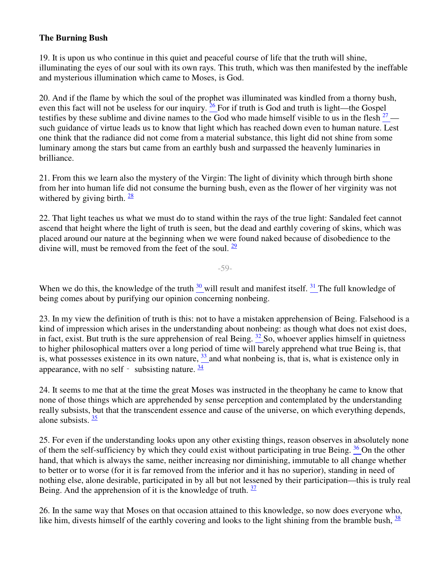## **The Burning Bush**

19. It is upon us who continue in this quiet and peaceful course of life that the truth will shine, illuminating the eyes of our soul with its own rays. This truth, which was then manifested by the ineffable and mysterious illumination which came to Moses, is God.

20. And if the flame by which the soul of the prophet was illuminated was kindled from a thorny bush, even this fact will not be useless for our inquiry.  $^{26}$  For if truth is God and truth is light—the Gospel testifies by these sublime and divine names to the God who made himself visible to us in the flesh  $27$ such guidance of virtue leads us to know that light which has reached down even to human nature. Lest one think that the radiance did not come from a material substance, this light did not shine from some luminary among the stars but came from an earthly bush and surpassed the heavenly luminaries in brilliance.

21. From this we learn also the mystery of the Virgin: The light of divinity which through birth shone from her into human life did not consume the burning bush, even as the flower of her virginity was not withered by giving birth.  $\frac{28}{3}$ 

22. That light teaches us what we must do to stand within the rays of the true light: Sandaled feet cannot ascend that height where the light of truth is seen, but the dead and earthly covering of skins, which was placed around our nature at the beginning when we were found naked because of disobedience to the divine will, must be removed from the feet of the soul.  $\frac{29}{2}$ 

-59-

When we do this, the knowledge of the truth  $30$  will result and manifest itself.  $31$  The full knowledge of being comes about by purifying our opinion concerning nonbeing.

23. In my view the definition of truth is this: not to have a mistaken apprehension of Being. Falsehood is a kind of impression which arises in the understanding about nonbeing: as though what does not exist does, in fact, exist. But truth is the sure apprehension of real Being.  $\frac{32}{2}$  So, whoever applies himself in quietness to higher philosophical matters over a long period of time will barely apprehend what true Being is, that is, what possesses existence in its own nature,  $\frac{33}{2}$  and what nonbeing is, that is, what is existence only in appearance, with no self - subsisting nature.  $\frac{34}{3}$ 

24. It seems to me that at the time the great Moses was instructed in the theophany he came to know that none of those things which are apprehended by sense perception and contemplated by the understanding really subsists, but that the transcendent essence and cause of the universe, on which everything depends, alone subsists.  $\frac{35}{3}$ 

25. For even if the understanding looks upon any other existing things, reason observes in absolutely none of them the self-sufficiency by which they could exist without participating in true Being.  $36$  On the other hand, that which is always the same, neither increasing nor diminishing, immutable to all change whether to better or to worse (for it is far removed from the inferior and it has no superior), standing in need of nothing else, alone desirable, participated in by all but not lessened by their participation—this is truly real Being. And the apprehension of it is the knowledge of truth.  $\frac{37}{2}$ 

26. In the same way that Moses on that occasion attained to this knowledge, so now does everyone who, like him, divests himself of the earthly covering and looks to the light shining from the bramble bush,  $\frac{38}{3}$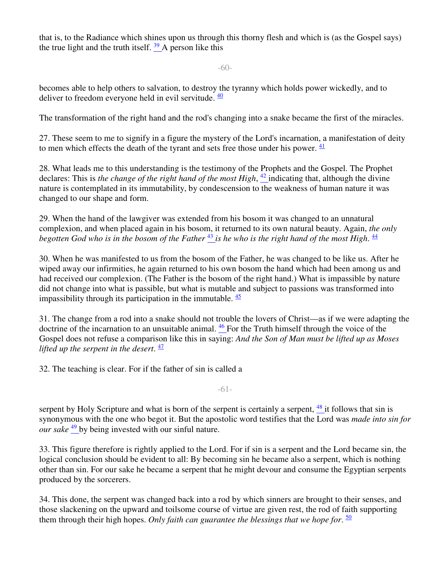that is, to the Radiance which shines upon us through this thorny flesh and which is (as the Gospel says) the true light and the truth itself.  $39$  A person like this

-60-

becomes able to help others to salvation, to destroy the tyranny which holds power wickedly, and to deliver to freedom everyone held in evil servitude.  $\frac{40}{2}$ 

The transformation of the right hand and the rod's changing into a snake became the first of the miracles.

27. These seem to me to signify in a figure the mystery of the Lord's incarnation, a manifestation of deity to men which effects the death of the tyrant and sets free those under his power.  $\frac{41}{5}$ 

28. What leads me to this understanding is the testimony of the Prophets and the Gospel. The Prophet declares: This is *the change of the right hand of the most High*, <sup>42</sup> indicating that, although the divine nature is contemplated in its immutability, by condescension to the weakness of human nature it was changed to our shape and form.

29. When the hand of the lawgiver was extended from his bosom it was changed to an unnatural complexion, and when placed again in his bosom, it returned to its own natural beauty. Again, *the only*  begotten God who is in the bosom of the Father  $\frac{43}{1}$  is he who is the right hand of the most High.  $\frac{44}{1}$ 

30. When he was manifested to us from the bosom of the Father, he was changed to be like us. After he wiped away our infirmities, he again returned to his own bosom the hand which had been among us and had received our complexion. (The Father is the bosom of the right hand.) What is impassible by nature did not change into what is passible, but what is mutable and subject to passions was transformed into impassibility through its participation in the immutable.  $\frac{45}{5}$ 

31. The change from a rod into a snake should not trouble the lovers of Christ—as if we were adapting the doctrine of the incarnation to an unsuitable animal. <sup>46</sup> For the Truth himself through the voice of the Gospel does not refuse a comparison like this in saying: *And the Son of Man must be lifted up as Moses lifted up the serpent in the desert*. 47

32. The teaching is clear. For if the father of sin is called a

-61-

serpent by Holy Scripture and what is born of the serpent is certainly a serpent, <sup>48</sup> it follows that sin is synonymous with the one who begot it. But the apostolic word testifies that the Lord was *made into sin for our sake* <sup>49</sup> by being invested with our sinful nature.

33. This figure therefore is rightly applied to the Lord. For if sin is a serpent and the Lord became sin, the logical conclusion should be evident to all: By becoming sin he became also a serpent, which is nothing other than sin. For our sake he became a serpent that he might devour and consume the Egyptian serpents produced by the sorcerers.

34. This done, the serpent was changed back into a rod by which sinners are brought to their senses, and those slackening on the upward and toilsome course of virtue are given rest, the rod of faith supporting them through their high hopes. *Only faith can guarantee the blessings that we hope for*. 50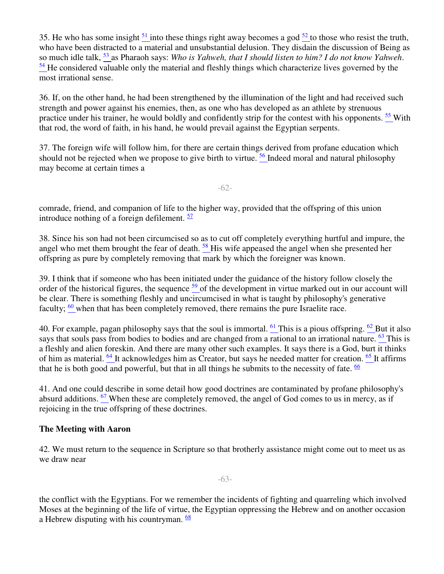35. He who has some insight  $51$  into these things right away becomes a god  $52$  to those who resist the truth, who have been distracted to a material and unsubstantial delusion. They disdain the discussion of Being as so much idle talk, <sup>53</sup> as Pharaoh says: *Who is Yahweh, that I should listen to him? I do not know Yahweh*. <sup>54</sup> He considered valuable only the material and fleshly things which characterize lives governed by the most irrational sense.

36. If, on the other hand, he had been strengthened by the illumination of the light and had received such strength and power against his enemies, then, as one who has developed as an athlete by strenuous practice under his trainer, he would boldly and confidently strip for the contest with his opponents. <sup>55</sup> With that rod, the word of faith, in his hand, he would prevail against the Egyptian serpents.

37. The foreign wife will follow him, for there are certain things derived from profane education which should not be rejected when we propose to give birth to virtue. <sup>56</sup> Indeed moral and natural philosophy may become at certain times a

-62-

comrade, friend, and companion of life to the higher way, provided that the offspring of this union introduce nothing of a foreign defilement.  $\frac{57}{2}$ 

38. Since his son had not been circumcised so as to cut off completely everything hurtful and impure, the angel who met them brought the fear of death. <sup>58</sup> His wife appeased the angel when she presented her offspring as pure by completely removing that mark by which the foreigner was known.

39. I think that if someone who has been initiated under the guidance of the history follow closely the order of the historical figures, the sequence <sup>59</sup> of the development in virtue marked out in our account will be clear. There is something fleshly and uncircumcised in what is taught by philosophy's generative faculty;  $60$  when that has been completely removed, there remains the pure Israelite race.

40. For example, pagan philosophy says that the soul is immortal.  $^{61}$  This is a pious offspring.  $^{62}$  But it also says that souls pass from bodies to bodies and are changed from a rational to an irrational nature. <sup>63</sup> This is a fleshly and alien foreskin. And there are many other such examples. It says there is a God, burt it thinks of him as material. <sup>64</sup> It acknowledges him as Creator, but says he needed matter for creation. <sup>65</sup> It affirms that he is both good and powerful, but that in all things he submits to the necessity of fate.  $\frac{66}{5}$ 

41. And one could describe in some detail how good doctrines are contaminated by profane philosophy's absurd additions. <sup>67</sup> When these are completely removed, the angel of God comes to us in mercy, as if rejoicing in the true offspring of these doctrines.

## **The Meeting with Aaron**

42. We must return to the sequence in Scripture so that brotherly assistance might come out to meet us as we draw near

-63-

the conflict with the Egyptians. For we remember the incidents of fighting and quarreling which involved Moses at the beginning of the life of virtue, the Egyptian oppressing the Hebrew and on another occasion a Hebrew disputing with his countryman.  $\frac{68}{6}$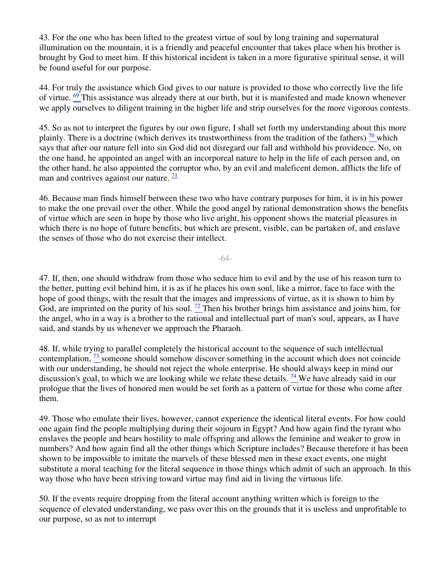43. For the one who has been lifted to the greatest virtue of soul by long training and supernatural illumination on the mountain, it is a friendly and peaceful encounter that takes place when his brother is brought by God to meet him. If this historical incident is taken in a more figurative spiritual sense, it will be found useful for our purpose.

44. For truly the assistance which God gives to our nature is provided to those who correctly live the life of virtue. <sup>69</sup> This assistance was already there at our birth, but it is manifested and made known whenever we apply ourselves to diligent training in the higher life and strip ourselves for the more vigorous contests.

45. So as not to interpret the figures by our own figure, I shall set forth my understanding about this more plainly. There is a doctrine (which derives its trustworthiness from the tradition of the fathers)  $\frac{70}{10}$  which says that after our nature fell into sin God did not disregard our fall and withhold his providence. No, on the one hand, he appointed an angel with an incorporeal nature to help in the life of each person and, on the other hand, he also appointed the corruptor who, by an evil and maleficent demon, afflicts the life of man and contrives against our nature.  $\frac{71}{7}$ 

46. Because man finds himself between these two who have contrary purposes for him, it is in his power to make the one prevail over the other. While the good angel by rational demonstration shows the benefits of virtue which are seen in hope by those who live aright, his opponent shows the material pleasures in which there is no hope of future benefits, but which are present, visible, can be partaken of, and enslave the senses of those who do not exercise their intellect.

-64-

47. If, then, one should withdraw from those who seduce him to evil and by the use of his reason turn to the better, putting evil behind him, it is as if he places his own soul, like a mirror, face to face with the hope of good things, with the result that the images and impressions of virtue, as it is shown to him by God, are imprinted on the purity of his soul.  $^{72}$  Then his brother brings him assistance and joins him, for the angel, who in a way is a brother to the rational and intellectual part of man's soul, appears, as I have said, and stands by us whenever we approach the Pharaoh.

48. If, while trying to parallel completely the historical account to the sequence of such intellectual contemplation, <sup>73</sup> someone should somehow discover something in the account which does not coincide with our understanding, he should not reject the whole enterprise. He should always keep in mind our discussion's goal, to which we are looking while we relate these details. <sup>74</sup> We have already said in our prologue that the lives of honored men would be set forth as a pattern of virtue for those who come after them.

49. Those who emulate their lives, however, cannot experience the identical literal events. For how could one again find the people multiplying during their sojourn in Egypt? And how again find the tyrant who enslaves the people and bears hostility to male offspring and allows the feminine and weaker to grow in numbers? And how again find all the other things which Scripture includes? Because therefore it has been shown to be impossible to imitate the marvels of these blessed men in these exact events, one might substitute a moral teaching for the literal sequence in those things which admit of such an approach. In this way those who have been striving toward virtue may find aid in living the virtuous life.

50. If the events require dropping from the literal account anything written which is foreign to the sequence of elevated understanding, we pass over this on the grounds that it is useless and unprofitable to our purpose, so as not to interrupt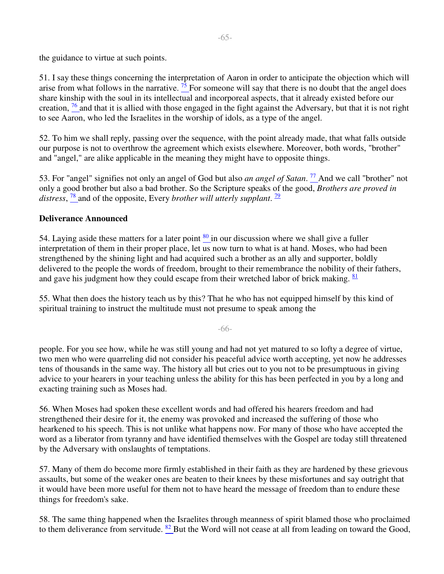the guidance to virtue at such points.

51. I say these things concerning the interpretation of Aaron in order to anticipate the objection which will arise from what follows in the narrative.  $\frac{75}{15}$  For someone will say that there is no doubt that the angel does share kinship with the soul in its intellectual and incorporeal aspects, that it already existed before our creation,  $^{76}$  and that it is allied with those engaged in the fight against the Adversary, but that it is not right to see Aaron, who led the Israelites in the worship of idols, as a type of the angel.

52. To him we shall reply, passing over the sequence, with the point already made, that what falls outside our purpose is not to overthrow the agreement which exists elsewhere. Moreover, both words, "brother" and "angel," are alike applicable in the meaning they might have to opposite things.

53. For "angel" signifies not only an angel of God but also *an angel of Satan*. <sup>77</sup> And we call "brother" not only a good brother but also a bad brother. So the Scripture speaks of the good, *Brothers are proved in distress*, <sup>78</sup> and of the opposite, Every *brother will utterly supplant*. 79

### **Deliverance Announced**

54. Laying aside these matters for a later point  $\frac{80}{2}$  in our discussion where we shall give a fuller interpretation of them in their proper place, let us now turn to what is at hand. Moses, who had been strengthened by the shining light and had acquired such a brother as an ally and supporter, boldly delivered to the people the words of freedom, brought to their remembrance the nobility of their fathers, and gave his judgment how they could escape from their wretched labor of brick making.  $\frac{81}{2}$ 

55. What then does the history teach us by this? That he who has not equipped himself by this kind of spiritual training to instruct the multitude must not presume to speak among the

-66-

people. For you see how, while he was still young and had not yet matured to so lofty a degree of virtue, two men who were quarreling did not consider his peaceful advice worth accepting, yet now he addresses tens of thousands in the same way. The history all but cries out to you not to be presumptuous in giving advice to your hearers in your teaching unless the ability for this has been perfected in you by a long and exacting training such as Moses had.

56. When Moses had spoken these excellent words and had offered his hearers freedom and had strengthened their desire for it, the enemy was provoked and increased the suffering of those who hearkened to his speech. This is not unlike what happens now. For many of those who have accepted the word as a liberator from tyranny and have identified themselves with the Gospel are today still threatened by the Adversary with onslaughts of temptations.

57. Many of them do become more firmly established in their faith as they are hardened by these grievous assaults, but some of the weaker ones are beaten to their knees by these misfortunes and say outright that it would have been more useful for them not to have heard the message of freedom than to endure these things for freedom's sake.

58. The same thing happened when the Israelites through meanness of spirit blamed those who proclaimed to them deliverance from servitude. <sup>82</sup> But the Word will not cease at all from leading on toward the Good,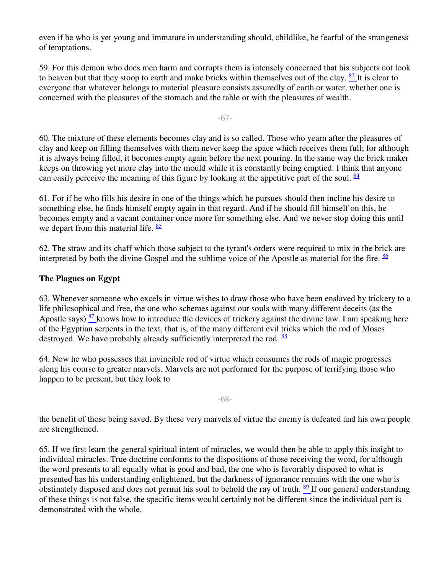even if he who is yet young and immature in understanding should, childlike, be fearful of the strangeness of temptations.

59. For this demon who does men harm and corrupts them is intensely concerned that his subjects not look to heaven but that they stoop to earth and make bricks within themselves out of the clay. <sup>83</sup> It is clear to everyone that whatever belongs to material pleasure consists assuredly of earth or water, whether one is concerned with the pleasures of the stomach and the table or with the pleasures of wealth.

-67-

60. The mixture of these elements becomes clay and is so called. Those who yearn after the pleasures of clay and keep on filling themselves with them never keep the space which receives them full; for although it is always being filled, it becomes empty again before the next pouring. In the same way the brick maker keeps on throwing yet more clay into the mould while it is constantly being emptied. I think that anyone can easily perceive the meaning of this figure by looking at the appetitive part of the soul.  $\frac{84}{3}$ 

61. For if he who fills his desire in one of the things which he pursues should then incline his desire to something else, he finds himself empty again in that regard. And if he should fill himself on this, he becomes empty and a vacant container once more for something else. And we never stop doing this until we depart from this material life.  $\frac{85}{5}$ 

62. The straw and its chaff which those subject to the tyrant's orders were required to mix in the brick are interpreted by both the divine Gospel and the sublime voice of the Apostle as material for the fire.  $\frac{86}{5}$ 

### **The Plagues on Egypt**

63. Whenever someone who excels in virtue wishes to draw those who have been enslaved by trickery to a life philosophical and free, the one who schemes against our souls with many different deceits (as the Apostle says)  $87$  knows how to introduce the devices of trickery against the divine law. I am speaking here of the Egyptian serpents in the text, that is, of the many different evil tricks which the rod of Moses destroyed. We have probably already sufficiently interpreted the rod. 88

64. Now he who possesses that invincible rod of virtue which consumes the rods of magic progresses along his course to greater marvels. Marvels are not performed for the purpose of terrifying those who happen to be present, but they look to

-68-

the benefit of those being saved. By these very marvels of virtue the enemy is defeated and his own people are strengthened.

65. If we first learn the general spiritual intent of miracles, we would then be able to apply this insight to individual miracles. True doctrine conforms to the dispositions of those receiving the word, for although the word presents to all equally what is good and bad, the one who is favorably disposed to what is presented has his understanding enlightened, but the darkness of ignorance remains with the one who is obstinately disposed and does not permit his soul to behold the ray of truth. <sup>89</sup> If our general understanding of these things is not false, the specific items would certainly not be different since the individual part is demonstrated with the whole.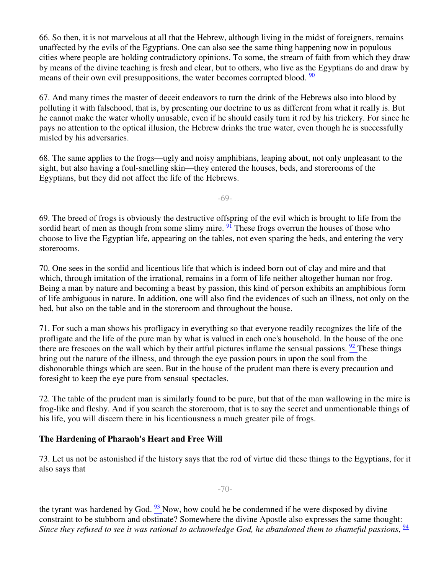66. So then, it is not marvelous at all that the Hebrew, although living in the midst of foreigners, remains unaffected by the evils of the Egyptians. One can also see the same thing happening now in populous cities where people are holding contradictory opinions. To some, the stream of faith from which they draw by means of the divine teaching is fresh and clear, but to others, who live as the Egyptians do and draw by means of their own evil presuppositions, the water becomes corrupted blood.  $\frac{90}{20}$ 

67. And many times the master of deceit endeavors to turn the drink of the Hebrews also into blood by polluting it with falsehood, that is, by presenting our doctrine to us as different from what it really is. But he cannot make the water wholly unusable, even if he should easily turn it red by his trickery. For since he pays no attention to the optical illusion, the Hebrew drinks the true water, even though he is successfully misled by his adversaries.

68. The same applies to the frogs—ugly and noisy amphibians, leaping about, not only unpleasant to the sight, but also having a foul-smelling skin—they entered the houses, beds, and storerooms of the Egyptians, but they did not affect the life of the Hebrews.

-69-

69. The breed of frogs is obviously the destructive offspring of the evil which is brought to life from the sordid heart of men as though from some slimy mire.  $9<sup>1</sup>$  These frogs overrun the houses of those who choose to live the Egyptian life, appearing on the tables, not even sparing the beds, and entering the very storerooms.

70. One sees in the sordid and licentious life that which is indeed born out of clay and mire and that which, through imitation of the irrational, remains in a form of life neither altogether human nor frog. Being a man by nature and becoming a beast by passion, this kind of person exhibits an amphibious form of life ambiguous in nature. In addition, one will also find the evidences of such an illness, not only on the bed, but also on the table and in the storeroom and throughout the house.

71. For such a man shows his profligacy in everything so that everyone readily recognizes the life of the profligate and the life of the pure man by what is valued in each one's household. In the house of the one there are frescoes on the wall which by their artful pictures inflame the sensual passions.  $92$  These things bring out the nature of the illness, and through the eye passion pours in upon the soul from the dishonorable things which are seen. But in the house of the prudent man there is every precaution and foresight to keep the eye pure from sensual spectacles.

72. The table of the prudent man is similarly found to be pure, but that of the man wallowing in the mire is frog-like and fleshy. And if you search the storeroom, that is to say the secret and unmentionable things of his life, you will discern there in his licentiousness a much greater pile of frogs.

### **The Hardening of Pharaoh's Heart and Free Will**

73. Let us not be astonished if the history says that the rod of virtue did these things to the Egyptians, for it also says that

-70-

the tyrant was hardened by God.  $\frac{93}{2}$  Now, how could he be condemned if he were disposed by divine constraint to be stubborn and obstinate? Somewhere the divine Apostle also expresses the same thought: Since they refused to see it was rational to acknowledge God, he abandoned them to shameful passions,  $\frac{94}{3}$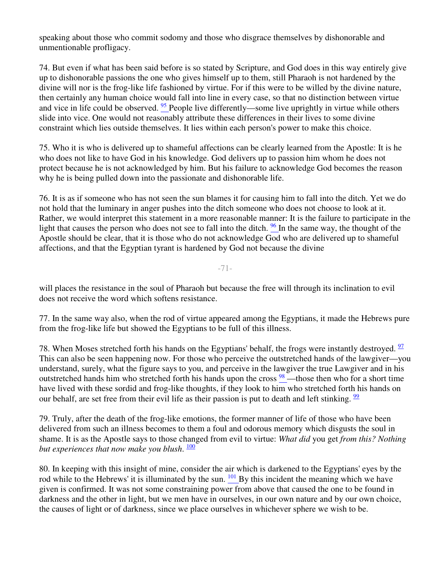speaking about those who commit sodomy and those who disgrace themselves by dishonorable and unmentionable profligacy.

74. But even if what has been said before is so stated by Scripture, and God does in this way entirely give up to dishonorable passions the one who gives himself up to them, still Pharaoh is not hardened by the divine will nor is the frog-like life fashioned by virtue. For if this were to be willed by the divine nature, then certainly any human choice would fall into line in every case, so that no distinction between virtue and vice in life could be observed. <sup>95</sup> People live differently—some live uprightly in virtue while others slide into vice. One would not reasonably attribute these differences in their lives to some divine constraint which lies outside themselves. It lies within each person's power to make this choice.

75. Who it is who is delivered up to shameful affections can be clearly learned from the Apostle: It is he who does not like to have God in his knowledge. God delivers up to passion him whom he does not protect because he is not acknowledged by him. But his failure to acknowledge God becomes the reason why he is being pulled down into the passionate and dishonorable life.

76. It is as if someone who has not seen the sun blames it for causing him to fall into the ditch. Yet we do not hold that the luminary in anger pushes into the ditch someone who does not choose to look at it. Rather, we would interpret this statement in a more reasonable manner: It is the failure to participate in the light that causes the person who does not see to fall into the ditch.  $\frac{96}{9}$  In the same way, the thought of the Apostle should be clear, that it is those who do not acknowledge God who are delivered up to shameful affections, and that the Egyptian tyrant is hardened by God not because the divine

-71-

will places the resistance in the soul of Pharaoh but because the free will through its inclination to evil does not receive the word which softens resistance.

77. In the same way also, when the rod of virtue appeared among the Egyptians, it made the Hebrews pure from the frog-like life but showed the Egyptians to be full of this illness.

78. When Moses stretched forth his hands on the Egyptians' behalf, the frogs were instantly destroyed. <sup>97</sup> This can also be seen happening now. For those who perceive the outstretched hands of the lawgiver—you understand, surely, what the figure says to you, and perceive in the lawgiver the true Lawgiver and in his outstretched hands him who stretched forth his hands upon the cross  $\frac{98}{10}$ —those then who for a short time have lived with these sordid and frog-like thoughts, if they look to him who stretched forth his hands on our behalf, are set free from their evil life as their passion is put to death and left stinking.  $\frac{99}{9}$ 

79. Truly, after the death of the frog-like emotions, the former manner of life of those who have been delivered from such an illness becomes to them a foul and odorous memory which disgusts the soul in shame. It is as the Apostle says to those changed from evil to virtue: *What did* you get *from this? Nothing*  but experiences that now make you blush.  $\frac{100}{200}$ 

80. In keeping with this insight of mine, consider the air which is darkened to the Egyptians' eyes by the rod while to the Hebrews' it is illuminated by the sun. <sup>101</sup> By this incident the meaning which we have given is confirmed. It was not some constraining power from above that caused the one to be found in darkness and the other in light, but we men have in ourselves, in our own nature and by our own choice, the causes of light or of darkness, since we place ourselves in whichever sphere we wish to be.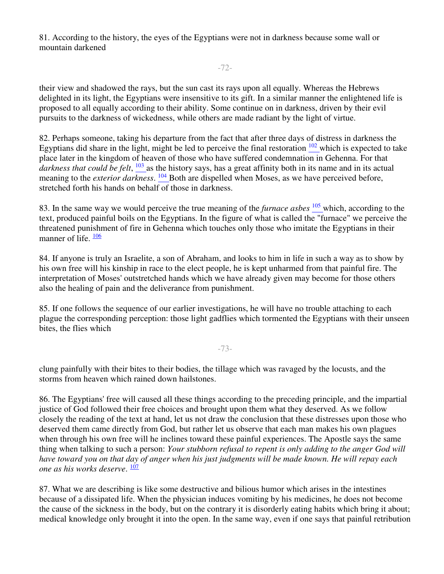81. According to the history, the eyes of the Egyptians were not in darkness because some wall or mountain darkened

-72-

their view and shadowed the rays, but the sun cast its rays upon all equally. Whereas the Hebrews delighted in its light, the Egyptians were insensitive to its gift. In a similar manner the enlightened life is proposed to all equally according to their ability. Some continue on in darkness, driven by their evil pursuits to the darkness of wickedness, while others are made radiant by the light of virtue.

82. Perhaps someone, taking his departure from the fact that after three days of distress in darkness the Egyptians did share in the light, might be led to perceive the final restoration  $102$  which is expected to take place later in the kingdom of heaven of those who have suffered condemnation in Gehenna. For that darkness that could be felt,  $\frac{103}{2}$  as the history says, has a great affinity both in its name and in its actual meaning to the *exterior darkness*. <sup>104</sup> Both are dispelled when Moses, as we have perceived before, stretched forth his hands on behalf of those in darkness.

83. In the same way we would perceive the true meaning of the *furnace asbes* <sup>105</sup> which, according to the text, produced painful boils on the Egyptians. In the figure of what is called the "furnace" we perceive the threatened punishment of fire in Gehenna which touches only those who imitate the Egyptians in their manner of life.  $\frac{106}{100}$ 

84. If anyone is truly an Israelite, a son of Abraham, and looks to him in life in such a way as to show by his own free will his kinship in race to the elect people, he is kept unharmed from that painful fire. The interpretation of Moses' outstretched hands which we have already given may become for those others also the healing of pain and the deliverance from punishment.

85. If one follows the sequence of our earlier investigations, he will have no trouble attaching to each plague the corresponding perception: those light gadflies which tormented the Egyptians with their unseen bites, the flies which

-73-

clung painfully with their bites to their bodies, the tillage which was ravaged by the locusts, and the storms from heaven which rained down hailstones.

86. The Egyptians' free will caused all these things according to the preceding principle, and the impartial justice of God followed their free choices and brought upon them what they deserved. As we follow closely the reading of the text at hand, let us not draw the conclusion that these distresses upon those who deserved them came directly from God, but rather let us observe that each man makes his own plagues when through his own free will he inclines toward these painful experiences. The Apostle says the same thing when talking to such a person: *Your stubborn refusal to repent is only adding to the anger God will have toward you on that day of anger when his just judgments will be made known. He will repay each one as his works deserve*. 107

87. What we are describing is like some destructive and bilious humor which arises in the intestines because of a dissipated life. When the physician induces vomiting by his medicines, he does not become the cause of the sickness in the body, but on the contrary it is disorderly eating habits which bring it about; medical knowledge only brought it into the open. In the same way, even if one says that painful retribution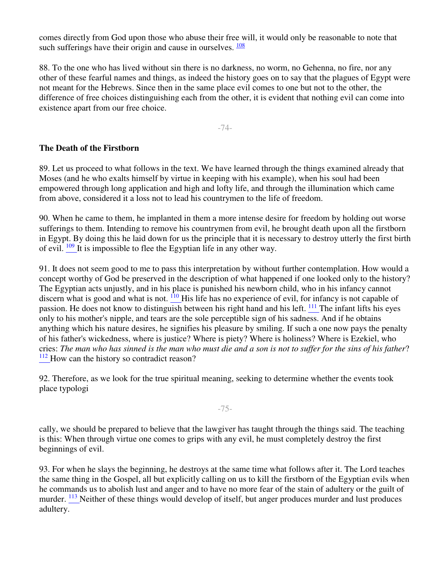comes directly from God upon those who abuse their free will, it would only be reasonable to note that such sufferings have their origin and cause in ourselves.  $\frac{108}{2}$ 

88. To the one who has lived without sin there is no darkness, no worm, no Gehenna, no fire, nor any other of these fearful names and things, as indeed the history goes on to say that the plagues of Egypt were not meant for the Hebrews. Since then in the same place evil comes to one but not to the other, the difference of free choices distinguishing each from the other, it is evident that nothing evil can come into existence apart from our free choice.

-74-

#### **The Death of the Firstborn**

89. Let us proceed to what follows in the text. We have learned through the things examined already that Moses (and he who exalts himself by virtue in keeping with his example), when his soul had been empowered through long application and high and lofty life, and through the illumination which came from above, considered it a loss not to lead his countrymen to the life of freedom.

90. When he came to them, he implanted in them a more intense desire for freedom by holding out worse sufferings to them. Intending to remove his countrymen from evil, he brought death upon all the firstborn in Egypt. By doing this he laid down for us the principle that it is necessary to destroy utterly the first birth of evil.  $109$  It is impossible to flee the Egyptian life in any other way.

91. It does not seem good to me to pass this interpretation by without further contemplation. How would a concept worthy of God be preserved in the description of what happened if one looked only to the history? The Egyptian acts unjustly, and in his place is punished his newborn child, who in his infancy cannot discern what is good and what is not. <sup>110</sup> His life has no experience of evil, for infancy is not capable of passion. He does not know to distinguish between his right hand and his left.  $111$  The infant lifts his eyes only to his mother's nipple, and tears are the sole perceptible sign of his sadness. And if he obtains anything which his nature desires, he signifies his pleasure by smiling. If such a one now pays the penalty of his father's wickedness, where is justice? Where is piety? Where is holiness? Where is Ezekiel, who cries: *The man who has sinned is the man who must die and a son is not to suffer for the sins of his father*? <sup>112</sup> How can the history so contradict reason?

92. Therefore, as we look for the true spiritual meaning, seeking to determine whether the events took place typologi

-75-

cally, we should be prepared to believe that the lawgiver has taught through the things said. The teaching is this: When through virtue one comes to grips with any evil, he must completely destroy the first beginnings of evil.

93. For when he slays the beginning, he destroys at the same time what follows after it. The Lord teaches the same thing in the Gospel, all but explicitly calling on us to kill the firstborn of the Egyptian evils when he commands us to abolish lust and anger and to have no more fear of the stain of adultery or the guilt of murder. <sup>113</sup> Neither of these things would develop of itself, but anger produces murder and lust produces adultery.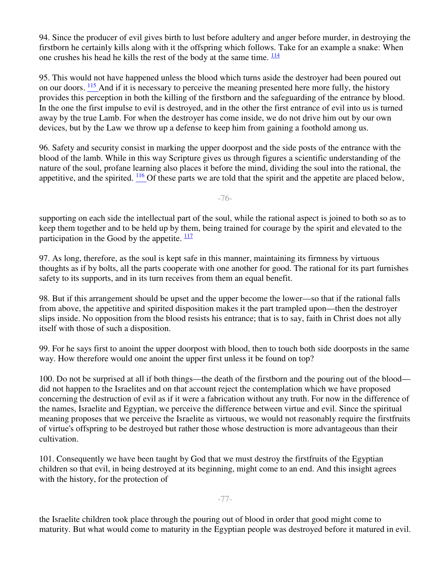94. Since the producer of evil gives birth to lust before adultery and anger before murder, in destroying the firstborn he certainly kills along with it the offspring which follows. Take for an example a snake: When one crushes his head he kills the rest of the body at the same time.  $\frac{114}{116}$ 

95. This would not have happened unless the blood which turns aside the destroyer had been poured out on our doors. <sup>115</sup> And if it is necessary to perceive the meaning presented here more fully, the history provides this perception in both the killing of the firstborn and the safeguarding of the entrance by blood. In the one the first impulse to evil is destroyed, and in the other the first entrance of evil into us is turned away by the true Lamb. For when the destroyer has come inside, we do not drive him out by our own devices, but by the Law we throw up a defense to keep him from gaining a foothold among us.

96. Safety and security consist in marking the upper doorpost and the side posts of the entrance with the blood of the lamb. While in this way Scripture gives us through figures a scientific understanding of the nature of the soul, profane learning also places it before the mind, dividing the soul into the rational, the appetitive, and the spirited. <sup>116</sup> Of these parts we are told that the spirit and the appetite are placed below,

-76-

supporting on each side the intellectual part of the soul, while the rational aspect is joined to both so as to keep them together and to be held up by them, being trained for courage by the spirit and elevated to the participation in the Good by the appetite.  $\frac{117}{2}$ 

97. As long, therefore, as the soul is kept safe in this manner, maintaining its firmness by virtuous thoughts as if by bolts, all the parts cooperate with one another for good. The rational for its part furnishes safety to its supports, and in its turn receives from them an equal benefit.

98. But if this arrangement should be upset and the upper become the lower—so that if the rational falls from above, the appetitive and spirited disposition makes it the part trampled upon—then the destroyer slips inside. No opposition from the blood resists his entrance; that is to say, faith in Christ does not ally itself with those of such a disposition.

99. For he says first to anoint the upper doorpost with blood, then to touch both side doorposts in the same way. How therefore would one anoint the upper first unless it be found on top?

100. Do not be surprised at all if both things—the death of the firstborn and the pouring out of the blood did not happen to the Israelites and on that account reject the contemplation which we have proposed concerning the destruction of evil as if it were a fabrication without any truth. For now in the difference of the names, Israelite and Egyptian, we perceive the difference between virtue and evil. Since the spiritual meaning proposes that we perceive the Israelite as virtuous, we would not reasonably require the firstfruits of virtue's offspring to be destroyed but rather those whose destruction is more advantageous than their cultivation.

101. Consequently we have been taught by God that we must destroy the firstfruits of the Egyptian children so that evil, in being destroyed at its beginning, might come to an end. And this insight agrees with the history, for the protection of

-77-

the Israelite children took place through the pouring out of blood in order that good might come to maturity. But what would come to maturity in the Egyptian people was destroyed before it matured in evil.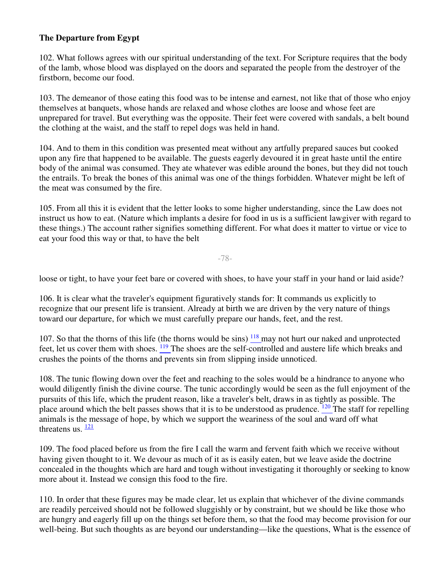## **The Departure from Egypt**

102. What follows agrees with our spiritual understanding of the text. For Scripture requires that the body of the lamb, whose blood was displayed on the doors and separated the people from the destroyer of the firstborn, become our food.

103. The demeanor of those eating this food was to be intense and earnest, not like that of those who enjoy themselves at banquets, whose hands are relaxed and whose clothes are loose and whose feet are unprepared for travel. But everything was the opposite. Their feet were covered with sandals, a belt bound the clothing at the waist, and the staff to repel dogs was held in hand.

104. And to them in this condition was presented meat without any artfully prepared sauces but cooked upon any fire that happened to be available. The guests eagerly devoured it in great haste until the entire body of the animal was consumed. They ate whatever was edible around the bones, but they did not touch the entrails. To break the bones of this animal was one of the things forbidden. Whatever might be left of the meat was consumed by the fire.

105. From all this it is evident that the letter looks to some higher understanding, since the Law does not instruct us how to eat. (Nature which implants a desire for food in us is a sufficient lawgiver with regard to these things.) The account rather signifies something different. For what does it matter to virtue or vice to eat your food this way or that, to have the belt

-78-

loose or tight, to have your feet bare or covered with shoes, to have your staff in your hand or laid aside?

106. It is clear what the traveler's equipment figuratively stands for: It commands us explicitly to recognize that our present life is transient. Already at birth we are driven by the very nature of things toward our departure, for which we must carefully prepare our hands, feet, and the rest.

107. So that the thorns of this life (the thorns would be sins)  $118$  may not hurt our naked and unprotected feet, let us cover them with shoes.  $\frac{119}{2}$  The shoes are the self-controlled and austere life which breaks and crushes the points of the thorns and prevents sin from slipping inside unnoticed.

108. The tunic flowing down over the feet and reaching to the soles would be a hindrance to anyone who would diligently finish the divine course. The tunic accordingly would be seen as the full enjoyment of the pursuits of this life, which the prudent reason, like a traveler's belt, draws in as tightly as possible. The place around which the belt passes shows that it is to be understood as prudence.  $120$  The staff for repelling animals is the message of hope, by which we support the weariness of the soul and ward off what threatens us.  $\frac{121}{ }$ 

109. The food placed before us from the fire I call the warm and fervent faith which we receive without having given thought to it. We devour as much of it as is easily eaten, but we leave aside the doctrine concealed in the thoughts which are hard and tough without investigating it thoroughly or seeking to know more about it. Instead we consign this food to the fire.

110. In order that these figures may be made clear, let us explain that whichever of the divine commands are readily perceived should not be followed sluggishly or by constraint, but we should be like those who are hungry and eagerly fill up on the things set before them, so that the food may become provision for our well-being. But such thoughts as are beyond our understanding—like the questions, What is the essence of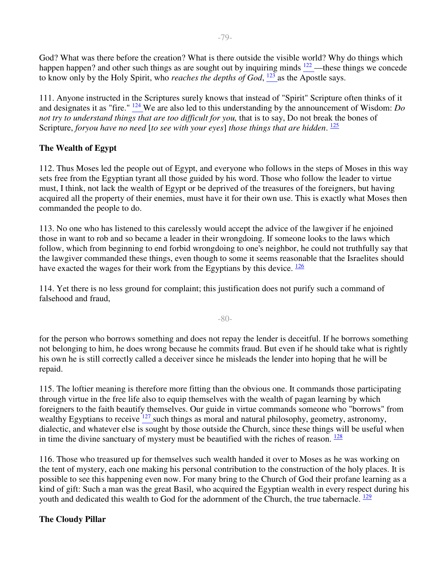-79-

God? What was there before the creation? What is there outside the visible world? Why do things which happen happen? and other such things as are sought out by inquiring minds  $122$ —these things we concede to know only by the Holy Spirit, who *reaches the depths of God*,  $\frac{123}{2}$  as the Apostle says.

111. Anyone instructed in the Scriptures surely knows that instead of "Spirit" Scripture often thinks of it and designates it as "fire." <sup>124</sup> We are also led to this understanding by the announcement of Wisdom: *Do not try to understand things that are too difficult for you,* that is to say, Do not break the bones of Scripture, *foryou have no need* [*to see with your eyes*] *those things that are hidden*. 125

## **The Wealth of Egypt**

112. Thus Moses led the people out of Egypt, and everyone who follows in the steps of Moses in this way sets free from the Egyptian tyrant all those guided by his word. Those who follow the leader to virtue must, I think, not lack the wealth of Egypt or be deprived of the treasures of the foreigners, but having acquired all the property of their enemies, must have it for their own use. This is exactly what Moses then commanded the people to do.

113. No one who has listened to this carelessly would accept the advice of the lawgiver if he enjoined those in want to rob and so became a leader in their wrongdoing. If someone looks to the laws which follow, which from beginning to end forbid wrongdoing to one's neighbor, he could not truthfully say that the lawgiver commanded these things, even though to some it seems reasonable that the Israelites should have exacted the wages for their work from the Egyptians by this device.  $\frac{126}{126}$ 

114. Yet there is no less ground for complaint; this justification does not purify such a command of falsehood and fraud,

-80-

for the person who borrows something and does not repay the lender is deceitful. If he borrows something not belonging to him, he does wrong because he commits fraud. But even if he should take what is rightly his own he is still correctly called a deceiver since he misleads the lender into hoping that he will be repaid.

115. The loftier meaning is therefore more fitting than the obvious one. It commands those participating through virtue in the free life also to equip themselves with the wealth of pagan learning by which foreigners to the faith beautify themselves. Our guide in virtue commands someone who "borrows" from wealthy Egyptians to receive  $\frac{127}{2}$  such things as moral and natural philosophy, geometry, astronomy, dialectic, and whatever else is sought by those outside the Church, since these things will be useful when in time the divine sanctuary of mystery must be beautified with the riches of reason.  $\frac{128}{2}$ 

116. Those who treasured up for themselves such wealth handed it over to Moses as he was working on the tent of mystery, each one making his personal contribution to the construction of the holy places. It is possible to see this happening even now. For many bring to the Church of God their profane learning as a kind of gift: Such a man was the great Basil, who acquired the Egyptian wealth in every respect during his youth and dedicated this wealth to God for the adornment of the Church, the true tabernacle.  $\frac{129}{2}$ 

### **The Cloudy Pillar**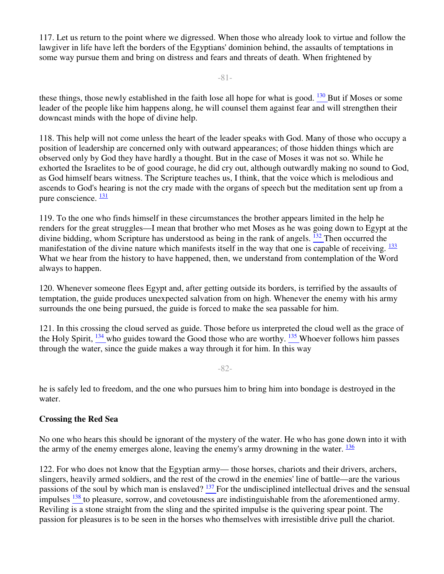117. Let us return to the point where we digressed. When those who already look to virtue and follow the lawgiver in life have left the borders of the Egyptians' dominion behind, the assaults of temptations in some way pursue them and bring on distress and fears and threats of death. When frightened by

-81-

these things, those newly established in the faith lose all hope for what is good.  $130$  But if Moses or some leader of the people like him happens along, he will counsel them against fear and will strengthen their downcast minds with the hope of divine help.

118. This help will not come unless the heart of the leader speaks with God. Many of those who occupy a position of leadership are concerned only with outward appearances; of those hidden things which are observed only by God they have hardly a thought. But in the case of Moses it was not so. While he exhorted the Israelites to be of good courage, he did cry out, although outwardly making no sound to God, as God himself bears witness. The Scripture teaches us, I think, that the voice which is melodious and ascends to God's hearing is not the cry made with the organs of speech but the meditation sent up from a pure conscience.  $\frac{131}{12}$ 

119. To the one who finds himself in these circumstances the brother appears limited in the help he renders for the great struggles—I mean that brother who met Moses as he was going down to Egypt at the divine bidding, whom Scripture has understood as being in the rank of angels. <sup>132</sup> Then occurred the manifestation of the divine nature which manifests itself in the way that one is capable of receiving.  $\frac{133}{2}$ What we hear from the history to have happened, then, we understand from contemplation of the Word always to happen.

120. Whenever someone flees Egypt and, after getting outside its borders, is terrified by the assaults of temptation, the guide produces unexpected salvation from on high. Whenever the enemy with his army surrounds the one being pursued, the guide is forced to make the sea passable for him.

121. In this crossing the cloud served as guide. Those before us interpreted the cloud well as the grace of the Holy Spirit,  $\frac{134}{134}$  who guides toward the Good those who are worthy.  $\frac{135}{135}$  Whoever follows him passes through the water, since the guide makes a way through it for him. In this way

-82-

he is safely led to freedom, and the one who pursues him to bring him into bondage is destroyed in the water.

### **Crossing the Red Sea**

No one who hears this should be ignorant of the mystery of the water. He who has gone down into it with the army of the enemy emerges alone, leaving the enemy's army drowning in the water.  $\frac{136}{120}$ 

122. For who does not know that the Egyptian army— those horses, chariots and their drivers, archers, slingers, heavily armed soldiers, and the rest of the crowd in the enemies' line of battle—are the various passions of the soul by which man is enslaved? <sup>137</sup> For the undisciplined intellectual drives and the sensual impulses  $^{138}$  to pleasure, sorrow, and covetousness are indistinguishable from the aforementioned army. Reviling is a stone straight from the sling and the spirited impulse is the quivering spear point. The passion for pleasures is to be seen in the horses who themselves with irresistible drive pull the chariot.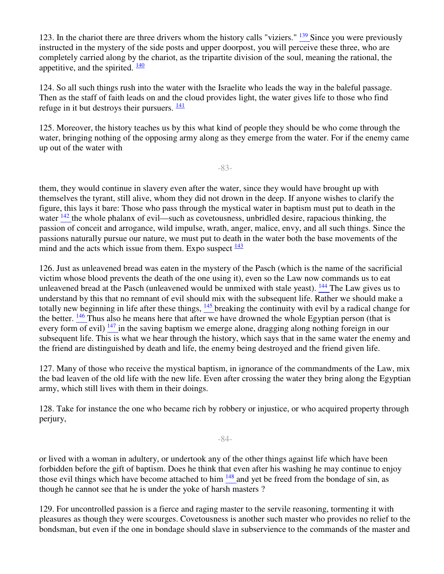123. In the chariot there are three drivers whom the history calls "viziers."  $139$  Since you were previously instructed in the mystery of the side posts and upper doorpost, you will perceive these three, who are completely carried along by the chariot, as the tripartite division of the soul, meaning the rational, the appetitive, and the spirited.  $\frac{140}{140}$ 

124. So all such things rush into the water with the Israelite who leads the way in the baleful passage. Then as the staff of faith leads on and the cloud provides light, the water gives life to those who find refuge in it but destroys their pursuers.  $\frac{141}{12}$ 

125. Moreover, the history teaches us by this what kind of people they should be who come through the water, bringing nothing of the opposing army along as they emerge from the water. For if the enemy came up out of the water with

-83-

them, they would continue in slavery even after the water, since they would have brought up with themselves the tyrant, still alive, whom they did not drown in the deep. If anyone wishes to clarify the figure, this lays it bare: Those who pass through the mystical water in baptism must put to death in the water  $142$  the whole phalanx of evil—such as covetousness, unbridled desire, rapacious thinking, the passion of conceit and arrogance, wild impulse, wrath, anger, malice, envy, and all such things. Since the passions naturally pursue our nature, we must put to death in the water both the base movements of the mind and the acts which issue from them. Expo suspect  $\frac{143}{12}$ 

126. Just as unleavened bread was eaten in the mystery of the Pasch (which is the name of the sacrificial victim whose blood prevents the death of the one using it), even so the Law now commands us to eat unleavened bread at the Pasch (unleavened would be unmixed with stale yeast).  $^{144}$  The Law gives us to understand by this that no remnant of evil should mix with the subsequent life. Rather we should make a totally new beginning in life after these things,  $\frac{145}{2}$  breaking the continuity with evil by a radical change for the better.  $\frac{146}{140}$  Thus also he means here that after we have drowned the whole Egyptian person (that is every form of evil) <sup>147</sup> in the saving baptism we emerge alone, dragging along nothing foreign in our subsequent life. This is what we hear through the history, which says that in the same water the enemy and the friend are distinguished by death and life, the enemy being destroyed and the friend given life.

127. Many of those who receive the mystical baptism, in ignorance of the commandments of the Law, mix the bad leaven of the old life with the new life. Even after crossing the water they bring along the Egyptian army, which still lives with them in their doings.

128. Take for instance the one who became rich by robbery or injustice, or who acquired property through perjury,

-84-

or lived with a woman in adultery, or undertook any of the other things against life which have been forbidden before the gift of baptism. Does he think that even after his washing he may continue to enjoy those evil things which have become attached to him  $\frac{148}{2}$  and yet be freed from the bondage of sin, as though he cannot see that he is under the yoke of harsh masters ?

129. For uncontrolled passion is a fierce and raging master to the servile reasoning, tormenting it with pleasures as though they were scourges. Covetousness is another such master who provides no relief to the bondsman, but even if the one in bondage should slave in subservience to the commands of the master and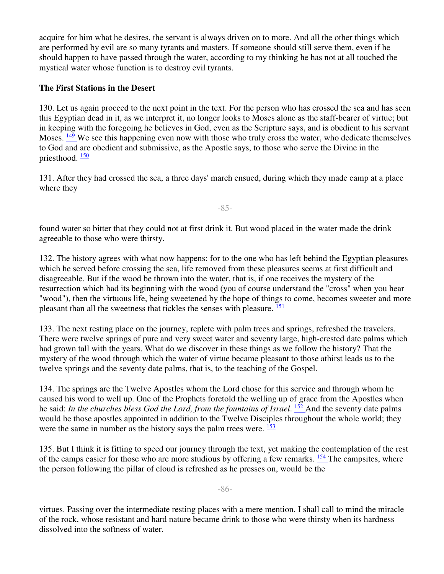acquire for him what he desires, the servant is always driven on to more. And all the other things which are performed by evil are so many tyrants and masters. If someone should still serve them, even if he should happen to have passed through the water, according to my thinking he has not at all touched the mystical water whose function is to destroy evil tyrants.

#### **The First Stations in the Desert**

130. Let us again proceed to the next point in the text. For the person who has crossed the sea and has seen this Egyptian dead in it, as we interpret it, no longer looks to Moses alone as the staff-bearer of virtue; but in keeping with the foregoing he believes in God, even as the Scripture says, and is obedient to his servant Moses. <sup>149</sup> We see this happening even now with those who truly cross the water, who dedicate themselves to God and are obedient and submissive, as the Apostle says, to those who serve the Divine in the priesthood.  $\frac{150}{2}$ 

131. After they had crossed the sea, a three days' march ensued, during which they made camp at a place where they

-85-

found water so bitter that they could not at first drink it. But wood placed in the water made the drink agreeable to those who were thirsty.

132. The history agrees with what now happens: for to the one who has left behind the Egyptian pleasures which he served before crossing the sea, life removed from these pleasures seems at first difficult and disagreeable. But if the wood be thrown into the water, that is, if one receives the mystery of the resurrection which had its beginning with the wood (you of course understand the "cross" when you hear "wood"), then the virtuous life, being sweetened by the hope of things to come, becomes sweeter and more pleasant than all the sweetness that tickles the senses with pleasure.  $\frac{151}{25}$ 

133. The next resting place on the journey, replete with palm trees and springs, refreshed the travelers. There were twelve springs of pure and very sweet water and seventy large, high-crested date palms which had grown tall with the years. What do we discover in these things as we follow the history? That the mystery of the wood through which the water of virtue became pleasant to those athirst leads us to the twelve springs and the seventy date palms, that is, to the teaching of the Gospel.

134. The springs are the Twelve Apostles whom the Lord chose for this service and through whom he caused his word to well up. One of the Prophets foretold the welling up of grace from the Apostles when he said: *In the churches bless God the Lord, from the fountains of Israel*. <sup>152</sup> And the seventy date palms would be those apostles appointed in addition to the Twelve Disciples throughout the whole world; they were the same in number as the history says the palm trees were.  $\frac{153}{2}$ 

135. But I think it is fitting to speed our journey through the text, yet making the contemplation of the rest of the camps easier for those who are more studious by offering a few remarks.  $154$  The campsites, where the person following the pillar of cloud is refreshed as he presses on, would be the

-86-

virtues. Passing over the intermediate resting places with a mere mention, I shall call to mind the miracle of the rock, whose resistant and hard nature became drink to those who were thirsty when its hardness dissolved into the softness of water.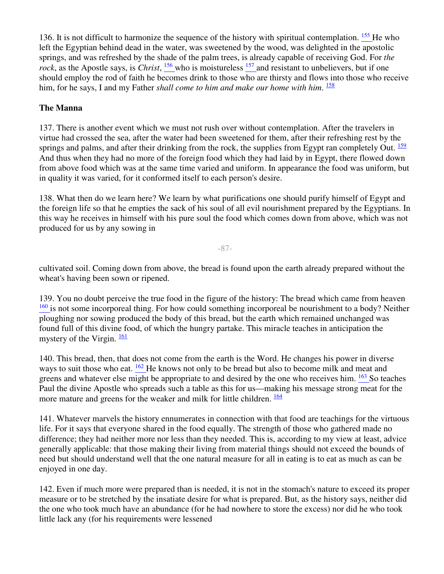136. It is not difficult to harmonize the sequence of the history with spiritual contemplation. <sup>155</sup> He who left the Egyptian behind dead in the water, was sweetened by the wood, was delighted in the apostolic springs, and was refreshed by the shade of the palm trees, is already capable of receiving God. For *the rock*, as the Apostle says, is *Christ*, <sup>156</sup> who is moistureless <sup>157</sup> and resistant to unbelievers, but if one should employ the rod of faith he becomes drink to those who are thirsty and flows into those who receive him, for he says, I and my Father *shall come to him and make our home with him*. 158

# **The Manna**

137. There is another event which we must not rush over without contemplation. After the travelers in virtue had crossed the sea, after the water had been sweetened for them, after their refreshing rest by the springs and palms, and after their drinking from the rock, the supplies from Egypt ran completely Out.  $\frac{159}{159}$ And thus when they had no more of the foreign food which they had laid by in Egypt, there flowed down from above food which was at the same time varied and uniform. In appearance the food was uniform, but in quality it was varied, for it conformed itself to each person's desire.

138. What then do we learn here? We learn by what purifications one should purify himself of Egypt and the foreign life so that he empties the sack of his soul of all evil nourishment prepared by the Egyptians. In this way he receives in himself with his pure soul the food which comes down from above, which was not produced for us by any sowing in

-87-

cultivated soil. Coming down from above, the bread is found upon the earth already prepared without the wheat's having been sown or ripened.

139. You no doubt perceive the true food in the figure of the history: The bread which came from heaven  $160$  is not some incorporeal thing. For how could something incorporeal be nourishment to a body? Neither ploughing nor sowing produced the body of this bread, but the earth which remained unchanged was found full of this divine food, of which the hungry partake. This miracle teaches in anticipation the mystery of the Virgin.  $\frac{161}{161}$ 

140. This bread, then, that does not come from the earth is the Word. He changes his power in diverse ways to suit those who eat. <sup>162</sup> He knows not only to be bread but also to become milk and meat and greens and whatever else might be appropriate to and desired by the one who receives him. <sup>163</sup> So teaches Paul the divine Apostle who spreads such a table as this for us—making his message strong meat for the more mature and greens for the weaker and milk for little children.  $\frac{164}{164}$ 

141. Whatever marvels the history ennumerates in connection with that food are teachings for the virtuous life. For it says that everyone shared in the food equally. The strength of those who gathered made no difference; they had neither more nor less than they needed. This is, according to my view at least, advice generally applicable: that those making their living from material things should not exceed the bounds of need but should understand well that the one natural measure for all in eating is to eat as much as can be enjoyed in one day.

142. Even if much more were prepared than is needed, it is not in the stomach's nature to exceed its proper measure or to be stretched by the insatiate desire for what is prepared. But, as the history says, neither did the one who took much have an abundance (for he had nowhere to store the excess) nor did he who took little lack any (for his requirements were lessened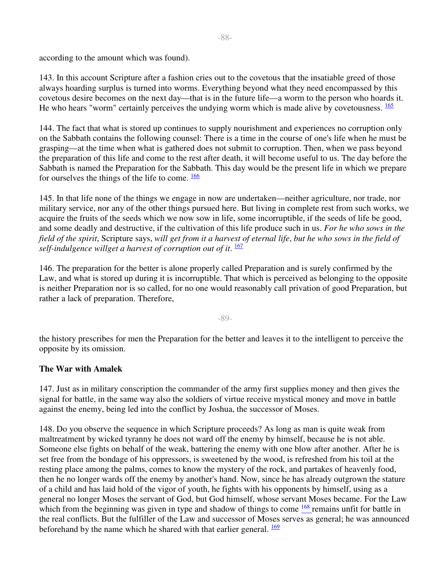according to the amount which was found).

143. In this account Scripture after a fashion cries out to the covetous that the insatiable greed of those always hoarding surplus is turned into worms. Everything beyond what they need encompassed by this covetous desire becomes on the next day—that is in the future life—a worm to the person who hoards it. He who hears "worm" certainly perceives the undying worm which is made alive by covetousness.  $\frac{165}{2}$ 

144. The fact that what is stored up continues to supply nourishment and experiences no corruption only on the Sabbath contains the following counsel: There is a time in the course of one's life when he must be grasping—at the time when what is gathered does not submit to corruption. Then, when we pass beyond the preparation of this life and come to the rest after death, it will become useful to us. The day before the Sabbath is named the Preparation for the Sabbath. This day would be the present life in which we prepare for ourselves the things of the life to come.  $\frac{166}{160}$ 

145. In that life none of the things we engage in now are undertaken—neither agriculture, nor trade, nor military service, nor any of the other things pursued here. But living in complete rest from such works, we acquire the fruits of the seeds which we now sow in life, some incorruptible, if the seeds of life be good, and some deadly and destructive, if the cultivation of this life produce such in us. *For he who sows in the field of the spirit*, Scripture says, *will get from it a harvest of eternal life*, *but he who sows in the field of self-indulgence willget a harvest of corruption out of it*. 167

146. The preparation for the better is alone properly called Preparation and is surely confirmed by the Law, and what is stored up during it is incorruptible. That which is perceived as belonging to the opposite is neither Preparation nor is so called, for no one would reasonably call privation of good Preparation, but rather a lack of preparation. Therefore,

-89-

the history prescribes for men the Preparation for the better and leaves it to the intelligent to perceive the opposite by its omission.

### **The War with Amalek**

147. Just as in military conscription the commander of the army first supplies money and then gives the signal for battle, in the same way also the soldiers of virtue receive mystical money and move in battle against the enemy, being led into the conflict by Joshua, the successor of Moses.

148. Do you observe the sequence in which Scripture proceeds? As long as man is quite weak from maltreatment by wicked tyranny he does not ward off the enemy by himself, because he is not able. Someone else fights on behalf of the weak, battering the enemy with one blow after another. After he is set free from the bondage of his oppressors, is sweetened by the wood, is refreshed from his toil at the resting place among the palms, comes to know the mystery of the rock, and partakes of heavenly food, then he no longer wards off the enemy by another's hand. Now, since he has already outgrown the stature of a child and has laid hold of the vigor of youth, he fights with his opponents by himself, using as a general no longer Moses the servant of God, but God himself, whose servant Moses became. For the Law which from the beginning was given in type and shadow of things to come  $\frac{168}{168}$  remains unfit for battle in the real conflicts. But the fulfiller of the Law and successor of Moses serves as general; he was announced beforehand by the name which he shared with that earlier general.  $\frac{169}{2}$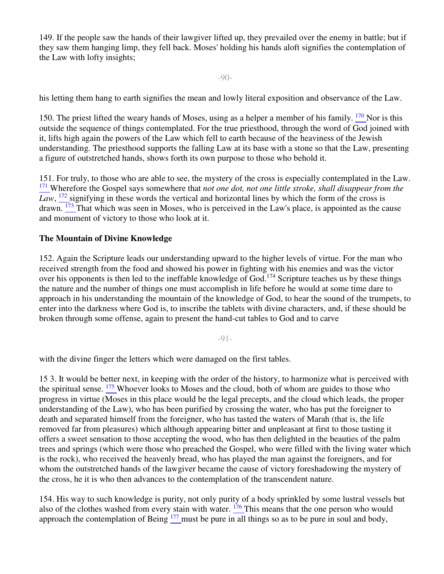149. If the people saw the hands of their lawgiver lifted up, they prevailed over the enemy in battle; but if they saw them hanging limp, they fell back. Moses' holding his hands aloft signifies the contemplation of the Law with lofty insights;

 $-90-$ 

his letting them hang to earth signifies the mean and lowly literal exposition and observance of the Law.

150. The priest lifted the weary hands of Moses, using as a helper a member of his family.  $170$  Nor is this outside the sequence of things contemplated. For the true priesthood, through the word of God joined with it, lifts high again the powers of the Law which fell to earth because of the heaviness of the Jewish understanding. The priesthood supports the falling Law at its base with a stone so that the Law, presenting a figure of outstretched hands, shows forth its own purpose to those who behold it.

151. For truly, to those who are able to see, the mystery of the cross is especially contemplated in the Law. <sup>171</sup> Wherefore the Gospel says somewhere that *not one dot, not one little stroke, shall disappear from the* Law, <sup>172</sup> signifying in these words the vertical and horizontal lines by which the form of the cross is drawn. <sup>173</sup> That which was seen in Moses, who is perceived in the Law's place, is appointed as the cause and monument of victory to those who look at it.

#### **The Mountain of Divine Knowledge**

152. Again the Scripture leads our understanding upward to the higher levels of virtue. For the man who received strength from the food and showed his power in fighting with his enemies and was the victor over his opponents is then led to the ineffable knowledge of God.<sup>174</sup> Scripture teaches us by these things the nature and the number of things one must accomplish in life before he would at some time dare to approach in his understanding the mountain of the knowledge of God, to hear the sound of the trumpets, to enter into the darkness where God is, to inscribe the tablets with divine characters, and, if these should be broken through some offense, again to present the hand-cut tables to God and to carve

-91-

with the divine finger the letters which were damaged on the first tables.

15 3. It would be better next, in keeping with the order of the history, to harmonize what is perceived with the spiritual sense.  $175$  Whoever looks to Moses and the cloud, both of whom are guides to those who progress in virtue (Moses in this place would be the legal precepts, and the cloud which leads, the proper understanding of the Law), who has been purified by crossing the water, who has put the foreigner to death and separated himself from the foreigner, who has tasted the waters of Marah (that is, the life removed far from pleasures) which although appearing bitter and unpleasant at first to those tasting it offers a sweet sensation to those accepting the wood, who has then delighted in the beauties of the palm trees and springs (which were those who preached the Gospel, who were filled with the living water which is the rock), who received the heavenly bread, who has played the man against the foreigners, and for whom the outstretched hands of the lawgiver became the cause of victory foreshadowing the mystery of the cross, he it is who then advances to the contemplation of the transcendent nature.

154. His way to such knowledge is purity, not only purity of a body sprinkled by some lustral vessels but also of the clothes washed from every stain with water.  $\frac{176}{176}$  This means that the one person who would approach the contemplation of Being  $177$  must be pure in all things so as to be pure in soul and body,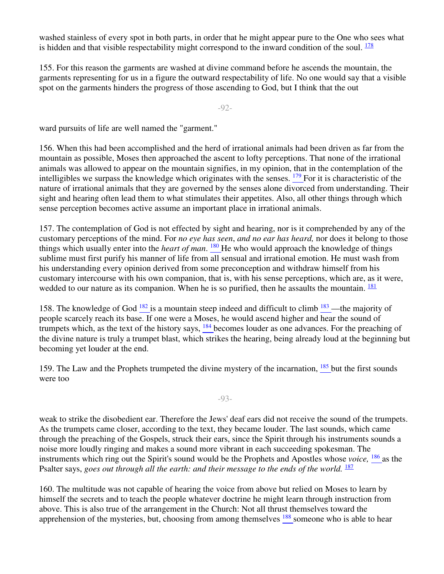washed stainless of every spot in both parts, in order that he might appear pure to the One who sees what is hidden and that visible respectability might correspond to the inward condition of the soul.  $\frac{178}{12}$ 

155. For this reason the garments are washed at divine command before he ascends the mountain, the garments representing for us in a figure the outward respectability of life. No one would say that a visible spot on the garments hinders the progress of those ascending to God, but I think that the out

-92-

ward pursuits of life are well named the "garment."

156. When this had been accomplished and the herd of irrational animals had been driven as far from the mountain as possible, Moses then approached the ascent to lofty perceptions. That none of the irrational animals was allowed to appear on the mountain signifies, in my opinion, that in the contemplation of the intelligibles we surpass the knowledge which originates with the senses. <sup>179</sup> For it is characteristic of the nature of irrational animals that they are governed by the senses alone divorced from understanding. Their sight and hearing often lead them to what stimulates their appetites. Also, all other things through which sense perception becomes active assume an important place in irrational animals.

157. The contemplation of God is not effected by sight and hearing, nor is it comprehended by any of the customary perceptions of the mind. For *no eye has seen*, *and no ear has heard,* nor does it belong to those things which usually enter into the *heart of man*. <sup>180</sup> He who would approach the knowledge of things sublime must first purify his manner of life from all sensual and irrational emotion. He must wash from his understanding every opinion derived from some preconception and withdraw himself from his customary intercourse with his own companion, that is, with his sense perceptions, which are, as it were, wedded to our nature as its companion. When he is so purified, then he assaults the mountain.  $\frac{181}{2}$ 

158. The knowledge of God  $\frac{182}{2}$  is a mountain steep indeed and difficult to climb  $\frac{183}{2}$ —the majority of people scarcely reach its base. If one were a Moses, he would ascend higher and hear the sound of trumpets which, as the text of the history says,  $\frac{184}{184}$  becomes louder as one advances. For the preaching of the divine nature is truly a trumpet blast, which strikes the hearing, being already loud at the beginning but becoming yet louder at the end.

159. The Law and the Prophets trumpeted the divine mystery of the incarnation, <sup>185</sup> but the first sounds were too

-93-

weak to strike the disobedient ear. Therefore the Jews' deaf ears did not receive the sound of the trumpets. As the trumpets came closer, according to the text, they became louder. The last sounds, which came through the preaching of the Gospels, struck their ears, since the Spirit through his instruments sounds a noise more loudly ringing and makes a sound more vibrant in each succeeding spokesman. The instruments which ring out the Spirit's sound would be the Prophets and Apostles whose *voice,* <sup>186</sup> as the Psalter says, *goes out through all the earth: and their message to the ends of the world*. <sup>187</sup>

160. The multitude was not capable of hearing the voice from above but relied on Moses to learn by himself the secrets and to teach the people whatever doctrine he might learn through instruction from above. This is also true of the arrangement in the Church: Not all thrust themselves toward the apprehension of the mysteries, but, choosing from among themselves  $\frac{188}{188}$  someone who is able to hear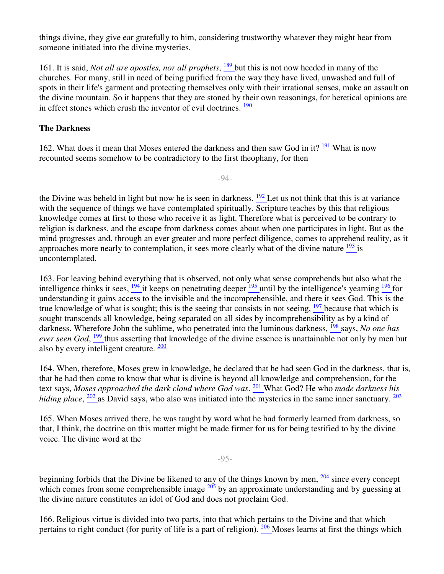things divine, they give ear gratefully to him, considering trustworthy whatever they might hear from someone initiated into the divine mysteries.

161. It is said, *Not all are apostles, nor all prophets*,  $\frac{189}{2}$  but this is not now heeded in many of the churches. For many, still in need of being purified from the way they have lived, unwashed and full of spots in their life's garment and protecting themselves only with their irrational senses, make an assault on the divine mountain. So it happens that they are stoned by their own reasonings, for heretical opinions are in effect stones which crush the inventor of evil doctrines.  $\frac{190}{2}$ 

#### **The Darkness**

162. What does it mean that Moses entered the darkness and then saw God in it? <sup>191</sup> What is now recounted seems somehow to be contradictory to the first theophany, for then

-94-

the Divine was beheld in light but now he is seen in darkness.  $192$  Let us not think that this is at variance with the sequence of things we have contemplated spiritually. Scripture teaches by this that religious knowledge comes at first to those who receive it as light. Therefore what is perceived to be contrary to religion is darkness, and the escape from darkness comes about when one participates in light. But as the mind progresses and, through an ever greater and more perfect diligence, comes to apprehend reality, as it approaches more nearly to contemplation, it sees more clearly what of the divine nature  $\frac{193}{193}$  is uncontemplated.

163. For leaving behind everything that is observed, not only what sense comprehends but also what the intelligence thinks it sees,  $^{194}$  it keeps on penetrating deeper  $^{195}$  until by the intelligence's yearning  $^{196}$  for understanding it gains access to the invisible and the incomprehensible, and there it sees God. This is the true knowledge of what is sought; this is the seeing that consists in not seeing,  $\frac{197}{2}$  because that which is sought transcends all knowledge, being separated on all sides by incomprehensibility as by a kind of darkness. Wherefore John the sublime, who penetrated into the luminous darkness, <sup>198</sup> says, *No one has*  ever seen God, <sup>199</sup> thus asserting that knowledge of the divine essence is unattainable not only by men but also by every intelligent creature.  $\frac{200}{ }$ 

164. When, therefore, Moses grew in knowledge, he declared that he had seen God in the darkness, that is, that he had then come to know that what is divine is beyond all knowledge and comprehension, for the text says, *Moses approached the dark cloud where God was*. <sup>201</sup> What God? He who *made darkness his*  hiding place, <sup>202</sup> as David says, who also was initiated into the mysteries in the same inner sanctuary. <sup>203</sup>

165. When Moses arrived there, he was taught by word what he had formerly learned from darkness, so that, I think, the doctrine on this matter might be made firmer for us for being testified to by the divine voice. The divine word at the

-95-

beginning forbids that the Divine be likened to any of the things known by men,  $204$  since every concept which comes from some comprehensible image  $\frac{205}{3}$  by an approximate understanding and by guessing at the divine nature constitutes an idol of God and does not proclaim God.

166. Religious virtue is divided into two parts, into that which pertains to the Divine and that which pertains to right conduct (for purity of life is a part of religion). <sup>206</sup> Moses learns at first the things which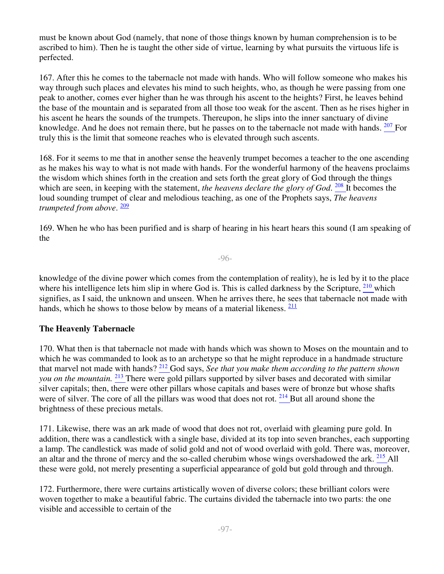must be known about God (namely, that none of those things known by human comprehension is to be ascribed to him). Then he is taught the other side of virtue, learning by what pursuits the virtuous life is perfected.

167. After this he comes to the tabernacle not made with hands. Who will follow someone who makes his way through such places and elevates his mind to such heights, who, as though he were passing from one peak to another, comes ever higher than he was through his ascent to the heights? First, he leaves behind the base of the mountain and is separated from all those too weak for the ascent. Then as he rises higher in his ascent he hears the sounds of the trumpets. Thereupon, he slips into the inner sanctuary of divine knowledge. And he does not remain there, but he passes on to the tabernacle not made with hands. <sup>207</sup> For truly this is the limit that someone reaches who is elevated through such ascents.

168. For it seems to me that in another sense the heavenly trumpet becomes a teacher to the one ascending as he makes his way to what is not made with hands. For the wonderful harmony of the heavens proclaims the wisdom which shines forth in the creation and sets forth the great glory of God through the things which are seen, in keeping with the statement, *the heavens declare the glory of God*. <sup>208</sup> It becomes the loud sounding trumpet of clear and melodious teaching, as one of the Prophets says, *The heavens trumpeted from above*. 209

169. When he who has been purified and is sharp of hearing in his heart hears this sound (I am speaking of the

-96-

knowledge of the divine power which comes from the contemplation of reality), he is led by it to the place where his intelligence lets him slip in where God is. This is called darkness by the Scripture,  $210$  which signifies, as I said, the unknown and unseen. When he arrives there, he sees that tabernacle not made with hands, which he shows to those below by means of a material likeness.  $\frac{211}{21}$ 

### **The Heavenly Tabernacle**

170. What then is that tabernacle not made with hands which was shown to Moses on the mountain and to which he was commanded to look as to an archetype so that he might reproduce in a handmade structure that marvel not made with hands? <sup>212</sup> God says, *See that you make them according to the pattern shown you on the mountain.* <sup>213</sup> There were gold pillars supported by silver bases and decorated with similar silver capitals; then, there were other pillars whose capitals and bases were of bronze but whose shafts were of silver. The core of all the pillars was wood that does not rot.  $214$  But all around shone the brightness of these precious metals.

171. Likewise, there was an ark made of wood that does not rot, overlaid with gleaming pure gold. In addition, there was a candlestick with a single base, divided at its top into seven branches, each supporting a lamp. The candlestick was made of solid gold and not of wood overlaid with gold. There was, moreover, an altar and the throne of mercy and the so-called cherubim whose wings overshadowed the ark. <sup>215</sup> All these were gold, not merely presenting a superficial appearance of gold but gold through and through.

172. Furthermore, there were curtains artistically woven of diverse colors; these brilliant colors were woven together to make a beautiful fabric. The curtains divided the tabernacle into two parts: the one visible and accessible to certain of the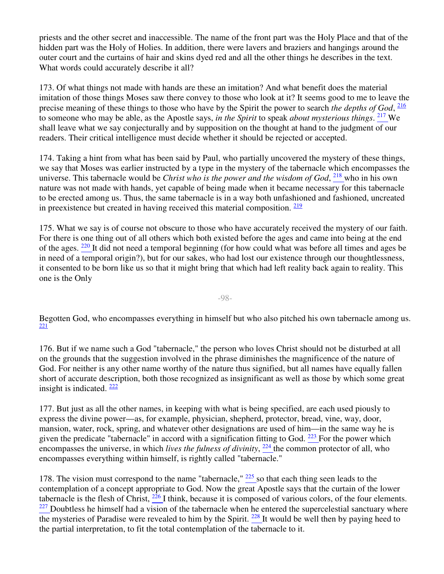priests and the other secret and inaccessible. The name of the front part was the Holy Place and that of the hidden part was the Holy of Holies. In addition, there were lavers and braziers and hangings around the outer court and the curtains of hair and skins dyed red and all the other things he describes in the text. What words could accurately describe it all?

173. Of what things not made with hands are these an imitation? And what benefit does the material imitation of those things Moses saw there convey to those who look at it? It seems good to me to leave the precise meaning of these things to those who have by the Spirit the power to search *the depths of God*, 216 to someone who may be able, as the Apostle says, *in the Spirit* to speak *about mysterious things*. <sup>217</sup> We shall leave what we say conjecturally and by supposition on the thought at hand to the judgment of our readers. Their critical intelligence must decide whether it should be rejected or accepted.

174. Taking a hint from what has been said by Paul, who partially uncovered the mystery of these things, we say that Moses was earlier instructed by a type in the mystery of the tabernacle which encompasses the universe. This tabernacle would be *Christ who is the power and the wisdom of God*,  $\frac{218}{10}$  who in his own nature was not made with hands, yet capable of being made when it became necessary for this tabernacle to be erected among us. Thus, the same tabernacle is in a way both unfashioned and fashioned, uncreated in preexistence but created in having received this material composition.  $\frac{219}{219}$ 

175. What we say is of course not obscure to those who have accurately received the mystery of our faith. For there is one thing out of all others which both existed before the ages and came into being at the end of the ages. <sup>220</sup> It did not need a temporal beginning (for how could what was before all times and ages be in need of a temporal origin?), but for our sakes, who had lost our existence through our thoughtlessness, it consented to be born like us so that it might bring that which had left reality back again to reality. This one is the Only

-98-

Begotten God, who encompasses everything in himself but who also pitched his own tabernacle among us.  $221$ 

176. But if we name such a God "tabernacle," the person who loves Christ should not be disturbed at all on the grounds that the suggestion involved in the phrase diminishes the magnificence of the nature of God. For neither is any other name worthy of the nature thus signified, but all names have equally fallen short of accurate description, both those recognized as insignificant as well as those by which some great insight is indicated.  $\frac{222}{2}$ 

177. But just as all the other names, in keeping with what is being specified, are each used piously to express the divine power—as, for example, physician, shepherd, protector, bread, vine, way, door, mansion, water, rock, spring, and whatever other designations are used of him—in the same way he is given the predicate "tabernacle" in accord with a signification fitting to God. <sup>223</sup> For the power which encompasses the universe, in which *lives the fulness of divinity*,  $\frac{224}{1}$  the common protector of all, who encompasses everything within himself, is rightly called "tabernacle."

178. The vision must correspond to the name "tabernacle,"  $^{225}$  so that each thing seen leads to the contemplation of a concept appropriate to God. Now the great Apostle says that the curtain of the lower tabernacle is the flesh of Christ,  $226$  I think, because it is composed of various colors, of the four elements.  $227$  Doubtless he himself had a vision of the tabernacle when he entered the supercelestial sanctuary where the mysteries of Paradise were revealed to him by the Spirit.  $\frac{228}{2}$  It would be well then by paying heed to the partial interpretation, to fit the total contemplation of the tabernacle to it.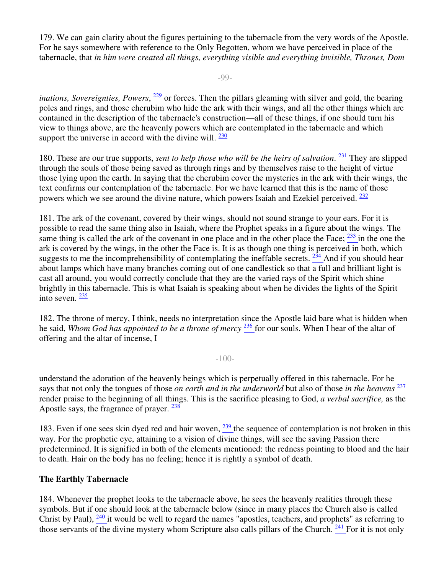179. We can gain clarity about the figures pertaining to the tabernacle from the very words of the Apostle. For he says somewhere with reference to the Only Begotten, whom we have perceived in place of the tabernacle, that *in him were created all things, everything visible and everything invisible, Thrones, Dom*

 $-99-$ 

*inations, Sovereignties, Powers,*  $\frac{229}{2}$  or forces. Then the pillars gleaming with silver and gold, the bearing poles and rings, and those cherubim who hide the ark with their wings, and all the other things which are contained in the description of the tabernacle's construction—all of these things, if one should turn his view to things above, are the heavenly powers which are contemplated in the tabernacle and which support the universe in accord with the divine will.  $\frac{230}{230}$ 

180. These are our true supports, *sent to help those who will be the heirs of salvation*. <sup>231</sup> They are slipped through the souls of those being saved as through rings and by themselves raise to the height of virtue those lying upon the earth. In saying that the cherubim cover the mysteries in the ark with their wings, the text confirms our contemplation of the tabernacle. For we have learned that this is the name of those powers which we see around the divine nature, which powers Isaiah and Ezekiel perceived.  $\frac{232}{2}$ 

181. The ark of the covenant, covered by their wings, should not sound strange to your ears. For it is possible to read the same thing also in Isaiah, where the Prophet speaks in a figure about the wings. The same thing is called the ark of the covenant in one place and in the other place the Face; <sup>233</sup> in the one the ark is covered by the wings, in the other the Face is. It is as though one thing is perceived in both, which suggests to me the incomprehensibility of contemplating the ineffable secrets.  $^{234}$  And if you should hear about lamps which have many branches coming out of one candlestick so that a full and brilliant light is cast all around, you would correctly conclude that they are the varied rays of the Spirit which shine brightly in this tabernacle. This is what Isaiah is speaking about when he divides the lights of the Spirit into seven.  $\frac{235}{5}$ 

182. The throne of mercy, I think, needs no interpretation since the Apostle laid bare what is hidden when he said, *Whom God has appointed to be a throne of mercy* <sup>236</sup> for our souls. When I hear of the altar of offering and the altar of incense, I

-100-

understand the adoration of the heavenly beings which is perpetually offered in this tabernacle. For he says that not only the tongues of those *on earth and in the underworld* but also of those *in the heavens* <sup>237</sup> render praise to the beginning of all things. This is the sacrifice pleasing to God, *a verbal sacrifice,* as the Apostle says, the fragrance of prayer.  $\frac{238}{2}$ 

183. Even if one sees skin dyed red and hair woven,  $\frac{239}{2}$  the sequence of contemplation is not broken in this way. For the prophetic eye, attaining to a vision of divine things, will see the saving Passion there predetermined. It is signified in both of the elements mentioned: the redness pointing to blood and the hair to death. Hair on the body has no feeling; hence it is rightly a symbol of death.

# **The Earthly Tabernacle**

184. Whenever the prophet looks to the tabernacle above, he sees the heavenly realities through these symbols. But if one should look at the tabernacle below (since in many places the Church also is called Christ by Paul),  $^{240}$  it would be well to regard the names "apostles, teachers, and prophets" as referring to those servants of the divine mystery whom Scripture also calls pillars of the Church. <sup>241</sup> For it is not only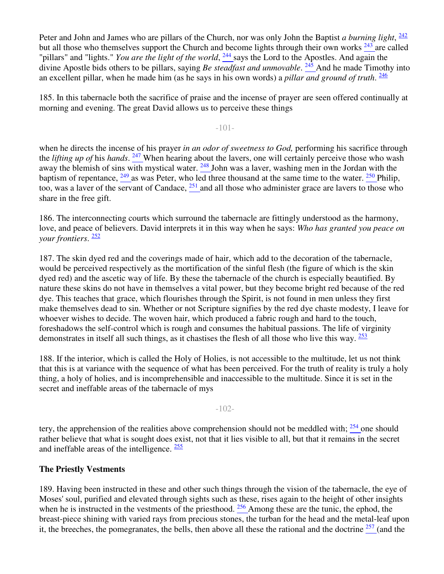Peter and John and James who are pillars of the Church, nor was only John the Baptist *a burning light*,  $\frac{242}{2}$ but all those who themselves support the Church and become lights through their own works  $^{243}$  are called "pillars" and "lights." *You are the light of the world*, <sup>244</sup> says the Lord to the Apostles. And again the divine Apostle bids others to be pillars, saying *Be steadfast and unmovable*. <sup>245</sup> And he made Timothy into an excellent pillar, when he made him (as he says in his own words) a *pillar and ground of truth*. 246

185. In this tabernacle both the sacrifice of praise and the incense of prayer are seen offered continually at morning and evening. The great David allows us to perceive these things

-101-

when he directs the incense of his prayer *in an odor of sweetness to God,* performing his sacrifice through the *lifting up of* his *hands*. <sup>247</sup> When hearing about the lavers, one will certainly perceive those who wash away the blemish of sins with mystical water. <sup>248</sup> John was a laver, washing men in the Jordan with the baptism of repentance,  $\frac{249}{2}$  as was Peter, who led three thousand at the same time to the water.  $\frac{250}{2}$ Philip, too, was a laver of the servant of Candace,  $^{251}$  and all those who administer grace are lavers to those who share in the free gift.

186. The interconnecting courts which surround the tabernacle are fittingly understood as the harmony, love, and peace of believers. David interprets it in this way when he says: *Who has granted you peace on your frontiers*. 252

187. The skin dyed red and the coverings made of hair, which add to the decoration of the tabernacle, would be perceived respectively as the mortification of the sinful flesh (the figure of which is the skin dyed red) and the ascetic way of life. By these the tabernacle of the church is especially beautified. By nature these skins do not have in themselves a vital power, but they become bright red because of the red dye. This teaches that grace, which flourishes through the Spirit, is not found in men unless they first make themselves dead to sin. Whether or not Scripture signifies by the red dye chaste modesty, I leave for whoever wishes to decide. The woven hair, which produced a fabric rough and hard to the touch, foreshadows the self-control which is rough and consumes the habitual passions. The life of virginity demonstrates in itself all such things, as it chastises the flesh of all those who live this way.  $\frac{253}{25}$ 

188. If the interior, which is called the Holy of Holies, is not accessible to the multitude, let us not think that this is at variance with the sequence of what has been perceived. For the truth of reality is truly a holy thing, a holy of holies, and is incomprehensible and inaccessible to the multitude. Since it is set in the secret and ineffable areas of the tabernacle of mys

 $-102-$ 

tery, the apprehension of the realities above comprehension should not be meddled with;  $^{254}$  one should rather believe that what is sought does exist, not that it lies visible to all, but that it remains in the secret and ineffable areas of the intelligence. <sup>255</sup>

### **The Priestly Vestments**

189. Having been instructed in these and other such things through the vision of the tabernacle, the eye of Moses' soul, purified and elevated through sights such as these, rises again to the height of other insights when he is instructed in the vestments of the priesthood. <sup>256</sup> Among these are the tunic, the ephod, the breast-piece shining with varied rays from precious stones, the turban for the head and the metal-leaf upon it, the breeches, the pomegranates, the bells, then above all these the rational and the doctrine  $\frac{257}{1}$  (and the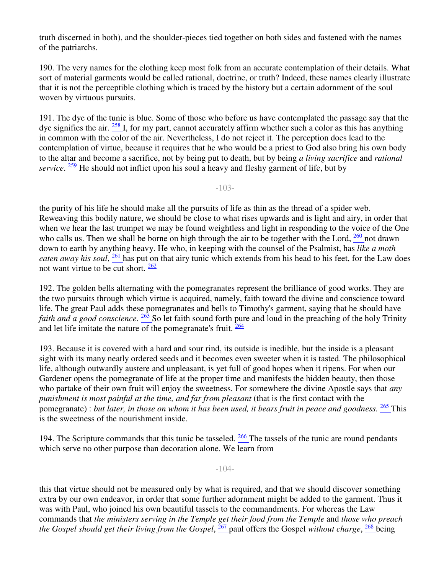truth discerned in both), and the shoulder-pieces tied together on both sides and fastened with the names of the patriarchs.

190. The very names for the clothing keep most folk from an accurate contemplation of their details. What sort of material garments would be called rational, doctrine, or truth? Indeed, these names clearly illustrate that it is not the perceptible clothing which is traced by the history but a certain adornment of the soul woven by virtuous pursuits.

191. The dye of the tunic is blue. Some of those who before us have contemplated the passage say that the dye signifies the air.  $258$  I, for my part, cannot accurately affirm whether such a color as this has anything in common with the color of the air. Nevertheless, I do not reject it. The perception does lead to the contemplation of virtue, because it requires that he who would be a priest to God also bring his own body to the altar and become a sacrifice, not by being put to death, but by being *a living sacrifice* and *rational*  service. <sup>259</sup> He should not inflict upon his soul a heavy and fleshy garment of life, but by

-103-

the purity of his life he should make all the pursuits of life as thin as the thread of a spider web. Reweaving this bodily nature, we should be close to what rises upwards and is light and airy, in order that when we hear the last trumpet we may be found weightless and light in responding to the voice of the One who calls us. Then we shall be borne on high through the air to be together with the Lord,  $^{260}$  not drawn down to earth by anything heavy. He who, in keeping with the counsel of the Psalmist, has *like a moth*  eaten away his soul, <sup>261</sup> has put on that airy tunic which extends from his head to his feet, for the Law does not want virtue to be cut short.  $\frac{262}{5}$ 

192. The golden bells alternating with the pomegranates represent the brilliance of good works. They are the two pursuits through which virtue is acquired, namely, faith toward the divine and conscience toward life. The great Paul adds these pomegranates and bells to Timothy's garment, saying that he should have faith and a good conscience. <sup>263</sup> So let faith sound forth pure and loud in the preaching of the holy Trinity and let life imitate the nature of the pomegranate's fruit.  $\frac{264}{ }$ 

193. Because it is covered with a hard and sour rind, its outside is inedible, but the inside is a pleasant sight with its many neatly ordered seeds and it becomes even sweeter when it is tasted. The philosophical life, although outwardly austere and unpleasant, is yet full of good hopes when it ripens. For when our Gardener opens the pomegranate of life at the proper time and manifests the hidden beauty, then those who partake of their own fruit will enjoy the sweetness. For somewhere the divine Apostle says that *any punishment is most painful at the time, and far from pleasant* (that is the first contact with the pomegranate) : *but later, in those on whom it has been used, it bears fruit in peace and goodness.* <sup>265</sup> This is the sweetness of the nourishment inside.

194. The Scripture commands that this tunic be tasseled. <sup>266</sup> The tassels of the tunic are round pendants which serve no other purpose than decoration alone. We learn from

-104-

this that virtue should not be measured only by what is required, and that we should discover something extra by our own endeavor, in order that some further adornment might be added to the garment. Thus it was with Paul, who joined his own beautiful tassels to the commandments. For whereas the Law commands that *the ministers serving in the Temple get their food from the Temple* and *those who preach the Gospel should get their living from the Gospel*, <sup>267</sup> paul offers the Gospel *without charge*, <sup>268</sup> being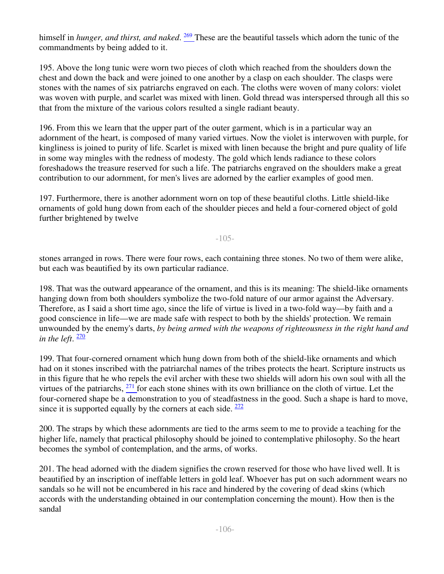himself in *hunger, and thirst, and naked*. <sup>269</sup> These are the beautiful tassels which adorn the tunic of the commandments by being added to it.

195. Above the long tunic were worn two pieces of cloth which reached from the shoulders down the chest and down the back and were joined to one another by a clasp on each shoulder. The clasps were stones with the names of six patriarchs engraved on each. The cloths were woven of many colors: violet was woven with purple, and scarlet was mixed with linen. Gold thread was interspersed through all this so that from the mixture of the various colors resulted a single radiant beauty.

196. From this we learn that the upper part of the outer garment, which is in a particular way an adornment of the heart, is composed of many varied virtues. Now the violet is interwoven with purple, for kingliness is joined to purity of life. Scarlet is mixed with linen because the bright and pure quality of life in some way mingles with the redness of modesty. The gold which lends radiance to these colors foreshadows the treasure reserved for such a life. The patriarchs engraved on the shoulders make a great contribution to our adornment, for men's lives are adorned by the earlier examples of good men.

197. Furthermore, there is another adornment worn on top of these beautiful cloths. Little shield-like ornaments of gold hung down from each of the shoulder pieces and held a four-cornered object of gold further brightened by twelve

-105-

stones arranged in rows. There were four rows, each containing three stones. No two of them were alike, but each was beautified by its own particular radiance.

198. That was the outward appearance of the ornament, and this is its meaning: The shield-like ornaments hanging down from both shoulders symbolize the two-fold nature of our armor against the Adversary. Therefore, as I said a short time ago, since the life of virtue is lived in a two-fold way—by faith and a good conscience in life—we are made safe with respect to both by the shields' protection. We remain unwounded by the enemy's darts, *by being armed with the weapons of righteousness in the right hand and in the left*. 270

199. That four-cornered ornament which hung down from both of the shield-like ornaments and which had on it stones inscribed with the patriarchal names of the tribes protects the heart. Scripture instructs us in this figure that he who repels the evil archer with these two shields will adorn his own soul with all the virtues of the patriarchs,  $271$  for each stone shines with its own brilliance on the cloth of virtue. Let the four-cornered shape be a demonstration to you of steadfastness in the good. Such a shape is hard to move, since it is supported equally by the corners at each side.  $\frac{272}{27}$ 

200. The straps by which these adornments are tied to the arms seem to me to provide a teaching for the higher life, namely that practical philosophy should be joined to contemplative philosophy. So the heart becomes the symbol of contemplation, and the arms, of works.

201. The head adorned with the diadem signifies the crown reserved for those who have lived well. It is beautified by an inscription of ineffable letters in gold leaf. Whoever has put on such adornment wears no sandals so he will not be encumbered in his race and hindered by the covering of dead skins (which accords with the understanding obtained in our contemplation concerning the mount). How then is the sandal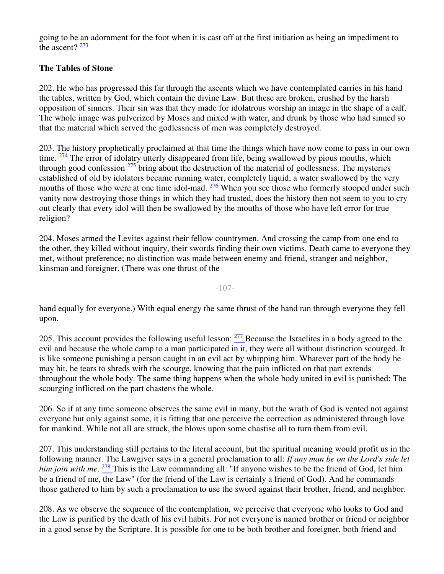going to be an adornment for the foot when it is cast off at the first initiation as being an impediment to the ascent?  $\frac{273}{ }$ 

## **The Tables of Stone**

202. He who has progressed this far through the ascents which we have contemplated carries in his hand the tables, written by God, which contain the divine Law. But these are broken, crushed by the harsh opposition of sinners. Their sin was that they made for idolatrous worship an image in the shape of a calf. The whole image was pulverized by Moses and mixed with water, and drunk by those who had sinned so that the material which served the godlessness of men was completely destroyed.

203. The history prophetically proclaimed at that time the things which have now come to pass in our own time. <sup>274</sup> The error of idolatry utterly disappeared from life, being swallowed by pious mouths, which through good confession  $275$  bring about the destruction of the material of godlessness. The mysteries established of old by idolators became running water, completely liquid, a water swallowed by the very mouths of those who were at one time idol-mad. <sup>276</sup> When you see those who formerly stooped under such vanity now destroying those things in which they had trusted, does the history then not seem to you to cry out clearly that every idol will then be swallowed by the mouths of those who have left error for true religion?

204. Moses armed the Levites against their fellow countrymen. And crossing the camp from one end to the other, they killed without inquiry, their swords finding their own victims. Death came to everyone they met, without preference; no distinction was made between enemy and friend, stranger and neighbor, kinsman and foreigner. (There was one thrust of the

-107-

hand equally for everyone.) With equal energy the same thrust of the hand ran through everyone they fell upon.

205. This account provides the following useful lesson:  $277$  Because the Israelites in a body agreed to the evil and because the whole camp to a man participated in it, they were all without distinction scourged. It is like someone punishing a person caught in an evil act by whipping him. Whatever part of the body he may hit, he tears to shreds with the scourge, knowing that the pain inflicted on that part extends throughout the whole body. The same thing happens when the whole body united in evil is punished: The scourging inflicted on the part chastens the whole.

206. So if at any time someone observes the same evil in many, but the wrath of God is vented not against everyone but only against some, it is fitting that one perceive the correction as administered through love for mankind. While not all are struck, the blows upon some chastise all to turn them from evil.

207. This understanding still pertains to the literal account, but the spiritual meaning would profit us in the following manner. The Lawgiver says in a general proclamation to all: *If any man be on the Lord's side let him join with me*. <sup>278</sup> This is the Law commanding all: "If anyone wishes to be the friend of God, let him be a friend of me, the Law" (for the friend of the Law is certainly a friend of God). And he commands those gathered to him by such a proclamation to use the sword against their brother, friend, and neighbor.

208. As we observe the sequence of the contemplation, we perceive that everyone who looks to God and the Law is purified by the death of his evil habits. For not everyone is named brother or friend or neighbor in a good sense by the Scripture. It is possible for one to be both brother and foreigner, both friend and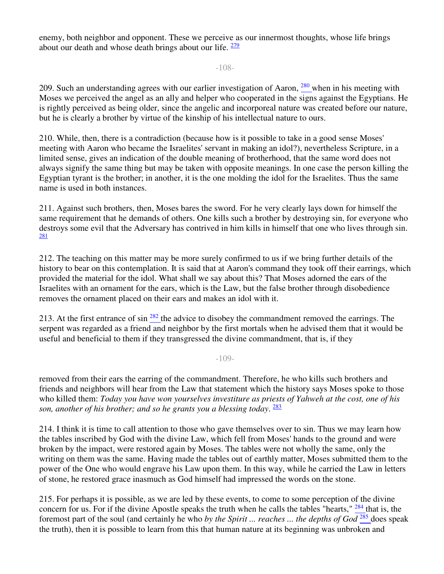enemy, both neighbor and opponent. These we perceive as our innermost thoughts, whose life brings about our death and whose death brings about our life.  $\frac{279}{27}$ 

-108-

209. Such an understanding agrees with our earlier investigation of Aaron, <sup>280</sup> when in his meeting with Moses we perceived the angel as an ally and helper who cooperated in the signs against the Egyptians. He is rightly perceived as being older, since the angelic and incorporeal nature was created before our nature, but he is clearly a brother by virtue of the kinship of his intellectual nature to ours.

210. While, then, there is a contradiction (because how is it possible to take in a good sense Moses' meeting with Aaron who became the Israelites' servant in making an idol?), nevertheless Scripture, in a limited sense, gives an indication of the double meaning of brotherhood, that the same word does not always signify the same thing but may be taken with opposite meanings. In one case the person killing the Egyptian tyrant is the brother; in another, it is the one molding the idol for the Israelites. Thus the same name is used in both instances.

211. Against such brothers, then, Moses bares the sword. For he very clearly lays down for himself the same requirement that he demands of others. One kills such a brother by destroying sin, for everyone who destroys some evil that the Adversary has contrived in him kills in himself that one who lives through sin. 281

212. The teaching on this matter may be more surely confirmed to us if we bring further details of the history to bear on this contemplation. It is said that at Aaron's command they took off their earrings, which provided the material for the idol. What shall we say about this? That Moses adorned the ears of the Israelites with an ornament for the ears, which is the Law, but the false brother through disobedience removes the ornament placed on their ears and makes an idol with it.

213. At the first entrance of  $\sin \frac{282}{5}$  the advice to disobey the commandment removed the earrings. The serpent was regarded as a friend and neighbor by the first mortals when he advised them that it would be useful and beneficial to them if they transgressed the divine commandment, that is, if they

 $-109-$ 

removed from their ears the earring of the commandment. Therefore, he who kills such brothers and friends and neighbors will hear from the Law that statement which the history says Moses spoke to those who killed them: *Today you have won yourselves investiture as priests of Yahweh at the cost, one of his son, another of his brother; and so he grants you a blessing today*. 283

214. I think it is time to call attention to those who gave themselves over to sin. Thus we may learn how the tables inscribed by God with the divine Law, which fell from Moses' hands to the ground and were broken by the impact, were restored again by Moses. The tables were not wholly the same, only the writing on them was the same. Having made the tables out of earthly matter, Moses submitted them to the power of the One who would engrave his Law upon them. In this way, while he carried the Law in letters of stone, he restored grace inasmuch as God himself had impressed the words on the stone.

215. For perhaps it is possible, as we are led by these events, to come to some perception of the divine concern for us. For if the divine Apostle speaks the truth when he calls the tables "hearts," <sup>284</sup> that is, the foremost part of the soul (and certainly he who *by the Spirit ... reaches ... the depths of God* <sup>285</sup> does speak the truth), then it is possible to learn from this that human nature at its beginning was unbroken and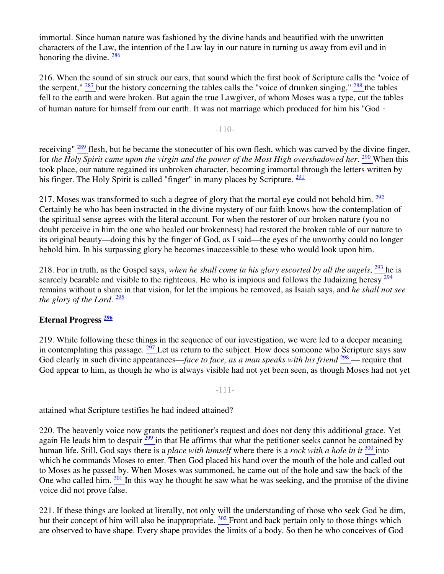immortal. Since human nature was fashioned by the divine hands and beautified with the unwritten characters of the Law, the intention of the Law lay in our nature in turning us away from evil and in honoring the divine.  $\frac{286}{5}$ 

216. When the sound of sin struck our ears, that sound which the first book of Scripture calls the "voice of the serpent,"  $287$  but the history concerning the tables calls the "voice of drunken singing,"  $288$  the tables fell to the earth and were broken. But again the true Lawgiver, of whom Moses was a type, cut the tables of human nature for himself from our earth. It was not marriage which produced for him his "God‐

 $-110-$ 

receiving" <sup>289</sup> flesh, but he became the stonecutter of his own flesh, which was carved by the divine finger, for *the Holy Spirit came upon the virgin and the power of the Most High overshadowed her.* <sup>290</sup> When this took place, our nature regained its unbroken character, becoming immortal through the letters written by his finger. The Holy Spirit is called "finger" in many places by Scripture.  $\frac{291}{291}$ 

217. Moses was transformed to such a degree of glory that the mortal eye could not behold him.  $\frac{292}{ }$ Certainly he who has been instructed in the divine mystery of our faith knows how the contemplation of the spiritual sense agrees with the literal account. For when the restorer of our broken nature (you no doubt perceive in him the one who healed our brokenness) had restored the broken table of our nature to its original beauty—doing this by the finger of God, as I said—the eyes of the unworthy could no longer behold him. In his surpassing glory he becomes inaccessible to these who would look upon him.

218. For in truth, as the Gospel says, *when he shall come in his glory escorted by all the angels*,  $\frac{293}{2}$  he is scarcely bearable and visible to the righteous. He who is impious and follows the Judaizing heresy  $\frac{294}{ }$ remains without a share in that vision, for let the impious be removed, as Isaiah says, and *he shall not see the glory of the Lord*. 295

## **Eternal Progress <sup>296</sup>**

219. While following these things in the sequence of our investigation, we were led to a deeper meaning in contemplating this passage.  $297$  Let us return to the subject. How does someone who Scripture says saw God clearly in such divine appearances—*face to face, as a man speaks with his friend* <sup>298</sup> — require that God appear to him, as though he who is always visible had not yet been seen, as though Moses had not yet

-111-

attained what Scripture testifies he had indeed attained?

220. The heavenly voice now grants the petitioner's request and does not deny this additional grace. Yet again He leads him to despair  $\frac{299}{2}$  in that He affirms that what the petitioner seeks cannot be contained by human life. Still, God says there is a *place with himself* where there is a *rock with a hole in it*  $\frac{300}{100}$  into which he commands Moses to enter. Then God placed his hand over the mouth of the hole and called out to Moses as he passed by. When Moses was summoned, he came out of the hole and saw the back of the One who called him. <sup>301</sup> In this way he thought he saw what he was seeking, and the promise of the divine voice did not prove false.

221. If these things are looked at literally, not only will the understanding of those who seek God be dim, but their concept of him will also be inappropriate. <sup>302</sup> Front and back pertain only to those things which are observed to have shape. Every shape provides the limits of a body. So then he who conceives of God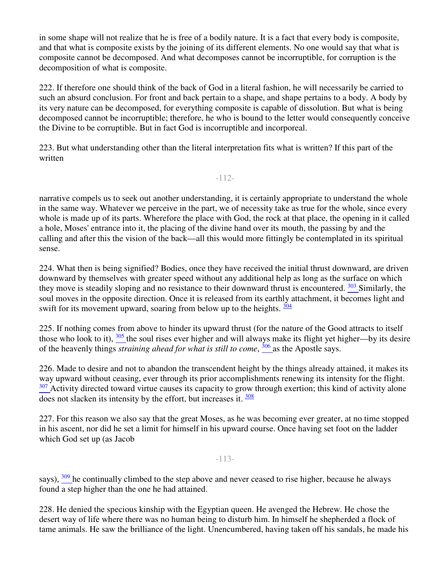in some shape will not realize that he is free of a bodily nature. It is a fact that every body is composite, and that what is composite exists by the joining of its different elements. No one would say that what is composite cannot be decomposed. And what decomposes cannot be incorruptible, for corruption is the decomposition of what is composite.

222. If therefore one should think of the back of God in a literal fashion, he will necessarily be carried to such an absurd conclusion. For front and back pertain to a shape, and shape pertains to a body. A body by its very nature can be decomposed, for everything composite is capable of dissolution. But what is being decomposed cannot be incorruptible; therefore, he who is bound to the letter would consequently conceive the Divine to be corruptible. But in fact God is incorruptible and incorporeal.

223. But what understanding other than the literal interpretation fits what is written? If this part of the written

-112-

narrative compels us to seek out another understanding, it is certainly appropriate to understand the whole in the same way. Whatever we perceive in the part, we of necessity take as true for the whole, since every whole is made up of its parts. Wherefore the place with God, the rock at that place, the opening in it called a hole, Moses' entrance into it, the placing of the divine hand over its mouth, the passing by and the calling and after this the vision of the back—all this would more fittingly be contemplated in its spiritual sense.

224. What then is being signified? Bodies, once they have received the initial thrust downward, are driven downward by themselves with greater speed without any additional help as long as the surface on which they move is steadily sloping and no resistance to their downward thrust is encountered. <sup>303</sup> Similarly, the soul moves in the opposite direction. Once it is released from its earthly attachment, it becomes light and swift for its movement upward, soaring from below up to the heights.  $\frac{304}{304}$ 

225. If nothing comes from above to hinder its upward thrust (for the nature of the Good attracts to itself those who look to it),  $\frac{305}{2}$  the soul rises ever higher and will always make its flight yet higher—by its desire of the heavenly things *straining ahead for what is still to come*,  $\frac{306}{3}$  as the Apostle says.

226. Made to desire and not to abandon the transcendent height by the things already attained, it makes its way upward without ceasing, ever through its prior accomplishments renewing its intensity for the flight.  $307$  Activity directed toward virtue causes its capacity to grow through exertion; this kind of activity alone does not slacken its intensity by the effort, but increases it.  $\frac{308}{308}$ 

227. For this reason we also say that the great Moses, as he was becoming ever greater, at no time stopped in his ascent, nor did he set a limit for himself in his upward course. Once having set foot on the ladder which God set up (as Jacob

-113-

says),  $309$  he continually climbed to the step above and never ceased to rise higher, because he always found a step higher than the one he had attained.

228. He denied the specious kinship with the Egyptian queen. He avenged the Hebrew. He chose the desert way of life where there was no human being to disturb him. In himself he shepherded a flock of tame animals. He saw the brilliance of the light. Unencumbered, having taken off his sandals, he made his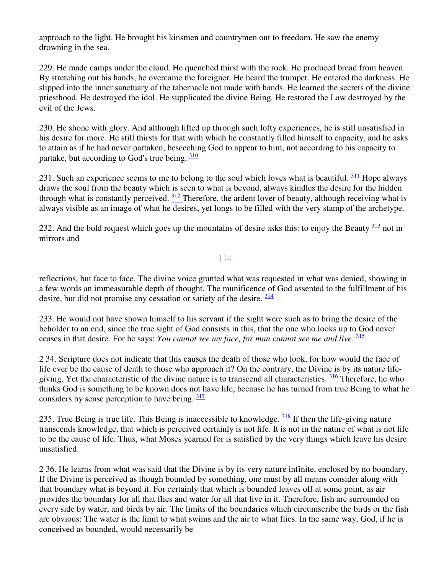approach to the light. He brought his kinsmen and countrymen out to freedom. He saw the enemy drowning in the sea.

229. He made camps under the cloud. He quenched thirst with the rock. He produced bread from heaven. By stretching out his hands, he overcame the foreigner. He heard the trumpet. He entered the darkness. He slipped into the inner sanctuary of the tabernacle not made with hands. He learned the secrets of the divine priesthood. He destroyed the idol. He supplicated the divine Being. He restored the Law destroyed by the evil of the Jews.

230. He shone with glory. And although lifted up through such lofty experiences, he is still unsatisfied in his desire for more. He still thirsts for that with which he constantly filled himself to capacity, and he asks to attain as if he had never partaken, beseeching God to appear to him, not according to his capacity to partake, but according to God's true being.  $\frac{310}{2}$ 

231. Such an experience seems to me to belong to the soul which loves what is beautiful.  $\frac{311}{10}$  Hope always draws the soul from the beauty which is seen to what is beyond, always kindles the desire for the hidden through what is constantly perceived.  $312$  Therefore, the ardent lover of beauty, although receiving what is always visible as an image of what he desires, yet longs to be filled with the very stamp of the archetype.

232. And the bold request which goes up the mountains of desire asks this: to enjoy the Beauty <sup>313</sup> not in mirrors and

-114-

reflections, but face to face. The divine voice granted what was requested in what was denied, showing in a few words an immeasurable depth of thought. The munificence of God assented to the fulfillment of his desire, but did not promise any cessation or satiety of the desire.  $\frac{314}{314}$ 

233. He would not have shown himself to his servant if the sight were such as to bring the desire of the beholder to an end, since the true sight of God consists in this, that the one who looks up to God never ceases in that desire. For he says: *You cannot see my face, for man cannot see me and live*. 315

2 34. Scripture does not indicate that this causes the death of those who look, for how would the face of life ever be the cause of death to those who approach it? On the contrary, the Divine is by its nature lifegiving. Yet the characteristic of the divine nature is to transcend all characteristics.  $\frac{316}{10}$ Therefore, he who thinks God is something to be known does not have life, because he has turned from true Being to what he considers by sense perception to have being.  $\frac{317}{2}$ 

235. True Being is true life. This Being is inaccessible to knowledge.  $318$  If then the life-giving nature transcends knowledge, that which is perceived certainly is not life. It is not in the nature of what is not life to be the cause of life. Thus, what Moses yearned for is satisfied by the very things which leave his desire unsatisfied.

2 36. He learns from what was said that the Divine is by its very nature infinite, enclosed by no boundary. If the Divine is perceived as though bounded by something, one must by all means consider along with that boundary what is beyond it. For certainly that which is bounded leaves off at some point, as air provides the boundary for all that flies and water for all that live in it. Therefore, fish are surrounded on every side by water, and birds by air. The limits of the boundaries which circumscribe the birds or the fish are obvious: The water is the limit to what swims and the air to what flies. In the same way, God, if he is conceived as bounded, would necessarily be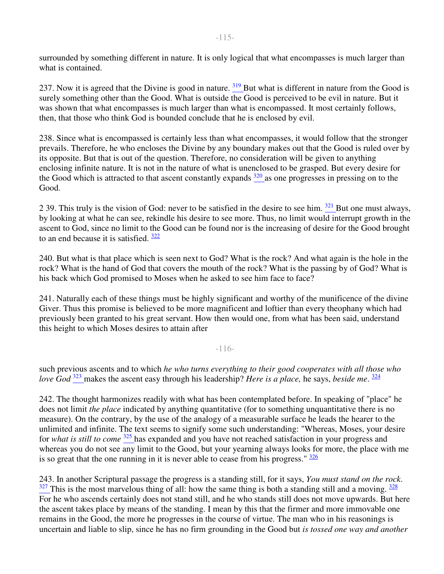237. Now it is agreed that the Divine is good in nature. <sup>319</sup> But what is different in nature from the Good is surely something other than the Good. What is outside the Good is perceived to be evil in nature. But it was shown that what encompasses is much larger than what is encompassed. It most certainly follows, then, that those who think God is bounded conclude that he is enclosed by evil.

238. Since what is encompassed is certainly less than what encompasses, it would follow that the stronger prevails. Therefore, he who encloses the Divine by any boundary makes out that the Good is ruled over by its opposite. But that is out of the question. Therefore, no consideration will be given to anything enclosing infinite nature. It is not in the nature of what is unenclosed to be grasped. But every desire for the Good which is attracted to that ascent constantly expands  $\frac{320}{2}$  as one progresses in pressing on to the Good.

2 39. This truly is the vision of God: never to be satisfied in the desire to see him. <sup>321</sup> But one must always, by looking at what he can see, rekindle his desire to see more. Thus, no limit would interrupt growth in the ascent to God, since no limit to the Good can be found nor is the increasing of desire for the Good brought to an end because it is satisfied.  $\frac{322}{2}$ 

240. But what is that place which is seen next to God? What is the rock? And what again is the hole in the rock? What is the hand of God that covers the mouth of the rock? What is the passing by of God? What is his back which God promised to Moses when he asked to see him face to face?

241. Naturally each of these things must be highly significant and worthy of the munificence of the divine Giver. Thus this promise is believed to be more magnificent and loftier than every theophany which had previously been granted to his great servant. How then would one, from what has been said, understand this height to which Moses desires to attain after

#### -116-

such previous ascents and to which *he who turns everything to their good cooperates with all those who love God* <sup>323</sup> makes the ascent easy through his leadership? *Here is a place,* he says, *beside me*. 324

242. The thought harmonizes readily with what has been contemplated before. In speaking of "place" he does not limit *the place* indicated by anything quantitative (for to something unquantitative there is no measure). On the contrary, by the use of the analogy of a measurable surface he leads the hearer to the unlimited and infinite. The text seems to signify some such understanding: "Whereas, Moses, your desire for *what is still to come* <sup>325</sup> has expanded and you have not reached satisfaction in your progress and whereas you do not see any limit to the Good, but your yearning always looks for more, the place with me is so great that the one running in it is never able to cease from his progress."  $\frac{326}{120}$ 

243. In another Scriptural passage the progress is a standing still, for it says, *You must stand on the rock*.  $327$  This is the most marvelous thing of all: how the same thing is both a standing still and a moving.  $328$ For he who ascends certainly does not stand still, and he who stands still does not move upwards. But here the ascent takes place by means of the standing. I mean by this that the firmer and more immovable one remains in the Good, the more he progresses in the course of virtue. The man who in his reasonings is uncertain and liable to slip, since he has no firm grounding in the Good but *is tossed one way and another*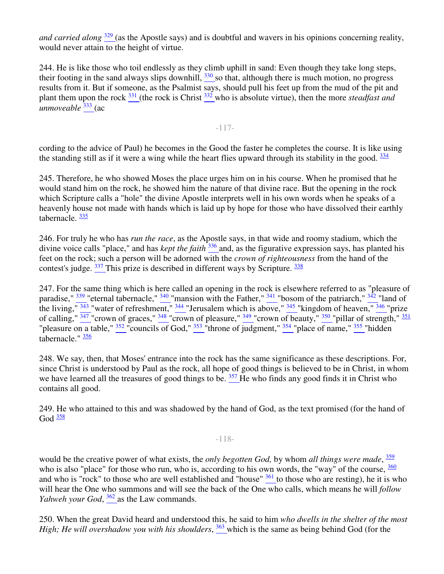*and carried along* <sup>329</sup> (as the Apostle says) and is doubtful and wavers in his opinions concerning reality, would never attain to the height of virtue.

244. He is like those who toil endlessly as they climb uphill in sand: Even though they take long steps, their footing in the sand always slips downhill,  $\frac{330}{2}$  so that, although there is much motion, no progress results from it. But if someone, as the Psalmist says, should pull his feet up from the mud of the pit and plant them upon the rock <sup>331</sup> (the rock is Christ <sup>332</sup> who is absolute virtue), then the more *steadfast and unmoveable* <sup>333</sup> (ac

-117-

cording to the advice of Paul) he becomes in the Good the faster he completes the course. It is like using the standing still as if it were a wing while the heart flies upward through its stability in the good.  $\frac{334}{2}$ 

245. Therefore, he who showed Moses the place urges him on in his course. When he promised that he would stand him on the rock, he showed him the nature of that divine race. But the opening in the rock which Scripture calls a "hole" the divine Apostle interprets well in his own words when he speaks of a heavenly house not made with hands which is laid up by hope for those who have dissolved their earthly tabernacle.  $\frac{335}{5}$ 

246. For truly he who has *run the race*, as the Apostle says, in that wide and roomy stadium, which the divine voice calls "place," and has *kept the faith* <sup>336</sup> and, as the figurative expression says, has planted his feet on the rock; such a person will be adorned with the *crown of righteousness* from the hand of the contest's judge.  $337$  This prize is described in different ways by Scripture.  $338$ 

247. For the same thing which is here called an opening in the rock is elsewhere referred to as "pleasure of paradise,"  $\frac{339}{ }$  "eternal tabernacle,"  $\frac{340}{ }$  "mansion with the Father,"  $\frac{341}{ }$  "bosom of the patriarch,"  $\frac{342}{ }$  "land of the living,"  $\frac{343}{1}$ "water of refreshment,"  $\frac{344}{1}$ "Jerusalem which is above,"  $\frac{345}{1}$ "kingdom of heaven,"  $\frac{346}{1}$ "prize of calling,"  $\frac{347}{347}$ "crown of graces,"  $\frac{348}{348}$ "crown of pleasure,"  $\frac{349}{349}$ "crown of beauty,"  $\frac{350}{350}$ "pillar of strength,"  $\frac{351}{351}$ "pleasure on a table," <sup>352</sup> "councils of God," <sup>353</sup> "throne of judgment," <sup>354</sup> "place of name," <sup>355</sup> "hidden tabernacle."  $\frac{356}{5}$ 

248. We say, then, that Moses' entrance into the rock has the same significance as these descriptions. For, since Christ is understood by Paul as the rock, all hope of good things is believed to be in Christ, in whom we have learned all the treasures of good things to be.  $357$  He who finds any good finds it in Christ who contains all good.

249. He who attained to this and was shadowed by the hand of God, as the text promised (for the hand of God  $\frac{358}{356}$ 

-118-

would be the creative power of what exists, the *only begotten God,* by whom *all things were made*, 359 who is also "place" for those who run, who is, according to his own words, the "way" of the course,  $\frac{360}{2}$ and who is "rock" to those who are well established and "house"  $\frac{361}{2}$  to those who are resting), he it is who will hear the One who summons and will see the back of the One who calls, which means he will *follow Yahweh your God*,  $\frac{362}{2}$  as the Law commands.

250. When the great David heard and understood this, he said to him *who dwells in the shelter of the most*  High; *He will overshadow you with his shoulders*,  $\frac{363}{2}$  which is the same as being behind God (for the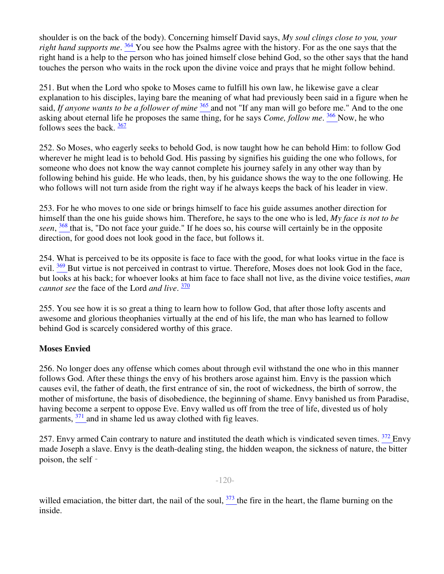shoulder is on the back of the body). Concerning himself David says, *My soul clings close to you, your*  right hand supports me. <sup>364</sup> You see how the Psalms agree with the history. For as the one says that the right hand is a help to the person who has joined himself close behind God, so the other says that the hand touches the person who waits in the rock upon the divine voice and prays that he might follow behind.

251. But when the Lord who spoke to Moses came to fulfill his own law, he likewise gave a clear explanation to his disciples, laying bare the meaning of what had previously been said in a figure when he said, *If anyone wants to be a follower of mine* <sup>365</sup> and not "If any man will go before me." And to the one asking about eternal life he proposes the same thing, for he says *Come, follow me*. <sup>366</sup> Now, he who follows sees the back.  $\frac{367}{362}$ 

252. So Moses, who eagerly seeks to behold God, is now taught how he can behold Him: to follow God wherever he might lead is to behold God. His passing by signifies his guiding the one who follows, for someone who does not know the way cannot complete his journey safely in any other way than by following behind his guide. He who leads, then, by his guidance shows the way to the one following. He who follows will not turn aside from the right way if he always keeps the back of his leader in view.

253. For he who moves to one side or brings himself to face his guide assumes another direction for himself than the one his guide shows him. Therefore, he says to the one who is led, *My face is not to be*  seen, <sup>368</sup> that is, "Do not face your guide." If he does so, his course will certainly be in the opposite direction, for good does not look good in the face, but follows it.

254. What is perceived to be its opposite is face to face with the good, for what looks virtue in the face is evil. <sup>369</sup> But virtue is not perceived in contrast to virtue. Therefore, Moses does not look God in the face, but looks at his back; for whoever looks at him face to face shall not live, as the divine voice testifies, *man cannot see* the face of the Lord *and live*. 370

255. You see how it is so great a thing to learn how to follow God, that after those lofty ascents and awesome and glorious theophanies virtually at the end of his life, the man who has learned to follow behind God is scarcely considered worthy of this grace.

### **Moses Envied**

256. No longer does any offense which comes about through evil withstand the one who in this manner follows God. After these things the envy of his brothers arose against him. Envy is the passion which causes evil, the father of death, the first entrance of sin, the root of wickedness, the birth of sorrow, the mother of misfortune, the basis of disobedience, the beginning of shame. Envy banished us from Paradise, having become a serpent to oppose Eve. Envy walled us off from the tree of life, divested us of holy garments,  $371$  and in shame led us away clothed with fig leaves.

257. Envy armed Cain contrary to nature and instituted the death which is vindicated seven times. <sup>372</sup> Envy made Joseph a slave. Envy is the death-dealing sting, the hidden weapon, the sickness of nature, the bitter poison, the self -

-120-

willed emaciation, the bitter dart, the nail of the soul,  $373$  the fire in the heart, the flame burning on the inside.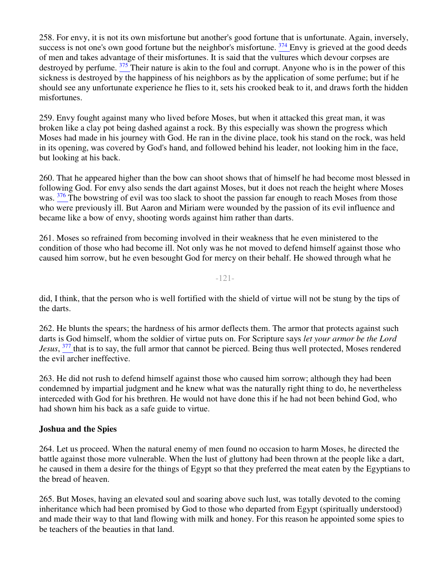258. For envy, it is not its own misfortune but another's good fortune that is unfortunate. Again, inversely, success is not one's own good fortune but the neighbor's misfortune.  $\frac{374}{25}$  Envy is grieved at the good deeds of men and takes advantage of their misfortunes. It is said that the vultures which devour corpses are destroyed by perfume. <sup>375</sup> Their nature is akin to the foul and corrupt. Anyone who is in the power of this sickness is destroyed by the happiness of his neighbors as by the application of some perfume; but if he should see any unfortunate experience he flies to it, sets his crooked beak to it, and draws forth the hidden misfortunes.

259. Envy fought against many who lived before Moses, but when it attacked this great man, it was broken like a clay pot being dashed against a rock. By this especially was shown the progress which Moses had made in his journey with God. He ran in the divine place, took his stand on the rock, was held in its opening, was covered by God's hand, and followed behind his leader, not looking him in the face, but looking at his back.

260. That he appeared higher than the bow can shoot shows that of himself he had become most blessed in following God. For envy also sends the dart against Moses, but it does not reach the height where Moses was. <sup>376</sup> The bowstring of evil was too slack to shoot the passion far enough to reach Moses from those who were previously ill. But Aaron and Miriam were wounded by the passion of its evil influence and became like a bow of envy, shooting words against him rather than darts.

261. Moses so refrained from becoming involved in their weakness that he even ministered to the condition of those who had become ill. Not only was he not moved to defend himself against those who caused him sorrow, but he even besought God for mercy on their behalf. He showed through what he

-121-

did, I think, that the person who is well fortified with the shield of virtue will not be stung by the tips of the darts.

262. He blunts the spears; the hardness of his armor deflects them. The armor that protects against such darts is God himself, whom the soldier of virtue puts on. For Scripture says *let your armor be the Lord*  Jesus, <sup>377</sup> that is to say, the full armor that cannot be pierced. Being thus well protected, Moses rendered the evil archer ineffective.

263. He did not rush to defend himself against those who caused him sorrow; although they had been condemned by impartial judgment and he knew what was the naturally right thing to do, he nevertheless interceded with God for his brethren. He would not have done this if he had not been behind God, who had shown him his back as a safe guide to virtue.

### **Joshua and the Spies**

264. Let us proceed. When the natural enemy of men found no occasion to harm Moses, he directed the battle against those more vulnerable. When the lust of gluttony had been thrown at the people like a dart, he caused in them a desire for the things of Egypt so that they preferred the meat eaten by the Egyptians to the bread of heaven.

265. But Moses, having an elevated soul and soaring above such lust, was totally devoted to the coming inheritance which had been promised by God to those who departed from Egypt (spiritually understood) and made their way to that land flowing with milk and honey. For this reason he appointed some spies to be teachers of the beauties in that land.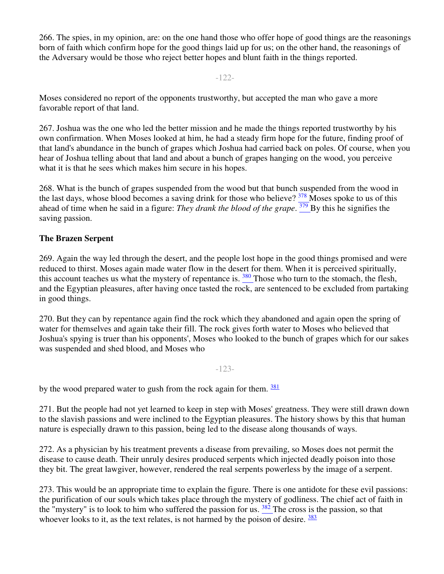266. The spies, in my opinion, are: on the one hand those who offer hope of good things are the reasonings born of faith which confirm hope for the good things laid up for us; on the other hand, the reasonings of the Adversary would be those who reject better hopes and blunt faith in the things reported.

-122-

Moses considered no report of the opponents trustworthy, but accepted the man who gave a more favorable report of that land.

267. Joshua was the one who led the better mission and he made the things reported trustworthy by his own confirmation. When Moses looked at him, he had a steady firm hope for the future, finding proof of that land's abundance in the bunch of grapes which Joshua had carried back on poles. Of course, when you hear of Joshua telling about that land and about a bunch of grapes hanging on the wood, you perceive what it is that he sees which makes him secure in his hopes.

268. What is the bunch of grapes suspended from the wood but that bunch suspended from the wood in the last days, whose blood becomes a saving drink for those who believe? <sup>378</sup> Moses spoke to us of this ahead of time when he said in a figure: *They drank the blood of the grape*. <sup>379</sup> By this he signifies the saving passion.

## **The Brazen Serpent**

269. Again the way led through the desert, and the people lost hope in the good things promised and were reduced to thirst. Moses again made water flow in the desert for them. When it is perceived spiritually, this account teaches us what the mystery of repentance is.  $\frac{380}{2}$  Those who turn to the stomach, the flesh, and the Egyptian pleasures, after having once tasted the rock, are sentenced to be excluded from partaking in good things.

270. But they can by repentance again find the rock which they abandoned and again open the spring of water for themselves and again take their fill. The rock gives forth water to Moses who believed that Joshua's spying is truer than his opponents', Moses who looked to the bunch of grapes which for our sakes was suspended and shed blood, and Moses who

-123-

by the wood prepared water to gush from the rock again for them.  $\frac{381}{2}$ 

271. But the people had not yet learned to keep in step with Moses' greatness. They were still drawn down to the slavish passions and were inclined to the Egyptian pleasures. The history shows by this that human nature is especially drawn to this passion, being led to the disease along thousands of ways.

272. As a physician by his treatment prevents a disease from prevailing, so Moses does not permit the disease to cause death. Their unruly desires produced serpents which injected deadly poison into those they bit. The great lawgiver, however, rendered the real serpents powerless by the image of a serpent.

273. This would be an appropriate time to explain the figure. There is one antidote for these evil passions: the purification of our souls which takes place through the mystery of godliness. The chief act of faith in the "mystery" is to look to him who suffered the passion for us.  $\frac{382}{2}$  The cross is the passion, so that whoever looks to it, as the text relates, is not harmed by the poison of desire.  $\frac{383}{2}$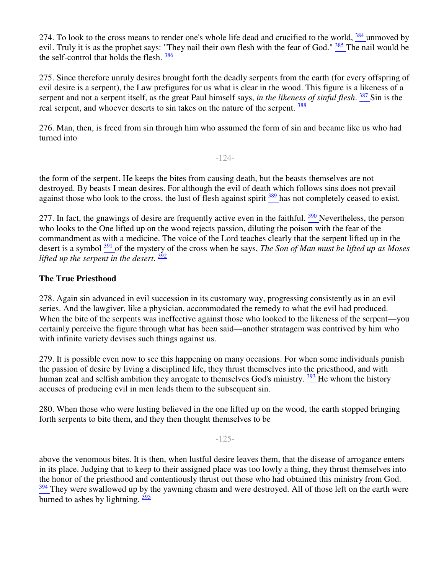274. To look to the cross means to render one's whole life dead and crucified to the world, <sup>384</sup> unmoved by evil. Truly it is as the prophet says: "They nail their own flesh with the fear of God." <sup>385</sup> The nail would be the self-control that holds the flesh.  $\frac{386}{120}$ 

275. Since therefore unruly desires brought forth the deadly serpents from the earth (for every offspring of evil desire is a serpent), the Law prefigures for us what is clear in the wood. This figure is a likeness of a serpent and not a serpent itself, as the great Paul himself says, *in the likeness of sinful flesh*. <sup>387</sup> Sin is the real serpent, and whoever deserts to sin takes on the nature of the serpent.  $\frac{388}{12}$ 

276. Man, then, is freed from sin through him who assumed the form of sin and became like us who had turned into

-124-

the form of the serpent. He keeps the bites from causing death, but the beasts themselves are not destroyed. By beasts I mean desires. For although the evil of death which follows sins does not prevail against those who look to the cross, the lust of flesh against spirit  $389$  has not completely ceased to exist.

277. In fact, the gnawings of desire are frequently active even in the faithful.  $390$  Nevertheless, the person who looks to the One lifted up on the wood rejects passion, diluting the poison with the fear of the commandment as with a medicine. The voice of the Lord teaches clearly that the serpent lifted up in the desert is a symbol  $\frac{391}{20}$  of the mystery of the cross when he says, *The Son of Man must be lifted up as Moses lifted up the serpent in the desert*. 392

#### **The True Priesthood**

278. Again sin advanced in evil succession in its customary way, progressing consistently as in an evil series. And the lawgiver, like a physician, accommodated the remedy to what the evil had produced. When the bite of the serpents was ineffective against those who looked to the likeness of the serpent—you certainly perceive the figure through what has been said—another stratagem was contrived by him who with infinite variety devises such things against us.

279. It is possible even now to see this happening on many occasions. For when some individuals punish the passion of desire by living a disciplined life, they thrust themselves into the priesthood, and with human zeal and selfish ambition they arrogate to themselves God's ministry.  $\frac{393}{1}$  He whom the history accuses of producing evil in men leads them to the subsequent sin.

280. When those who were lusting believed in the one lifted up on the wood, the earth stopped bringing forth serpents to bite them, and they then thought themselves to be

-125-

above the venomous bites. It is then, when lustful desire leaves them, that the disease of arrogance enters in its place. Judging that to keep to their assigned place was too lowly a thing, they thrust themselves into the honor of the priesthood and contentiously thrust out those who had obtained this ministry from God.  $394$  They were swallowed up by the yawning chasm and were destroyed. All of those left on the earth were burned to ashes by lightning.  $\frac{395}{2}$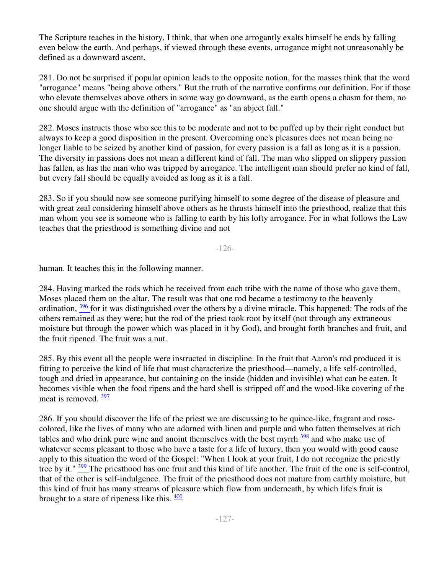The Scripture teaches in the history, I think, that when one arrogantly exalts himself he ends by falling even below the earth. And perhaps, if viewed through these events, arrogance might not unreasonably be defined as a downward ascent.

281. Do not be surprised if popular opinion leads to the opposite notion, for the masses think that the word "arrogance" means "being above others." But the truth of the narrative confirms our definition. For if those who elevate themselves above others in some way go downward, as the earth opens a chasm for them, no one should argue with the definition of "arrogance" as "an abject fall."

282. Moses instructs those who see this to be moderate and not to be puffed up by their right conduct but always to keep a good disposition in the present. Overcoming one's pleasures does not mean being no longer liable to be seized by another kind of passion, for every passion is a fall as long as it is a passion. The diversity in passions does not mean a different kind of fall. The man who slipped on slippery passion has fallen, as has the man who was tripped by arrogance. The intelligent man should prefer no kind of fall, but every fall should be equally avoided as long as it is a fall.

283. So if you should now see someone purifying himself to some degree of the disease of pleasure and with great zeal considering himself above others as he thrusts himself into the priesthood, realize that this man whom you see is someone who is falling to earth by his lofty arrogance. For in what follows the Law teaches that the priesthood is something divine and not

-126-

human. It teaches this in the following manner.

284. Having marked the rods which he received from each tribe with the name of those who gave them, Moses placed them on the altar. The result was that one rod became a testimony to the heavenly ordination, <sup>396</sup> for it was distinguished over the others by a divine miracle. This happened: The rods of the others remained as they were; but the rod of the priest took root by itself (not through any extraneous moisture but through the power which was placed in it by God), and brought forth branches and fruit, and the fruit ripened. The fruit was a nut.

285. By this event all the people were instructed in discipline. In the fruit that Aaron's rod produced it is fitting to perceive the kind of life that must characterize the priesthood—namely, a life self-controlled, tough and dried in appearance, but containing on the inside (hidden and invisible) what can be eaten. It becomes visible when the food ripens and the hard shell is stripped off and the wood-like covering of the meat is removed.  $\frac{397}{ }$ 

286. If you should discover the life of the priest we are discussing to be quince-like, fragrant and rosecolored, like the lives of many who are adorned with linen and purple and who fatten themselves at rich tables and who drink pure wine and anoint themselves with the best myrrh <sup>398</sup> and who make use of whatever seems pleasant to those who have a taste for a life of luxury, then you would with good cause apply to this situation the word of the Gospel: "When I look at your fruit, I do not recognize the priestly tree by it." <sup>399</sup> The priesthood has one fruit and this kind of life another. The fruit of the one is self-control, that of the other is self-indulgence. The fruit of the priesthood does not mature from earthly moisture, but this kind of fruit has many streams of pleasure which flow from underneath, by which life's fruit is brought to a state of ripeness like this.  $\frac{400}{ }$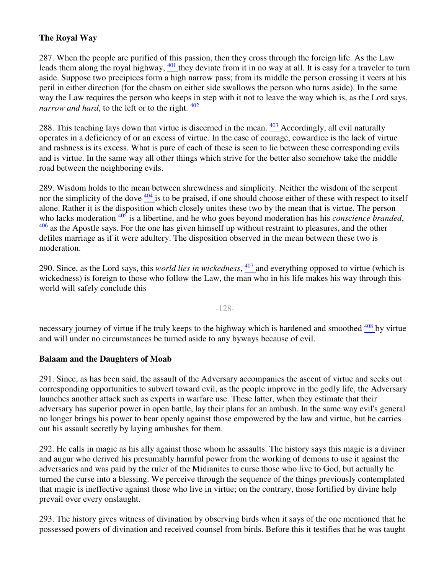# **The Royal Way**

287. When the people are purified of this passion, then they cross through the foreign life. As the Law leads them along the royal highway,  $\frac{401}{2}$  they deviate from it in no way at all. It is easy for a traveler to turn aside. Suppose two precipices form a high narrow pass; from its middle the person crossing it veers at his peril in either direction (for the chasm on either side swallows the person who turns aside). In the same way the Law requires the person who keeps in step with it not to leave the way which is, as the Lord says, *narrow and hard*, to the left or to the right.  $\frac{402}{ }$ 

288. This teaching lays down that virtue is discerned in the mean.  $403$  Accordingly, all evil naturally operates in a deficiency of or an excess of virtue. In the case of courage, cowardice is the lack of virtue and rashness is its excess. What is pure of each of these is seen to lie between these corresponding evils and is virtue. In the same way all other things which strive for the better also somehow take the middle road between the neighboring evils.

289. Wisdom holds to the mean between shrewdness and simplicity. Neither the wisdom of the serpent nor the simplicity of the dove  $404$  is to be praised, if one should choose either of these with respect to itself alone. Rather it is the disposition which closely unites these two by the mean that is virtue. The person who lacks moderation <sup>405</sup> is a libertine, and he who goes beyond moderation has his *conscience branded*, <sup>406</sup> as the Apostle says. For the one has given himself up without restraint to pleasures, and the other defiles marriage as if it were adultery. The disposition observed in the mean between these two is moderation.

290. Since, as the Lord says, this *world lies in wickedness*, <sup>407</sup> and everything opposed to virtue (which is wickedness) is foreign to those who follow the Law, the man who in his life makes his way through this world will safely conclude this

-128-

necessary journey of virtue if he truly keeps to the highway which is hardened and smoothed <sup>408</sup> by virtue and will under no circumstances be turned aside to any byways because of evil.

### **Balaam and the Daughters of Moab**

291. Since, as has been said, the assault of the Adversary accompanies the ascent of virtue and seeks out corresponding opportunities to subvert toward evil, as the people improve in the godly life, the Adversary launches another attack such as experts in warfare use. These latter, when they estimate that their adversary has superior power in open battle, lay their plans for an ambush. In the same way evil's general no longer brings his power to bear openly against those empowered by the law and virtue, but he carries out his assault secretly by laying ambushes for them.

292. He calls in magic as his ally against those whom he assaults. The history says this magic is a diviner and augur who derived his presumably harmful power from the working of demons to use it against the adversaries and was paid by the ruler of the Midianites to curse those who live to God, but actually he turned the curse into a blessing. We perceive through the sequence of the things previously contemplated that magic is ineffective against those who live in virtue; on the contrary, those fortified by divine help prevail over every onslaught.

293. The history gives witness of divination by observing birds when it says of the one mentioned that he possessed powers of divination and received counsel from birds. Before this it testifies that he was taught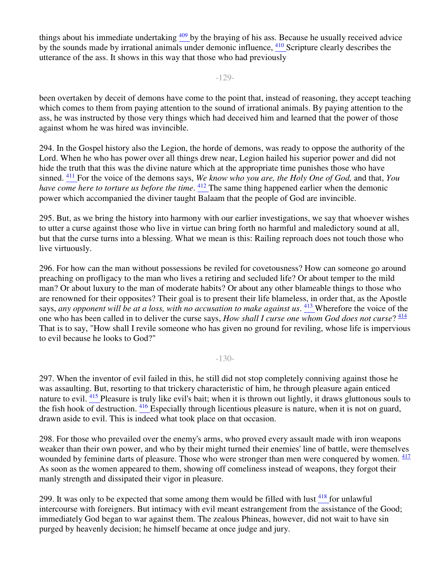things about his immediate undertaking <sup>409</sup> by the braying of his ass. Because he usually received advice by the sounds made by irrational animals under demonic influence,  $\frac{410}{10}$  Scripture clearly describes the utterance of the ass. It shows in this way that those who had previously

-129-

been overtaken by deceit of demons have come to the point that, instead of reasoning, they accept teaching which comes to them from paying attention to the sound of irrational animals. By paying attention to the ass, he was instructed by those very things which had deceived him and learned that the power of those against whom he was hired was invincible.

294. In the Gospel history also the Legion, the horde of demons, was ready to oppose the authority of the Lord. When he who has power over all things drew near, Legion hailed his superior power and did not hide the truth that this was the divine nature which at the appropriate time punishes those who have sinned. <sup>411</sup> For the voice of the demons says, *We know who you are, the Holy One of God,* and that, *You*  have come here to torture us before the time. <sup>412</sup> The same thing happened earlier when the demonic power which accompanied the diviner taught Balaam that the people of God are invincible.

295. But, as we bring the history into harmony with our earlier investigations, we say that whoever wishes to utter a curse against those who live in virtue can bring forth no harmful and maledictory sound at all, but that the curse turns into a blessing. What we mean is this: Railing reproach does not touch those who live virtuously.

296. For how can the man without possessions be reviled for covetousness? How can someone go around preaching on profligacy to the man who lives a retiring and secluded life? Or about temper to the mild man? Or about luxury to the man of moderate habits? Or about any other blameable things to those who are renowned for their opposites? Their goal is to present their life blameless, in order that, as the Apostle says, *any opponent will be at a loss, with no accusation to make against us*. <sup>413</sup> Wherefore the voice of the one who has been called in to deliver the curse says, *How shall I curse one whom God does not curse*?  $\frac{414}{3}$ That is to say, "How shall I revile someone who has given no ground for reviling, whose life is impervious to evil because he looks to God?"

-130-

297. When the inventor of evil failed in this, he still did not stop completely conniving against those he was assaulting. But, resorting to that trickery characteristic of him, he through pleasure again enticed nature to evil. <sup>415</sup> Pleasure is truly like evil's bait; when it is thrown out lightly, it draws gluttonous souls to the fish hook of destruction. <sup>416</sup> Especially through licentious pleasure is nature, when it is not on guard, drawn aside to evil. This is indeed what took place on that occasion.

298. For those who prevailed over the enemy's arms, who proved every assault made with iron weapons weaker than their own power, and who by their might turned their enemies' line of battle, were themselves wounded by feminine darts of pleasure. Those who were stronger than men were conquered by women.  $\frac{417}{2}$ As soon as the women appeared to them, showing off comeliness instead of weapons, they forgot their manly strength and dissipated their vigor in pleasure.

299. It was only to be expected that some among them would be filled with lust  $418$  for unlawful intercourse with foreigners. But intimacy with evil meant estrangement from the assistance of the Good; immediately God began to war against them. The zealous Phineas, however, did not wait to have sin purged by heavenly decision; he himself became at once judge and jury.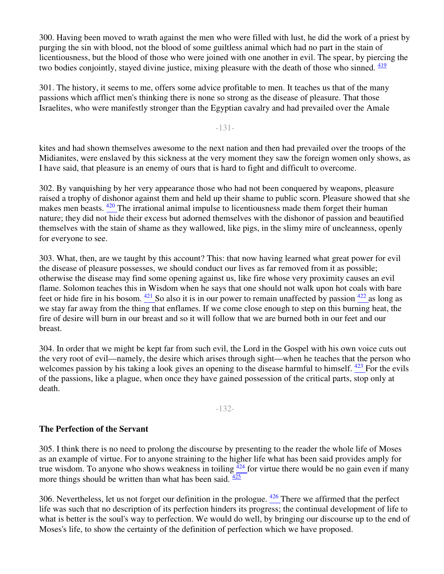300. Having been moved to wrath against the men who were filled with lust, he did the work of a priest by purging the sin with blood, not the blood of some guiltless animal which had no part in the stain of licentiousness, but the blood of those who were joined with one another in evil. The spear, by piercing the two bodies conjointly, stayed divine justice, mixing pleasure with the death of those who sinned.  $\frac{419}{2}$ 

301. The history, it seems to me, offers some advice profitable to men. It teaches us that of the many passions which afflict men's thinking there is none so strong as the disease of pleasure. That those Israelites, who were manifestly stronger than the Egyptian cavalry and had prevailed over the Amale

-131-

kites and had shown themselves awesome to the next nation and then had prevailed over the troops of the Midianites, were enslaved by this sickness at the very moment they saw the foreign women only shows, as I have said, that pleasure is an enemy of ours that is hard to fight and difficult to overcome.

302. By vanquishing by her very appearance those who had not been conquered by weapons, pleasure raised a trophy of dishonor against them and held up their shame to public scorn. Pleasure showed that she makes men beasts. <sup>420</sup> The irrational animal impulse to licentiousness made them forget their human nature; they did not hide their excess but adorned themselves with the dishonor of passion and beautified themselves with the stain of shame as they wallowed, like pigs, in the slimy mire of uncleanness, openly for everyone to see.

303. What, then, are we taught by this account? This: that now having learned what great power for evil the disease of pleasure possesses, we should conduct our lives as far removed from it as possible; otherwise the disease may find some opening against us, like fire whose very proximity causes an evil flame. Solomon teaches this in Wisdom when he says that one should not walk upon hot coals with bare feet or hide fire in his bosom.  $\frac{421}{2}$  So also it is in our power to remain unaffected by passion  $\frac{422}{2}$  as long as we stay far away from the thing that enflames. If we come close enough to step on this burning heat, the fire of desire will burn in our breast and so it will follow that we are burned both in our feet and our breast.

304. In order that we might be kept far from such evil, the Lord in the Gospel with his own voice cuts out the very root of evil—namely, the desire which arises through sight—when he teaches that the person who welcomes passion by his taking a look gives an opening to the disease harmful to himself.  $423$  For the evils of the passions, like a plague, when once they have gained possession of the critical parts, stop only at death.

-132-

# **The Perfection of the Servant**

305. I think there is no need to prolong the discourse by presenting to the reader the whole life of Moses as an example of virtue. For to anyone straining to the higher life what has been said provides amply for true wisdom. To anyone who shows weakness in toiling  $\frac{424}{4}$  for virtue there would be no gain even if many more things should be written than what has been said.  $\frac{425}{ }$ 

306. Nevertheless, let us not forget our definition in the prologue.  $426$  There we affirmed that the perfect life was such that no description of its perfection hinders its progress; the continual development of life to what is better is the soul's way to perfection. We would do well, by bringing our discourse up to the end of Moses's life, to show the certainty of the definition of perfection which we have proposed.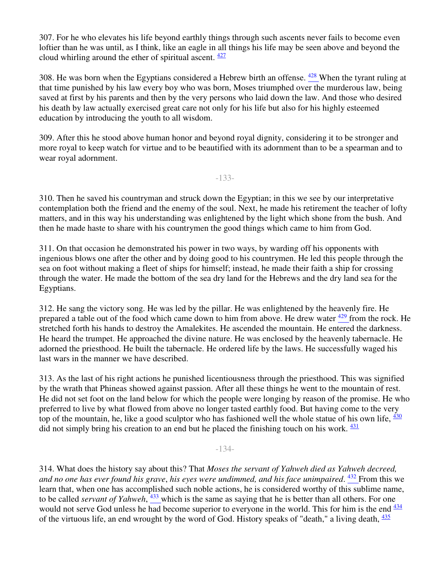307. For he who elevates his life beyond earthly things through such ascents never fails to become even loftier than he was until, as I think, like an eagle in all things his life may be seen above and beyond the cloud whirling around the ether of spiritual ascent.  $\frac{427}{427}$ 

308. He was born when the Egyptians considered a Hebrew birth an offense.  $428$  When the tyrant ruling at that time punished by his law every boy who was born, Moses triumphed over the murderous law, being saved at first by his parents and then by the very persons who laid down the law. And those who desired his death by law actually exercised great care not only for his life but also for his highly esteemed education by introducing the youth to all wisdom.

309. After this he stood above human honor and beyond royal dignity, considering it to be stronger and more royal to keep watch for virtue and to be beautified with its adornment than to be a spearman and to wear royal adornment.

-133-

310. Then he saved his countryman and struck down the Egyptian; in this we see by our interpretative contemplation both the friend and the enemy of the soul. Next, he made his retirement the teacher of lofty matters, and in this way his understanding was enlightened by the light which shone from the bush. And then he made haste to share with his countrymen the good things which came to him from God.

311. On that occasion he demonstrated his power in two ways, by warding off his opponents with ingenious blows one after the other and by doing good to his countrymen. He led this people through the sea on foot without making a fleet of ships for himself; instead, he made their faith a ship for crossing through the water. He made the bottom of the sea dry land for the Hebrews and the dry land sea for the Egyptians.

312. He sang the victory song. He was led by the pillar. He was enlightened by the heavenly fire. He prepared a table out of the food which came down to him from above. He drew water <sup>429</sup> from the rock. He stretched forth his hands to destroy the Amalekites. He ascended the mountain. He entered the darkness. He heard the trumpet. He approached the divine nature. He was enclosed by the heavenly tabernacle. He adorned the priesthood. He built the tabernacle. He ordered life by the laws. He successfully waged his last wars in the manner we have described.

313. As the last of his right actions he punished licentiousness through the priesthood. This was signified by the wrath that Phineas showed against passion. After all these things he went to the mountain of rest. He did not set foot on the land below for which the people were longing by reason of the promise. He who preferred to live by what flowed from above no longer tasted earthly food. But having come to the very top of the mountain, he, like a good sculptor who has fashioned well the whole statue of his own life,  $\frac{430}{ }$ did not simply bring his creation to an end but he placed the finishing touch on his work.  $\frac{431}{21}$ 

-134-

314. What does the history say about this? That *Moses the servant of Yahweh died as Yahweh decreed, and no one has ever found his grave*, *his eyes were undimmed, and his face unimpaired*. <sup>432</sup> From this we learn that, when one has accomplished such noble actions, he is considered worthy of this sublime name, to be called *servant of Yahweh*, <sup>433</sup> which is the same as saying that he is better than all others. For one would not serve God unless he had become superior to everyone in the world. This for him is the end  $\frac{434}{51}$ of the virtuous life, an end wrought by the word of God. History speaks of "death," a living death,  $\frac{435}{2}$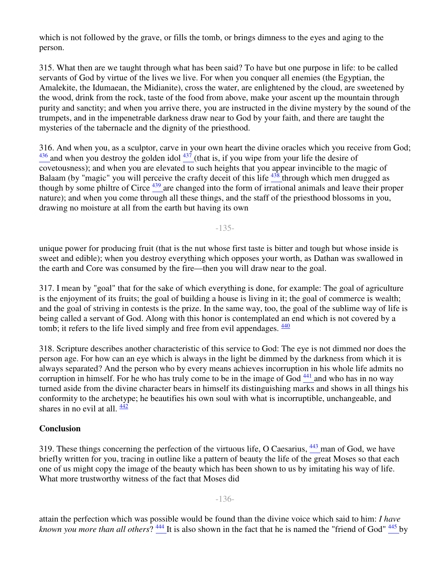which is not followed by the grave, or fills the tomb, or brings dimness to the eyes and aging to the person.

315. What then are we taught through what has been said? To have but one purpose in life: to be called servants of God by virtue of the lives we live. For when you conquer all enemies (the Egyptian, the Amalekite, the Idumaean, the Midianite), cross the water, are enlightened by the cloud, are sweetened by the wood, drink from the rock, taste of the food from above, make your ascent up the mountain through purity and sanctity; and when you arrive there, you are instructed in the divine mystery by the sound of the trumpets, and in the impenetrable darkness draw near to God by your faith, and there are taught the mysteries of the tabernacle and the dignity of the priesthood.

316. And when you, as a sculptor, carve in your own heart the divine oracles which you receive from God;  $436$  and when you destroy the golden idol  $437$  (that is, if you wipe from your life the desire of covetousness); and when you are elevated to such heights that you appear invincible to the magic of Balaam (by "magic" you will perceive the crafty deceit of this life  $438$  through which men drugged as though by some philtre of Circe <sup>439</sup> are changed into the form of irrational animals and leave their proper nature); and when you come through all these things, and the staff of the priesthood blossoms in you, drawing no moisture at all from the earth but having its own

-135-

unique power for producing fruit (that is the nut whose first taste is bitter and tough but whose inside is sweet and edible); when you destroy everything which opposes your worth, as Dathan was swallowed in the earth and Core was consumed by the fire—then you will draw near to the goal.

317. I mean by "goal" that for the sake of which everything is done, for example: The goal of agriculture is the enjoyment of its fruits; the goal of building a house is living in it; the goal of commerce is wealth; and the goal of striving in contests is the prize. In the same way, too, the goal of the sublime way of life is being called a servant of God. Along with this honor is contemplated an end which is not covered by a tomb; it refers to the life lived simply and free from evil appendages.  $\frac{440}{ }$ 

318. Scripture describes another characteristic of this service to God: The eye is not dimmed nor does the person age. For how can an eye which is always in the light be dimmed by the darkness from which it is always separated? And the person who by every means achieves incorruption in his whole life admits no corruption in himself. For he who has truly come to be in the image of God  $441$  and who has in no way turned aside from the divine character bears in himself its distinguishing marks and shows in all things his conformity to the archetype; he beautifies his own soul with what is incorruptible, unchangeable, and shares in no evil at all.  $\frac{442}{ }$ 

# **Conclusion**

319. These things concerning the perfection of the virtuous life, O Caesarius, <sup>443</sup> man of God, we have briefly written for you, tracing in outline like a pattern of beauty the life of the great Moses so that each one of us might copy the image of the beauty which has been shown to us by imitating his way of life. What more trustworthy witness of the fact that Moses did

-136-

attain the perfection which was possible would be found than the divine voice which said to him: *I have known you more than all others*? <sup>444</sup> It is also shown in the fact that he is named the "friend of God" <sup>445</sup> by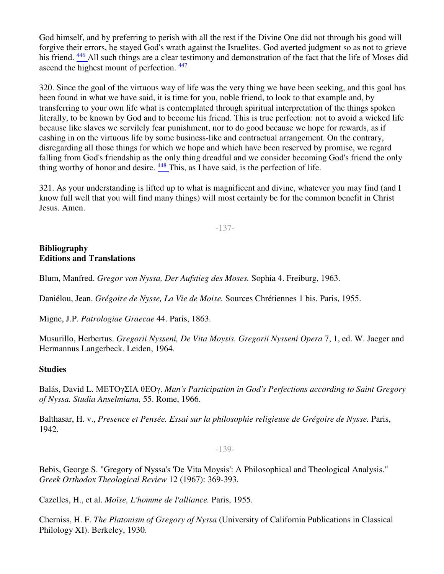God himself, and by preferring to perish with all the rest if the Divine One did not through his good will forgive their errors, he stayed God's wrath against the Israelites. God averted judgment so as not to grieve his friend. <sup>446</sup> All such things are a clear testimony and demonstration of the fact that the life of Moses did ascend the highest mount of perfection.  $\frac{447}{4}$ 

320. Since the goal of the virtuous way of life was the very thing we have been seeking, and this goal has been found in what we have said, it is time for you, noble friend, to look to that example and, by transferring to your own life what is contemplated through spiritual interpretation of the things spoken literally, to be known by God and to become his friend. This is true perfection: not to avoid a wicked life because like slaves we servilely fear punishment, nor to do good because we hope for rewards, as if cashing in on the virtuous life by some business-like and contractual arrangement. On the contrary, disregarding all those things for which we hope and which have been reserved by promise, we regard falling from God's friendship as the only thing dreadful and we consider becoming God's friend the only thing worthy of honor and desire.  $448$  This, as I have said, is the perfection of life.

321. As your understanding is lifted up to what is magnificent and divine, whatever you may find (and I know full well that you will find many things) will most certainly be for the common benefit in Christ Jesus. Amen.

-137-

# **Bibliography Editions and Translations**

Blum, Manfred. *Gregor von Nyssa, Der Aufstieg des Moses.* Sophia 4. Freiburg, 1963.

Daniélou, Jean. *Grégoire de Nysse, La Vie de Moise.* Sources Chrétiennes 1 bis. Paris, 1955.

Migne, J.P. *Patrologiae Graecae* 44. Paris, 1863.

Musurillo, Herbertus. *Gregorii Nysseni, De Vita Moysis. Gregorii Nysseni Opera* 7, 1, ed. W. Jaeger and Hermannus Langerbeck. Leiden, 1964.

# **Studies**

Balás, David L. ΜΕΤΟγΣΙΑ θΕΟγ. *Man's Participation in God's Perfections according to Saint Gregory of Nyssa. Studia Anselmiana,* 55. Rome, 1966.

Balthasar, H. v., *Presence et Pensée. Essai sur la philosophie religieuse de Grégoire de Nysse.* Paris, 1942.

### -139-

Bebis, George S. "Gregory of Nyssa's 'De Vita Moysis': A Philosophical and Theological Analysis." *Greek Orthodox Theological Review* 12 (1967): 369-393.

Cazelles, H., et al. *Moïse, L'homme de l'alliance.* Paris, 1955.

Cherniss, H. F. *The Platonism of Gregory of Nyssa* (University of California Publications in Classical Philology XI). Berkeley, 1930.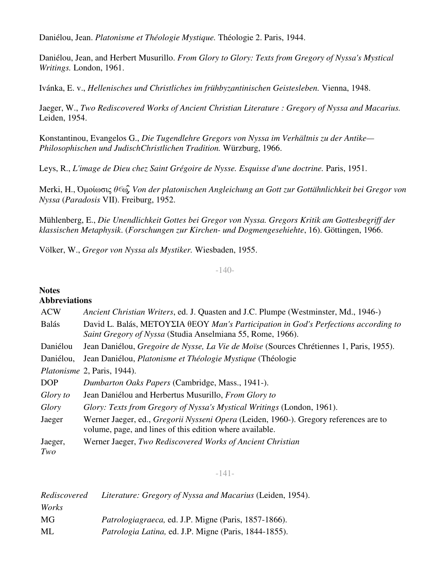Daniélou, Jean. *Platonisme et Théologie Mystique.* Théologie 2. Paris, 1944.

Daniélou, Jean, and Herbert Musurillo. *From Glory to Glory: Texts from Gregory of Nyssa's Mystical Writings.* London, 1961.

Ivánka, E. v., *Hellenisches und Christliches im frühbyzantinischen Geistesleben.* Vienna, 1948.

Jaeger, W., *Two Rediscovered Works of Ancient Christian Literature : Gregory of Nyssa and Macarius.* Leiden, 1954.

Konstantinou, Evangelos G., *Die Tugendlehre Gregors von Nyssa im Verhältnis zu der Antike— Philosophischen und JudischChristlichen Tradition.* Würzburg, 1966.

Leys, R., *L'image de Dieu chez Saint Grégoire de Nysse. Esquisse d'une doctrine.* Paris, 1951.

Merki, H., Όµοίωσις *θ*∊ω̡̑. *Von der platonischen Angleichung an Gott zur Gottähnlichkeit bei Gregor von Nyssa* (*Paradosis* VII). Freiburg, 1952.

Mühlenberg, E., *Die Unendlichkeit Gottes bei Gregor von Nyssa. Gregors Kritik am Gottesbegriff der klassischen Metaphysik*. (*Forschungen zur Kirchen- und Dogmengesehiehte*, 16). Göttingen, 1966.

Völker, W., *Gregor von Nyssa als Mystiker.* Wiesbaden, 1955.

 $-140-$ 

| <b>Notes</b>         |                                                                                                                                                                           |  |
|----------------------|---------------------------------------------------------------------------------------------------------------------------------------------------------------------------|--|
| <b>Abbreviations</b> |                                                                                                                                                                           |  |
| <b>ACW</b>           | Ancient Christian Writers, ed. J. Quasten and J.C. Plumpe (Westminster, Md., 1946-)                                                                                       |  |
| <b>Balás</b>         | David L. Balás, METOY $\Sigma$ IA $\theta$ EOY <i>Man's Participation in God's Perfections according to</i><br>Saint Gregory of Nyssa (Studia Anselmiana 55, Rome, 1966). |  |
| Daniélou             | Jean Daniélou, Gregoire de Nysse, La Vie de Moïse (Sources Chrétiennes 1, Paris, 1955).                                                                                   |  |
| Daniélou,            | Jean Daniélou, <i>Platonisme et Théologie Mystique</i> (Théologie                                                                                                         |  |
|                      | <i>Platonisme 2, Paris, 1944).</i>                                                                                                                                        |  |
| <b>DOP</b>           | Dumbarton Oaks Papers (Cambridge, Mass., 1941-).                                                                                                                          |  |
| Glory to             | Jean Daniélou and Herbertus Musurillo, From Glory to                                                                                                                      |  |
| Glory                | Glory: Texts from Gregory of Nyssa's Mystical Writings (London, 1961).                                                                                                    |  |
| Jaeger               | Werner Jaeger, ed., Gregorii Nysseni Opera (Leiden, 1960-). Gregory references are to<br>volume, page, and lines of this edition where available.                         |  |
| Jaeger,<br>Two       | Werner Jaeger, Two Rediscovered Works of Ancient Christian                                                                                                                |  |

-141-

| Rediscovered | Literature: Gregory of Nyssa and Macarius (Leiden, 1954).    |
|--------------|--------------------------------------------------------------|
| Works        |                                                              |
| MG           | <i>Patrologiagraeca, ed. J.P. Migne (Paris, 1857-1866).</i>  |
| ML           | <i>Patrologia Latina, ed. J.P. Migne (Paris, 1844-1855).</i> |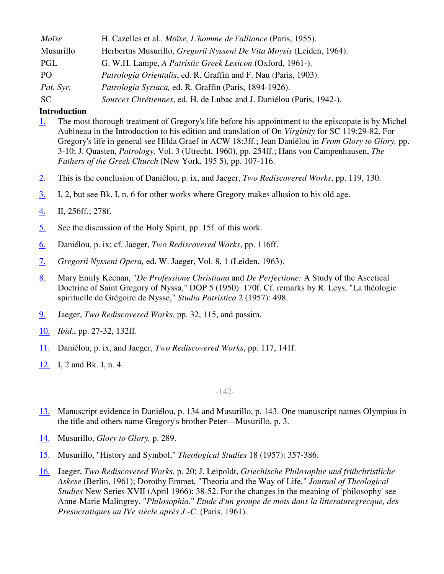| Moïse           | H. Cazelles et al., Moïse, L'homme de l'alliance (Paris, 1955).        |
|-----------------|------------------------------------------------------------------------|
| Musurillo       | Herbertus Musurillo, Gregorii Nysseni De Vita Moysis (Leiden, 1964).   |
| PGL             | G. W.H. Lampe, A Patristic Greek Lexicon (Oxford, 1961-).              |
| PO <sub>1</sub> | <i>Patrologia Orientalis, ed. R. Graffin and F. Nau (Paris, 1903).</i> |
| Pat. Syr.       | <i>Patrologia Syriaca, ed. R. Graffin (Paris, 1894-1926).</i>          |
| <sub>SC</sub>   | Sources Chrétiennes, ed. H. de Lubac and J. Daniélou (Paris, 1942-).   |

## **Introduction**

- 1. The most thorough treatment of Gregory's life before his appointment to the episcopate is by Michel Aubineau in the Introduction to his edition and translation of On *Virginity* for SC 119:29-82. For Gregory's life in general see Hilda Graef in ACW 18:3ff.; Jean Daniélou in *From Glory to Glory,* pp. 3-10; J. Quasten, *Patrology,* Vol. 3 (Utrecht, 1960), pp. 254ff.; Hans von Campenhausen, *The Fathers of the Greek Church* (New York, 195 5), pp. 107-116.
- 2. This is the conclusion of Daniélou, p. ix, and Jaeger, *Two Rediscovered Works*, pp. 119, 130.
- 3. I, 2, but see Bk. I, n. 6 for other works where Gregory makes allusion to his old age.
- 4. II, 256ff.; 278f.
- 5. See the discussion of the Holy Spirit, pp. 15f. of this work.
- 6. Daniélou, p. ix; cf. Jaeger, *Two Rediscovered Works*, pp. 116ff.
- 7. *Gregorii Nysseni Opera,* ed. W. Jaeger, Vol. 8, 1 (Leiden, 1963).
- 8. Mary Emily Keenan, "*De Professione Christiana* and *De Perfectione:* A Study of the Ascetical Doctrine of Saint Gregory of Nyssa," DOP 5 (1950): 170f. Cf. remarks by R. Leys, "La théologie spirituelle de Grégoire de Nysse," *Studia Patristica* 2 (1957): 498.
- 9. Jaeger, *Two Rediscovered Works*, pp. 32, 115, and passim.
- 10. *Ibid*., pp. 27-32, 132ff.
- 11. Daniélou, p. ix, and Jaeger, *Two Rediscovered Works*, pp. 117, 141f.
- 12. I, 2 and Bk. I, n. 4.

-142-

- 13. Manuscript evidence in Daniélou, p. 134 and Musurillo, p. 143. One manuscript names Olympius in the title and others name Gregory's brother Peter—Musurillo, p. 3.
- 14. Musurillo, *Glory to Glory,* p. 289.
- 15. Musurillo, "History and Symbol," *Theological Studies* 18 (1957): 357-386.
- 16. Jaeger, *Two Rediscovered Works*, p. 20; J. Leipoldt, *Griechische Philosophie und frühchristliche Askese* (Berlin, 1961); Dorothy Emmet, "Theoria and the Way of Life," *Journal of Theological Studies* New Series XVII (April 1966): 38-52. For the changes in the meaning of 'philosophy' see Anne-Marie Malingrey, "*Philosophia*." *Etude d'un groupe de mots dans la litteraturegrecque, des Presocratiques au IVe siècle après J*.*-C*. (Paris, 1961).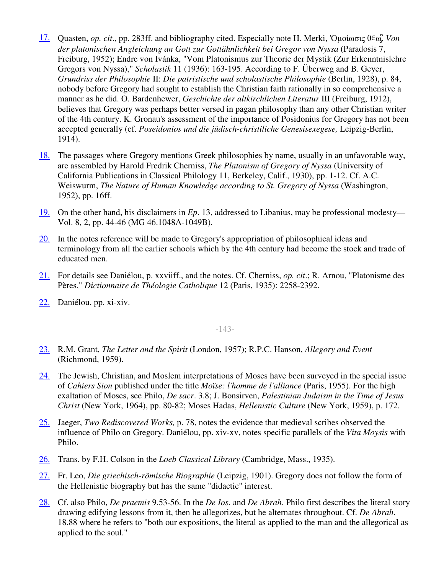- 17. Quasten, *op. cit.*, pp. 283ff. and bibliography cited. Especially note H. Merki, 'Ομοίωσις θ∈ω͡, *Von der platonischen Angleichung an Gott zur Gottähnlichkeit bei Gregor von Nyssa* (Paradosis 7, Freiburg, 1952); Endre von Ivánka, "Vom Platonismus zur Theorie der Mystik (Zur Erkenntnislehre Gregors von Nyssa)," *Scholastik* 11 (1936): 163-195. According to F. Überweg and B. Geyer, *Grundriss der Philosophie* II: *Die patristische und scholastische Philosophie* (Berlin, 1928), p. 84, nobody before Gregory had sought to establish the Christian faith rationally in so comprehensive a manner as he did. O. Bardenhewer, *Geschichte der altkirchlichen Literatur* III (Freiburg, 1912), believes that Gregory was perhaps better versed in pagan philosophy than any other Christian writer of the 4th century. K. Gronau's assessment of the importance of Posidonius for Gregory has not been accepted generally (cf. *Poseidonios und die jüdisch-christiliche Genesisexegese,* Leipzig-Berlin, 1914).
- 18. The passages where Gregory mentions Greek philosophies by name, usually in an unfavorable way, are assembled by Harold Fredrik Cherniss, *The Platonism of Gregory of Nyssa* (University of California Publications in Classical Philology 11, Berkeley, Calif., 1930), pp. 1-12. Cf. A.C. Weiswurm, *The Nature of Human Knowledge according to St. Gregory of Nyssa* (Washington, 1952), pp. 16ff.
- 19. On the other hand, his disclaimers in *Ep*. 13, addressed to Libanius, may be professional modesty— Vol. 8, 2, pp. 44-46 (MG 46.1048A-1049B).
- 20. In the notes reference will be made to Gregory's appropriation of philosophical ideas and terminology from all the earlier schools which by the 4th century had become the stock and trade of educated men.
- 21. For details see Daniélou, p. xxviiff., and the notes. Cf. Cherniss, *op. cit*.; R. Arnou, "Platonisme des Pères," *Dictionnaire de Théologie Catholique* 12 (Paris, 1935): 2258-2392.
- 22. Daniélou, pp. xi-xiv.

-143-

- 23. R.M. Grant, *The Letter and the Spirit* (London, 1957); R.P.C. Hanson, *Allegory and Event* (Richmond, 1959).
- 24. The Jewish, Christian, and Moslem interpretations of Moses have been surveyed in the special issue of *Cahiers Sion* published under the title *Moïse: l'homme de l'alliance* (Paris, 1955). For the high exaltation of Moses, see Philo, *De sacr*. 3.8; J. Bonsirven, *Palestinian Judaism in the Time of Jesus Christ* (New York, 1964), pp. 80-82; Moses Hadas, *Hellenistic Culture* (New York, 1959), p. 172.
- 25. Jaeger, *Two Rediscovered Works,* p. 78, notes the evidence that medieval scribes observed the influence of Philo on Gregory. Daniélou, pp. xiv-xv, notes specific parallels of the *Vita Moysis* with Philo.
- 26. Trans. by F.H. Colson in the *Loeb Classical Library* (Cambridge, Mass., 1935).
- 27. Fr. Leo, *Die griechisch-römische Biographie* (Leipzig, 1901). Gregory does not follow the form of the Hellenistic biography but has the same "didactic" interest.
- 28. Cf. also Philo, *De praemis* 9.53-56. In the *De Ios*. and *De Abrah*. Philo first describes the literal story drawing edifying lessons from it, then he allegorizes, but he alternates throughout. Cf. *De Abrah*. 18.88 where he refers to "both our expositions, the literal as applied to the man and the allegorical as applied to the soul."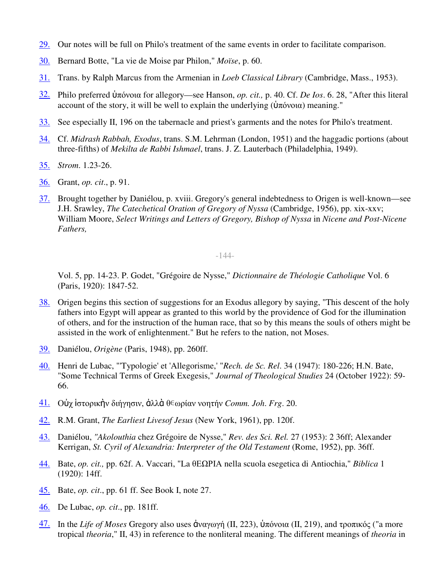- 29. Our notes will be full on Philo's treatment of the same events in order to facilitate comparison.
- 30. Bernard Botte, "La vie de Moise par Philon," *Moïse*, p. 60.
- 31. Trans. by Ralph Marcus from the Armenian in *Loeb Classical Library* (Cambridge, Mass., 1953).
- 32. Philo preferred ὑπόνοια for allegory—see Hanson, *op. cit.,* p. 40. Cf. *De Ios*. 6. 28, "After this literal account of the story, it will be well to explain the underlying (ὑπόνοια) meaning."
- 33. See especially II, 196 on the tabernacle and priest's garments and the notes for Philo's treatment.
- 34. Cf. *Midrash Rabbah, Exodus*, trans. S.M. Lehrman (London, 1951) and the haggadic portions (about three-fifths) of *Mekilta de Rabbi Ishmael*, trans. J. Z. Lauterbach (Philadelphia, 1949).
- 35. *Strom*. 1.23-26.
- 36. Grant, *op. cit*., p. 91.
- 37. Brought together by Daniélou, p. xviii. Gregory's general indebtedness to Origen is well-known—see J.H. Srawley, *The Catechetical Oration of Gregory of Nyssa* (Cambridge, 1956), pp. xix-xxv; William Moore, *Select Writings and Letters of Gregory, Bishop of Nyssa* in *Nicene and Post-Nicene Fathers,*

### -144-

 Vol. 5, pp. 14-23. P. Godet, "Grégoire de Nysse," *Dictionnaire de Théologie Catholique* Vol. 6 (Paris, 1920): 1847-52.

- 38. Origen begins this section of suggestions for an Exodus allegory by saying, "This descent of the holy fathers into Egypt will appear as granted to this world by the providence of God for the illumination of others, and for the instruction of the human race, that so by this means the souls of others might be assisted in the work of enlightenment." But he refers to the nation, not Moses.
- 39. Daniélou, *Origène* (Paris, 1948), pp. 260ff.
- 40. Henri de Lubac, "'Typologie' et 'Allegorisme,' "*Rech. de Sc. Rel*. 34 (1947): 180-226; H.N. Bate, "Some Technical Terms of Greek Exegesis," *Journal of Theological Studies* 24 (October 1922): 59- 66.
- 41. Οὐχ ἱστορικὴν διήγησιν, ἀλλὰ θ∊ωρίαν νοητήν *Comm. Joh*. *Frg*. 20.
- 42. R.M. Grant, *The Earliest Livesof Jesus* (New York, 1961), pp. 120f.
- 43. Daniélou, *"Akolouthia* chez Grégoire de Nysse," *Rev. des Sci. Rel.* 27 (1953): 2 36ff; Alexander Kerrigan, *St. Cyril of Alexandria: Interpreter of the Old Testament* (Rome, 1952), pp. 36ff.
- 44. Bate, *op. cit.,* pp. 62f. A. Vaccari, "La θΕΩΡΙΑ nella scuola esegetica di Antiochia," *Biblica* 1 (1920): 14ff.
- 45. Bate, *op. cit*., pp. 61 ff. See Book I, note 27.
- 46. De Lubac, *op. cit*., pp. 181ff.
- 47. In the *Life of Moses* Gregory also uses ἀναγωγή (II, 223), ὑπόνοια (II, 219), and τροπικός ("a more tropical *theoria*," II, 43) in reference to the nonliteral meaning. The different meanings of *theoria* in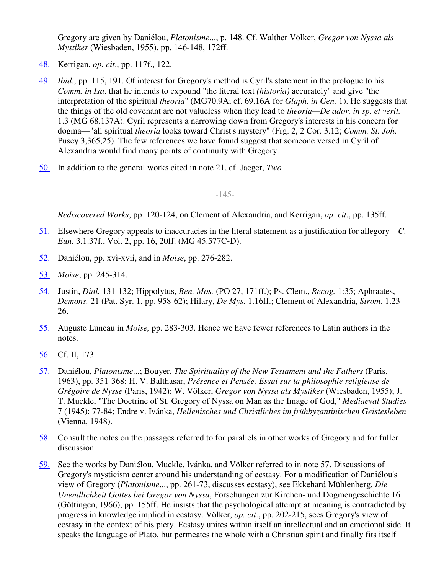Gregory are given by Daniélou, *Platonisme*..., p. 148. Cf. Walther Völker, *Gregor von Nyssa als Mystiker* (Wiesbaden, 1955), pp. 146-148, 172ff.

- 48. Kerrigan, *op. cit*., pp. 117f., 122.
- 49. *Ibid*., pp. 115, 191. Of interest for Gregory's method is Cyril's statement in the prologue to his *Comm. in Isa*. that he intends to expound "the literal text *(historia)* accurately" and give "the interpretation of the spiritual *theoria*" (MG70.9A; cf. 69.16A for *Glaph. in Gen.* 1). He suggests that the things of the old covenant are not valueless when they lead to *theoria—De ador. in sp. et verit.* 1.3 (MG 68.137A). Cyril represents a narrowing down from Gregory's interests in his concern for dogma—"all spiritual *theoria* looks toward Christ's mystery" (Frg. 2, 2 Cor. 3.12; *Comm. St. Joh*. Pusey 3,365,25). The few references we have found suggest that someone versed in Cyril of Alexandria would find many points of continuity with Gregory.
- 50. In addition to the general works cited in note 21, cf. Jaeger, *Two*

-145-

*Rediscovered Works*, pp. 120-124, on Clement of Alexandria, and Kerrigan, *op. cit*., pp. 135ff.

- 51. Elsewhere Gregory appeals to inaccuracies in the literal statement as a justification for allegory—*C*. *Eun.* 3.1.37f., Vol. 2, pp. 16, 20ff. (MG 45.577C-D).
- 52. Daniélou, pp. xvi-xvii, and in *Moise*, pp. 276-282.
- 53. *Moïse*, pp. 245-314.
- 54. Justin, *Dial.* 131-132; Hippolytus, *Ben. Mos.* (PO 27, 171ff.); Ps. Clem., *Recog.* 1:35; Aphraates, *Demons.* 21 (Pat. Syr. 1, pp. 958-62); Hilary, *De Mys.* 1.16ff.; Clement of Alexandria, *Strom*. 1.23- 26.
- 55. Auguste Luneau in *Moise,* pp. 283-303. Hence we have fewer references to Latin authors in the notes.
- 56. Cf. II, 173.
- 57. Daniélou, *Platonisme*...; Bouyer, *The Spirituality of the New Testament and the Fathers* (Paris, 1963), pp. 351-368; H. V. Balthasar, *Présence et Pensée. Essai sur la philosophie religieuse de Grégoire de Nysse* (Paris, 1942); W. Völker, *Gregor von Nyssa als Mystiker* (Wiesbaden, 1955); J. T. Muckle, "The Doctrine of St. Gregory of Nyssa on Man as the Image of God," *Mediaeval Studies* 7 (1945): 77-84; Endre v. Ivánka, *Hellenisches und Christliches im frühbyzantinischen Geistesleben* (Vienna, 1948).
- 58. Consult the notes on the passages referred to for parallels in other works of Gregory and for fuller discussion.
- 59. See the works by Daniélou, Muckle, Ivánka, and Völker referred to in note 57. Discussions of Gregory's mysticism center around his understanding of ecstasy. For a modification of Daniélou's view of Gregory (*Platonisme*..., pp. 261-73, discusses ecstasy), see Ekkehard Mühlenberg, *Die Unendlichkeit Gottes bei Gregor von Nyssa*, Forschungen zur Kirchen- und Dogmengeschichte 16 (Göttingen, 1966), pp. 155ff. He insists that the psychological attempt at meaning is contradicted by progress in knowledge implied in ecstasy. Völker, *op. cit*., pp. 202-215, sees Gregory's view of ecstasy in the context of his piety. Ecstasy unites within itself an intellectual and an emotional side. It speaks the language of Plato, but permeates the whole with a Christian spirit and finally fits itself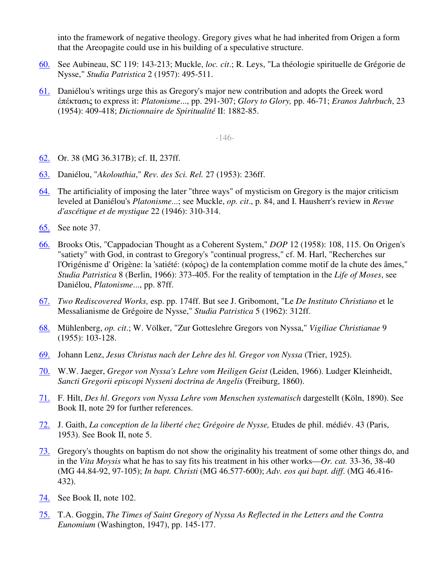into the framework of negative theology. Gregory gives what he had inherited from Origen a form that the Areopagite could use in his building of a speculative structure.

- 60. See Aubineau, SC 119: 143-213; Muckle, *loc. cit*.; R. Leys, "La théologie spirituelle de Grégorie de Nysse," *Studia Patristica* 2 (1957): 495-511.
- 61. Daniélou's writings urge this as Gregory's major new contribution and adopts the Greek word έπέκτασις to express it: *Platonisme*..., pp. 291-307; *Glory to Glory,* pp. 46-71; *Eranos Jahrbuch*, 23 (1954): 409-418; *Dictionnaire de Spiritualité* II: 1882-85.

-146-

- 62. Or. 38 (MG 36.317B); cf. II, 237ff.
- 63. Daniélou, "*Akolouthia*," *Rev. des Sci. Rel.* 27 (1953): 236ff.
- 64. The artificiality of imposing the later "three ways" of mysticism on Gregory is the major criticism leveled at Daniélou's *Platonisme*...; see Muckle, *op. cit*., p. 84, and I. Hausherr's review in *Revue d'ascétique et de mystique* 22 (1946): 310-314.
- 65. See note 37.
- 66. Brooks Otis, "Cappadocian Thought as a Coherent System," *DOP* 12 (1958): 108, 115. On Origen's "satiety" with God, in contrast to Gregory's "continual progress," cf. M. Harl, "Recherches sur l'Origénisme d' Origène: la 'satiété: (κόρος) de la contemplation comme motif de la chute des âmes," *Studia Patristica* 8 (Berlin, 1966): 373-405. For the reality of temptation in the *Life of Moses*, see Daniélou, *Platonisme*..., pp. 87ff.
- 67. *Two Rediscovered Works,* esp. pp. 174ff. But see J. Gribomont, "Le *De Instituto Christiano* et le Messalianisme de Grégoire de Nysse," *Studia Patristica* 5 (1962): 312ff.
- 68. Mühlenberg, *op. cit*.; W. Völker, "Zur Gotteslehre Gregors von Nyssa," *Vigiliae Christianae* 9 (1955): 103-128.
- 69. Johann Lenz, *Jesus Christus nach der Lehre des hl. Gregor von Nyssa* (Trier, 1925).
- 70. W.W. Jaeger, *Gregor von Nyssa's Lehre vom Heiligen Geist* (Leiden, 1966). Ludger Kleinheidt, *Sancti Gregorii episcopi Nysseni doctrina de Angelis* (Freiburg, 1860).
- 71. F. Hilt, *Des hl*. *Gregors von Nyssa Lehre vom Menschen systematisch* dargestellt (Köln, 1890). See Book II, note 29 for further references.
- 72. J. Gaith, *La conception de la liberté chez Grégoire de Nysse,* Etudes de phil. médiév. 43 (Paris, 1953). See Book II, note 5.
- 73. Gregory's thoughts on baptism do not show the originality his treatment of some other things do, and in the *Vita Moysis* what he has to say fits his treatment in his other works—*Or. cat.* 33-36, 38-40 (MG 44.84-92, 97-105); *In bapt. Christi* (MG 46.577-600); *Adv. eos qui bapt. diff*. (MG 46.416- 432).
- 74. See Book II, note 102.
- 75. T.A. Goggin, *The Times of Saint Gregory of Nyssa As Reflected in the Letters and the Contra Eunomium* (Washington, 1947), pp. 145-177.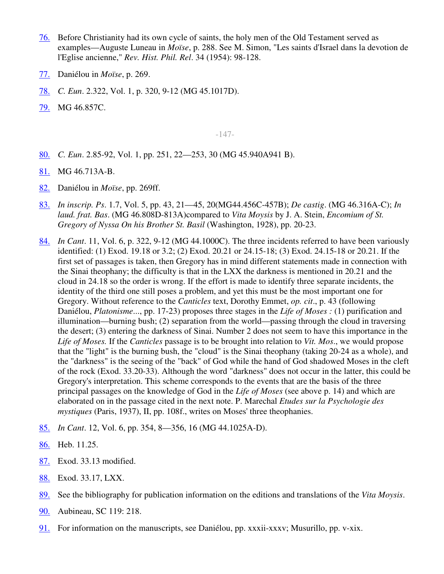- 76. Before Christianity had its own cycle of saints, the holy men of the Old Testament served as examples—Auguste Luneau in *Moïse*, p. 288. See M. Simon, "Les saints d'Israel dans la devotion de l'Eglise ancienne," *Rev. Hist. Phil. Rel*. 34 (1954): 98-128.
- 77. Daniélou in *Moïse*, p. 269.
- 78. *C. Eun*. 2.322, Vol. 1, p. 320, 9-12 (MG 45.1017D).
- 79. MG 46.857C.

-147-

- 80. *C. Eun*. 2.85-92, Vol. 1, pp. 251, 22—253, 30 (MG 45.940A941 B).
- 81. MG 46.713A-B.
- 82. Daniélou in *Moïse*, pp. 269ff.
- 83. *In inscrip. Ps*. 1.7, Vol. 5, pp. 43, 21—45, 20(MG44.456C-457B); *De castig*. (MG 46.316A-C); *In laud. frat. Bas*. (MG 46.808D-813A)compared to *Vita Moysis* by J. A. Stein, *Encomium of St. Gregory of Nyssa On his Brother St. Basil* (Washington, 1928), pp. 20-23.
- 84. *In Cant*. 11, Vol. 6, p. 322, 9-12 (MG 44.1000C). The three incidents referred to have been variously identified: (1) Exod. 19.18 or 3.2; (2) Exod. 20.21 or 24.15-18; (3) Exod. 24.15-18 or 20.21. If the first set of passages is taken, then Gregory has in mind different statements made in connection with the Sinai theophany; the difficulty is that in the LXX the darkness is mentioned in 20.21 and the cloud in 24.18 so the order is wrong. If the effort is made to identify three separate incidents, the identity of the third one still poses a problem, and yet this must be the most important one for Gregory. Without reference to the *Canticles* text, Dorothy Emmet, *op. cit*., p. 43 (following Daniélou, *Platonisme*..., pp. 17-23) proposes three stages in the *Life of Moses :* (1) purification and illumination—burning bush; (2) separation from the world—passing through the cloud in traversing the desert; (3) entering the darkness of Sinai. Number 2 does not seem to have this importance in the *Life of Moses.* If the *Canticles* passage is to be brought into relation to *Vit. Mos*., we would propose that the "light" is the burning bush, the "cloud" is the Sinai theophany (taking 20-24 as a whole), and the "darkness" is the seeing of the "back" of God while the hand of God shadowed Moses in the cleft of the rock (Exod. 33.20-33). Although the word "darkness" does not occur in the latter, this could be Gregory's interpretation. This scheme corresponds to the events that are the basis of the three principal passages on the knowledge of God in the *Life of Moses* (see above p. 14) and which are elaborated on in the passage cited in the next note. P. Marechal *Etudes sur la Psychologie des mystiques* (Paris, 1937), II, pp. 108f., writes on Moses' three theophanies.
- 85. *In Cant*. 12, Vol. 6, pp. 354, 8—356, 16 (MG 44.1025A-D).
- 86. Heb. 11.25.
- 87. Exod. 33.13 modified.
- 88. Exod. 33.17, LXX.
- 89. See the bibliography for publication information on the editions and translations of the *Vita Moysis*.
- 90. Aubineau, SC 119: 218.
- 91. For information on the manuscripts, see Daniélou, pp. xxxii-xxxv; Musurillo, pp. v-xix.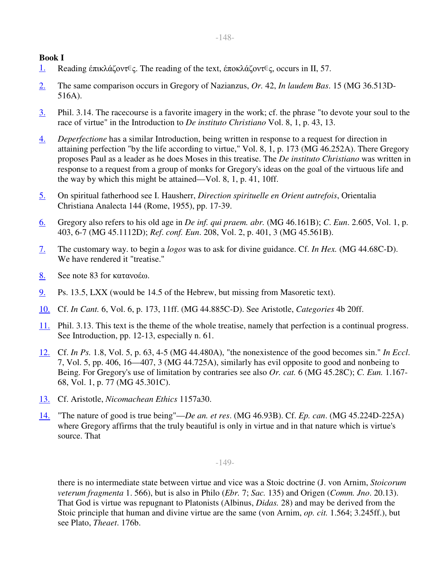## **Book I**

- 1. Reading έπικλάζοντ $\epsilon_{\varsigma}$ . The reading of the text, έποκλάζοντ $\epsilon_{\varsigma}$ , occurs in II, 57.
- 2. The same comparison occurs in Gregory of Nazianzus, *Or.* 42, *In laudem Bas*. 15 (MG 36.513D-516A).
- 3. Phil. 3.14. The racecourse is a favorite imagery in the work; cf. the phrase "to devote your soul to the race of virtue" in the Introduction to *De instituto Christiano* Vol. 8, 1, p. 43, 13.
- 4. *Deperfectione* has a similar Introduction, being written in response to a request for direction in attaining perfection "by the life according to virtue," Vol. 8, 1, p. 173 (MG 46.252A). There Gregory proposes Paul as a leader as he does Moses in this treatise. The *De instituto Christiano* was written in response to a request from a group of monks for Gregory's ideas on the goal of the virtuous life and the way by which this might be attained—Vol. 8, 1, p. 41, 10ff.
- 5. On spiritual fatherhood see I. Hausherr, *Direction spirituelle en Orient autrefois*, Orientalia Christiana Analecta 144 (Rome, 1955), pp. 17-39.
- 6. Gregory also refers to his old age in *De inf. qui praem. abr.* (MG 46.161B); *C*. *Eun*. 2.605, Vol. 1, p. 403, 6-7 (MG 45.1112D); *Ref*. *conf. Eun*. 208, Vol. 2, p. 401, 3 (MG 45.561B).
- 7. The customary way. to begin a *logos* was to ask for divine guidance. Cf. *In Hex.* (MG 44.68C-D). We have rendered it "treatise."
- 8. See note 83 for κατανοέω.
- 9. Ps. 13.5, LXX (would be 14.5 of the Hebrew, but missing from Masoretic text).
- 10. Cf. *In Cant.* 6, Vol. 6, p. 173, 11ff. (MG 44.885C-D). See Aristotle, *Categories* 4b 20ff.
- 11. Phil. 3.13. This text is the theme of the whole treatise, namely that perfection is a continual progress. See Introduction, pp. 12-13, especially n. 61.
- 12. Cf. *In Ps.* 1.8, Vol. 5, p. 63, 4-5 (MG 44.480A), "the nonexistence of the good becomes sin." *In Eccl*. 7, Vol. 5, pp. 406, 16—407, 3 (MG 44.725A), similarly has evil opposite to good and nonbeing to Being. For Gregory's use of limitation by contraries see also *Or. cat.* 6 (MG 45.28C); *C. Eun.* 1.167- 68, Vol. 1, p. 77 (MG 45.301C).
- 13. Cf. Aristotle, *Nicomachean Ethics* 1157a30.
- 14. "The nature of good is true being"—*De an. et res*. (MG 46.93B). Cf. *Ep. can*. (MG 45.224D-225A) where Gregory affirms that the truly beautiful is only in virtue and in that nature which is virtue's source. That

-149-

 there is no intermediate state between virtue and vice was a Stoic doctrine (J. von Arnim, *Stoicorum veterum fragmenta* 1. 566), but is also in Philo (*Ebr.* 7; *Sac.* 135) and Origen (*Comm. Jno*. 20.13). That God is virtue was repugnant to Platonists (Albinus, *Didas.* 28) and may be derived from the Stoic principle that human and divine virtue are the same (von Arnim, *op. cit.* 1.564; 3.245ff.), but see Plato, *Theaet*. 176b.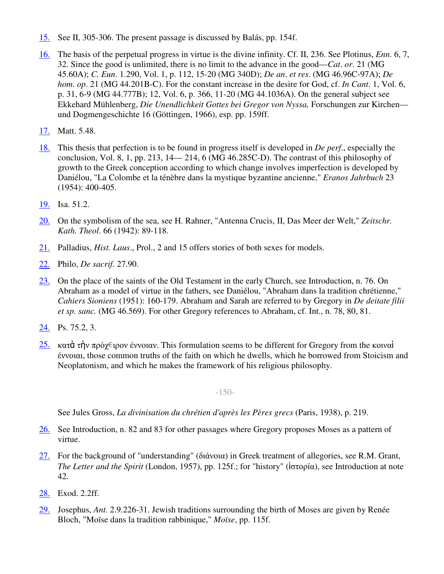- 15. See II, 305-306. The present passage is discussed by Balás, pp. 154f.
- 16. The basis of the perpetual progress in virtue is the divine infinity. Cf. II, 236. See Plotinus, *Enn*. 6, 7, 32. Since the good is unlimited, there is no limit to the advance in the good—*Cat*. *or*. 21 (MG 45.60A); *C. Eun*. 1.290, Vol. 1, p. 112, 15-20 (MG 340D); *De an*. *et res*. (MG 46.96C-97A); *De hom*. *op*. 21 (MG 44.201B-C). For the constant increase in the desire for God, cf. *In Cant*. 1, Vol. 6, p. 31, 6-9 (MG 44.777B); 12, Vol. 6, p. 366, 11-20 (MG 44.1036A). On the general subject see Ekkehard Mühlenberg, *Die Unendlichkeit Gottes bei Gregor von Nyssa,* Forschungen zur Kirchen und Dogmengeschichte 16 (Göttingen, 1966), esp. pp. 159ff.
- 17. Matt. 5.48.
- 18. This thesis that perfection is to be found in progress itself is developed in *De perf*., especially the conclusion, Vol. 8, 1, pp. 213, 14— 214, 6 (MG 46.285C-D). The contrast of this philosophy of growth to the Greek conception according to which change involves imperfection is developed by Daniélou, "La Colombe et la ténèbre dans la mystique byzantine ancienne," *Eranos Jahrbuch* 23 (1954): 400-405.
- 19. Isa. 51.2.
- 20. On the symbolism of the sea, see H. Rahner, "Antenna Crucis, II, Das Meer der Welt," *Zeitschr. Kath. Theol*. 66 (1942): 89-118.
- 21. Palladius, *Hist. Laus*., Prol., 2 and 15 offers stories of both sexes for models.
- 22. Philo, *De sacrif*. 27.90.
- 23. On the place of the saints of the Old Testament in the early Church, see Introduction, n. 76. On Abraham as a model of virtue in the fathers, see Daniélou, "Abraham dans la tradition chrétienne," *Cahiers Sioniens* (1951): 160-179. Abraham and Sarah are referred to by Gregory in *De deitate filii et sp. sanc.* (MG 46.569). For other Gregory references to Abraham, cf. Int., n. 78, 80, 81.
- 24. Ps. 75.2, 3.
- $\frac{25}{25}$  κατά τὴν πρόχ $\epsilon$ ιρον έννοιαν. This formulation seems to be different for Gregory from the κοιναὶ έννοιαι, those common truths of the faith on which he dwells, which he borrowed from Stoicism and Neoplatonism, and which he makes the framework of his religious philosophy.

 $-150-$ 

See Jules Gross, *La divinisation du chrétien d'après les Pères grecs* (Paris, 1938), p. 219.

- 26. See Introduction, n. 82 and 83 for other passages where Gregory proposes Moses as a pattern of virtue.
- 27. For the background of "understanding" (διάνοια) in Greek treatment of allegories, see R.M. Grant, *The Letter and the Spirit* (London, 1957), pp. 125f.; for "history" (ἱστορία), see Introduction at note 42.
- 28. Exod. 2.2ff.
- 29. Josephus, *Ant.* 2.9.226-31. Jewish traditions surrounding the birth of Moses are given by Renée Bloch, "Moïse dans la tradition rabbinique," *Moïse*, pp. 115f.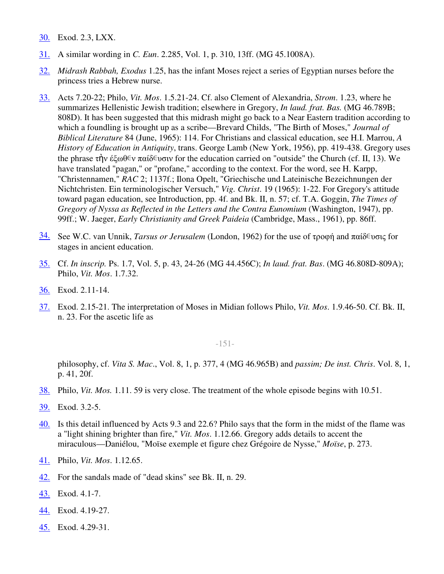- 30. Exod. 2.3, LXX.
- 31. A similar wording in *C. Eun*. 2.285, Vol. 1, p. 310, 13ff. (MG 45.1008A).
- 32. *Midrash Rabbah, Exodus* 1.25, has the infant Moses reject a series of Egyptian nurses before the princess tries a Hebrew nurse.
- 33. Acts 7.20-22; Philo, *Vit. Mos*. 1.5.21-24. Cf. also Clement of Alexandria, *Strom*. 1.23, where he summarizes Hellenistic Jewish tradition; elsewhere in Gregory, *In laud. frat. Bas.* (MG 46.789B; 808D). It has been suggested that this midrash might go back to a Near Eastern tradition according to which a foundling is brought up as a scribe—Brevard Childs, "The Birth of Moses," *Journal of Biblical Literature* 84 (June, 1965): 114. For Christians and classical education, see H.I. Marrou, *A History of Education in Antiquity*, trans. George Lamb (New York, 1956), pp. 419-438. Gregory uses the phrase τὴν έξωθ $\epsilon$ ν παίδ $\epsilon$ υσιν for the education carried on "outside" the Church (cf. II, 13). We have translated "pagan," or "profane," according to the context. For the word, see H. Karpp, "Christennamen," *RAC* 2; 1137f.; Ilona Opelt, "Griechische und Lateinische Bezeichnungen der Nichtchristen. Ein terminologischer Versuch," *Vig. Christ*. 19 (1965): 1-22. For Gregory's attitude toward pagan education, see Introduction, pp. 4f. and Bk. II, n. 57; cf. T.A. Goggin, *The Times of Gregory of Nyssa as Reflected in the Letters and the Contra Eunomium* (Washington, 1947), pp. 99ff.; W. Jaeger, *Early Christianity and Greek Paideia* (Cambridge, Mass., 1961), pp. 86ff.
- 34. See W.C. van Unnik, *Tarsus or Jerusalem* (London, 1962) for the use of τροφή and παίδ<sup>ε</sup>υσις for stages in ancient education.
- 35. Cf. *In inscrip.* Ps. 1.7, Vol. 5, p. 43, 24-26 (MG 44.456C); *In laud. frat. Bas*. (MG 46.808D-809A); Philo, *Vit. Mos*. 1.7.32.
- 36. Exod. 2.11-14.
- 37. Exod. 2.15-21. The interpretation of Moses in Midian follows Philo, *Vit. Mos*. 1.9.46-50. Cf. Bk. II, n. 23. For the ascetic life as

#### -151-

 philosophy, cf. *Vita S. Mac*., Vol. 8, 1, p. 377, 4 (MG 46.965B) and *passim; De inst. Chris*. Vol. 8, 1, p. 41, 20f.

- 38. Philo, *Vit. Mos.* 1.11. 59 is very close. The treatment of the whole episode begins with 10.51.
- 39. Exod. 3.2-5.
- 40. Is this detail influenced by Acts 9.3 and 22.6? Philo says that the form in the midst of the flame was a "light shining brighter than fire," *Vit. Mos*. 1.12.66. Gregory adds details to accent the miraculous—Daniélou, "Moïse exemple et figure chez Grégoire de Nysse," *Moïse*, p. 273.
- 41. Philo, *Vit. Mos*. 1.12.65.
- 42. For the sandals made of "dead skins" see Bk. II, n. 29.
- 43. Exod. 4.1-7.
- 44. Exod. 4.19-27.
- 45. Exod. 4.29-31.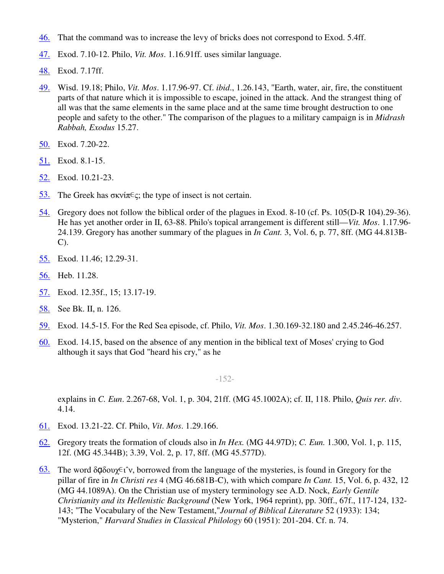- 46. That the command was to increase the levy of bricks does not correspond to Exod. 5.4ff.
- 47. Exod. 7.10-12. Philo, *Vit. Mos*. 1.16.91ff. uses similar language.
- 48. Exod. 7.17ff.
- 49. Wisd. 19.18; Philo, *Vit. Mos*. 1.17.96-97. Cf. *ibid*., 1.26.143, "Earth, water, air, fire, the constituent parts of that nature which it is impossible to escape, joined in the attack. And the strangest thing of all was that the same elements in the same place and at the same time brought destruction to one people and safety to the other." The comparison of the plagues to a military campaign is in *Midrash Rabbah, Exodus* 15.27.
- 50. Exod. 7.20-22.
- 51. Exod. 8.1-15.
- 52. Exod. 10.21-23.
- 53. The Greek has σκνίπ $\epsilon$ ς; the type of insect is not certain.
- 54. Gregory does not follow the biblical order of the plagues in Exod. 8-10 (cf. Ps. 105(D-R 104).29-36). He has yet another order in II, 63-88. Philo's topical arrangement is different still—*Vit. Mos*. 1.17.96- 24.139. Gregory has another summary of the plagues in *In Cant.* 3, Vol. 6, p. 77, 8ff. (MG 44.813B-C).
- 55. Exod. 11.46; 12.29-31.
- 56. Heb. 11.28.
- 57. Exod. 12.35f., 15; 13.17-19.
- 58. See Bk. II, n. 126.
- 59. Exod. 14.5-15. For the Red Sea episode, cf. Philo, *Vit. Mos*. 1.30.169-32.180 and 2.45.246-46.257.
- 60. Exod. 14.15, based on the absence of any mention in the biblical text of Moses' crying to God although it says that God "heard his cry," as he

-152-

 explains in *C. Eun*. 2.267-68, Vol. 1, p. 304, 21ff. (MG 45.1002A); cf. II, 118. Philo, *Quis rer. div*. 4.14.

- 61. Exod. 13.21-22. Cf. Philo, *Vit*. *Mos*. 1.29.166.
- 62. Gregory treats the formation of clouds also in *In Hex.* (MG 44.97D); *C. Eun.* 1.300, Vol. 1, p. 115, 12f. (MG 45.344B); 3.39, Vol. 2, p. 17, 8ff. (MG 45.577D).
- <u>63.</u> The word δ $\alpha$ δουχει $\gamma$ , borrowed from the language of the mysteries, is found in Gregory for the pillar of fire in *In Christi res* 4 (MG 46.681B-C), with which compare *In Cant.* 15, Vol. 6, p. 432, 12 (MG 44.1089A). On the Christian use of mystery terminology see A.D. Nock, *Early Gentile Christianity and its Hellenistic Background* (New York, 1964 reprint), pp. 30ff., 67f., 117-124, 132- 143; "The Vocabulary of the New Testament,"*Journal of Biblical Literature* 52 (1933): 134; "Mysterion," *Harvard Studies in Classical Philology* 60 (1951): 201-204. Cf. n. 74.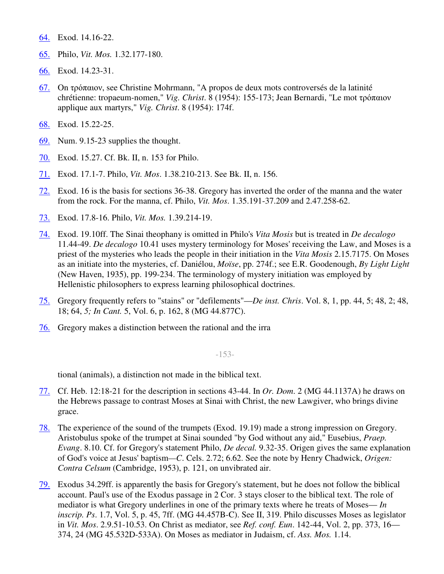64. Exod. 14.16-22.

- 65. Philo, *Vit. Mos.* 1.32.177-180.
- 66. Exod. 14.23-31.
- 67. On τρόπαιον, see Christine Mohrmann, "A propos de deux mots controversés de la latinité chrétienne: tropaeum-nomen," *Vig. Christ*. 8 (1954): 155-173; Jean Bernardi, "Le mot τρόπαιον applique aux martyrs," *Vig. Christ*. 8 (1954): 174f.
- 68. Exod. 15.22-25.
- 69. Num. 9.15-23 supplies the thought.
- 70. Exod. 15.27. Cf. Bk. II, n. 153 for Philo.
- 71. Exod. 17.1-7. Philo, *Vit. Mos*. 1.38.210-213. See Bk. II, n. 156.
- 72. Exod. 16 is the basis for sections 36-38. Gregory has inverted the order of the manna and the water from the rock. For the manna, cf. Philo, *Vit. Mos*. 1.35.191-37.209 and 2.47.258-62.
- 73. Exod. 17.8-16. Philo, *Vit. Mos.* 1.39.214-19.
- 74. Exod. 19.10ff. The Sinai theophany is omitted in Philo's *Vita Mosis* but is treated in *De decalogo* 11.44-49. *De decalogo* 10.41 uses mystery terminology for Moses' receiving the Law, and Moses is a priest of the mysteries who leads the people in their initiation in the *Vita Mosis* 2.15.7175. On Moses as an initiate into the mysteries, cf. Daniélou, *Moïse*, pp. 274f.; see E.R. Goodenough, *By Light Light* (New Haven, 1935), pp. 199-234. The terminology of mystery initiation was employed by Hellenistic philosophers to express learning philosophical doctrines.
- 75. Gregory frequently refers to "stains" or "defilements"—*De inst. Chris*. Vol. 8, 1, pp. 44, 5; 48, 2; 48, 18; 64, *5; In Cant.* 5, Vol. 6, p. 162, 8 (MG 44.877C).
- 76. Gregory makes a distinction between the rational and the irra

-153-

tional (animals), a distinction not made in the biblical text.

- 77. Cf. Heb. 12:18-21 for the description in sections 43-44. In *Or. Dom*. 2 (MG 44.1137A) he draws on the Hebrews passage to contrast Moses at Sinai with Christ, the new Lawgiver, who brings divine grace.
- 78. The experience of the sound of the trumpets (Exod. 19.19) made a strong impression on Gregory. Aristobulus spoke of the trumpet at Sinai sounded "by God without any aid," Eusebius, *Praep. Evang*. 8.10. Cf. for Gregory's statement Philo, *De decal.* 9.32-35. Origen gives the same explanation of God's voice at Jesus' baptism*—C*. Cels. 2.72; 6.62. See the note by Henry Chadwick, *Origen: Contra Celsum* (Cambridge, 1953), p. 121, on unvibrated air.
- 79. Exodus 34.29ff. is apparently the basis for Gregory's statement, but he does not follow the biblical account. Paul's use of the Exodus passage in 2 Cor. 3 stays closer to the biblical text. The role of mediator is what Gregory underlines in one of the primary texts where he treats of Moses— *In inscrip. Ps*. 1.7, Vol. 5, p. 45, 7ff. (MG 44.457B-C). See II, 319. Philo discusses Moses as legislator in *Vit. Mos*. 2.9.51-10.53. On Christ as mediator, see *Ref. conf. Eun*. 142-44, Vol. 2, pp. 373, 16— 374, 24 (MG 45.532D-533A). On Moses as mediator in Judaism, cf. *Ass. Mos.* 1.14.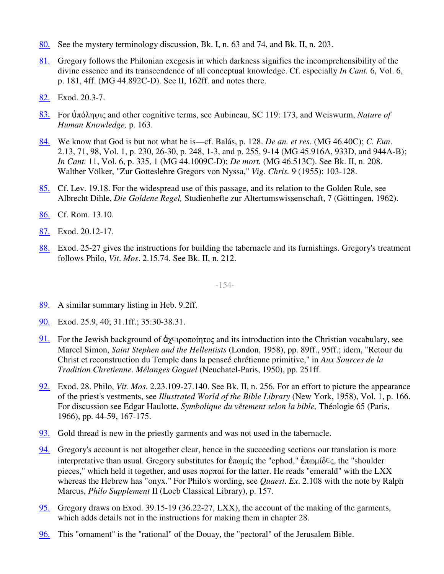- 80. See the mystery terminology discussion, Bk. I, n. 63 and 74, and Bk. II, n. 203.
- 81. Gregory follows the Philonian exegesis in which darkness signifies the incomprehensibility of the divine essence and its transcendence of all conceptual knowledge. Cf. especially *In Cant.* 6, Vol. 6, p. 181, 4ff. (MG 44.892C-D). See II, 162ff. and notes there.
- 82. Exod. 20.3-7.
- 83. For ὑπόληψις and other cognitive terms, see Aubineau, SC 119: 173, and Weiswurm, *Nature of Human Knowledge,* p. 163.
- 84. We know that God is but not what he is—cf. Balás, p. 128. *De an. et res*. (MG 46.40C); *C. Eun*. 2.13, 71, 98, Vol. 1, p. 230, 26-30, p. 248, 1-3, and p. 255, 9-14 (MG 45.916A, 933D, and 944A-B); *In Cant.* 11, Vol. 6, p. 335, 1 (MG 44.1009C-D); *De mort.* (MG 46.513C). See Bk. II, n. 208. Walther Völker, "Zur Gotteslehre Gregors von Nyssa," *Vig. Chris.* 9 (1955): 103-128.
- 85. Cf. Lev. 19.18. For the widespread use of this passage, and its relation to the Golden Rule, see Albrecht Dihle, *Die Goldene Regel,* Studienhefte zur Altertumswissenschaft, 7 (Göttingen, 1962).
- 86. Cf. Rom. 13.10.
- 87. Exod. 20.12-17.
- 88. Exod. 25-27 gives the instructions for building the tabernacle and its furnishings. Gregory's treatment follows Philo, *Vit*. *Mos*. 2.15.74. See Bk. II, n. 212.

-154-

- 89. A similar summary listing in Heb. 9.2ff.
- 90. Exod. 25.9, 40; 31.1ff.; 35:30-38.31.
- 91. For the Jewish background of  $\dot{q}$  ειροποίητος and its introduction into the Christian vocabulary, see Marcel Simon, *Saint Stephen and the Hellentists* (London, 1958), pp. 89ff., 95ff.; idem, "Retour du Christ et reconstruction du Temple dans la penseé chrétienne primitive," in *Aux Sources de la Tradition Chretienne*. *Mélanges Goguel* (Neuchatel-Paris, 1950), pp. 251ff.
- 92. Exod. 28. Philo, *Vit. Mos*. 2.23.109-27.140. See Bk. II, n. 256. For an effort to picture the appearance of the priest's vestments, see *Illustrated World of the Bible Library* (New York, 1958), Vol. 1, p. 166. For discussion see Edgar Haulotte, *Symbolique du vêtement selon la bible,* Théologie 65 (Paris, 1966), pp. 44-59, 167-175.
- 93. Gold thread is new in the priestly garments and was not used in the tabernacle.
- 94. Gregory's account is not altogether clear, hence in the succeeding sections our translation is more interpretative than usual. Gregory substitutes for  $\epsilon \pi \omega \mu$ ίς the "ephod,"  $\epsilon \pi \omega \mu \delta \epsilon \varsigma$ , the "shoulder pieces," which held it together, and uses  $\pi$ ορπαί for the latter. He reads "emerald" with the LXX whereas the Hebrew has "onyx." For Philo's wording, see *Quaest*. *Ex*. 2.108 with the note by Ralph Marcus, *Philo Supplement* II (Loeb Classical Library), p. 157.
- 95. Gregory draws on Exod. 39.15-19 (36.22-27, LXX), the account of the making of the garments, which adds details not in the instructions for making them in chapter 28.
- 96. This "ornament" is the "rational" of the Douay, the "pectoral" of the Jerusalem Bible.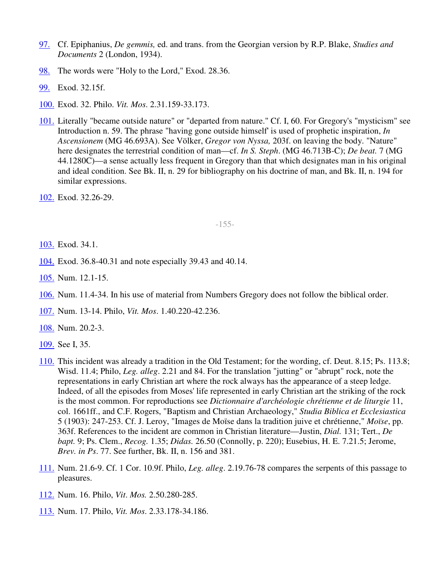- 97. Cf. Epiphanius, *De gemmis,* ed. and trans. from the Georgian version by R.P. Blake, *Studies and Documents* 2 (London, 1934).
- 98. The words were "Holy to the Lord," Exod. 28.36.

99. Exod. 32.15f.

- 100. Exod. 32. Philo. *Vit. Mos*. 2.31.159-33.173.
- 101. Literally "became outside nature" or "departed from nature." Cf. I, 60. For Gregory's "mysticism" see Introduction n. 59. The phrase "having gone outside himself' is used of prophetic inspiration, *In Ascensionem* (MG 46.693A). See Völker, *Gregor von Nyssa,* 203f. on leaving the body. "Nature" here designates the terrestrial condition of man—cf. *In S. Steph*. (MG 46.713B-C); *De beat.* 7 (MG 44.1280C)—a sense actually less frequent in Gregory than that which designates man in his original and ideal condition. See Bk. II, n. 29 for bibliography on his doctrine of man, and Bk. II, n. 194 for similar expressions.

102. Exod. 32.26-29.

-155-

103. Exod. 34.1.

- 104. Exod. 36.8-40.31 and note especially 39.43 and 40.14.
- 105. Num. 12.1-15.
- 106. Num. 11.4-34. In his use of material from Numbers Gregory does not follow the biblical order.
- 107. Num. 13-14. Philo, *Vit. Mos*. 1.40.220-42.236.
- 108. Num. 20.2-3.
- 109. See I, 35.
- 110. This incident was already a tradition in the Old Testament; for the wording, cf. Deut. 8.15; Ps. 113.8; Wisd. 11.4; Philo, *Leg. alleg*. 2.21 and 84. For the translation "jutting" or "abrupt" rock, note the representations in early Christian art where the rock always has the appearance of a steep ledge. Indeed, of all the episodes from Moses' life represented in early Christian art the striking of the rock is the most common. For reproductions see *Dictionnaire d'archéologie chrétienne et de liturgie* 11, col. 1661ff., and C.F. Rogers, "Baptism and Christian Archaeology," *Studia Biblica et Ecclesiastica* 5 (1903): 247-253. Cf. J. Leroy, "Images de Moïse dans la tradition juive et chrétienne," *Moïse*, pp. 363f. References to the incident are common in Christian literature—Justin, *Dial.* 131; Tert., *De bapt.* 9; Ps. Clem., *Recog.* 1.35; *Didas.* 26.50 (Connolly, p. 220); Eusebius, H. E. 7.21.5; Jerome, *Brev. in Ps*. 77. See further, Bk. II, n. 156 and 381.
- 111. Num. 21.6-9. Cf. 1 Cor. 10.9f. Philo, *Leg. alleg*. 2.19.76-78 compares the serpents of this passage to pleasures.
- 112. Num. 16. Philo, *Vit*. *Mos.* 2.50.280-285.
- 113. Num. 17. Philo, *Vit. Mos*. 2.33.178-34.186.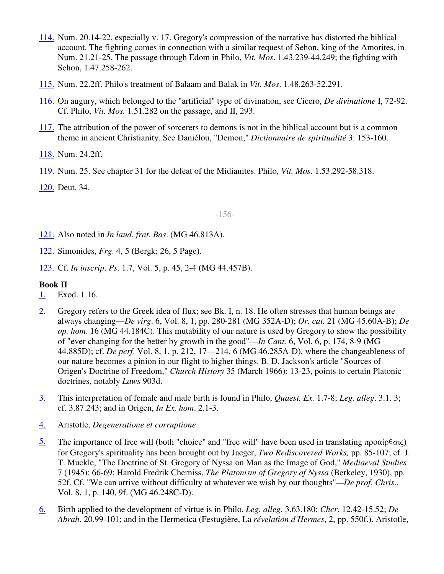- 114. Num. 20.14-22, especially v. 17. Gregory's compression of the narrative has distorted the biblical account. The fighting comes in connection with a similar request of Sehon, king of the Amorites, in Num. 21.21-25. The passage through Edom in Philo, *Vit. Mos*. 1.43.239-44.249; the fighting with Sehon, 1.47.258-262.
- 115. Num. 22.2ff. Philo's treatment of Balaam and Balak in *Vit. Mos*. 1.48.263-52.291.
- 116. On augury, which belonged to the "artificial" type of divination, see Cicero, *De divinatione* I, 72-92. Cf. Philo, *Vit. Mos.* 1.51.282 on the passage, and II, 293.
- 117. The attribution of the power of sorcerers to demons is not in the biblical account but is a common theme in ancient Christianity. See Daniélou, "Demon," *Dictionnaire de spiritualité* 3: 153-160.
- 118. Num. 24.2ff.
- 119. Num. 25. See chapter 31 for the defeat of the Midianites. Philo, *Vit. Mos*. 1.53.292-58.318.
- 120. Deut. 34.

-156-

- 121. Also noted in *In laud. frat*. *Bas*. (MG 46.813A).
- 122. Simonides, *Frg*. 4, 5 (Bergk; 26, 5 Page).
- 123. Cf. *In inscrip*. *Ps*. 1.7, Vol. 5, p. 45, 2-4 (MG 44.457B).

# **Book II**

- 1. Exod. 1.16.
- 2. Gregory refers to the Greek idea of flux; see Bk. I, n. 18. He often stresses that human beings are always changing—*De virg*. 6, Vol. 8, 1, pp. 280-281 (MG 352A-D); *Or. cat.* 21 (MG 45.60A-B); *De op. hom*. 16 (MG 44.184C). This mutability of our nature is used by Gregory to show the possibility of "ever changing for the better by growth in the good"—*In Cant.* 6, Vol. 6, p. 174, 8-9 (MG 44.885D); cf. *De perf*. Vol. 8, 1, p. 212, 17—214, 6 (MG 46.285A-D), where the changeableness of our nature becomes a pinion in our flight to higher things. B. D. Jackson's article "Sources of Origen's Doctrine of Freedom," *Church History* 35 (March 1966): 13-23, points to certain Platonic doctrines, notably *Laws* 903d.
- 3. This interpretation of female and male birth is found in Philo, *Quaest. Ex.* 1.7-8; *Leg. alleg*. 3.1. 3; cf. 3.87.243; and in Origen, *In Ex. hom*. 2.1-3.
- 4. Aristotle, *Degeneratione et corruptione*.
- 5. The importance of free will (both "choice" and "free will" have been used in translating προαίρ $\epsilon$ σις) for Gregory's spirituality has been brought out by Jaeger, *Two Rediscovered Works,* pp. 85-107; cf. J. T. Muckle, "The Doctrine of St. Gregory of Nyssa on Man as the Image of God," *Mediaeval Studies* 7 (1945): 66-69; Harold Fredrik Cherniss, *The Platonism of Gregory of Nyssa* (Berkeley, 1930), pp. 52f. Cf. "We can arrive without difficulty at whatever we wish by our thoughts"*—De prof*. *Chris*., Vol. 8, 1, p. 140, 9f. (MG 46.248C-D).
- 6. Birth applied to the development of virtue is in Philo, *Leg. alleg*. 3.63.180; *Cher*. 12.42-15.52; *De Abrah*. 20.99-101; and in the Hermetica (Festugière, La *révelation d'Hermes*, 2, pp. 550f.). Aristotle,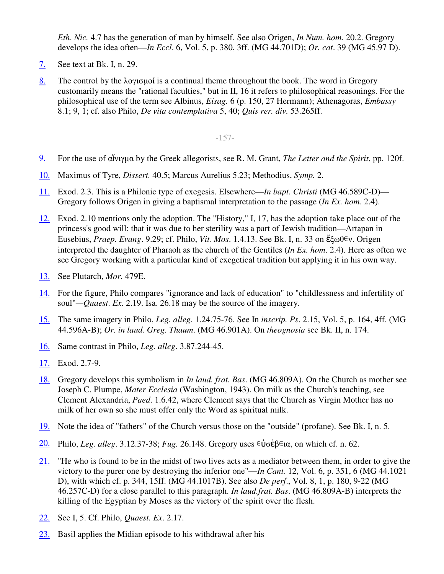*Eth*. *Nic.* 4.7 has the generation of man by himself. See also Origen, *In Num. hom*. 20.2. Gregory develops the idea often—*In Eccl*. 6, Vol. 5, p. 380, 3ff. (MG 44.701D); *Or. cat*. 39 (MG 45.97 D).

- 7. See text at Bk. I, n. 29.
- 8. The control by the λογισµοί is a continual theme throughout the book. The word in Gregory customarily means the "rational faculties," but in II, 16 it refers to philosophical reasonings. For the philosophical use of the term see Albinus, *Eisag.* 6 (p. 150, 27 Hermann); Athenagoras, *Embassy* 8.1; 9, 1; cf. also Philo, *De vita contemplativa* 5, 40; *Quis rer. div.* 53.265ff.

-157-

- 9. For the use of αἴνιγµα by the Greek allegorists, see R. M. Grant, *The Letter and the Spirit*, pp. 120f.
- 10. Maximus of Tyre, *Dissert.* 40.5; Marcus Aurelius 5.23; Methodius, *Symp.* 2.
- 11. Exod. 2.3. This is a Philonic type of exegesis. Elsewhere—*In bapt. Christi* (MG 46.589C-D)— Gregory follows Origen in giving a baptismal interpretation to the passage (*In Ex. hom*. 2.4).
- 12. Exod. 2.10 mentions only the adoption. The "History," I, 17, has the adoption take place out of the princess's good will; that it was due to her sterility was a part of Jewish tradition—Artapan in Eusebius, *Praep. Evang.* 9.29; cf. Philo, *Vit. Mos.* 1.4.13. See Bk. I, n. 33 on ἔξωθ∈ν. Origen interpreted the daughter of Pharaoh as the church of the Gentiles (*In Ex. hom*. 2.4). Here as often we see Gregory working with a particular kind of exegetical tradition but applying it in his own way.
- 13. See Plutarch, *Mor.* 479E.
- 14. For the figure, Philo compares "ignorance and lack of education" to "childlessness and infertility of soul"*—Quaest*. *Ex*. 2.19. Isa. 26.18 may be the source of the imagery.
- 15. The same imagery in Philo, *Leg. alleg.* 1.24.75-76. See In *inscrip. Ps*. 2.15, Vol. 5, p. 164, 4ff. (MG 44.596A-B); *Or. in laud. Greg. Thaum*. (MG 46.901A). On *theognosia* see Bk. II, n. 174.
- 16. Same contrast in Philo, *Leg. alleg*. 3.87.244-45.
- 17. Exod. 2.7-9.
- 18. Gregory develops this symbolism in *In laud. frat. Bas*. (MG 46.809A). On the Church as mother see Joseph C. Plumpe, *Mater Ecclesia* (Washington, 1943). On milk as the Church's teaching, see Clement Alexandria, *Paed*. 1.6.42, where Clement says that the Church as Virgin Mother has no milk of her own so she must offer only the Word as spiritual milk.
- 19. Note the idea of "fathers" of the Church versus those on the "outside" (profane). See Bk. I, n. 5.
- 20. Philo, *Leg. alleg.* 3.12.37-38; *Fug.* 26.148. Gregory uses  $\epsilon \mathbf{u} \cdot \mathbf{c} \cdot \mathbf{b} \cdot \mathbf{c}$  an which cf. n. 62.
- 21. "He who is found to be in the midst of two lives acts as a mediator between them, in order to give the victory to the purer one by destroying the inferior one"—*In Cant.* 12, Vol. 6, p. 351, 6 (MG 44.1021 D), with which cf. p. 344, 15ff. (MG 44.1017B). See also *De perf*., Vol. 8, 1, p. 180, 9-22 (MG 46.257C-D) for a close parallel to this paragraph. *In laud.frat. Bas*. (MG 46.809A-B) interprets the killing of the Egyptian by Moses as the victory of the spirit over the flesh.
- 22. See I, 5. Cf. Philo, *Quaest. Ex*. 2.17.
- 23. Basil applies the Midian episode to his withdrawal after his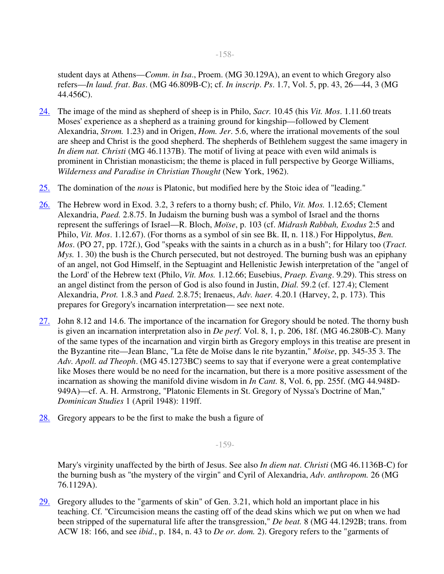student days at Athens—*Comm*. *in Isa*., Proem. (MG 30.129A), an event to which Gregory also refers—*In laud. frat*. *Bas*. (MG 46.809B-C); cf. *In inscrip*. *Ps*. 1.7, Vol. 5, pp. 43, 26—44, 3 (MG 44.456C).

- 24. The image of the mind as shepherd of sheep is in Philo, *Sacr.* 10.45 (his *Vit. Mos*. 1.11.60 treats Moses' experience as a shepherd as a training ground for kingship—followed by Clement Alexandria, *Strom.* 1.23) and in Origen, *Hom. Jer*. 5.6, where the irrational movements of the soul are sheep and Christ is the good shepherd. The shepherds of Bethlehem suggest the same imagery in *In diem nat. Christi* (MG 46.1137B). The motif of living at peace with even wild animals is prominent in Christian monasticism; the theme is placed in full perspective by George Williams, *Wilderness and Paradise in Christian Thought* (New York, 1962).
- 25. The domination of the *nous* is Platonic, but modified here by the Stoic idea of "leading."
- 26. The Hebrew word in Exod. 3.2, 3 refers to a thorny bush; cf. Philo, *Vit. Mos.* 1.12.65; Clement Alexandria, *Paed.* 2.8.75. In Judaism the burning bush was a symbol of Israel and the thorns represent the sufferings of Israel—R. Bloch, *Moïse*, p. 103 (cf. *Midrash Rabbah, Exodus* 2:5 and Philo, *Vit. Mos*. 1.12.67). (For thorns as a symbol of sin see Bk. II, n. 118.) For Hippolytus, *Ben. Mos*. (PO 27, pp. 172f.), God "speaks with the saints in a church as in a bush"; for Hilary too (*Tract. Mys.* 1. 30) the bush is the Church persecuted, but not destroyed. The burning bush was an epiphany of an angel, not God Himself, in the Septuagint and Hellenistic Jewish interpretation of the "angel of the Lord' of the Hebrew text (Philo, *Vit. Mos.* 1.12.66; Eusebius, *Praep. Evang*. 9.29). This stress on an angel distinct from the person of God is also found in Justin, *Dial.* 59.2 (cf. 127.4); Clement Alexandria, *Prot.* 1.8.3 and *Paed.* 2.8.75; Irenaeus, *Adv. haer.* 4.20.1 (Harvey, 2, p. 173). This prepares for Gregory's incarnation interpretation— see next note.
- 27. John 8.12 and 14.6. The importance of the incarnation for Gregory should be noted. The thorny bush is given an incarnation interpretation also in *De perf*. Vol. 8, 1, p. 206, 18f. (MG 46.280B-C). Many of the same types of the incarnation and virgin birth as Gregory employs in this treatise are present in the Byzantine rite—Jean Blanc, "La fête de Moïse dans le rite byzantin," *Moïse*, pp. 345-35 3. The *Adv. Apoll. ad Theoph*. (MG 45.1273BC) seems to say that if everyone were a great contemplative like Moses there would be no need for the incarnation, but there is a more positive assessment of the incarnation as showing the manifold divine wisdom in *In Cant.* 8, Vol. 6, pp. 255f. (MG 44.948D-949A)—cf. A. H. Armstrong, "Platonic Elements in St. Gregory of Nyssa's Doctrine of Man," *Dominican Studies* 1 (April 1948): 119ff.
- 28. Gregory appears to be the first to make the bush a figure of

-159-

 Mary's virginity unaffected by the birth of Jesus. See also *In diem nat*. *Christi* (MG 46.1136B-C) for the burning bush as "the mystery of the virgin" and Cyril of Alexandria, *Adv. anthropom.* 26 (MG 76.1129A).

29. Gregory alludes to the "garments of skin" of Gen. 3.21, which hold an important place in his teaching. Cf. "Circumcision means the casting off of the dead skins which we put on when we had been stripped of the supernatural life after the transgression," *De beat.* 8 (MG 44.1292B; trans. from ACW 18: 166, and see *ibid*., p. 184, n. 43 to *De or. dom.* 2). Gregory refers to the "garments of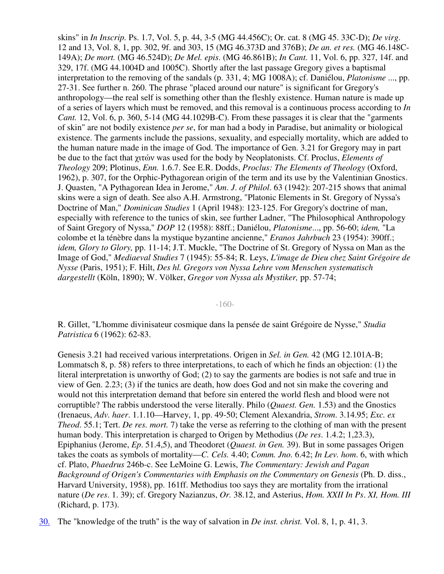skins" in *In Inscrip.* Ps. 1.7, Vol. 5, p. 44, 3-5 (MG 44.456C); Or. cat. 8 (MG 45. 33C-D); *De virg*. 12 and 13, Vol. 8, 1, pp. 302, 9f. and 303, 15 (MG 46.373D and 376B); *De an. et res.* (MG 46.148C-149A); *De mort.* (MG 46.524D); *De Mel. epis*. (MG 46.861B); *In Cant.* 11, Vol. 6, pp. 327, 14f. and 329, 17f. (MG 44.1004D and 1005C). Shortly after the last passage Gregory gives a baptismal interpretation to the removing of the sandals (p. 331, 4; MG 1008A); cf. Daniélou, *Platonisme* ..., pp. 27-31. See further n. 260. The phrase "placed around our nature" is significant for Gregory's anthropology—the real self is something other than the fleshly existence. Human nature is made up of a series of layers which must be removed, and this removal is a continuous process according to *In Cant.* 12, Vol. 6, p. 360, 5-14 (MG 44.1029B-C). From these passages it is clear that the "garments" of skin" are not bodily existence *per se*, for man had a body in Paradise, but animality or biological existence. The garments include the passions, sexuality, and especially mortality, which are added to the human nature made in the image of God. The importance of Gen. 3.21 for Gregory may in part be due to the fact that χιτών was used for the body by Neoplatonists. Cf. Proclus, *Elements of Theology* 209; Plotinus, *Enn.* 1.6.7. See E.R. Dodds, *Proclus: The Elements of Theology* (Oxford, 1962), p. 307, for the Orphic-Pythagorean origin of the term and its use by the Valentinian Gnostics. J. Quasten, "A Pythagorean Idea in Jerome," *Am*. *J*. *of Philol*. 63 (1942): 207-215 shows that animal skins were a sign of death. See also A.H. Armstrong, "Platonic Elements in St. Gregory of Nyssa's Doctrine of Man," *Dominican Studies* 1 (April 1948): 123-125. For Gregory's doctrine of man, especially with reference to the tunics of skin, see further Ladner, "The Philosophical Anthropology of Saint Gregory of Nyssa," *DOP* 12 (1958): 88ff.; Daniélou, *Platonisme*..., pp. 56-60; *idem,* "La colombe et la ténèbre dans la mystique byzantine ancienne," *Eranos Jahrbuch* 23 (1954): 390ff.; *idem, Glory to Glory,* pp. 11-14; J.T. Muckle, "The Doctrine of St. Gregory of Nyssa on Man as the Image of God," *Mediaeval Studies* 7 (1945): 55-84; R. Leys, *L'image de Dieu chez Saint Grégoire de Nysse* (Paris, 1951); F. Hilt, *Des hl. Gregors von Nyssa Lehre vom Menschen systematisch dargestellt* (Köln, 1890); W. Völker, *Gregor von Nyssa als Mystiker,* pp. 57-74;

### $-160-$

 R. Gillet, "L'homme divinisateur cosmique dans la pensée de saint Grégoire de Nysse," *Studia Patristica* 6 (1962): 62-83.

Genesis 3.21 had received various interpretations. Origen in *Sel. in Gen.* 42 (MG 12.101A-B; Lommatsch 8, p. 58) refers to three interpretations, to each of which he finds an objection: (1) the literal interpretation is unworthy of God; (2) to say the garments are bodies is not safe and true in view of Gen. 2.23; (3) if the tunics are death, how does God and not sin make the covering and would not this interpretation demand that before sin entered the world flesh and blood were not corruptible? The rabbis understood the verse literally. Philo (*Quaest. Gen.* 1.53) and the Gnostics (Irenaeus, *Adv. haer*. 1.1.10—Harvey, 1, pp. 49-50; Clement Alexandria, *Strom*. 3.14.95; *Exc. ex Theod*. 55.1; Tert. *De res. mort.* 7) take the verse as referring to the clothing of man with the present human body. This interpretation is charged to Origen by Methodius (*De res*. 1.4.2; 1,23.3), Epiphanius (Jerome, *Ep*. 51.4,5), and Theodoret (*Quaest. in Gen.* 39). But in some passages Origen takes the coats as symbols of mortality—*C. Cels.* 4.40; *Comm. Jno.* 6.42; *In Lev. hom*. 6, with which cf. Plato, *Phaedrus* 246b-c. See LeMoine G. Lewis, *The Commentary: Jewish and Pagan Background of Origen's Commentaries with Emphasis on the Commentary on Genesis* (Ph. D. diss., Harvard University, 1958), pp. 161ff. Methodius too says they are mortality from the irrational nature (*De res*. 1. 39); cf. Gregory Nazianzus, *Or.* 38.12, and Asterius, *Hom. XXII In Ps*. *XI, Hom. III* (Richard, p. 173).

30. The "knowledge of the truth" is the way of salvation in *De inst. christ.* Vol. 8, 1, p. 41, 3.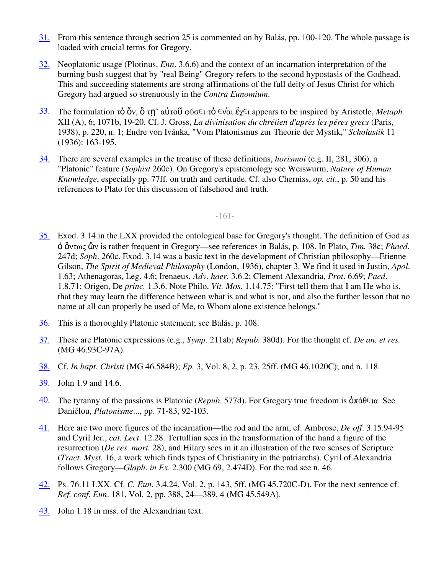- 31. From this sentence through section 25 is commented on by Balás, pp. 100-120. The whole passage is loaded with crucial terms for Gregory.
- 32. Neoplatonic usage (Plotinus, *Enn*. 3.6.6) and the context of an incarnation interpretation of the burning bush suggest that by "real Being" Gregory refers to the second hypostasis of the Godhead. This and succeeding statements are strong affirmations of the full deity of Jesus Christ for which Gregory had argued so strenuously in the *Contra Eunomium*.
- 33. The formulation τὸ ὄν, ὃ τῃˆ αὐτοῦ φύσ $\epsilon_1$  τὸ  $\epsilon$ ναι ἔχ $\epsilon_1$  appears to be inspired by Aristotle, *Metaph.* XII (A), 6; 1071b, 19-20. Cf. J. Gross, *La divinisation du chrétien d'après les péres grecs* (Paris, 1938), p. 220, n. 1; Endre von Ivánka, "Vom Platonismus zur Theorie der Mystik," *Scholastik* 11 (1936): 163-195.
- 34. There are several examples in the treatise of these definitions, *horismoi* (e.g. II, 281, 306), a "Platonic" feature (*Sophist* 260c). On Gregory's epistemology see Weiswurm, *Nature of Human Knowledge*, especially pp. 77ff. on truth and certitude. Cf. also Cherniss, *op. cit*., p. 50 and his references to Plato for this discussion of falsehood and truth.

-161-

- 35. Exod. 3.14 in the LXX provided the ontological base for Gregory's thought. The definition of God as ὁ ὄντως ὤν is rather frequent in Gregory—see references in Balás, p. 108. In Plato, *Tim.* 38c; *Phaed.* 247d; *Soph*. 260c. Exod. 3.14 was a basic text in the development of Christian philosophy—Etienne Gilson, *The Spirit of Medieval Philosophy* (London, 1936), chapter 3. We find it used in Justin, *Apol*. 1.63; Athenagoras, Leg. 4.6; Irenaeus, *Adv. haer*. 3.6.2; Clement Alexandria, *Prot*. 6.69; *Paed*. 1.8.71; Origen, De *princ.* 1.3.6. Note Philo, *Vit. Mos.* 1.14.75: "First tell them that I am He who is, that they may learn the difference between what is and what is not, and also the further lesson that no name at all can properly be used of Me, to Whom alone existence belongs."
- 36. This is a thoroughly Platonic statement; see Balás, p. 108.
- 37. These are Platonic expressions (e.g., *Symp.* 211ab; *Repub.* 380d). For the thought cf. *De an. et res.* (MG 46.93C-97A).
- 38. Cf. *In bapt. Christi* (MG 46.584B); *Ep.* 3, Vol. 8, 2, p. 23, 25ff. (MG 46.1020C); and n. 118.
- 39. John 1.9 and 14.6.
- 40. The tyranny of the passions is Platonic (*Repub*. 577d). For Gregory true freedom is ἀπάθ∈ια. See Daniélou, *Platonisme*..., pp. 71-83, 92-103.
- 41. Here are two more figures of the incarnation—the rod and the arm, cf. Ambrose, *De off*. 3.15.94-95 and Cyril Jer., *cat. Lect*. 12.28. Tertullian sees in the transformation of the hand a figure of the resurrection (*De res. mort.* 28), and Hilary sees in it an illustration of the two senses of Scripture (*Tract. Myst*. 16, a work which finds types of Christianity in the patriarchs). Cyril of Alexandria follows Gregory—*Glaph*. *in Ex*. 2.300 (MG 69, 2.474D). For the rod see n. 46.
- 42. Ps. 76.11 LXX. Cf. *C. Eun*. 3.4.24, Vol. 2, p. 143, 5ff. (MG 45.720C-D). For the next sentence cf. *Ref. conf. Eun*. 181, Vol. 2, pp. 388, 24—389, 4 (MG 45.549A).
- 43. John 1.18 in mss. of the Alexandrian text.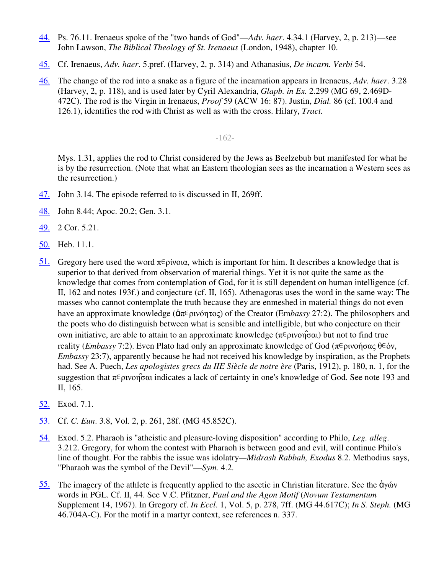- 44. Ps. 76.11. Irenaeus spoke of the "two hands of God"—*Adv. haer*. 4.34.1 (Harvey, 2, p. 213)—see John Lawson, *The Biblical Theology of St. Irenaeus* (London, 1948), chapter 10.
- 45. Cf. Irenaeus, *Adv. haer*. 5.pref. (Harvey, 2, p. 314) and Athanasius, *De incarn. Verbi* 54.
- 46. The change of the rod into a snake as a figure of the incarnation appears in Irenaeus, *Adv. haer*. 3.28 (Harvey, 2, p. 118), and is used later by Cyril Alexandria, *Glapb. in Ex.* 2.299 (MG 69, 2.469D-472C). The rod is the Virgin in Irenaeus, *Proof* 59 (ACW 16: 87). Justin, *Dial.* 86 (cf. 100.4 and 126.1), identifies the rod with Christ as well as with the cross. Hilary, *Tract.*

-162-

 Mys. 1.31, applies the rod to Christ considered by the Jews as Beelzebub but manifested for what he is by the resurrection. (Note that what an Eastern theologian sees as the incarnation a Western sees as the resurrection.)

- 47. John 3.14. The episode referred to is discussed in II, 269ff.
- 48. John 8.44; Apoc. 20.2; Gen. 3.1.
- 49. 2 Cor. 5.21.
- 50. Heb. 11.1.
- 51. Gregory here used the word π∈ρίνοια, which is important for him. It describes a knowledge that is superior to that derived from observation of material things. Yet it is not quite the same as the knowledge that comes from contemplation of God, for it is still dependent on human intelligence (cf. II, 162 and notes 193f.) and conjecture (cf. II, 165). Athenagoras uses the word in the same way: The masses who cannot contemplate the truth because they are enmeshed in material things do not even have an approximate knowledge ( $\hat{a}$ π $\in$ ρινόητος) of the Creator (Em*bassy* 27:2). The philosophers and the poets who do distinguish between what is sensible and intelligible, but who conjecture on their own initiative, are able to attain to an approximate knowledge (π $\epsilon$ ρινοησ $\alpha$ ι) but not to find true reality (*Embassy* 7:2). Even Plato had only an approximate knowledge of God (π ερινοήσας θ εόν, *Embassy* 23:7), apparently because he had not received his knowledge by inspiration, as the Prophets had. See A. Puech, *Les apologistes grecs du IIE Siècle de notre ère* (Paris, 1912), p. 180, n. 1, for the suggestion that  $\pi \epsilon$ ρινοησαι indicates a lack of certainty in one's knowledge of God. See note 193 and II, 165.
- 52. Exod. 7.1.
- 53. Cf. *C. Eun*. 3.8, Vol. 2, p. 261, 28f. (MG 45.852C).
- 54. Exod. 5.2. Pharaoh is "atheistic and pleasure-loving disposition" according to Philo, *Leg. alleg*. 3.212. Gregory, for whom the contest with Pharaoh is between good and evil, will continue Philo's line of thought. For the rabbis the issue was idolatry*—Midrash Rabbah, Exodus* 8.2. Methodius says, "Pharaoh was the symbol of the Devil"—*Sym.* 4.2.
- 55. The imagery of the athlete is frequently applied to the ascetic in Christian literature. See the άγών words in PGL. Cf. II, 44. See V.C. Pfitzner, *Paul and the Agon Motif* (*Novum Testamentum* Supplement 14, 1967). In Gregory cf. *In Eccl*. 1, Vol. 5, p. 278, 7ff. (MG 44.617C); *In S. Steph.* (MG 46.704A-C). For the motif in a martyr context, see references n. 337.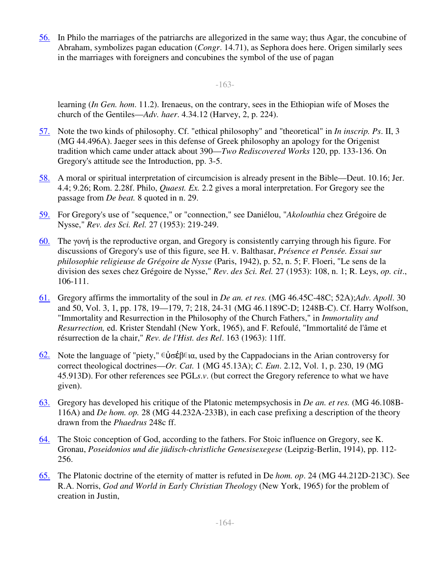56. In Philo the marriages of the patriarchs are allegorized in the same way; thus Agar, the concubine of Abraham, symbolizes pagan education (*Congr*. 14.71), as Sephora does here. Origen similarly sees in the marriages with foreigners and concubines the symbol of the use of pagan

-163-

 learning (*In Gen. hom*. 11.2). Irenaeus, on the contrary, sees in the Ethiopian wife of Moses the church of the Gentiles—*Adv. haer*. 4.34.12 (Harvey, 2, p. 224).

- 57. Note the two kinds of philosophy. Cf. "ethical philosophy" and "theoretical" in *In inscrip. Ps*. II, 3 (MG 44.496A). Jaeger sees in this defense of Greek philosophy an apology for the Origenist tradition which came under attack about 390—*Two Rediscovered Works* 120, pp. 133-136. On Gregory's attitude see the Introduction, pp. 3-5.
- 58. A moral or spiritual interpretation of circumcision is already present in the Bible—Deut. 10.16; Jer. 4.4; 9.26; Rom. 2.28f. Philo, *Quaest. Ex.* 2.2 gives a moral interpretation. For Gregory see the passage from *De beat.* 8 quoted in n. 29.
- 59. For Gregory's use of "sequence," or "connection," see Daniélou, "*Akolouthia* chez Grégoire de Nysse," *Rev. des Sci. Rel.* 27 (1953): 219-249.
- 60. The γονή is the reproductive organ, and Gregory is consistently carrying through his figure. For discussions of Gregory's use of this figure, see H. v. Balthasar, *Présence et Pensée. Essai sur philosophie religieuse de Grégoire de Nysse* (Paris, 1942), p. 52, n. 5; F. Floeri, "Le sens de la division des sexes chez Grégoire de Nysse," *Rev*. *des Sci. Rel.* 27 (1953): 108, n. 1; R. Leys, *op. cit*., 106-111.
- 61. Gregory affirms the immortality of the soul in *De an. et res.* (MG 46.45C-48C; 52A);*Adv. Apoll*. 30 and 50, Vol. 3, 1, pp. 178, 19—179, 7; 218, 24-31 (MG 46.1189C-D; 1248B-C). Cf. Harry Wolfson, "Immortality and Resurrection in the Philosophy of the Church Fathers," in *Immortality and Resurrection,* ed. Krister Stendahl (New York, 1965), and F. Refoulé, "Immortalité de l'âme et résurrection de la chair," *Rev. de l'Hist. des Rel*. 163 (1963): 11ff.
- 62. Note the language of "piety,"  $\epsilon \dot{\phi}$ σέβ $\epsilon$ ια, used by the Cappadocians in the Arian controversy for correct theological doctrines—*Or. Cat.* 1 (MG 45.13A); *C. Eun*. 2.12, Vol. 1, p. 230, 19 (MG 45.913D). For other references see PGL*s*.*v*. (but correct the Gregory reference to what we have given).
- 63. Gregory has developed his critique of the Platonic metempsychosis in *De an. et res.* (MG 46.108B-116A) and *De hom. op.* 28 (MG 44.232A-233B), in each case prefixing a description of the theory drawn from the *Phaedrus* 248c ff.
- 64. The Stoic conception of God, according to the fathers. For Stoic influence on Gregory, see K. Gronau, *Poseidonios und die jüdisch-christliche Genesisexegese* (Leipzig-Berlin, 1914), pp. 112- 256.
- 65. The Platonic doctrine of the eternity of matter is refuted in De *hom. op*. 24 (MG 44.212D-213C). See R.A. Norris, *God and World in Early Christian Theology* (New York, 1965) for the problem of creation in Justin,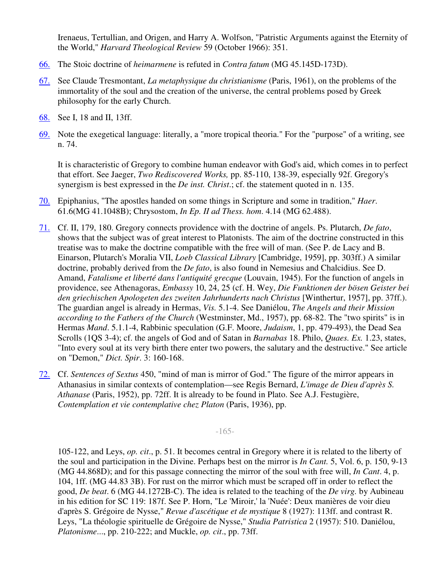Irenaeus, Tertullian, and Origen, and Harry A. Wolfson, "Patristic Arguments against the Eternity of the World," *Harvard Theological Review* 59 (October 1966): 351.

- 66. The Stoic doctrine of *heimarmene* is refuted in *Contra fatum* (MG 45.145D-173D).
- 67. See Claude Tresmontant, *La metaphysique du christianisme* (Paris, 1961), on the problems of the immortality of the soul and the creation of the universe, the central problems posed by Greek philosophy for the early Church.
- 68. See I, 18 and II, 13ff.
- 69. Note the exegetical language: literally, a "more tropical theoria." For the "purpose" of a writing, see n. 74.

It is characteristic of Gregory to combine human endeavor with God's aid, which comes in to perfect that effort. See Jaeger, *Two Rediscovered Works,* pp. 85-110, 138-39, especially 92f. Gregory's synergism is best expressed in the *De inst. Christ*.; cf. the statement quoted in n. 135.

- 70. Epiphanius, "The apostles handed on some things in Scripture and some in tradition," *Haer*. 61.6(MG 41.1048B); Chrysostom, *In Ep. II ad Thess. hom*. 4.14 (MG 62.488).
- 71. Cf. II, 179, 180. Gregory connects providence with the doctrine of angels. Ps. Plutarch, *De fato*, shows that the subject was of great interest to Platonists. The aim of the doctrine constructed in this treatise was to make the doctrine compatible with the free will of man. (See P. de Lacy and B. Einarson, Plutarch's Moralia VII, *Loeb Classical Library* [Cambridge, 1959], pp. 303ff.) A similar doctrine, probably derived from the *De fato*, is also found in Nemesius and Chalcidius. See D. Amand, *Fatalisme et liberté dans l'antiquité grecque* (Louvain, 1945). For the function of angels in providence, see Athenagoras, *Embassy* 10, 24, 25 (cf. H. Wey, *Die Funktionen der bösen Geister bei den griechischen Apologeten des zweiten Jahrhunderts nach Christus* [Winthertur, 1957], pp. 37ff.). The guardian angel is already in Hermas, *Vis.* 5.1-4. See Daniélou, *The Angels and their Mission according to the Fathers of the Church* (Westminster, Md., 1957), pp. 68-82. The "two spirits" is in Hermas *Mand*. 5.1.1-4, Rabbinic speculation (G.F. Moore, *Judaism*, 1, pp. 479-493), the Dead Sea Scrolls (1QS 3-4); cf. the angels of God and of Satan in *Barnabas* 18. Philo, *Quaes. Ex.* 1.23, states, "Into every soul at its very birth there enter two powers, the salutary and the destructive." See article on "Demon," *Dict. Spir*. 3: 160-168.
- 72. Cf. *Sentences of Sextus* 450, "mind of man is mirror of God." The figure of the mirror appears in Athanasius in similar contexts of contemplation—see Regis Bernard, *L'image de Dieu d'après S. Athanase* (Paris, 1952), pp. 72ff. It is already to be found in Plato. See A.J. Festugière, *Contemplation et vie contemplative chez Platon* (Paris, 1936), pp.

-165-

 105-122, and Leys, *op. cit*., p. 51. It becomes central in Gregory where it is related to the liberty of the soul and participation in the Divine. Perhaps best on the mirror is *In Cant.* 5, Vol. 6, p. 150, 9-13 (MG 44.868D); and for this passage connecting the mirror of the soul with free will, *In Cant*. 4, p. 104, 1ff. (MG 44.83 3B). For rust on the mirror which must be scraped off in order to reflect the good, *De beat*. 6 (MG 44.1272B-C). The idea is related to the teaching of the *De virg.* by Aubineau in his edition for SC 119: 187f. See P. Horn, "Le 'Miroir,' la 'Nuée': Deux manières de voir dieu d'après S. Grégoire de Nysse," *Revue d'ascétique et de mystique* 8 (1927): 113ff. and contrast R. Leys, "La théologie spirituelle de Grégoire de Nysse," *Studia Patristica* 2 (1957): 510. Daniélou, *Platonisme*..., pp. 210-222; and Muckle, *op. cit*., pp. 73ff.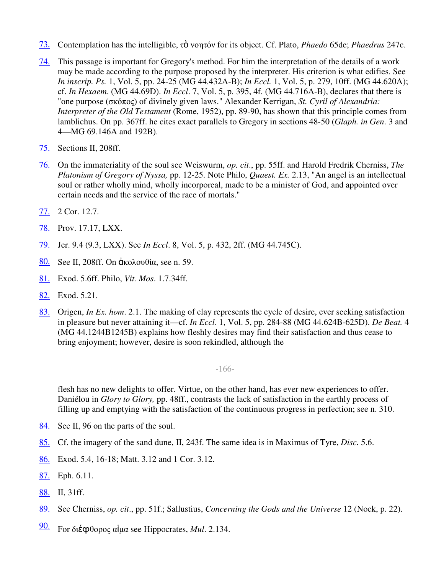- 73. Contemplation has the intelligible, τὸ νοητόν for its object. Cf. Plato, *Phaedo* 65de; *Phaedrus* 247c.
- 74. This passage is important for Gregory's method. For him the interpretation of the details of a work may be made according to the purpose proposed by the interpreter. His criterion is what edifies. See *In inscrip. Ps.* 1, Vol. 5, pp. 24-25 (MG 44.432A-B); *In Eccl.* 1, Vol. 5, p. 279, 10ff. (MG 44.620A); cf. *In Hexaem*. (MG 44.69D). *In Eccl*. 7, Vol. 5, p. 395, 4f. (MG 44.716A-B), declares that there is "one purpose (σκόπος) of divinely given laws." Alexander Kerrigan, *St. Cyril of Alexandria: Interpreter of the Old Testament* (Rome, 1952), pp. 89-90, has shown that this principle comes from lamblichus. On pp. 367ff. he cites exact parallels to Gregory in sections 48-50 (*Glaph. in Gen*. 3 and 4—MG 69.146A and 192B).
- 75. Sections II, 208ff.
- 76. On the immateriality of the soul see Weiswurm, *op. cit*., pp. 55ff. and Harold Fredrik Cherniss, *The Platonism of Gregory of Nyssa,* pp. 12-25. Note Philo, *Quaest. Ex.* 2.13, "An angel is an intellectual soul or rather wholly mind, wholly incorporeal, made to be a minister of God, and appointed over certain needs and the service of the race of mortals."
- 77. 2 Cor. 12.7.
- 78. Prov. 17.17, LXX.
- 79. Jer. 9.4 (9.3, LXX). See *In Eccl*. 8, Vol. 5, p. 432, 2ff. (MG 44.745C).
- 80. See II, 208ff. On άκολουθία, see n. 59.
- 81. Exod. 5.6ff. Philo, *Vit. Mos*. 1.7.34ff.
- 82. Exod. 5.21.
- 83. Origen, *In Ex. hom*. 2.1. The making of clay represents the cycle of desire, ever seeking satisfaction in pleasure but never attaining it—cf. *In Eccl*. 1, Vol. 5, pp. 284-88 (MG 44.624B-625D). *De Beat.* 4 (MG 44.1244B1245B) explains how fleshly desires may find their satisfaction and thus cease to bring enjoyment; however, desire is soon rekindled, although the

-166-

 flesh has no new delights to offer. Virtue, on the other hand, has ever new experiences to offer. Daniélou in *Glory to Glory,* pp. 48ff., contrasts the lack of satisfaction in the earthly process of filling up and emptying with the satisfaction of the continuous progress in perfection; see n. 310.

- 84. See II, 96 on the parts of the soul.
- 85. Cf. the imagery of the sand dune, II, 243f. The same idea is in Maximus of Tyre, *Disc.* 5.6.
- 86. Exod. 5.4, 16-18; Matt. 3.12 and 1 Cor. 3.12.
- 87. Eph. 6.11.
- 88. II, 31ff.
- 89. See Cherniss, *op. cit*., pp. 51f.; Sallustius, *Concerning the Gods and the Universe* 12 (Nock, p. 22).
- 90. For διέϕθορος <sup>α</sup>ἱµα see Hippocrates, *Mul*. 2.134.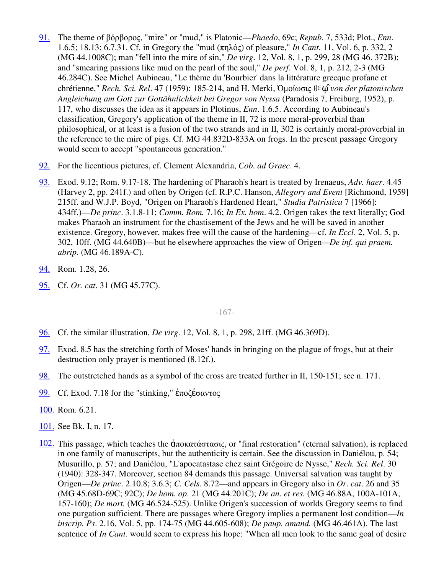- 91. The theme of βόρβορος, "mire" or "mud," is Platonic—*Phaedo*, 69c; *Repub.* 7, 533d; Plot., *Enn*. 1.6.5; 18.13; 6.7.31. Cf. in Gregory the "mud (πηλός) of pleasure," *In Cant.* 11, Vol. 6, p. 332, 2 (MG 44.1008C); man "fell into the mire of sin," *De virg*. 12, Vol. 8, 1, p. 299, 28 (MG 46. 372B); and "smearing passions like mud on the pearl of the soul," *De perf*. Vol. 8, 1, p. 212, 2-3 (MG 46.284C). See Michel Aubineau, "Le thème du 'Bourbier' dans la littérature grecque profane et chrétienne," *Rech. Sci. Rel.* 47 (1959): 185-214, and H. Merki, Όμοίωσις θ∈ω̂*ν on der platonischen Angleichung am Gott zur Gottähnlichkeit bei Gregor von Nyssa* (Paradosis 7, Freiburg, 1952), p. 117, who discusses the idea as it appears in Plotinus, *Enn*. 1.6.5. According to Aubineau's classification, Gregory's application of the theme in II, 72 is more moral-proverbial than philosophical, or at least is a fusion of the two strands and in II, 302 is certainly moral-proverbial in the reference to the mire of pigs. Cf. MG 44.832D-833A on frogs. In the present passage Gregory would seem to accept "spontaneous generation."
- 92. For the licentious pictures, cf. Clement Alexandria, *Cob. ad Graec*. 4.
- 93. Exod. 9.12; Rom. 9.17-18. The hardening of Pharaoh's heart is treated by Irenaeus, *Adv. haer*. 4.45 (Harvey 2, pp. 241f.) and often by Origen (cf. R.P.C. Hanson, *Allegory and Event* [Richmond, 1959] 215ff. and W.J.P. Boyd, "Origen on Pharaoh's Hardened Heart," *Studia Patristica* 7 [1966]: 434ff.)—*De princ*. 3.1.8-11; *Comm. Rom.* 7.16; *In Ex. hom*. 4.2. Origen takes the text literally; God makes Pharaoh an instrument for the chastisement of the Jews and he will be saved in another existence. Gregory, however, makes free will the cause of the hardening—cf. *In Eccl*. 2, Vol. 5, p. 302, 10ff. (MG 44.640B)—but he elsewhere approaches the view of Origen*—De inf. qui praem. abrip.* (MG 46.189A-C).
- 94. Rom. 1.28, 26.
- 95. Cf. *Or. cat*. 31 (MG 45.77C).

-167-

- 96. Cf. the similar illustration, *De virg*. 12, Vol. 8, 1, p. 298, 21ff. (MG 46.369D).
- 97. Exod. 8.5 has the stretching forth of Moses' hands in bringing on the plague of frogs, but at their destruction only prayer is mentioned (8.12f.).
- 98. The outstretched hands as a symbol of the cross are treated further in II, 150-151; see n. 171.
- 99. Cf. Exod. 7.18 for the "stinking," έποζέσαντος
- 100. Rom. 6.21.
- 101. See Bk. I, n. 17.
- $102$ . This passage, which teaches the ἀποκατάστασις, or "final restoration" (eternal salvation), is replaced in one family of manuscripts, but the authenticity is certain. See the discussion in Daniélou, p. 54; Musurillo, p. 57; and Daniélou, "L'apocatastase chez saint Grégoire de Nysse," *Rech. Sci. Rel*. 30 (1940): 328-347. Moreover, section 84 demands this passage. Universal salvation was taught by Origen—*De princ*. 2.10.8; 3.6.3; *C. Cels.* 8.72—and appears in Gregory also in *Or*. *cat*. 26 and 35 (MG 45.68D-69C; 92C); *De hom. op*. 21 (MG 44.201C); *De an*. *et res.* (MG 46.88A, 100A-101A, 157-160); *De mort.* (MG 46.524-525). Unlike Origen's succession of worlds Gregory seems to find one purgation sufficient. There are passages where Gregory implies a permanent lost condition—*In inscrip. Ps*. 2.16, Vol. 5, pp. 174-75 (MG 44.605-608); *De paup. amand.* (MG 46.461A). The last sentence of *In Cant*. would seem to express his hope: "When all men look to the same goal of desire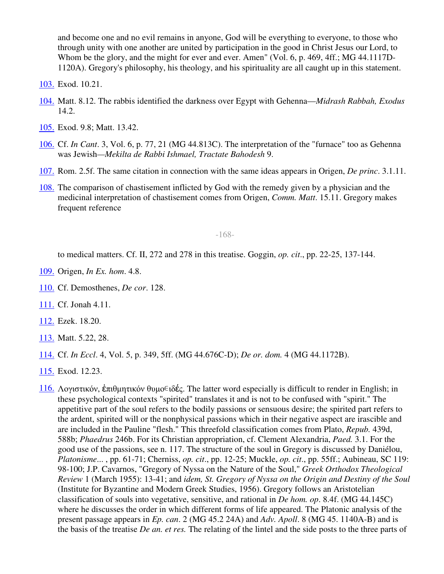and become one and no evil remains in anyone, God will be everything to everyone, to those who through unity with one another are united by participation in the good in Christ Jesus our Lord, to Whom be the glory, and the might for ever and ever. Amen" (Vol. 6, p. 469, 4ff.; MG 44.1117D-1120A). Gregory's philosophy, his theology, and his spirituality are all caught up in this statement.

- 103. Exod. 10.21.
- 104. Matt. 8.12. The rabbis identified the darkness over Egypt with Gehenna—*Midrash Rabbah, Exodus* 14.2.
- 105. Exod. 9.8; Matt. 13.42.
- 106. Cf. *In Cant*. 3, Vol. 6, p. 77, 21 (MG 44.813C). The interpretation of the "furnace" too as Gehenna was Jewish*—Mekilta de Rabbi Ishmael, Tractate Bahodesh* 9.
- 107. Rom. 2.5f. The same citation in connection with the same ideas appears in Origen, *De princ*. 3.1.11.
- 108. The comparison of chastisement inflicted by God with the remedy given by a physician and the medicinal interpretation of chastisement comes from Origen, *Comm. Matt*. 15.11. Gregory makes frequent reference

#### -168-

to medical matters. Cf. II, 272 and 278 in this treatise. Goggin, *op. cit*., pp. 22-25, 137-144.

- 109. Origen, *In Ex. hom*. 4.8.
- 110. Cf. Demosthenes, *De cor*. 128.
- 111. Cf. Jonah 4.11.
- 112. Ezek. 18.20.
- 113. Matt. 5.22, 28.
- 114. Cf. *In Eccl*. 4, Vol. 5, p. 349, 5ff. (MG 44.676C-D); *De or. dom.* 4 (MG 44.1172B).
- 115. Exod. 12.23.
- $116$ . Λογιστικόν, έπιθμητικόν θυμο $\epsilon$ ιδές. The latter word especially is difficult to render in English; in these psychological contexts "spirited" translates it and is not to be confused with "spirit." The appetitive part of the soul refers to the bodily passions or sensuous desire; the spirited part refers to the ardent, spirited will or the nonphysical passions which in their negative aspect are irascible and are included in the Pauline "flesh." This threefold classification comes from Plato, *Repub.* 439d, 588b; *Phaedrus* 246b. For its Christian appropriation, cf. Clement Alexandria, *Paed.* 3.1. For the good use of the passions, see n. 117. The structure of the soul in Gregory is discussed by Daniélou, *Platonisme*... , pp. 61-71; Cherniss, *op. cit*., pp. 12-25; Muckle, *op. cit*., pp. 55ff.; Aubineau, SC 119: 98-100; J.P. Cavarnos, "Gregory of Nyssa on the Nature of the Soul," *Greek Orthodox Theological Review* 1 (March 1955): 13-41; and *idem, St. Gregory of Nyssa on the Origin and Destiny of the Soul* (Institute for Byzantine and Modern Greek Studies, 1956). Gregory follows an Aristotelian classification of souls into vegetative, sensitive, and rational in *De hom. op*. 8.4f. (MG 44.145C) where he discusses the order in which different forms of life appeared. The Platonic analysis of the present passage appears in *Ep. can*. 2 (MG 45.2 24A) and *Adv. Apoll*. 8 (MG 45. 1140A-B) and is the basis of the treatise *De an. et res.* The relating of the lintel and the side posts to the three parts of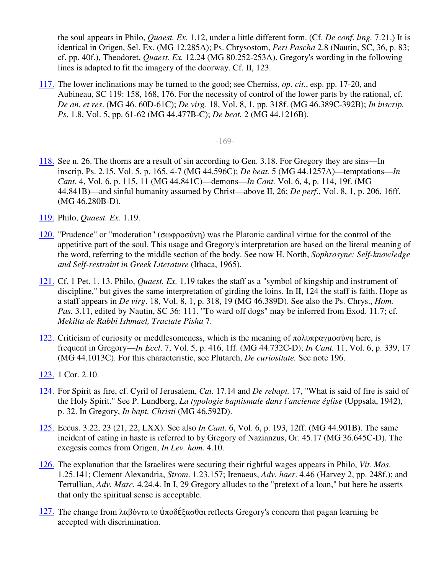the soul appears in Philo, *Quaest. Ex*. 1.12, under a little different form. (Cf. *De conf*. *ling.* 7.21.) It is identical in Origen, Sel. Ex. (MG 12.285A); Ps. Chrysostom, *Peri Pascha* 2.8 (Nautin, SC, 36, p. 83; cf. pp. 40f.), Theodoret, *Quaest. Ex.* 12.24 (MG 80.252-253A). Gregory's wording in the following lines is adapted to fit the imagery of the doorway. Cf. II, 123.

117. The lower inclinations may be turned to the good; see Cherniss, *op. cit*., esp. pp. 17-20, and Aubineau, SC 119: 158, 168, 176. For the necessity of control of the lower parts by the rational, cf. *De an. et res*. (MG 46. 60D-61C); *De virg*. 18, Vol. 8, 1, pp. 318f. (MG 46.389C-392B); *In inscrip. Ps*. 1.8, Vol. 5, pp. 61-62 (MG 44.477B-C); *De beat.* 2 (MG 44.1216B).

-169-

- 118. See n. 26. The thorns are a result of sin according to Gen. 3.18. For Gregory they are sins—In inscrip. Ps. 2.15, Vol. 5, p. 165, 4-7 (MG 44.596C); *De beat.* 5 (MG 44.1257A)—temptations—*In Cant*. 4, Vol. 6, p. 115, 11 (MG 44.841C)—demons—*In Cant.* Vol. 6, 4, p. 114, 19f. (MG 44.841B)—and sinful humanity assumed by Christ—above II, 26; *De perf*., Vol. 8, 1, p. 206, 16ff. (MG 46.280B-D).
- 119. Philo, *Quaest. Ex.* 1.19.
- 120. "Prudence" or "moderation" (σωφροσύνη) was the Platonic cardinal virtue for the control of the appetitive part of the soul. This usage and Gregory's interpretation are based on the literal meaning of the word, referring to the middle section of the body. See now H. North, *Sophrosyne: Self-knowledge and Self-restraint in Greek Literature* (Ithaca, 1965).
- 121. Cf. 1 Pet. 1. 13. Philo, *Quaest. Ex.* 1.19 takes the staff as a "symbol of kingship and instrument of discipline," but gives the same interpretation of girding the loins. In II, 124 the staff is faith. Hope as a staff appears in *De virg*. 18, Vol. 8, 1, p. 318, 19 (MG 46.389D). See also the Ps. Chrys., *Hom. Pas.* 3.11, edited by Nautin, SC 36: 111. "To ward off dogs" may be inferred from Exod. 11.7; cf. *Mekilta de Rabbi Ishmael, Tractate Pisha* 7.
- 122. Criticism of curiosity or meddlesomeness, which is the meaning of πολυπραγµοσύνη here, is frequent in Gregory—*In Eccl*. 7, Vol. 5, p. 416, 1ff. (MG 44.732C-D); *In Cant.* 11, Vol. 6, p. 339, 17 (MG 44.1013C). For this characteristic, see Plutarch, *De curiositate.* See note 196.
- 123. 1 Cor. 2.10.
- 124. For Spirit as fire, cf. Cyril of Jerusalem, *Cat.* 17.14 and *De rebapt.* 17, "What is said of fire is said of the Holy Spirit." See P. Lundberg, *La typologie baptismale dans l'ancienne église* (Uppsala, 1942), p. 32. In Gregory, *In bapt. Christi* (MG 46.592D).
- 125. Eccus. 3.22, 23 (21, 22, LXX). See also *In Cant.* 6, Vol. 6, p. 193, 12ff. (MG 44.901B). The same incident of eating in haste is referred to by Gregory of Nazianzus, Or. 45.17 (MG 36.645C-D). The exegesis comes from Origen, *In Lev. hom*. 4.10.
- 126. The explanation that the Israelites were securing their rightful wages appears in Philo, *Vit. Mos*. 1.25.141; Clement Alexandria, *Strom*. 1.23.157; Irenaeus, *Adv. haer*. 4.46 (Harvey 2, pp. 248f.); and Tertullian, *Adv. Marc.* 4.24.4. In I, 29 Gregory alludes to the "pretext of a loan," but here he asserts that only the spiritual sense is acceptable.
- 127. The change from λαβόντα to ὑποδέξασθαι reflects Gregory's concern that pagan learning be accepted with discrimination.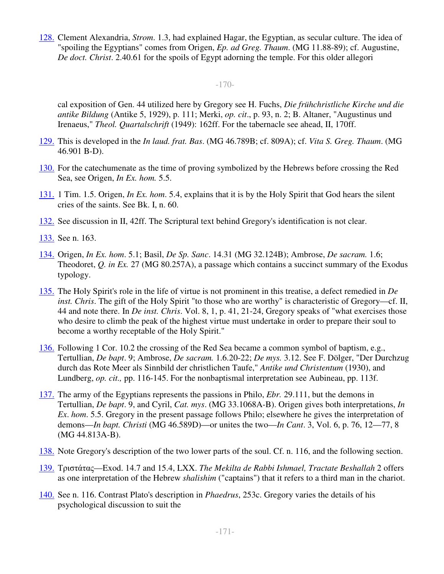128. Clement Alexandria, *Strom*. 1.3, had explained Hagar, the Egyptian, as secular culture. The idea of "spoiling the Egyptians" comes from Origen, *Ep. ad Greg. Thaum*. (MG 11.88-89); cf. Augustine, *De doct. Christ*. 2.40.61 for the spoils of Egypt adorning the temple. For this older allegori

### -170-

 cal exposition of Gen. 44 utilized here by Gregory see H. Fuchs, *Die frühchristliche Kirche und die antike Bildung* (Antike 5, 1929), p. 111; Merki, *op. cit*., p. 93, n. 2; B. Altaner, "Augustinus und Irenaeus," *Theol. Quartalschrift* (1949): 162ff. For the tabernacle see ahead, II, 170ff.

- 129. This is developed in the *In laud. frat. Bas*. (MG 46.789B; cf. 809A); cf. *Vita S. Greg. Thaum*. (MG 46.901 B-D).
- 130. For the catechumenate as the time of proving symbolized by the Hebrews before crossing the Red Sea, see Origen, *In Ex. hom.* 5.5.
- 131. 1 Tim. 1.5. Origen, *In Ex. hom*. 5.4, explains that it is by the Holy Spirit that God hears the silent cries of the saints. See Bk. I, n. 60.
- 132. See discussion in II, 42ff. The Scriptural text behind Gregory's identification is not clear.
- 133. See n. 163.
- 134. Origen, *In Ex. hom*. 5.1; Basil, *De Sp. Sanc*. 14.31 (MG 32.124B); Ambrose, *De sacram.* 1.6; Theodoret, *Q. in Ex.* 27 (MG 80.257A), a passage which contains a succinct summary of the Exodus typology.
- 135. The Holy Spirit's role in the life of virtue is not prominent in this treatise, a defect remedied in *De inst. Chris*. The gift of the Holy Spirit "to those who are worthy" is characteristic of Gregory—cf. II, 44 and note there. In *De inst. Chris*. Vol. 8, 1, p. 41, 21-24, Gregory speaks of "what exercises those who desire to climb the peak of the highest virtue must undertake in order to prepare their soul to become a worthy receptable of the Holy Spirit."
- 136. Following 1 Cor. 10.2 the crossing of the Red Sea became a common symbol of baptism, e.g., Tertullian, *De bapt*. 9; Ambrose, *De sacram.* 1.6.20-22; *De mys.* 3.12. See F. Dölger, "Der Durchzug durch das Rote Meer als Sinnbild der christlichen Taufe," *Antike und Christentum* (1930), and Lundberg, *op. cit.,* pp. 116-145. For the nonbaptismal interpretation see Aubineau, pp. 113f.
- 137. The army of the Egyptians represents the passions in Philo, *Ebr.* 29.111, but the demons in Tertullian, *De bapt*. 9, and Cyril, *Cat. mys*. (MG 33.1068A-B). Origen gives both interpretations, *In Ex*. *hom*. 5.5. Gregory in the present passage follows Philo; elsewhere he gives the interpretation of demons—*In bapt. Christi* (MG 46.589D)—or unites the two—*In Cant*. 3, Vol. 6, p. 76, 12—77, 8 (MG 44.813A-B).
- 138. Note Gregory's description of the two lower parts of the soul. Cf. n. 116, and the following section.
- 139. Τριστάτας—Exod. 14.7 and 15.4, LXX. *The Mekilta de Rabbi Ishmael, Tractate Beshallah* 2 offers as one interpretation of the Hebrew *shalishim* ("captains") that it refers to a third man in the chariot.
- 140. See n. 116. Contrast Plato's description in *Phaedrus*, 253c. Gregory varies the details of his psychological discussion to suit the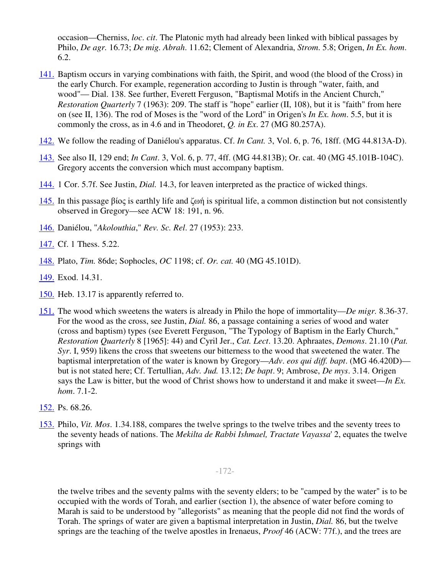occasion—Cherniss, *loc*. *cit*. The Platonic myth had already been linked with biblical passages by Philo, *De agr.* 16.73; *De mig. Abrah*. 11.62; Clement of Alexandria, *Strom*. 5.8; Origen, *In Ex. hom*. 6.2.

- 141. Baptism occurs in varying combinations with faith, the Spirit, and wood (the blood of the Cross) in the early Church. For example, regeneration according to Justin is through "water, faith, and wood"— Dial. 138. See further, Everett Ferguson, "Baptismal Motifs in the Ancient Church," *Restoration Quarterly* 7 (1963): 209. The staff is "hope" earlier (II, 108), but it is "faith" from here on (see II, 136). The rod of Moses is the "word of the Lord" in Origen's *In Ex. hom*. 5.5, but it is commonly the cross, as in 4.6 and in Theodoret, *Q. in Ex*. 27 (MG 80.257A).
- 142. We follow the reading of Daniélou's apparatus. Cf. *In Cant.* 3, Vol. 6, p. 76, 18ff. (MG 44.813A-D).
- 143. See also II, 129 end; *In Cant*. 3, Vol. 6, p. 77, 4ff. (MG 44.813B); Or. cat. 40 (MG 45.101B-104C). Gregory accents the conversion which must accompany baptism.
- 144. 1 Cor. 5.7f. See Justin, *Dial.* 14.3, for leaven interpreted as the practice of wicked things.
- 145. In this passage βίος is earthly life and ζωή is spiritual life, a common distinction but not consistently observed in Gregory—see ACW 18: 191, n. 96.
- 146. Daniélou, "*Akolouthia*," *Rev. Sc. Rel*. 27 (1953): 233.
- 147. Cf. 1 Thess. 5.22.
- 148. Plato, *Tim.* 86de; Sophocles, *OC* 1198; cf. *Or. cat.* 40 (MG 45.101D).
- 149. Exod. 14.31.
- 150. Heb. 13.17 is apparently referred to.
- 151. The wood which sweetens the waters is already in Philo the hope of immortality—*De migr.* 8.36-37. For the wood as the cross, see Justin, *Dial.* 86, a passage containing a series of wood and water (cross and baptism) types (see Everett Ferguson, "The Typology of Baptism in the Early Church," *Restoration Quarterly* 8 [1965]: 44) and Cyril Jer., *Cat. Lect*. 13.20. Aphraates, *Demons*. 21.10 (*Pat. Syr*. I, 959) likens the cross that sweetens our bitterness to the wood that sweetened the water. The baptismal interpretation of the water is known by Gregory—*Adv*. *eos qui diff. bapt*. (MG 46.420D) but is not stated here; Cf. Tertullian, *Adv. Jud.* 13.12; *De bapt*. 9; Ambrose, *De mys*. 3.14. Origen says the Law is bitter, but the wood of Christ shows how to understand it and make it sweet—*In Ex. hom*. 7.1-2.
- 152. Ps. 68.26.
- 153. Philo, *Vit. Mos*. 1.34.188, compares the twelve springs to the twelve tribes and the seventy trees to the seventy heads of nations. The *Mekilta de Rabbi Ishmael, Tractate Vayassa*' 2, equates the twelve springs with

-172-

 the twelve tribes and the seventy palms with the seventy elders; to be "camped by the water" is to be occupied with the words of Torah, and earlier (section 1), the absence of water before coming to Marah is said to be understood by "allegorists" as meaning that the people did not find the words of Torah. The springs of water are given a baptismal interpretation in Justin, *Dial.* 86, but the twelve springs are the teaching of the twelve apostles in Irenaeus, *Proof* 46 (ACW: 77f.), and the trees are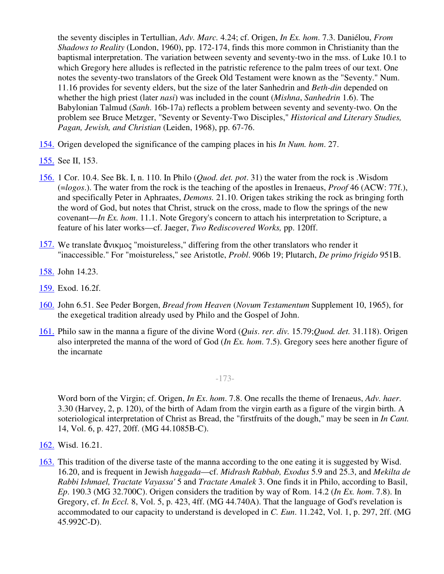the seventy disciples in Tertullian, *Adv. Marc.* 4.24; cf. Origen, *In Ex. hom*. 7.3. Daniélou, *From Shadows to Reality* (London, 1960), pp. 172-174, finds this more common in Christianity than the baptismal interpretation. The variation between seventy and seventy-two in the mss. of Luke 10.1 to which Gregory here alludes is reflected in the patristic reference to the palm trees of our text. One notes the seventy-two translators of the Greek Old Testament were known as the "Seventy." Num. 11.16 provides for seventy elders, but the size of the later Sanhedrin and *Beth-din* depended on whether the high priest (later *nasi*) was included in the count (*Mishna*, *Sanhedrin* 1.6). The Babylonian Talmud (*Sanh*. 16b-17a) reflects a problem between seventy and seventy-two. On the problem see Bruce Metzger, "Seventy or Seventy-Two Disciples," *Historical and Literary Studies, Pagan, Jewish, and Christian* (Leiden, 1968), pp. 67-76.

- 154. Origen developed the significance of the camping places in his *In Num. hom*. 27.
- 155. See II, 153.
- 156. 1 Cor. 10.4. See Bk. I, n. 110. In Philo (*Quod. det. pot*. 31) the water from the rock is .Wisdom (=*logos*.). The water from the rock is the teaching of the apostles in Irenaeus, *Proof* 46 (ACW: 77f.), and specifically Peter in Aphraates, *Demons.* 21.10. Origen takes striking the rock as bringing forth the word of God, but notes that Christ, struck on the cross, made to flow the springs of the new covenant—*In Ex. hom*. 11.1. Note Gregory's concern to attach his interpretation to Scripture, a feature of his later works—cf. Jaeger, *Two Rediscovered Works,* pp. 120ff.
- 157. We translate ἄνικµος "moistureless," differing from the other translators who render it "inaccessible." For "moistureless," see Aristotle, *Probl*. 906b 19; Plutarch, *De primo frigido* 951B.
- 158. John 14.23.
- 159. Exod. 16.2f.
- 160. John 6.51. See Peder Borgen, *Bread from Heaven* (*Novum Testamentum* Supplement 10, 1965), for the exegetical tradition already used by Philo and the Gospel of John.
- 161. Philo saw in the manna a figure of the divine Word (*Quis*. *rer. div.* 15.79;*Quod. det.* 31.118). Origen also interpreted the manna of the word of God (*In Ex. hom*. 7.5). Gregory sees here another figure of the incarnate

-173-

 Word born of the Virgin; cf. Origen, *In Ex*. *hom*. 7.8. One recalls the theme of Irenaeus, *Adv. haer*. 3.30 (Harvey, 2, p. 120), of the birth of Adam from the virgin earth as a figure of the virgin birth. A soteriological interpretation of Christ as Bread, the "firstfruits of the dough," may be seen in *In Cant.* 14, Vol. 6, p. 427, 20ff. (MG 44.1085B-C).

- 162. Wisd. 16.21.
- 163. This tradition of the diverse taste of the manna according to the one eating it is suggested by Wisd. 16.20, and is frequent in Jewish *haggada*—cf. *Midrash Rabbab, Exodus* 5.9 and 25.3, and *Mekilta de Rabbi Ishmael, Tractate Vayassa'* 5 and *Tractate Amalek* 3. One finds it in Philo, according to Basil, *Ep*. 190.3 (MG 32.700C). Origen considers the tradition by way of Rom. 14.2 (*In Ex. hom*. 7.8). In Gregory, cf. *In Eccl.* 8, Vol. 5, p. 423, 4ff. (MG 44.740A). That the language of God's revelation is accommodated to our capacity to understand is developed in *C. Eun*. 11.242, Vol. 1, p. 297, 2ff. (MG 45.992C-D).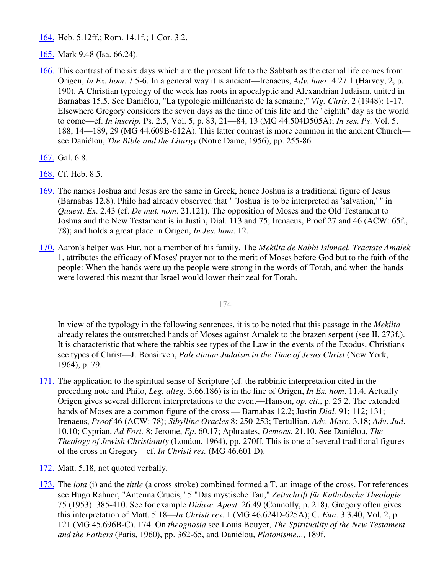- 164. Heb. 5.12ff.; Rom. 14.1f.; 1 Cor. 3.2.
- 165. Mark 9.48 (Isa. 66.24).
- 166. This contrast of the six days which are the present life to the Sabbath as the eternal life comes from Origen, *In Ex. hom*. 7.5-6. In a general way it is ancient—Irenaeus, *Adv. haer.* 4.27.1 (Harvey, 2, p. 190). A Christian typology of the week has roots in apocalyptic and Alexandrian Judaism, united in Barnabas 15.5. See Daniélou, "La typologie millénariste de la semaine," *Vig. Chris*. 2 (1948): 1-17. Elsewhere Gregory considers the seven days as the time of this life and the "eighth" day as the world to come—cf. *In inscrip.* Ps. 2.5, Vol. 5, p. 83, 21—84, 13 (MG 44.504D505A); *In sex*. *Ps*. Vol. 5, 188, 14—189, 29 (MG 44.609B-612A). This latter contrast is more common in the ancient Church see Daniélou, *The Bible and the Liturgy* (Notre Dame, 1956), pp. 255-86.

167. Gal. 6.8.

168. Cf. Heb. 8.5.

- 169. The names Joshua and Jesus are the same in Greek, hence Joshua is a traditional figure of Jesus (Barnabas 12.8). Philo had already observed that " 'Joshua' is to be interpreted as 'salvation,' " in *Quaest*. *Ex*. 2.43 (cf. *De mut. nom*. 21.121). The opposition of Moses and the Old Testament to Joshua and the New Testament is in Justin, Dial. 113 and 75; Irenaeus, Proof 27 and 46 (ACW: 65f., 78); and holds a great place in Origen, *In Jes. hom*. 12.
- 170. Aaron's helper was Hur, not a member of his family. The *Mekilta de Rabbi Ishmael, Tractate Amalek* 1, attributes the efficacy of Moses' prayer not to the merit of Moses before God but to the faith of the people: When the hands were up the people were strong in the words of Torah, and when the hands were lowered this meant that Israel would lower their zeal for Torah.

-174-

 In view of the typology in the following sentences, it is to be noted that this passage in the *Mekilta* already relates the outstretched hands of Moses against Amalek to the brazen serpent (see II, 273f.). It is characteristic that where the rabbis see types of the Law in the events of the Exodus, Christians see types of Christ—J. Bonsirven, *Palestinian Judaism in the Time of Jesus Christ* (New York, 1964), p. 79.

- 171. The application to the spiritual sense of Scripture (cf. the rabbinic interpretation cited in the preceding note and Philo, *Leg. alleg*. 3.66.186) is in the line of Origen, *In Ex. hom*. 11.4. Actually Origen gives several different interpretations to the event—Hanson, *op. cit*., p. 25 2. The extended hands of Moses are a common figure of the cross — Barnabas 12.2; Justin *Dial.* 91; 112; 131; Irenaeus, *Proof* 46 (ACW: 78); *Sibylline Oracles* 8: 250-253; Tertullian, *Adv. Marc.* 3.18; *Adv*. *Jud*. 10.10; Cyprian, *Ad Fort.* 8; Jerome, *Ep*. 60.17; Aphraates, *Demons.* 21.10. See Daniélou, *The Theology of Jewish Christianity* (London, 1964), pp. 270ff. This is one of several traditional figures of the cross in Gregory—cf. *In Christi res.* (MG 46.601 D).
- 172. Matt. 5.18, not quoted verbally.
- 173. The *iota* (i) and the *tittle* (a cross stroke) combined formed a T, an image of the cross. For references see Hugo Rahner, "Antenna Crucis," 5 "Das mystische Tau," *Zeitschrift für Katholische Theologie* 75 (1953): 385-410. See for example *Didasc. Apost.* 26.49 (Connolly, p. 218). Gregory often gives this interpretation of Matt. 5.18—*In Christi res*. 1 (MG 46.624D-625A); C. *Eun*. 3.3.40, Vol. 2, p. 121 (MG 45.696B-C). 174. On *theognosia* see Louis Bouyer, *The Spirituality of the New Testament and the Fathers* (Paris, 1960), pp. 362-65, and Daniélou, *Platonisme*..., 189f.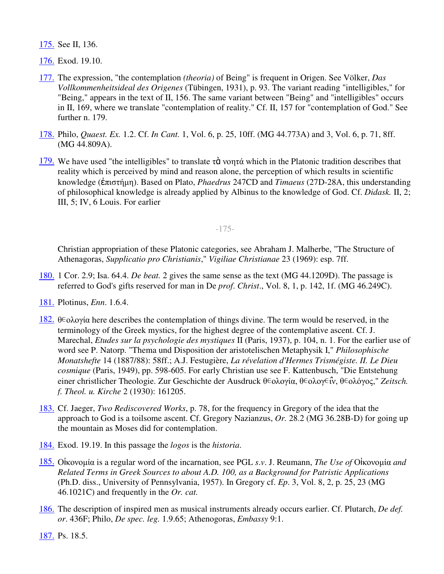- 175. See II, 136.
- 176. Exod. 19.10.
- 177. The expression, "the contemplation *(theoria)* of Being" is frequent in Origen. See Völker, *Das Vollkommenheitsideal des Origenes* (Tübingen, 1931), p. 93. The variant reading "intelligibles," for "Being," appears in the text of II, 156. The same variant between "Being" and "intelligibles" occurs in II, 169, where we translate "contemplation of reality." Cf. II, 157 for "contemplation of God." See further n. 179.
- 178. Philo, *Quaest. Ex.* 1.2. Cf. *In Cant.* 1, Vol. 6, p. 25, 10ff. (MG 44.773A) and 3, Vol. 6, p. 71, 8ff. (MG 44.809A).
- 179. We have used "the intelligibles" to translate τὰ νοητά which in the Platonic tradition describes that reality which is perceived by mind and reason alone, the perception of which results in scientific knowledge (ἐπιστήµη). Based on Plato, *Phaedrus* 247CD and *Timaeus* (27D-28A, this understanding of philosophical knowledge is already applied by Albinus to the knowledge of God. Cf. *Didask.* II, 2; III, 5; IV, 6 Louis. For earlier

-175-

 Christian appropriation of these Platonic categories, see Abraham J. Malherbe, "The Structure of Athenagoras, *Supplicatio pro Christianis*," *Vigiliae Christianae* 23 (1969): esp. 7ff.

- 180. 1 Cor. 2.9; Isa. 64.4. *De beat.* 2 gives the same sense as the text (MG 44.1209D). The passage is referred to God's gifts reserved for man in De *prof*. *Christ*., Vol. 8, 1, p. 142, 1f. (MG 46.249C).
- 181. Plotinus, *Enn*. 1.6.4.
- 182. θ $\epsilon$ ολογία here describes the contemplation of things divine. The term would be reserved, in the terminology of the Greek mystics, for the highest degree of the contemplative ascent. Cf. J. Marechal, *Etudes sur la psychologie des mystiques* II (Paris, 1937), p. 104, n. 1. For the earlier use of word see P. Natorp. "Thema und Disposition der aristotelischen Metaphysik I," *Philosophische Monatshefte* 14 (1887/88): 58ff.; A.J. Festugière, *La révelation d'Hermes Trismégiste. II. Le Dieu cosmique* (Paris, 1949), pp. 598-605. For early Christian use see F. Kattenbusch, "Die Entstehung einer christlicher Theologie. Zur Geschichte der Ausdruck θ∊ολογία, θ∊ολογ∊ι̂ν, θ∊ολόγος," *Zeitsch. f. Theol. u. Kirche* 2 (1930): 161205.
- 183. Cf. Jaeger, *Two Rediscovered Works*, p. 78, for the frequency in Gregory of the idea that the approach to God is a toilsome ascent. Cf. Gregory Nazianzus, *Or.* 28.2 (MG 36.28B-D) for going up the mountain as Moses did for contemplation.
- 184. Exod. 19.19. In this passage the *logos* is the *historia*.
- 185. Οἰκονοµία is a regular word of the incarnation, see PGL *s*.*v*. J. Reumann, *The Use of* Οἰκονοµία *and Related Terms in Greek Sources to about A.D. 100, as a Background for Patristic Applications* (Ph.D. diss., University of Pennsylvania, 1957). In Gregory cf. *Ep*. 3, Vol. 8, 2, p. 25, 23 (MG 46.1021C) and frequently in the *Or. cat.*
- 186. The description of inspired men as musical instruments already occurs earlier. Cf. Plutarch, *De def. or*. 436F; Philo, *De spec. leg.* 1.9.65; Athenogoras, *Embassy* 9:1.

187. Ps. 18.5.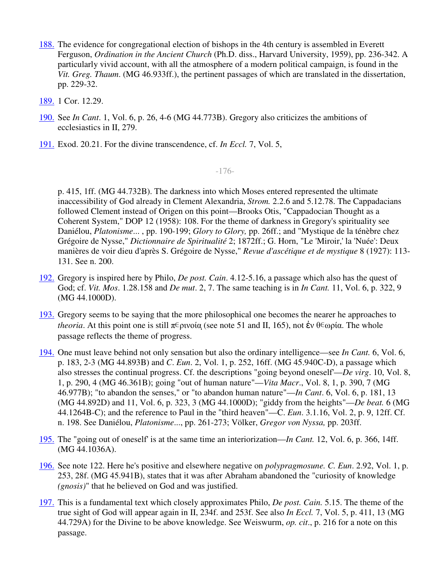- 188. The evidence for congregational election of bishops in the 4th century is assembled in Everett Ferguson, *Ordination in the Ancient Church* (Ph.D. diss., Harvard University, 1959), pp. 236-342. A particularly vivid account, with all the atmosphere of a modern political campaign, is found in the *Vit. Greg. Thaum*. (MG 46.933ff.), the pertinent passages of which are translated in the dissertation, pp. 229-32.
- 189. 1 Cor. 12.29.
- 190. See *In Cant*. 1, Vol. 6, p. 26, 4-6 (MG 44.773B). Gregory also criticizes the ambitions of ecclesiastics in II, 279.
- 191. Exod. 20.21. For the divine transcendence, cf. *In Eccl.* 7, Vol. 5,

-176-

 p. 415, 1ff. (MG 44.732B). The darkness into which Moses entered represented the ultimate inaccessibility of God already in Clement Alexandria, *Strom.* 2.2.6 and 5.12.78. The Cappadacians followed Clement instead of Origen on this point—Brooks Otis, "Cappadocian Thought as a Coherent System," DOP 12 (1958): 108. For the theme of darkness in Gregory's spirituality see Daniélou, *Platonisme*... , pp. 190-199; *Glory to Glory,* pp. 26ff.; and "Mystique de la ténèbre chez Grégoire de Nysse," *Dictionnaire de Spiritualité* 2; 1872ff.; G. Horn, "Le 'Miroir,' la 'Nuée': Deux manières de voir dieu d'après S. Grégoire de Nysse," *Revue d'ascétique et de mystique* 8 (1927): 113- 131. See n. 200.

- 192. Gregory is inspired here by Philo, *De post. Cain*. 4.12-5.16, a passage which also has the quest of God; cf. *Vit. Mos*. 1.28.158 and *De mut*. 2, 7. The same teaching is in *In Cant.* 11, Vol. 6, p. 322, 9 (MG 44.1000D).
- 193. Gregory seems to be saying that the more philosophical one becomes the nearer he approaches to *theoria*. At this point one is still  $\pi \epsilon_p$  (see note 51 and II, 165), not ἐν θ $\epsilon_p$  θαρία. The whole passage reflects the theme of progress.
- 194. One must leave behind not only sensation but also the ordinary intelligence—see *In Cant.* 6, Vol. 6, p. 183, 2-3 (MG 44.893B) and *C*. *Eun*. 2, Vol. 1, p. 252, 16ff. (MG 45.940C-D), a passage which also stresses the continual progress. Cf. the descriptions "going beyond oneself'—*De virg*. 10, Vol. 8, 1, p. 290, 4 (MG 46.361B); going "out of human nature"—*Vita Macr*., Vol. 8, 1, p. 390, 7 (MG 46.977B); "to abandon the senses," or "to abandon human nature"—*In Cant*. 6, Vol. 6, p. 181, 13 (MG 44.892D) and 11, Vol. 6, p. 323, 3 (MG 44.1000D); "giddy from the heights"—*De beat.* 6 (MG 44.1264B-C); and the reference to Paul in the "third heaven"—C. *Eun*. 3.1.16, Vol. 2, p. 9, 12ff. Cf. n. 198. See Daniélou, *Platonisme*..., pp. 261-273; Völker, *Gregor von Nyssa,* pp. 203ff.
- 195. The "going out of oneself' is at the same time an interiorization—*In Cant.* 12, Vol. 6, p. 366, 14ff. (MG 44.1036A).
- 196. See note 122. Here he's positive and elsewhere negative on *polypragmosune. C. Eun*. 2.92, Vol. 1, p. 253, 28f. (MG 45.941B), states that it was after Abraham abandoned the "curiosity of knowledge *(gnosis)*" that he believed on God and was justified.
- 197. This is a fundamental text which closely approximates Philo, *De post. Cain.* 5.15. The theme of the true sight of God will appear again in II, 234f. and 253f. See also *In Eccl.* 7, Vol. 5, p. 411, 13 (MG 44.729A) for the Divine to be above knowledge. See Weiswurm, *op. cit*., p. 216 for a note on this passage.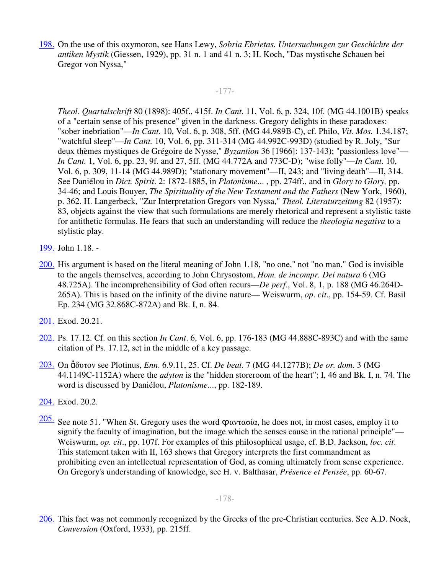198. On the use of this oxymoron, see Hans Lewy, *Sobria Ebrietas. Untersuchungen zur Geschichte der antiken Mystik* (Giessen, 1929), pp. 31 n. 1 and 41 n. 3; H. Koch, "Das mystische Schauen bei Gregor von Nyssa,"

### -177-

*Theol. Quartalschrift* 80 (1898): 405f., 415f. *In Cant.* 11, Vol. 6, p. 324, 10f. (MG 44.1001B) speaks of a "certain sense of his presence" given in the darkness. Gregory delights in these paradoxes: "sober inebriation"—*In Cant.* 10, Vol. 6, p. 308, 5ff. (MG 44.989B-C), cf. Philo, *Vit. Mos.* 1.34.187; "watchful sleep"—*In Cant.* 10, Vol. 6, pp. 311-314 (MG 44.992C-993D) (studied by R. Joly, "Sur deux thèmes mystiques de Grégoire de Nysse," *Byzantion* 36 [1966]: 137-143); "passionless love"— *In Cant.* 1, Vol. 6, pp. 23, 9f. and 27, 5ff. (MG 44.772A and 773C-D); "wise folly"—*In Cant.* 10, Vol. 6, p. 309, 11-14 (MG 44.989D); "stationary movement"—II, 243; and "living death"—II, 314. See Daniélou in *Dict. Spirit*. 2: 1872-1885, in *Platonisme*... , pp. 274ff., and in *Glory to Glory,* pp. 34-46; and Louis Bouyer, *The Spirituality of the New Testament and the Fathers* (New York, 1960), p. 362. H. Langerbeck, "Zur Interpretation Gregors von Nyssa," *Theol. Literaturzeitung* 82 (1957): 83, objects against the view that such formulations are merely rhetorical and represent a stylistic taste for antithetic formulas. He fears that such an understanding will reduce the *theologia negativa* to a stylistic play.

- 199. John 1.18. -
- 200. His argument is based on the literal meaning of John 1.18, "no one," not "no man." God is invisible to the angels themselves, according to John Chrysostom, *Hom. de incompr. Dei natura* 6 (MG 48.725A). The incomprehensibility of God often recurs—*De perf*., Vol. 8, 1, p. 188 (MG 46.264D-265A). This is based on the infinity of the divine nature— Weiswurm, *op*. *cit*., pp. 154-59. Cf. Basil Ep. 234 (MG 32.868C-872A) and Bk. I, n. 84.
- 201. Exod. 20.21.
- 202. Ps. 17.12. Cf. on this section *In Cant*. 6, Vol. 6, pp. 176-183 (MG 44.888C-893C) and with the same citation of Ps. 17.12, set in the middle of a key passage.
- 203. On ἄδυτον see Plotinus, *Enn*. 6.9.11, 25. Cf. *De beat.* 7 (MG 44.1277B); *De or. dom.* 3 (MG 44.1149C-1152A) where the *adyton* is the "hidden storeroom of the heart"; I, 46 and Bk. I, n. 74. The word is discussed by Daniélou, *Platonisme*..., pp. 182-189.
- 204. Exod. 20.2.
- $\frac{205}{205}$ . See note 51. "When St. Gregory uses the word φαντασία, he does not, in most cases, employ it to signify the faculty of imagination, but the image which the senses cause in the rational principle"— Weiswurm, *op. cit*., pp. 107f. For examples of this philosophical usage, cf. B.D. Jackson, *loc. cit*. This statement taken with II, 163 shows that Gregory interprets the first commandment as prohibiting even an intellectual representation of God, as coming ultimately from sense experience. On Gregory's understanding of knowledge, see H. v. Balthasar, *Présence et Pensée*, pp. 60-67.

<sup>206.</sup> This fact was not commonly recognized by the Greeks of the pre-Christian centuries. See A.D. Nock, *Conversion* (Oxford, 1933), pp. 215ff.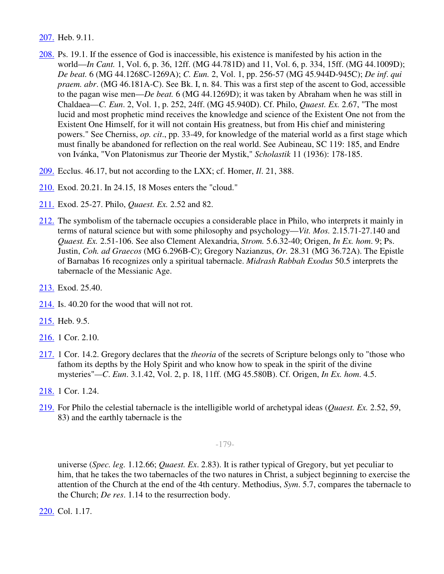207. Heb. 9.11.

- 208. Ps. 19.1. If the essence of God is inaccessible, his existence is manifested by his action in the world—*In Cant.* 1, Vol. 6, p. 36, 12ff. (MG 44.781D) and 11, Vol. 6, p. 334, 15ff. (MG 44.1009D); *De beat.* 6 (MG 44.1268C-1269A); *C. Eun.* 2, Vol. 1, pp. 256-57 (MG 45.944D-945C); *De inf*. *qui praem. abr*. (MG 46.181A-C). See Bk. I, n. 84. This was a first step of the ascent to God, accessible to the pagan wise men—*De beat.* 6 (MG 44.1269D); it was taken by Abraham when he was still in Chaldaea—*C. Eun*. 2, Vol. 1, p. 252, 24ff. (MG 45.940D). Cf. Philo, *Quaest. Ex.* 2.67, "The most lucid and most prophetic mind receives the knowledge and science of the Existent One not from the Existent One Himself, for it will not contain His greatness, but from His chief and ministering powers." See Cherniss, *op. cit*., pp. 33-49, for knowledge of the material world as a first stage which must finally be abandoned for reflection on the real world. See Aubineau, SC 119: 185, and Endre von Ivánka, "Von Platonismus zur Theorie der Mystik," *Scholastik* 11 (1936): 178-185.
- 209. Ecclus. 46.17, but not according to the LXX; cf. Homer, *Il*. 21, 388.
- 210. Exod. 20.21. In 24.15, 18 Moses enters the "cloud."
- 211. Exod. 25-27. Philo, *Quaest. Ex.* 2.52 and 82.
- 212. The symbolism of the tabernacle occupies a considerable place in Philo, who interprets it mainly in terms of natural science but with some philosophy and psychology—*Vit. Mos.* 2.15.71-27.140 and *Quaest. Ex.* 2.51-106. See also Clement Alexandria, *Strom.* 5.6.32-40; Origen, *In Ex. hom*. 9; Ps. Justin, *Coh. ad Graecos* (MG 6.296B-C); Gregory Nazianzus, *Or.* 28.31 (MG 36.72A). The Epistle of Barnabas 16 recognizes only a spiritual tabernacle. *Midrash Rabbah Exodus* 50.5 interprets the tabernacle of the Messianic Age.
- 213. Exod. 25.40.
- 214. Is. 40.20 for the wood that will not rot.
- 215. Heb. 9.5.
- 216. 1 Cor. 2.10.
- 217. 1 Cor. 14.2. Gregory declares that the *theoria* of the secrets of Scripture belongs only to "those who fathom its depths by the Holy Spirit and who know how to speak in the spirit of the divine mysteries"*—C*. *Eun*. 3.1.42, Vol. 2, p. 18, 11ff. (MG 45.580B). Cf. Origen, *In Ex. hom*. 4.5.
- 218. 1 Cor. 1.24.
- 219. For Philo the celestial tabernacle is the intelligible world of archetypal ideas (*Quaest. Ex.* 2.52, 59, 83) and the earthly tabernacle is the

-179-

 universe (*Spec. leg.* 1.12.66; *Quaest. Ex*. 2.83). It is rather typical of Gregory, but yet peculiar to him, that he takes the two tabernacles of the two natures in Christ, a subject beginning to exercise the attention of the Church at the end of the 4th century. Methodius, *Sym*. 5.7, compares the tabernacle to the Church; *De res*. 1.14 to the resurrection body.

220. Col. 1.17.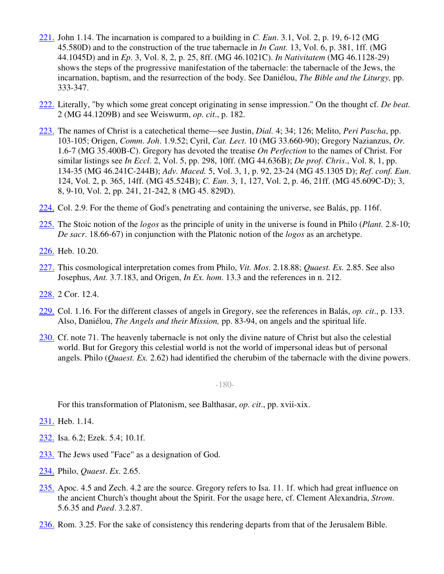- 221. John 1.14. The incarnation is compared to a building in *C. Eun*. 3.1, Vol. 2, p. 19, 6-12 (MG 45.580D) and to the construction of the true tabernacle in *In Cant.* 13, Vol. 6, p. 381, 1ff. (MG 44.1045D) and in *Ep.* 3, Vol. 8, 2, p. 25, 8ff. (MG 46.1021C). *In Nativitatem* (MG 46.1128-29) shows the steps of the progressive manifestation of the tabernacle: the tabernacle of the Jews, the incarnation, baptism, and the resurrection of the body. See Daniélou, *The Bible and the Liturgy,* pp. 333-347.
- 222. Literally, "by which some great concept originating in sense impression." On the thought cf. *De beat.* 2 (MG 44.1209B) and see Weiswurm, *op. cit*., p. 182.
- 223. The names of Christ is a catechetical theme—see Justin, *Dial.* 4; 34; 126; Melito, *Peri Pascha*, pp. 103-105; Origen, *Comm*. *Joh*. 1.9.52; Cyril, *Cat. Lect*. 10 (MG 33.660-90); Gregory Nazianzus, *Or.* 1.6-7 (MG 35.400B-C). Gregory has devoted the treatise *On Perfection* to the names of Christ. For similar listings see *In Eccl*. 2, Vol. 5, pp. 298, 10ff. (MG 44.636B); *De prof*. *Chris*., Vol. 8, 1, pp. 134-35 (MG 46.241C-244B); *Adv. Maced.* 5, Vol. 3, 1, p. 92, 23-24 (MG 45.1305 D); *Ref*. *conf. Eun*. 124, Vol. 2, p. 365, 14ff. (MG 45.524B); *C. Eun*. 3, 1, 127, Vol. 2, p. 46, 21ff. (MG 45.609C-D); 3, 8, 9-10, Vol. 2, pp. 241, 21-242, 8 (MG 45. 829D).
- 224. Col. 2.9. For the theme of God's penetrating and containing the universe, see Balás, pp. 116f.
- 225. The Stoic notion of the *logos* as the principle of unity in the universe is found in Philo (*Plant.* 2.8-10; *De sacr*. 18.66-67) in conjunction with the Platonic notion of the *logos* as an archetype.
- 226. Heb. 10.20.
- 227. This cosmological interpretation comes from Philo, *Vit. Mos*. 2.18.88; *Quaest. Ex.* 2.85. See also Josephus, *Ant.* 3.7.183, and Origen, *In Ex. hom*. 13.3 and the references in n. 212.
- 228. 2 Cor. 12.4.
- 229. Col. 1.16. For the different classes of angels in Gregory, see the references in Balás, *op. cit*., p. 133. Also, Daniélou, *The Angels and their Mission,* pp. 83-94, on angels and the spiritual life.
- 230. Cf. note 71. The heavenly tabernacle is not only the divine nature of Christ but also the celestial world. But for Gregory this celestial world is not the world of impersonal ideas but of personal angels. Philo (*Quaest. Ex.* 2.62) had identified the cherubim of the tabernacle with the divine powers.

-180-

For this transformation of Platonism, see Balthasar, *op. cit*., pp. xvii-xix.

- 231. Heb. 1.14.
- 232. Isa. 6.2; Ezek. 5.4; 10.1f.
- 233. The Jews used "Face" as a designation of God.
- 234. Philo, *Quaest*. *Ex*. 2.65.
- 235. Apoc. 4.5 and Zech. 4.2 are the source. Gregory refers to Isa. 11. 1f. which had great influence on the ancient Church's thought about the Spirit. For the usage here, cf. Clement Alexandria, *Strom*. 5.6.35 and *Paed*. 3.2.87.
- 236. Rom. 3.25. For the sake of consistency this rendering departs from that of the Jerusalem Bible.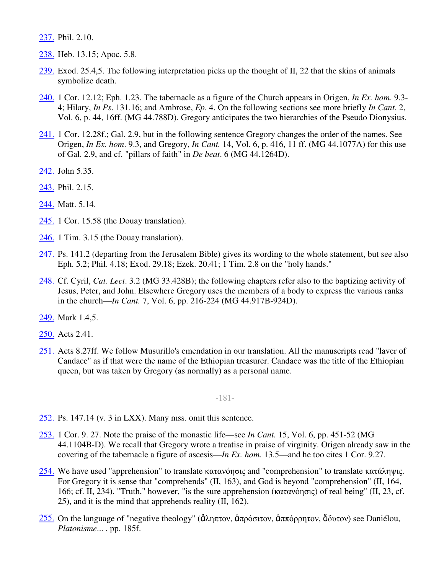237. Phil. 2.10.

- 238. Heb. 13.15; Apoc. 5.8.
- 239. Exod. 25.4,5. The following interpretation picks up the thought of II, 22 that the skins of animals symbolize death.
- 240. 1 Cor. 12.12; Eph. 1.23. The tabernacle as a figure of the Church appears in Origen, *In Ex. hom*. 9.3- 4; Hilary, *In Ps*. 131.16; and Ambrose, *Ep*. 4. On the following sections see more briefly *In Cant*. 2, Vol. 6, p. 44, 16ff. (MG 44.788D). Gregory anticipates the two hierarchies of the Pseudo Dionysius.
- 241. 1 Cor. 12.28f.; Gal. 2.9, but in the following sentence Gregory changes the order of the names. See Origen, *In Ex. hom*. 9.3, and Gregory, *In Cant.* 14, Vol. 6, p. 416, 11 ff. (MG 44.1077A) for this use of Gal. 2.9, and cf. "pillars of faith" in *De beat*. 6 (MG 44.1264D).
- 242. John 5.35.
- 243. Phil. 2.15.
- 244. Matt. 5.14.
- 245. 1 Cor. 15.58 (the Douay translation).
- 246. 1 Tim. 3.15 (the Douay translation).
- 247. Ps. 141.2 (departing from the Jerusalem Bible) gives its wording to the whole statement, but see also Eph. 5.2; Phil. 4.18; Exod. 29.18; Ezek. 20.41; 1 Tim. 2.8 on the "holy hands."
- 248. Cf. Cyril, *Cat. Lect*. 3.2 (MG 33.428B); the following chapters refer also to the baptizing activity of Jesus, Peter, and John. Elsewhere Gregory uses the members of a body to express the various ranks in the church—*In Cant.* 7, Vol. 6, pp. 216-224 (MG 44.917B-924D).
- 249. Mark 1.4,5.
- 250. Acts 2.41.
- 251. Acts 8.27ff. We follow Musurillo's emendation in our translation. All the manuscripts read "laver of Candace" as if that were the name of the Ethiopian treasurer. Candace was the title of the Ethiopian queen, but was taken by Gregory (as normally) as a personal name.

-181-

- 252. Ps. 147.14 (v. 3 in LXX). Many mss. omit this sentence.
- 253. 1 Cor. 9. 27. Note the praise of the monastic life—see *In Cant.* 15, Vol. 6, pp. 451-52 (MG 44.1104B-D). We recall that Gregory wrote a treatise in praise of virginity. Origen already saw in the covering of the tabernacle a figure of ascesis—*In Ex. hom*. 13.5—and he too cites 1 Cor. 9.27.
- 254. We have used "apprehension" to translate κατανόησις and "comprehension" to translate κατάληψις. For Gregory it is sense that "comprehends" (II, 163), and God is beyond "comprehension" (II, 164, 166; cf. II, 234). "Truth," however, "is the sure apprehension (κατανόησις) of real being" (II, 23, cf. 25), and it is the mind that apprehends reality (II, 162).
- 255. On the language of "negative theology" (ἄληπτον, ἀπρόσιτον, ἀππόρρητον, ἄδυτον) see Daniélou, *Platonisme*... , pp. 185f.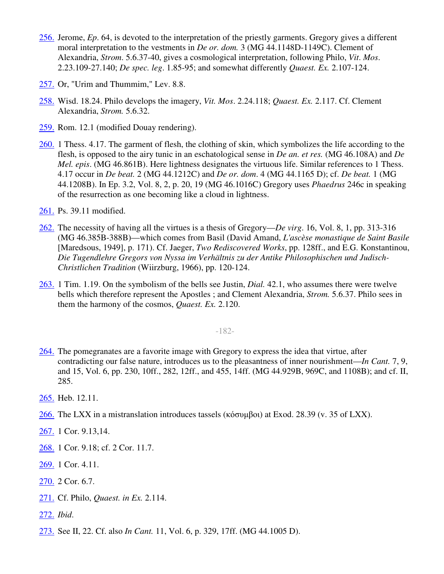- 256. Jerome, *Ep*. 64, is devoted to the interpretation of the priestly garments. Gregory gives a different moral interpretation to the vestments in *De or. dom.* 3 (MG 44.1148D-1149C). Clement of Alexandria, *Strom*. 5.6.37-40, gives a cosmological interpretation, following Philo, *Vit*. *Mos*. 2.23.109-27.140; *De spec. leg*. 1.85-95; and somewhat differently *Quaest. Ex.* 2.107-124.
- 257. Or, "Urim and Thummim," Lev. 8.8.
- 258. Wisd. 18.24. Philo develops the imagery, *Vit. Mos*. 2.24.118; *Quaest. Ex.* 2.117. Cf. Clement Alexandria, *Strom.* 5.6.32.
- 259. Rom. 12.1 (modified Douay rendering).
- 260. 1 Thess. 4.17. The garment of flesh, the clothing of skin, which symbolizes the life according to the flesh, is opposed to the airy tunic in an eschatological sense in *De an. et res.* (MG 46.108A) and *De Mel. epis*. (MG 46.861B). Here lightness designates the virtuous life. Similar references to 1 Thess. 4.17 occur in *De beat.* 2 (MG 44.1212C) and *De or. dom*. 4 (MG 44.1165 D); cf. *De beat.* 1 (MG 44.1208B). In Ep. 3.2, Vol. 8, 2, p. 20, 19 (MG 46.1016C) Gregory uses *Phaedrus* 246c in speaking of the resurrection as one becoming like a cloud in lightness.
- 261. Ps. 39.11 modified.
- 262. The necessity of having all the virtues is a thesis of Gregory—*De virg*. 16, Vol. 8, 1, pp. 313-316 (MG 46.385B-388B)—which comes from Basil (David Amand, *L'ascèse monastique de Saint Basile* [Maredsous, 1949], p. 171). Cf. Jaeger, *Two Rediscovered Works*, pp. 128ff., and E.G. Konstantinou, *Die Tugendlehre Gregors von Nyssa im Verhältnis zu der Antike Philosophischen und Judisch-Christlichen Tradition* (Wiirzburg, 1966), pp. 120-124.
- 263. 1 Tim. 1.19. On the symbolism of the bells see Justin, *Dial.* 42.1, who assumes there were twelve bells which therefore represent the Apostles ; and Clement Alexandria, *Strom.* 5.6.37. Philo sees in them the harmony of the cosmos, *Quaest. Ex.* 2.120.
	- -182-
- 264. The pomegranates are a favorite image with Gregory to express the idea that virtue, after contradicting our false nature, introduces us to the pleasantness of inner nourishment—*In Cant.* 7, 9, and 15, Vol. 6, pp. 230, 10ff., 282, 12ff., and 455, 14ff. (MG 44.929B, 969C, and 1108B); and cf. II, 285.
- 265. Heb. 12.11.
- 266. The LXX in a mistranslation introduces tassels (κόσυμβοι) at Exod. 28.39 (v. 35 of LXX).
- 267. 1 Cor. 9.13,14.
- 268. 1 Cor. 9.18; cf. 2 Cor. 11.7.
- 269. 1 Cor. 4.11.
- 270. 2 Cor. 6.7.
- 271. Cf. Philo, *Quaest. in Ex.* 2.114.
- 272. *Ibid*.
- 273. See II, 22. Cf. also *In Cant.* 11, Vol. 6, p. 329, 17ff. (MG 44.1005 D).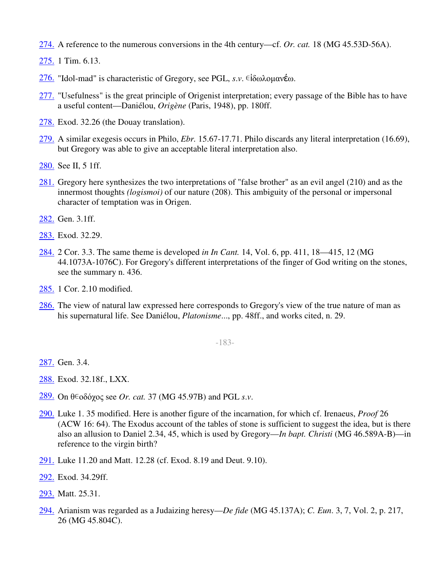- 274. A reference to the numerous conversions in the 4th century—cf. *Or. cat.* 18 (MG 45.53D-56A).
- 275. 1 Tim. 6.13.
- 276. "Idol-mad" is characteristic of Gregory, see PGL, *s.v.* είδωλομανέω.
- 277. "Usefulness" is the great principle of Origenist interpretation; every passage of the Bible has to have a useful content—Daniélou, *Origène* (Paris, 1948), pp. 180ff.
- 278. Exod. 32.26 (the Douay translation).
- 279. A similar exegesis occurs in Philo, *Ebr.* 15.67-17.71. Philo discards any literal interpretation (16.69), but Gregory was able to give an acceptable literal interpretation also.
- 280. See II, 5 1ff.
- 281. Gregory here synthesizes the two interpretations of "false brother" as an evil angel (210) and as the innermost thoughts *(logismoi)* of our nature (208). This ambiguity of the personal or impersonal character of temptation was in Origen.
- 282. Gen. 3.1ff.
- 283. Exod. 32.29.
- 284. 2 Cor. 3.3. The same theme is developed *in In Cant.* 14, Vol. 6, pp. 411, 18—415, 12 (MG 44.1073A-1076C). For Gregory's different interpretations of the finger of God writing on the stones, see the summary n. 436.
- 285. 1 Cor. 2.10 modified.
- 286. The view of natural law expressed here corresponds to Gregory's view of the true nature of man as his supernatural life. See Daniélou, *Platonisme*..., pp. 48ff., and works cited, n. 29.
	- -183-

- 287. Gen. 3.4.
- 288. Exod. 32.18f., LXX.
- 289. On θ∊οδόχος see *Or. cat.* 37 (MG 45.97B) and PGL *s*.*v*.
- 290. Luke 1. 35 modified. Here is another figure of the incarnation, for which cf. Irenaeus, *Proof* 26 (ACW 16: 64). The Exodus account of the tables of stone is sufficient to suggest the idea, but is there also an allusion to Daniel 2.34, 45, which is used by Gregory—*In bapt. Christi* (MG 46.589A-B)—in reference to the virgin birth?
- 291. Luke 11.20 and Matt. 12.28 (cf. Exod. 8.19 and Deut. 9.10).
- 292. Exod. 34.29ff.
- 293. Matt. 25.31.
- 294. Arianism was regarded as a Judaizing heresy—*De fide* (MG 45.137A); *C. Eun*. 3, 7, Vol. 2, p. 217, 26 (MG 45.804C).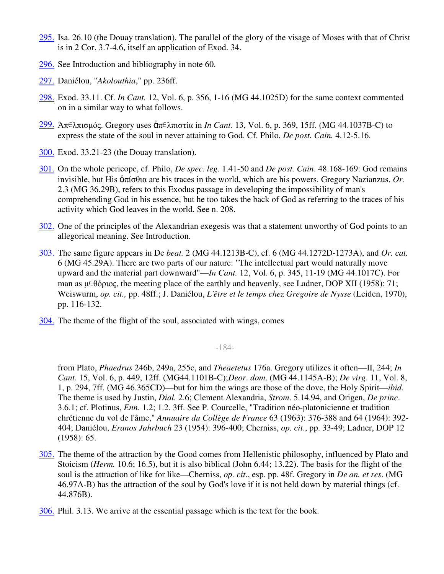- 295. Isa. 26.10 (the Douay translation). The parallel of the glory of the visage of Moses with that of Christ is in 2 Cor. 3.7-4.6, itself an application of Exod. 34.
- 296. See Introduction and bibliography in note 60.
- 297. Daniélou, "*Akolouthia*," pp. 236ff.
- 298. Exod. 33.11. Cf. *In Cant.* 12, Vol. 6, p. 356, 1-16 (MG 44.1025D) for the same context commented on in a similar way to what follows.
- 299. Άπ∊λπισµός. Gregory uses ἀπ∊λπιστία in *In Cant.* 13, Vol. 6, p. 369, 15ff. (MG 44.1037B-C) to express the state of the soul in never attaining to God. Cf. Philo, *De post. Cain.* 4.12-5.16.
- 300. Exod. 33.21-23 (the Douay translation).
- 301. On the whole pericope, cf. Philo, *De spec. leg*. 1.41-50 and *De post. Cain*. 48.168-169: God remains invisible, but His ὀπίσθια are his traces in the world, which are his powers. Gregory Nazianzus, *Or.* 2.3 (MG 36.29B), refers to this Exodus passage in developing the impossibility of man's comprehending God in his essence, but he too takes the back of God as referring to the traces of his activity which God leaves in the world. See n. 208.
- 302. One of the principles of the Alexandrian exegesis was that a statement unworthy of God points to an allegorical meaning. See Introduction.
- 303. The same figure appears in De *beat.* 2 (MG 44.1213B-C), cf. 6 (MG 44.1272D-1273A), and *Or. cat.* 6 (MG 45.29A). There are two parts of our nature: "The intellectual part would naturally move upward and the material part downward"—*In Cant.* 12, Vol. 6, p. 345, 11-19 (MG 44.1017C). For man as  $\mu \in \theta$ όριος, the meeting place of the earthly and heavenly, see Ladner, DOP XII (1958): 71; Weiswurm, *op. cit.,* pp. 48ff.; J. Daniélou, *L'être et le temps chez Gregoire de Nysse* (Leiden, 1970), pp. 116-132.
- 304. The theme of the flight of the soul, associated with wings, comes

-184-

 from Plato, *Phaedrus* 246b, 249a, 255c, and *Theaetetus* 176a. Gregory utilizes it often—II, 244; *In Cant*. 15, Vol. 6, p. 449, 12ff. (MG44.1101B-C);*Deor*. *dom*. (MG 44.1145A-B); *De virg*. 11, Vol. 8, 1, p. 294, 7ff. (MG 46.365CD)—but for him the wings are those of the dove, the Holy Spirit—*ibid*. The theme is used by Justin, *Dial.* 2.6; Clement Alexandria, *Strom*. 5.14.94, and Origen, *De princ*. 3.6.1; cf. Plotinus, *Enn.* 1.2; 1.2. 3ff. See P. Courcelle, "Tradition néo-platonicienne et tradition chrétienne du vol de l'âme," *Annuaire du Collège de France* 63 (1963): 376-388 and 64 (1964): 392- 404; Daniélou, *Eranos Jahrbuch* 23 (1954): 396-400; Cherniss, *op. cit*., pp. 33-49; Ladner, DOP 12 (1958): 65.

- 305. The theme of the attraction by the Good comes from Hellenistic philosophy, influenced by Plato and Stoicism (*Herm.* 10.6; 16.5), but it is also biblical (John 6.44; 13.22). The basis for the flight of the soul is the attraction of like for like—Cherniss, *op. cit*., esp. pp. 48f. Gregory in *De an. et res*. (MG 46.97A-B) has the attraction of the soul by God's love if it is not held down by material things (cf. 44.876B).
- 306. Phil. 3.13. We arrive at the essential passage which is the text for the book.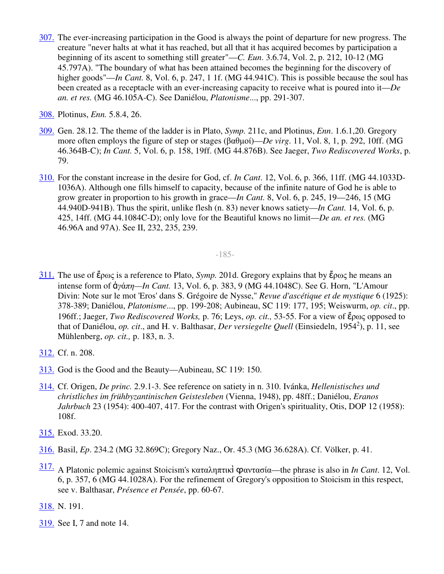- 307. The ever-increasing participation in the Good is always the point of departure for new progress. The creature "never halts at what it has reached, but all that it has acquired becomes by participation a beginning of its ascent to something still greater"—*C. Eun*. 3.6.74, Vol. 2, p. 212, 10-12 (MG 45.797A). "The boundary of what has been attained becomes the beginning for the discovery of higher goods"—*In Cant.* 8, Vol. 6, p. 247, 1 1f. (MG 44.941C). This is possible because the soul has been created as a receptacle with an ever-increasing capacity to receive what is poured into it—*De an. et res.* (MG 46.105A-C). See Daniélou, *Platonisme*..., pp. 291-307.
- 308. Plotinus, *Enn.* 5.8.4, 26.
- 309. Gen. 28.12. The theme of the ladder is in Plato, *Symp.* 211c, and Plotinus, *Enn*. 1.6.1,20. Gregory more often employs the figure of step or stages (βαθµοί)—*De virg*. 11, Vol. 8, 1, p. 292, 10ff. (MG 46.364B-C); *In Cant.* 5, Vol. 6, p. 158, 19ff. (MG 44.876B). See Jaeger, *Two Rediscovered Works*, p. 79.
- 310. For the constant increase in the desire for God, cf. *In Cant*. 12, Vol. 6, p. 366, 11ff. (MG 44.1033D-1036A). Although one fills himself to capacity, because of the infinite nature of God he is able to grow greater in proportion to his growth in grace—*In Cant.* 8, Vol. 6, p. 245, 19—246, 15 (MG 44.940D-941B). Thus the spirit, unlike flesh (n. 83) never knows satiety—*In Cant.* 14, Vol. 6, p. 425, 14ff. (MG 44.1084C-D); only love for the Beautiful knows no limit—*De an. et res.* (MG 46.96A and 97A). See II, 232, 235, 239.

-185-

311. The use of ἔρως is a reference to Plato, *Symp.* 201d. Gregory explains that by ἔρως he means an intense form of ἀ*γ*ά*πη—In Cant.* 13, Vol. 6, p. 383, 9 (MG 44.1048C). See G. Horn, "L'Amour Divin: Note sur le mot 'Eros' dans S. Grégoire de Nysse," *Revue d'ascétique et de mystique* 6 (1925): 378-389; Daniélou, *Platonisme*..., pp. 199-208; Aubineau, SC 119: 177, 195; Weiswurm, *op. cit*., pp. 196ff.; Jaeger, *Two Rediscovered Works,* p. 76; Leys, *op. cit.,* 53-55. For a view of ἔρως opposed to that of Daniélou, *op. cit*., and H. v. Balthasar, *Der versiegelte Quell* (Einsiedeln, 1954<sup>2</sup> ), p. 11, see Mühlenberg, *op. cit.,* p. 183, n. 3.

- 313. God is the Good and the Beauty—Aubineau, SC 119: 150.
- 314. Cf. Origen, *De princ.* 2.9.1-3. See reference on satiety in n. 310. Ivánka, *Hellenistisches und christliches im frühbyzantinischen Geistesleben* (Vienna, 1948), pp. 48ff.; Daniélou, *Eranos Jahrbuch* 23 (1954): 400-407, 417. For the contrast with Origen's spirituality, Otis, DOP 12 (1958): 108f.

315. Exod. 33.20.

- 316. Basil, *Ep*. 234.2 (MG 32.869C); Gregory Naz., Or. 45.3 (MG 36.628A). Cf. Völker, p. 41.
- 317. A Platonic polemic against Stoicism's καταληπτικ<sup>ὶ</sup> <sup>ϕ</sup>αντασία—the phrase is also in *In Cant*. 12, Vol. 6, p. 357, 6 (MG 44.1028A). For the refinement of Gregory's opposition to Stoicism in this respect, see v. Balthasar, *Présence et Pensée*, pp. 60-67.
- 318. N. 191.
- 319. See I, 7 and note 14.

<sup>312.</sup> Cf. n. 208.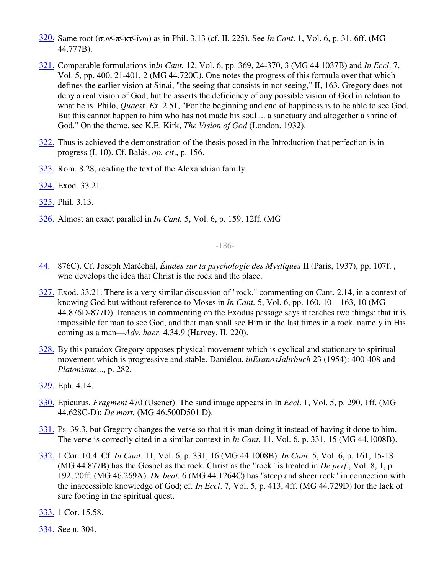- 320. Same root (συν $\epsilon$ π $\epsilon$ κτ $\epsilon$ ίνω) as in Phil. 3.13 (cf. II, 225). See *In Cant*. 1, Vol. 6, p. 31, 6ff. (MG 44.777B).
- 321. Comparable formulations in*ln Cant.* 12, Vol. 6, pp. 369, 24-370, 3 (MG 44.1037B) and *In Eccl*. 7, Vol. 5, pp. 400, 21-401, 2 (MG 44.720C). One notes the progress of this formula over that which defines the earlier vision at Sinai, "the seeing that consists in not seeing," II, 163. Gregory does not deny a real vision of God, but he asserts the deficiency of any possible vision of God in relation to what he is. Philo, *Quaest. Ex.* 2.51, "For the beginning and end of happiness is to be able to see God. But this cannot happen to him who has not made his soul ... a sanctuary and altogether a shrine of God." On the theme, see K.E. Kirk, *The Vision of God* (London, 1932).
- 322. Thus is achieved the demonstration of the thesis posed in the Introduction that perfection is in progress (I, 10). Cf. Balás, *op. cit*., p. 156.
- 323. Rom. 8.28, reading the text of the Alexandrian family.
- 324. Exod. 33.21.
- 325. Phil. 3.13.
- 326. Almost an exact parallel in *In Cant.* 5, Vol. 6, p. 159, 12ff. (MG

-186-

- 44. 876C). Cf. Joseph Maréchal, *Études sur la psychologie des Mystiques* II (Paris, 1937), pp. 107f. , who develops the idea that Christ is the rock and the place.
- 327. Exod. 33.21. There is a very similar discussion of "rock," commenting on Cant. 2.14, in a context of knowing God but without reference to Moses in *In Cant.* 5, Vol. 6, pp. 160, 10—163, 10 (MG 44.876D-877D). Irenaeus in commenting on the Exodus passage says it teaches two things: that it is impossible for man to see God, and that man shall see Him in the last times in a rock, namely in His coming as a man—*Adv. haer*. 4.34.9 (Harvey, II, 220).
- 328. By this paradox Gregory opposes physical movement which is cyclical and stationary to spiritual movement which is progressive and stable. Daniélou, *inEranosJahrbuch* 23 (1954): 400-408 and *Platonisme*..., p. 282.
- 329. Eph. 4.14.
- 330. Epicurus, *Fragment* 470 (Usener). The sand image appears in In *Eccl*. 1, Vol. 5, p. 290, 1ff. (MG 44.628C-D); *De mort.* (MG 46.500D501 D).
- 331. Ps. 39.3, but Gregory changes the verse so that it is man doing it instead of having it done to him. The verse is correctly cited in a similar context in *In Cant.* 11, Vol. 6, p. 331, 15 (MG 44.1008B).
- 332. 1 Cor. 10.4. Cf. *In Cant*. 11, Vol. 6, p. 331, 16 (MG 44.1008B). *In Cant.* 5, Vol. 6, p. 161, 15-18 (MG 44.877B) has the Gospel as the rock. Christ as the "rock" is treated in *De perf*., Vol. 8, 1, p. 192, 20ff. (MG 46.269A). *De beat.* 6 (MG 44.1264C) has "steep and sheer rock" in connection with the inaccessible knowledge of God; cf. *In Eccl*. 7, Vol. 5, p. 413, 4ff. (MG 44.729D) for the lack of sure footing in the spiritual quest.
- 333. 1 Cor. 15.58.
- 334. See n. 304.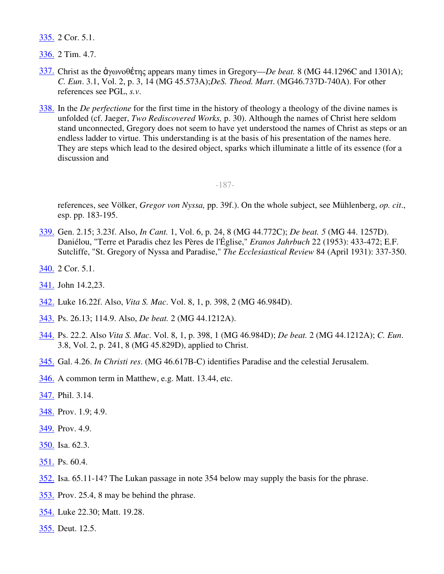335. 2 Cor. 5.1.

336. 2 Tim. 4.7.

- 337. Christ as the ἀγωνοθέτης appears many times in Gregory—*De beat.* 8 (MG 44.1296C and 1301A); *C. Eun*. 3.1, Vol. 2, p. 3, 14 (MG 45.573A);*DeS. Theod. Mart*. (MG46.737D-740A). For other references see PGL, *s.v*.
- 338. In the *De perfectione* for the first time in the history of theology a theology of the divine names is unfolded (cf. Jaeger, *Two Rediscovered Works,* p. 30). Although the names of Christ here seldom stand unconnected, Gregory does not seem to have yet understood the names of Christ as steps or an endless ladder to virtue. This understanding is at the basis of his presentation of the names here. They are steps which lead to the desired object, sparks which illuminate a little of its essence (for a discussion and

-187-

 references, see Völker, *Gregor von Nyssa,* pp. 39f.). On the whole subject, see Mühlenberg, *op. cit*., esp. pp. 183-195.

- 339. Gen. 2.15; 3.23f. Also, *In Cant.* 1, Vol. 6, p. 24, 8 (MG 44.772C); *De beat. 5* (MG 44. 1257D). Daniélou, "Terre et Paradis chez les Pères de l'Église," *Eranos Jahrbuch* 22 (1953): 433-472; E.F. Sutcliffe, "St. Gregory of Nyssa and Paradise," *The Ecclesiastical Review* 84 (April 1931): 337-350.
- 340. 2 Cor. 5.1.
- 341. John 14.2,23.
- 342. Luke 16.22f. Also, *Vita S. Mac*. Vol. 8, 1, p. 398, 2 (MG 46.984D).
- 343. Ps. 26.13; 114.9. Also, *De beat.* 2 (MG 44.1212A).
- 344. Ps. 22.2. Also *Vita S. Mac*. Vol. 8, 1, p. 398, 1 (MG 46.984D); *De beat.* 2 (MG 44.1212A); *C. Eun*. 3.8, Vol. 2, p. 241, 8 (MG 45.829D), applied to Christ.
- 345. Gal. 4.26. *In Christi res*. (MG 46.617B-C) identifies Paradise and the celestial Jerusalem.
- 346. A common term in Matthew, e.g. Matt. 13.44, etc.
- 347. Phil. 3.14.
- 348. Prov. 1.9; 4.9.
- 349. Prov. 4.9.
- 350. Isa. 62.3.
- 351. Ps. 60.4.
- 352. Isa. 65.11-14? The Lukan passage in note 354 below may supply the basis for the phrase.
- 353. Prov. 25.4, 8 may be behind the phrase.
- 354. Luke 22.30; Matt. 19.28.
- 355. Deut. 12.5.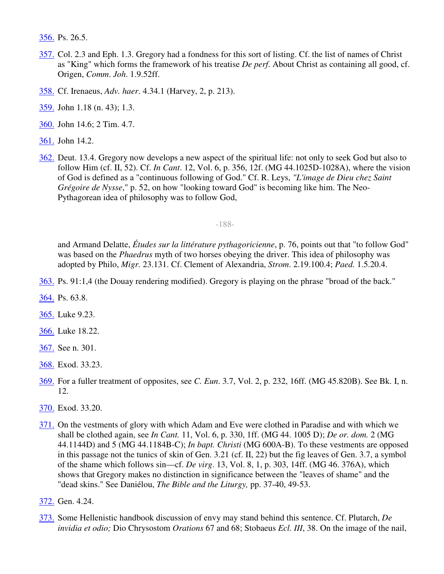356. Ps. 26.5.

- 357. Col. 2.3 and Eph. 1.3. Gregory had a fondness for this sort of listing. Cf. the list of names of Christ as "King" which forms the framework of his treatise *De perf*. About Christ as containing all good, cf. Origen, *Comm*. *Joh*. 1.9.52ff.
- 358. Cf. Irenaeus, *Adv. haer*. 4.34.1 (Harvey, 2, p. 213).
- 359. John 1.18 (n. 43); 1.3.
- 360. John 14.6; 2 Tim. 4.7.
- 361. John 14.2.
- 362. Deut. 13.4. Gregory now develops a new aspect of the spiritual life: not only to seek God but also to follow Him (cf. II, 52). Cf. *In Cant*. 12, Vol. 6, p. 356, 12f. (MG 44.1025D-1028A), where the vision of God is defined as a "continuous following of God." Cf. R. Leys, *"L'image de Dieu chez Saint Grégoire de Nysse*," p. 52, on how "looking toward God" is becoming like him. The Neo-Pythagorean idea of philosophy was to follow God,

-188-

 and Armand Delatte, *Études sur la littérature pythagoricienne*, p. 76, points out that "to follow God" was based on the *Phaedrus* myth of two horses obeying the driver. This idea of philosophy was adopted by Philo, *Migr.* 23.131. Cf. Clement of Alexandria, *Strom*. 2.19.100.4; *Paed.* 1.5.20.4.

- 363. Ps. 91:1,4 (the Douay rendering modified). Gregory is playing on the phrase "broad of the back."
- 364. Ps. 63.8.
- 365. Luke 9.23.
- 366. Luke 18.22.
- 367. See n. 301.
- 368. Exod. 33.23.
- 369. For a fuller treatment of opposites, see *C. Eun*. 3.7, Vol. 2, p. 232, 16ff. (MG 45.820B). See Bk. I, n. 12.
- 370. Exod. 33.20.
- 371. On the vestments of glory with which Adam and Eve were clothed in Paradise and with which we shall be clothed again, see *In Cant.* 11, Vol. 6, p. 330, 1ff. (MG 44. 1005 D); *De or. dom.* 2 (MG 44.1144D) and 5 (MG 44.1184B-C); *In bapt. Christi* (MG 600A-B). To these vestments are opposed in this passage not the tunics of skin of Gen. 3.21 (cf. II, 22) but the fig leaves of Gen. 3.7, a symbol of the shame which follows sin—cf. *De virg*. 13, Vol. 8, 1, p. 303, 14ff. (MG 46. 376A), which shows that Gregory makes no distinction in significance between the "leaves of shame" and the "dead skins." See Daniélou, *The Bible and the Liturgy,* pp. 37-40, 49-53.
- 372. Gen. 4.24.
- 373. Some Hellenistic handbook discussion of envy may stand behind this sentence. Cf. Plutarch, *De invidia et odio;* Dio Chrysostom *Orations* 67 and 68; Stobaeus *Ecl. III*, 38. On the image of the nail,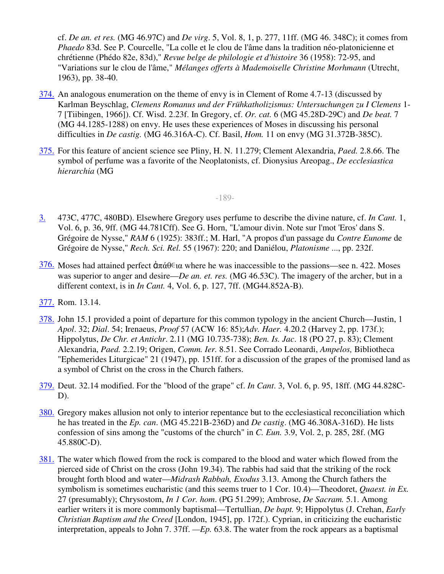cf. *De an. et res.* (MG 46.97C) and *De virg*. 5, Vol. 8, 1, p. 277, 11ff. (MG 46. 348C); it comes from *Phaedo* 83d. See P. Courcelle, "La colle et le clou de l'âme dans la tradition néo-platonicienne et chrétienne (Phédo 82e, 83d)," *Revue belge de philologie et d'histoire* 36 (1958): 72-95, and "Variations sur le clou de l'âme," *Mélanges offerts à Mademoiselle Christine Morhmann* (Utrecht, 1963), pp. 38-40.

- 374. An analogous enumeration on the theme of envy is in Clement of Rome 4.7-13 (discussed by Karlman Beyschlag, *Clemens Romanus und der Frühkatholizismus: Untersuchungen zu I Clemens* 1- 7 [Tiibingen, 1966]). Cf. Wisd. 2.23f. In Gregory, cf. *Or. cat.* 6 (MG 45.28D-29C) and *De beat.* 7 (MG 44.1285-1288) on envy. He uses these experiences of Moses in discussing his personal difficulties in *De castig.* (MG 46.316A-C). Cf. Basil, *Hom.* 11 on envy (MG 31.372B-385C).
- 375. For this feature of ancient science see Pliny, H. N. 11.279; Clement Alexandria, *Paed.* 2.8.66. The symbol of perfume was a favorite of the Neoplatonists, cf. Dionysius Areopag., *De ecclesiastica hierarchia* (MG

-189-

- 3. 473C, 477C, 480BD). Elsewhere Gregory uses perfume to describe the divine nature, cf. *In Cant.* 1, Vol. 6, p. 36, 9ff. (MG 44.781Cff). See G. Horn, "L'amour divin. Note sur l'mot 'Eros' dans S. Grégoire de Nysse," *RAM* 6 (1925): 383ff.; M. Harl, "A propos d'un passage du *Contre Eunome* de Grégoire de Nysse," *Rech. Sci. Rel.* 55 (1967): 220; and Daniélou, *Platonisme* ..., pp. 232f.
- 376. Moses had attained perfect  $\hat{\mathsf{d}}\pi\hat{\alpha}\theta\in\mathfrak{u}$  where he was inaccessible to the passions—see n. 422. Moses was superior to anger and desire—*De an. et. res.* (MG 46.53C). The imagery of the archer, but in a different context, is in *In Cant.* 4, Vol. 6, p. 127, 7ff. (MG44.852A-B).
- 377. Rom. 13.14.
- 378. John 15.1 provided a point of departure for this common typology in the ancient Church—Justin, 1 *Apol*. 32; *Dial*. 54; Irenaeus, *Proof* 57 (ACW 16: 85);*Adv. Haer.* 4.20.2 (Harvey 2, pp. 173f.); Hippolytus, *De Chr. et Antichr*. 2.11 (MG 10.735-738); *Ben. Is. Jac*. 18 (PO 27, p. 83); Clement Alexandria, *Paed.* 2.2.19; Origen, *Comm. Ier.* 8.51. See Corrado Leonardi, *Ampelos,* Bibliotheca "Ephemerides Liturgicae" 21 (1947), pp. 151ff. for a discussion of the grapes of the promised land as a symbol of Christ on the cross in the Church fathers.
- 379. Deut. 32.14 modified. For the "blood of the grape" cf. *In Cant*. 3, Vol. 6, p. 95, 18ff. (MG 44.828C-D).
- 380. Gregory makes allusion not only to interior repentance but to the ecclesiastical reconciliation which he has treated in the *Ep. can*. (MG 45.221B-236D) and *De castig*. (MG 46.308A-316D). He lists confession of sins among the "customs of the church" in *C. Eun.* 3.9, Vol. 2, p. 285, 28f. (MG 45.880C-D).
- 381. The water which flowed from the rock is compared to the blood and water which flowed from the pierced side of Christ on the cross (John 19.34). The rabbis had said that the striking of the rock brought forth blood and water—*Midrash Rabbah, Exodus* 3.13. Among the Church fathers the symbolism is sometimes eucharistic (and this seems truer to 1 Cor. 10.4)—Theodoret, *Quaest. in Ex.* 27 (presumably); Chrysostom, *In 1 Cor. hom*. (PG 51.299); Ambrose, *De Sacram.* 5.1. Among earlier writers it is more commonly baptismal—Tertullian, *De bapt.* 9; Hippolytus (J. Crehan, *Early Christian Baptism and the Creed* [London, 1945], pp. 172f.). Cyprian, in criticizing the eucharistic interpretation, appeals to John 7. 37ff. *—Ep.* 63.8. The water from the rock appears as a baptismal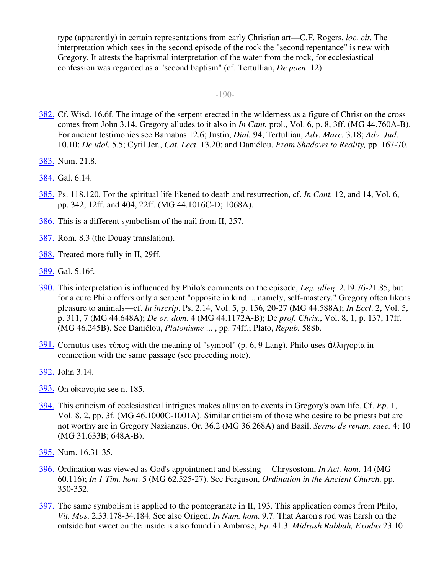type (apparently) in certain representations from early Christian art—C.F. Rogers, *loc. cit.* The interpretation which sees in the second episode of the rock the "second repentance" is new with Gregory. It attests the baptismal interpretation of the water from the rock, for ecclesiastical confession was regarded as a "second baptism" (cf. Tertullian, *De poen*. 12).

-190-

- 382. Cf. Wisd. 16.6f. The image of the serpent erected in the wilderness as a figure of Christ on the cross comes from John 3.14. Gregory alludes to it also in *In Cant.* prol., Vol. 6, p. 8, 3ff. (MG 44.760A-B). For ancient testimonies see Barnabas 12.6; Justin, *Dial.* 94; Tertullian, *Adv. Marc.* 3.18; *Adv. Jud*. 10.10; *De idol.* 5.5; Cyril Jer., *Cat. Lect.* 13.20; and Daniélou, *From Shadows to Reality,* pp. 167-70.
- 383. Num. 21.8.
- 384. Gal. 6.14.
- 385. Ps. 118.120. For the spiritual life likened to death and resurrection, cf. *In Cant.* 12, and 14, Vol. 6, pp. 342, 12ff. and 404, 22ff. (MG 44.1016C-D; 1068A).
- 386. This is a different symbolism of the nail from II, 257.
- 387. Rom. 8.3 (the Douay translation).
- 388. Treated more fully in II, 29ff.
- 389. Gal. 5.16f.
- 390. This interpretation is influenced by Philo's comments on the episode, *Leg. alleg*. 2.19.76-21.85, but for a cure Philo offers only a serpent "opposite in kind ... namely, self-mastery." Gregory often likens pleasure to animals—cf. *In inscrip*. Ps. 2.14, Vol. 5, p. 156, 20-27 (MG 44.588A); *In Eccl*. 2, Vol. 5, p. 311, 7 (MG 44.648A); *De or. dom.* 4 (MG 44.1172A-B); De *prof. Chris*., Vol. 8, 1, p. 137, 17ff. (MG 46.245B). See Daniélou, *Platonisme* ... , pp. 74ff.; Plato, *Repub.* 588b.
- 391. Cornutus uses τύπος with the meaning of "symbol" (p. 6, 9 Lang). Philo uses  $\dot{\alpha} \lambda \lambda \eta \gamma$ ορία in connection with the same passage (see preceding note).
- 392. John 3.14.
- 393. On οἰκονοµία see n. 185.
- 394. This criticism of ecclesiastical intrigues makes allusion to events in Gregory's own life. Cf. *Ep*. 1, Vol. 8, 2, pp. 3f. (MG 46.1000C-1001A). Similar criticism of those who desire to be priests but are not worthy are in Gregory Nazianzus, Or. 36.2 (MG 36.268A) and Basil, *Sermo de renun. saec.* 4; 10 (MG 31.633B; 648A-B).
- 395. Num. 16.31-35.
- 396. Ordination was viewed as God's appointment and blessing— Chrysostom, *In Act. hom*. 14 (MG 60.116); *In 1 Tim. hom*. 5 (MG 62.525-27). See Ferguson, *Ordination in the Ancient Church,* pp. 350-352.
- 397. The same symbolism is applied to the pomegranate in II, 193. This application comes from Philo, *Vit. Mos*. 2.33.178-34.184. See also Origen, *In Num. hom*. 9.7. That Aaron's rod was harsh on the outside but sweet on the inside is also found in Ambrose, *Ep*. 41.3. *Midrash Rabbah, Exodus* 23.10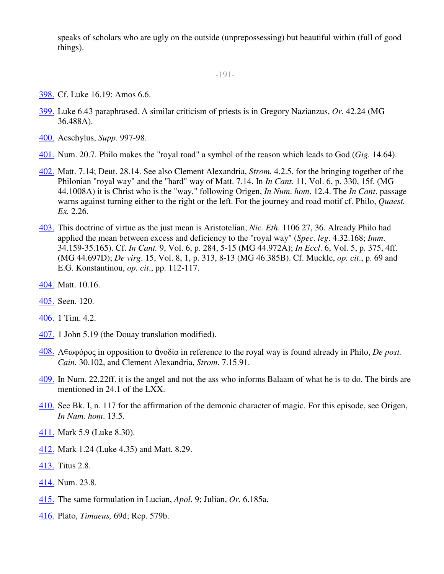speaks of scholars who are ugly on the outside (unprepossessing) but beautiful within (full of good things).

#### -191-

- 398. Cf. Luke 16.19; Amos 6.6.
- 399. Luke 6.43 paraphrased. A similar criticism of priests is in Gregory Nazianzus, *Or.* 42.24 (MG 36.488A).
- 400. Aeschylus, *Supp.* 997-98.
- 401. Num. 20.7. Philo makes the "royal road" a symbol of the reason which leads to God (*Gig.* 14.64).
- 402. Matt. 7.14; Deut. 28.14. See also Clement Alexandria, *Strom.* 4.2.5, for the bringing together of the Philonian "royal way" and the "hard" way of Matt. 7.14. In *In Cant.* 11, Vol. 6, p. 330, 15f. (MG 44.1008A) it is Christ who is the "way," following Origen, *In Num*. *hom*. 12.4. The *In Cant*. passage warns against turning either to the right or the left. For the journey and road motif cf. Philo, *Quaest. Ex.* 2.26.
- 403. This doctrine of virtue as the just mean is Aristotelian, *Nic. Eth*. 1106 27, 36. Already Philo had applied the mean between excess and deficiency to the "royal way" (*Spec*. *leg*. 4.32.168; *Imm*. 34.159-35.165). Cf. *In Cant.* 9, Vol. 6, p. 284, 5-15 (MG 44.972A); *In Eccl*. 6, Vol. 5, p. 375, 4ff. (MG 44.697D); *De virg*. 15, Vol. 8, 1, p. 313, 8-13 (MG 46.385B). Cf. Muckle, *op. cit*., p. 69 and E.G. Konstantinou, *op. cit*., pp. 112-117.
- 404. Matt. 10.16.
- 405. Seen. 120.
- 406. 1 Tim. 4.2.
- 407. 1 John 5.19 (the Douay translation modified).
- 408. Λ∊ωφόρος in opposition to ἀνοδία in reference to the royal way is found already in Philo, *De post. Cain.* 30.102, and Clement Alexandria, *Strom*. 7.15.91.
- 409. In Num. 22.22ff. it is the angel and not the ass who informs Balaam of what he is to do. The birds are mentioned in 24.1 of the LXX.
- 410. See Bk. I, n. 117 for the affirmation of the demonic character of magic. For this episode, see Origen, *In Num. hom*. 13.5.
- 411. Mark 5.9 (Luke 8.30).
- 412. Mark 1.24 (Luke 4.35) and Matt. 8.29.
- 413. Titus 2.8.
- 414. Num. 23.8.
- 415. The same formulation in Lucian, *Apol*. 9; Julian, *Or.* 6.185a.
- 416. Plato, *Timaeus,* 69d; Rep. 579b.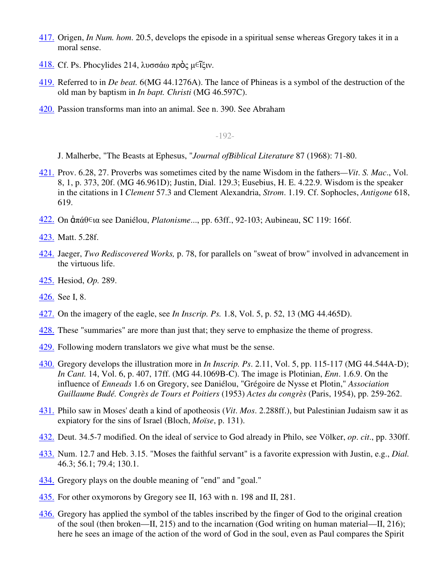- 417. Origen, *In Num. hom*. 20.5, develops the episode in a spiritual sense whereas Gregory takes it in a moral sense.
- $\frac{418}{18}$  Cf. Ps. Phocylides 214, λυσσάω πρὸς μεῖξιν.
- 419. Referred to in *De beat.* 6(MG 44.1276A). The lance of Phineas is a symbol of the destruction of the old man by baptism in *In bapt. Christi* (MG 46.597C).
- 420. Passion transforms man into an animal. See n. 390. See Abraham

-192-

J. Malherbe, "The Beasts at Ephesus, "*Journal ofBiblical Literature* 87 (1968): 71-80.

- 421. Prov. 6.28, 27. Proverbs was sometimes cited by the name Wisdom in the fathers*—Vit*. *S. Mac*., Vol. 8, 1, p. 373, 20f. (MG 46.961D); Justin, Dial. 129.3; Eusebius, H. E. 4.22.9. Wisdom is the speaker in the citations in I *Clement* 57.3 and Clement Alexandria, *Strom*. 1.19. Cf. Sophocles, *Antigone* 618, 619.
- <u>422.</u> On ἀπάθ∈ια see Daniélou, *Platonisme*..., pp. 63ff., 92-103; Aubineau, SC 119: 166f.
- 423. Matt. 5.28f.
- 424. Jaeger, *Two Rediscovered Works,* p. 78, for parallels on "sweat of brow" involved in advancement in the virtuous life.
- 425. Hesiod, *Op.* 289.
- 426. See I, 8.
- 427. On the imagery of the eagle, see *In Inscrip. Ps.* 1.8, Vol. 5, p. 52, 13 (MG 44.465D).
- 428. These "summaries" are more than just that; they serve to emphasize the theme of progress.
- 429. Following modern translators we give what must be the sense.
- 430. Gregory develops the illustration more in *In Inscrip. Ps*. 2.11, Vol. 5, pp. 115-117 (MG 44.544A-D); *In Cant.* 14, Vol. 6, p. 407, 17ff. (MG 44.1069B-C). The image is Plotinian, *Enn*. 1.6.9. On the influence of *Enneads* 1.6 on Gregory, see Daniélou, "Grégoire de Nysse et Plotin," *Association Guillaume Budé. Congrès de Tours et Poitiers* (1953) *Actes du congrès* (Paris, 1954), pp. 259-262.
- 431. Philo saw in Moses' death a kind of apotheosis (*Vit*. *Mos*. 2.288ff.), but Palestinian Judaism saw it as expiatory for the sins of Israel (Bloch, *Moïse*, p. 131).
- 432. Deut. 34.5-7 modified. On the ideal of service to God already in Philo, see Völker, *op*. *cit*., pp. 330ff.
- 433. Num. 12.7 and Heb. 3.15. "Moses the faithful servant" is a favorite expression with Justin, e.g., *Dial.* 46.3; 56.1; 79.4; 130.1.
- 434. Gregory plays on the double meaning of "end" and "goal."
- 435. For other oxymorons by Gregory see II, 163 with n. 198 and II, 281.
- 436. Gregory has applied the symbol of the tables inscribed by the finger of God to the original creation of the soul (then broken—II, 215) and to the incarnation (God writing on human material—II, 216); here he sees an image of the action of the word of God in the soul, even as Paul compares the Spirit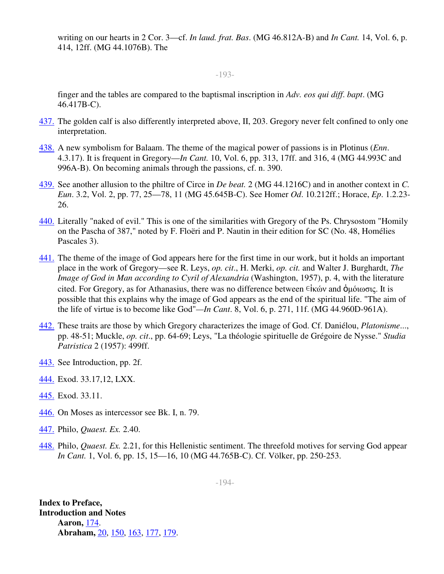writing on our hearts in 2 Cor. 3—cf. *In laud. frat. Bas*. (MG 46.812A-B) and *In Cant.* 14, Vol. 6, p. 414, 12ff. (MG 44.1076B). The

## -193-

 finger and the tables are compared to the baptismal inscription in *Adv. eos qui diff*. *bapt*. (MG 46.417B-C).

- 437. The golden calf is also differently interpreted above, II, 203. Gregory never felt confined to only one interpretation.
- 438. A new symbolism for Balaam. The theme of the magical power of passions is in Plotinus (*Enn*. 4.3.17). It is frequent in Gregory—*In Cant.* 10, Vol. 6, pp. 313, 17ff. and 316, 4 (MG 44.993C and 996A-B). On becoming animals through the passions, cf. n. 390.
- 439. See another allusion to the philtre of Circe in *De beat.* 2 (MG 44.1216C) and in another context in *C. Eun*. 3.2, Vol. 2, pp. 77, 25—78, 11 (MG 45.645B-C). See Homer *Od*. 10.212ff.; Horace, *Ep*. 1.2.23- 26.
- 440. Literally "naked of evil." This is one of the similarities with Gregory of the Ps. Chrysostom "Homily on the Pascha of 387," noted by F. Floëri and P. Nautin in their edition for SC (No. 48, Homélies Pascales 3).
- 441. The theme of the image of God appears here for the first time in our work, but it holds an important place in the work of Gregory—see R. Leys, *op. cit*., H. Merki, *op. cit.* and Walter J. Burghardt, *The Image of God in Man according to Cyril of Alexandria* (Washington, 1957), p. 4, with the literature cited. For Gregory, as for Athanasius, there was no difference between ∈ίκών and δμόιωσις. It is possible that this explains why the image of God appears as the end of the spiritual life. "The aim of the life of virtue is to become like God"*—In Cant*. 8, Vol. 6, p. 271, 11f. (MG 44.960D-961A).
- 442. These traits are those by which Gregory characterizes the image of God. Cf. Daniélou, *Platonisme*..., pp. 48-51; Muckle, *op. cit*., pp. 64-69; Leys, "La théologie spirituelle de Grégoire de Nysse." *Studia Patristica* 2 (1957): 499ff.
- 443. See Introduction, pp. 2f.
- 444. Exod. 33.17,12, LXX.
- 445. Exod. 33.11.
- 446. On Moses as intercessor see Bk. I, n. 79.
- 447. Philo, *Quaest. Ex.* 2.40.
- 448. Philo, *Quaest. Ex.* 2.21, for this Hellenistic sentiment. The threefold motives for serving God appear *In Cant.* 1, Vol. 6, pp. 15, 15—16, 10 (MG 44.765B-C). Cf. Völker, pp. 250-253.

-194-

**Index to Preface, Introduction and Notes Aaron,** 174. **Abraham,** 20, 150, 163, 177, 179.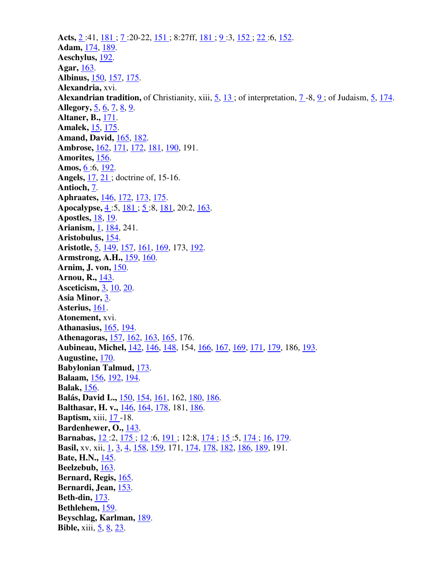**Acts, 2**:41, <u>181; 7</u>:20-22, <u>151</u>; 8:27ff, <u>181; 9</u>:3, <u>152; 22</u>:6, <u>152</u>. **Adam,** 174, 189. **Aeschylus,** 192. **Agar,** 163. **Albinus,** 150, 157, 175. **Alexandria,** xvi. **Alexandrian tradition,** of Christianity, xiii, 5, 13 ; of interpretation, 7 -8, 9 ; of Judaism, 5, 174. **Allegory,** 5, 6, 7, 8, 9. **Altaner, B.,** 171. **Amalek,** 15, 175. **Amand, David,** 165, 182. **Ambrose,** 162, 171, 172, 181, 190, 191. **Amorites,** 156. **Amos,** 6 :6, 192. **Angels,** 17, 21 ; doctrine of, 15-16. **Antioch,** 7. **Aphraates,** 146, 172, 173, 175. **Apocalypse,** 4 :5, 181 ; 5 :8, 181, 20:2, 163. **Apostles,** 18, 19. **Arianism,** 1, 184, 241. **Aristobulus,** 154. **Aristotle,** 5, 149, 157, 161, 169, 173, 192. **Armstrong, A.H.,** 159, 160. **Arnim, J. von,** 150. **Arnou, R.,** 143. **Asceticism,** 3, 10, 20. **Asia Minor,** 3. **Asterius,** 161. **Atonement,** xvi. **Athanasius,** 165, 194. **Athenagoras,** 157, 162, 163, 165, 176. **Aubineau, Michel,** 142, 146, 148, 154, 166, 167, 169, 171, 179, 186, 193. **Augustine,** 170. **Babylonian Talmud,** 173. **Balaam,** 156, 192, 194. **Balak,** 156. **Balás, David L.,** 150, 154, 161, 162, 180, 186. **Balthasar, H. v.,** 146, 164, 178, 181, 186. **Baptism,** xiii, <u>17</u> -18. **Bardenhewer, O.,** 143. **Barnabas,** 12 :2, 175 ; 12 :6, 191 ; 12:8, 174 ; 15 :5, 174 ; 16, 179. **Basil,** xv, xii, 1, 3, 4, 158, 159, 171, 174, 178, 182, 186, 189, 191. **Bate, H.N.,** 145. **Beelzebub,** 163. **Bernard, Regis,** 165. **Bernardi, Jean,** 153. **Beth-din,** 173. **Bethlehem,** 159. **Beyschlag, Karlman,** 189. **Bible,** xiii, <u>5, 8, 23</u>.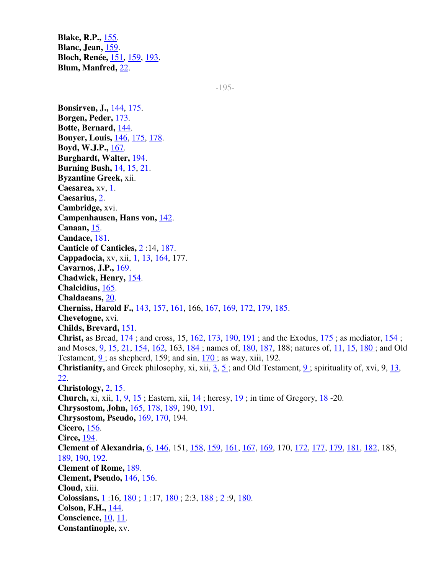**Blake, R.P.,** 155. **Blanc, Jean,** 159. **Bloch, Renée,** 151, 159, 193. **Blum, Manfred,** 22.

-195-

**Bonsirven, J.,** 144, 175. **Borgen, Peder,** 173. **Botte, Bernard,** 144. **Bouyer, Louis,** 146, 175, 178. **Boyd, W.J.P.,** 167. **Burghardt, Walter,** 194. **Burning Bush,** 14, 15, 21. **Byzantine Greek,** xii. **Caesarea,** xv, 1. **Caesarius,** 2. **Cambridge,** xvi. **Campenhausen, Hans von,** 142. **Canaan,** 15. **Candace,** 181. **Canticle of Canticles,** 2 :14, 187. **Cappadocia,** xv, xii, 1, 13, 164, 177. **Cavarnos, J.P.,** 169. **Chadwick, Henry,** 154. **Chalcidius,** 165. **Chaldaeans,** 20. **Cherniss, Harold F.,** 143, 157, 161, 166, 167, 169, 172, 179, 185. **Chevetogne,** xvi. **Childs, Brevard,** 151. **Christ,** as Bread, 174 ; and cross, 15, 162, 173, 190, 191 ; and the Exodus, 175 ; as mediator, 154 ; and Moses, 9, 15, 21, 154, 162, 163, 184 ; names of, 180, 187, 188; natures of, 11, 15, 180 ; and Old Testament,  $9$ ; as shepherd, 159; and sin,  $170$ ; as way, xiii, 192. **Christianity,** and Greek philosophy, xi, xii,  $\frac{3}{2}$ ,  $\frac{5}{2}$ ; and Old Testament,  $\frac{9}{2}$ ; spirituality of, xvi, 9, 13, 22. **Christology,** 2, 15. **Church,** xi, xii, <u>1, 9, 15</u>; Eastern, xii, <u>14</u>; heresy, <u>19</u>; in time of Gregory, <u>18</u>-20. **Chrysostom, John,** 165, 178, 189, 190, 191. **Chrysostom, Pseudo,** 169, 170, 194. **Cicero,** 156. **Circe,** 194. **Clement of Alexandria,** 6, 146, 151, 158, 159, 161, 167, 169, 170, 172, 177, 179, 181, 182, 185, 189, 190, 192. **Clement of Rome,** 189. **Clement, Pseudo,** 146, 156. **Cloud,** xiii. **Colossians,** 1 :16, 180 ; 1 :17, 180 ; 2:3, 188 ; 2 :9, 180. **Colson, F.H.,** 144. **Conscience,** 10, 11. **Constantinople,** xv.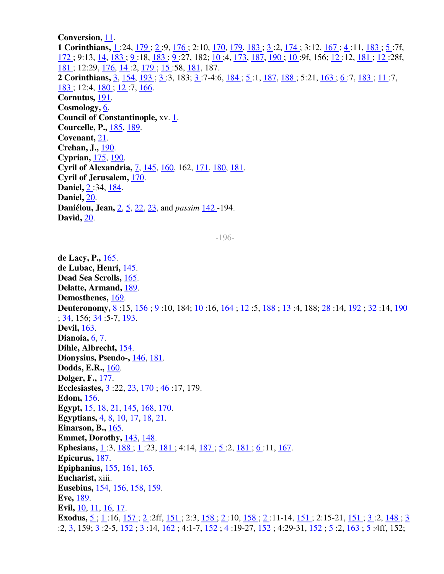**Conversion,** 11. **1 Corinthians,** 1:24, 179; 2:9, 176; 2:10, 170, 179, 183; 3:2, 174; 3:12, 167; 4:11, 183; 5:7f, 172 ; 9:13, 14, 183 ; 9 :18, 183 ; 9 :27, 182; 10 ;4, 173, 187, 190 ; 10 :9f, 156; 12 :12, 181 ; 12 :28f, 181 ; 12:29, 176, 14 :2, 179 ; 15 :58, 181, 187. **2 Corinthians,** 3, 154, 193 ; 3 :3, 183; 3 :7-4:6, 184 ; 5 :1, 187, 188 ; 5:21, 163 ; 6 :7, 183 ; 11 :7, 183 ; 12:4, 180 ; 12 :7, 166. **Cornutus,** 191. **Cosmology,** 6. **Council of Constantinople,** xv. 1. **Courcelle, P.,** 185, 189. **Covenant,** 21. **Crehan, J.,** 190. **Cyprian,** 175, 190. **Cyril of Alexandria,** 7, 145, 160, 162, 171, 180, 181. **Cyril of Jerusalem,** 170. **Daniel,** 2 :34, 184. **Daniel,** 20. **Daniélou, Jean,** 2, 5, 22, 23, and *passim* 142 -194. **David,** 20.

-196-

**de Lacy, P.,** 165. **de Lubac, Henri,** 145. **Dead Sea Scrolls,** 165. **Delatte, Armand,** 189. **Demosthenes,** 169. **Deuteronomy,** 8 :15, <u>156</u>; 9 :10, 184; <u>10</u> :16, <u>164</u>; <u>12</u> :5, 188; 13 :4, 188; <u>28</u> :14, <u>192</u>; 32 :14, 190  $; 34, 156; 34:5-7, 193.$ **Devil,** 163. **Dianoia,** 6, 7. **Dihle, Albrecht,** 154. **Dionysius, Pseudo-,** 146, 181. **Dodds, E.R.,** 160. **Dolger, F.,** 177. **Ecclesiastes,** 3 :22, 23, 170 ; 46 :17, 179. **Edom,** 156. **Egypt,** 15, 18, 21, 145, 168, 170. **Egyptians,** 4, 8, 10, 17, 18, 21. **Einarson, B.,** 165. **Emmet, Dorothy,** 143, 148. **Ephesians,** 1 :3, 188 ; 1 :23, 181 ; 4:14, 187 ; 5 :2, 181 ; 6 :11, 167. **Epicurus,** 187. **Epiphanius,** 155, 161, 165. **Eucharist,** xiii. **Eusebius,** 154, 156, 158, 159. **Eve,** 189. **Evil,** 10, 11, 16, 17. **Exodus,** 5; 1:16, 157; 2:2ff, 151; 2:3, 158; 2:10, 158; 2:11-14, 151; 2:15-21, 151; 3:2, 148; 3 :2, 3, 159; 3 :2-5, 152 ; 3 :14, 162 ; 4:1-7, 152 ; 4 :19-27, 152 ; 4:29-31, 152 ; 5 :2, 163 ; 5 :4ff, 152;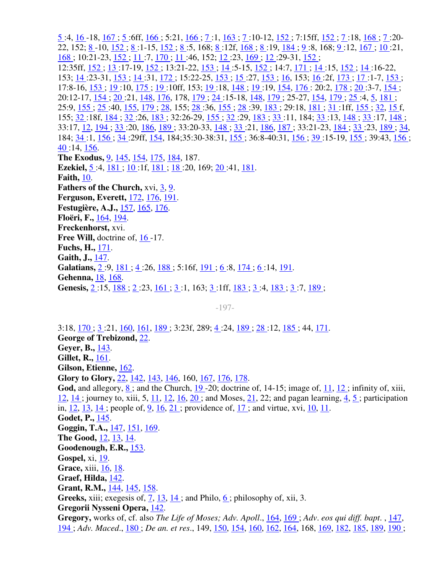5 :4, 16 -18, 167 ; 5 :6ff, 166 ; 5:21, 166 ; 7 :1, 163 ; 7 :10-12, 152 ; 7:15ff, 152 ; 7 :18, 168 ; 7 :20- 22, 152; <u>8</u> -10, <u>152; 8</u> :1-15, <u>152; 8</u> :5, 168; <u>8</u> :12f, <u>168; 8</u> :19, <u>184; 9</u> :8, 168; <u>9</u> :12, <u>167; 10</u> :21, 168 ; 10:21-23, 152 ; 11 :7, 170 ; 11 :46, 152; 12 :23, 169 ; 12 :29-31, 152 ; 12:35ff, 152 ; 13 :17-19, 152 ; 13:21-22, 153 ; 14 :5-15, 152 ; 14:7, 171 ; 14 :15, 152 ; 14 :16-22, 153; 14 :23-31, 153 ; 14 :31, 172 ; 15:22-25, 153 ; 15 :27, 153 ; 16, 153; 16 :2f, 173 ; 17 :1-7, 153 ; 17:8-16, 153 ; 19 :10, 175 ; 19 :10ff, 153; 19 :18, 148 ; 19 :19, 154, 176 : 20:2, 178 ; 20 :3-7, 154 ; 20:12-17, 154 ; 20 :21, 148, 176, 178, 179 ; 24 :15-18, 148, 179 ; 25-27, 154, 179 ; 25 :4, 5, 181 ; 25:9, 155 ; 25 :40, 155, 179 ; 28, 155; 28 :36, 155 ; 28 :39, 183 ; 29:18, 181 ; 31 :1ff, 155 ; 32, 15 f, 155; 32 :18f, 184 ; 32 :26, 183 ; 32:26-29, 155 ; 32 :29, 183 ; 33 :11, 184; 33 :13, 148 ; 33 :17, 148 ; 33:17, 12, 194 ; 33 :20, 186, 189 ; 33:20-33, 148 ; 33 :21, 186, 187 ; 33:21-23, 184 ; 33 :23, 189 ; 34, 184; 34 :1, 156 ; 34 :29ff, 154, 184;35:30-38:31, 155 ; 36:8-40:31, 156 ; 39 :15-19, 155 ; 39:43, 156 ; 40 :14, 156. **The Exodus,** 9, 145, 154, 175, 184, 187. **Ezekiel,** 5:4, 181; 10:1f, 181; 18:20, 169; 20:41, 181. **Faith,** 10. **Fathers of the Church,** xvi, 3, 9. **Ferguson, Everett,** 172, 176, 191. **Festugière, A.J.,** 157, 165, 176. **Floëri, F.,** 164, 194. **Freckenhorst,** xvi. **Free Will, doctrine of, 16 -17. Fuchs, H.,** 171. **Gaith, J.,** 147. **Galatians,** 2:9, 181; 4:26, 188; 5:16f, 191; 6:8, 174; 6:14, 191. **Gehenna,** 18, 168.

**Genesis,** 2 :15, 188 ; 2 :23, 161 ; 3 :1, 163; 3 :1ff, 183 ; 3 :4, 183 ; 3 :7, 189 ;

-197-

 3:18, 170 ; 3 :21, 160, 161, 189 ; 3:23f, 289; 4 :24, 189 ; 28 :12, 185 ; 44, 171. **George of Trebizond,** 22. **Geyer, B.,** 143. **Gillet, R.,** 161. **Gilson, Etienne,** 162. **Glory to Glory,** 22, 142, 143, 146, 160, 167, 176, 178. God, and allegory,  $8$ ; and the Church,  $19 - 20$ ; doctrine of,  $14 - 15$ ; image of,  $11$ ,  $12$ ; infinity of, xiii,  $12, 14$ ; journey to, xiii, 5,  $11, 12, 16, 20$ ; and Moses,  $21, 22$ ; and pagan learning,  $4, 5$ ; participation in, 12, 13, 14 ; people of, 9, 16, 21 ; providence of, 17 ; and virtue, xvi, 10, 11. **Godet, P.,** 145. **Goggin, T.A.,** 147, 151, 169. **The Good,** 12, 13, 14. **Goodenough, E.R.,** 153. **Gospel,** xi, 19. **Grace,** xiii, 16, 18. **Graef, Hilda,** 142. **Grant, R.M.,** 144, 145, 158. Greeks, xiii; exegesis of, 7, 13, 14; and Philo, 6; philosophy of, xii, 3. **Gregorii Nysseni Opera,** 142. **Gregory,** works of, cf. also *The Life of Moses; Adv. Apoll*., 164, 169 ; *Adv*. *eos qui diff. bapt*. , 147, 194 ; *Adv. Maced*., 180 ; *De an. et res*., 149, 150, 154, 160, 162, 164, 168, 169, 182, 185, 189, 190 ;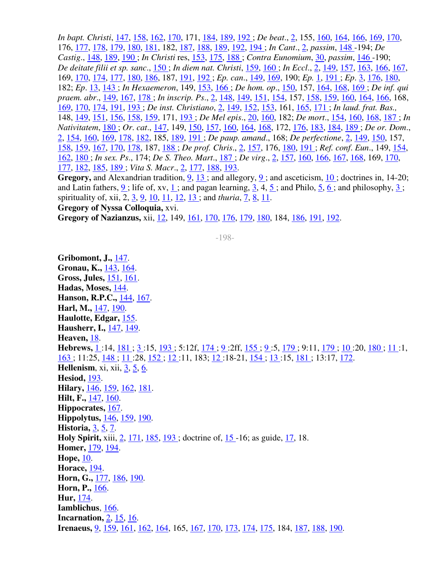*In bapt. Christi*, 147, 158, 162, 170, 171, 184, 189, 192 ; *De beat*., 2, 155, 160, 164, 166, 169, 170, 176, 177, 178, 179, 180, 181, 182, 187, 188, 189, 192, 194 ; *In Cant*., 2, *passim*, 148 -194; *De Castig*., 148, 189, 190 ; *In Christi* res, 153, 175, 188 ; *Contra Eunomium*, 30, *passim*, 146 -190; *De deitate filii et sp. sanc*., 150 ; *In diem nat. Christi*, 159, 160 ; *In Eccl*., 2, 149, 157, 163, 166, 167, 169, 170, 174, 177, 180, 186, 187, 191, 192 ; *Ep. can*., 149, 169, 190; *Ep.* 1, 191 ; *Ep*. 3, 176, 180, 182; *Ep*. 13, 143 ; *In Hexaemeron*, 149, 153, 166 ; *De hom. op*., 150, 157, 164, 168, 169 ; *De inf. qui praem. abr*., 149, 167, 178 ; *In inscrip. Ps*., 2, 148, 149, 151, 154, 157, 158, 159, 160, 164, 166, 168, 169, 170, 174, 191, 193 ; *De inst. Christiano*, 2, 149, 152, 153, 161, 165, 171 ; *In laud. frat. Bas.,* 148, 149, 151, 156, 158, 159, 171, 193 ; *De Mel epis*., 20, 160, 182; *De mort*., 154, 160, 168, 187 ; *In Nativitatem*, 180 ; *Or*. *cat*., 147, 149, 150, 157, 160, 164, 168, 172, 176, 183, 184, 189 ; *De or. Dom*., 2, 154, 160, 169, 178, 182, 185, 189, 191 ; *De paup. amand*., 168; *De perfectione*, 2, 149, 150, 157, 158, 159, 167, 170, 178, 187, 188 ; *De prof. Chris*., 2, 157, 176, 180, 191 ; *Ref. conf*. *Eun*., 149, 154, 162, 180 ; *In sex. Ps*., 174; *De S. Theo. Mart*., 187 ; *De virg*., 2, 157, 160, 166, 167, 168, 169, 170, 177, 182, 185, 189 ; *Vita S. Macr*., 2, 177, 188, 193.

**Gregory,** and Alexandrian tradition,  $\frac{9}{2}$ ,  $\frac{13}{2}$ ; and allegory,  $\frac{9}{2}$ ; and asceticism,  $\frac{10}{2}$ ; doctrines in, 14-20; and Latin fathers,  $9$ ; life of, xv, 1; and pagan learning,  $3, 4, 5$ ; and Philo,  $5, 6$ ; and philosophy, 3; spirituality of, xii, 2, 3, 9, 10, 11, 12, 13 ; and *thuria*, 7, 8, 11. **Gregory of Nyssa Colloquia,** xvi.

**Gregory of Nazianzus,** xii, 12, 149, 161, 170, 176, 179, 180, 184, 186, 191, 192.

-198-

**Gribomont, J.,** 147. **Gronau, K.,** 143, 164. **Gross, Jules,** 151, 161. **Hadas, Moses,** 144. **Hanson, R.P.C.,** 144, 167. **Harl, M.,** 147, 190. **Haulotte, Edgar,** 155. **Hausherr, I.,** 147, 149. **Heaven,** 18. **Hebrews,** 1:14, 181; 3:15, 193; 5:12f, 174; 9:2ff, 155; 9:5, 179; 9:11, 179; 10:20, 180; 11:1, 163 ; 11:25, 148 ; 11 :28, 152 ; 12 :11, 183; 12 :18-21, 154 ; 13 :15, 181 ; 13:17, 172. **Hellenism**, xi, xii, <u>3, 5, 6</u>. **Hesiod,** 193. **Hilary,** 146, 159, 162, 181. **Hilt, F.,** 147, 160. **Hippocrates,** 167. **Hippolytus,** 146, 159, 190. **Historia,** 3, 5, 7. **Holy Spirit,** xiii, 2, 171, 185, 193; doctrine of, 15 -16; as guide, 17, 18. **Homer,** 179, 194. **Hope,** 10. **Horace,** 194. **Horn, G.,** 177, 186, 190. **Horn, P.,** 166. **Hur,** 174. **Iamblichus**, 166. **Incarnation, 2, 15, 16. Irenaeus,** 9, 159, 161, 162, 164, 165, 167, 170, 173, 174, 175, 184, 187, 188, 190.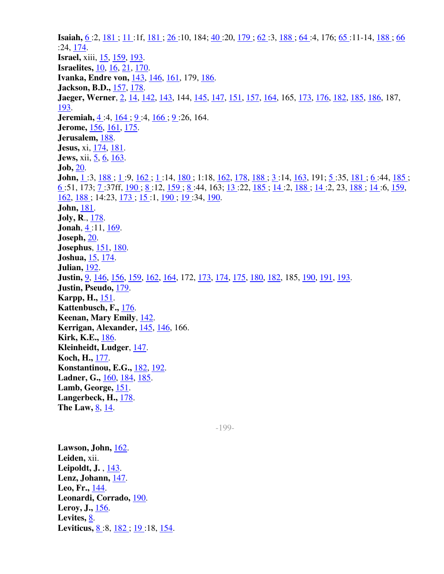**Isaiah,** 6 :2, 181 ; 11 :1f, 181 ; 26 :10, 184; 40 :20, 179 ; 62 :3, 188 ; 64 :4, 176; 65 :11-14, 188 ; 66 :24, 174. **Israel,** xiii, 15, 159, 193. **Israelites,** 10, 16, 21, 170. **Ivanka, Endre von,** 143, 146, 161, 179, 186. **Jackson, B.D.,** 157, 178. **Jaeger, Werner**, 2, 14, 142, 143, 144, 145, 147, 151, 157, 164, 165, 173, 176, 182, 185, 186, 187, 193. **Jeremiah,** 4:4, 164; 9:4, 166; 9:26, 164. **Jerome,** 156, 161, 175. **Jerusalem,** 188. **Jesus,** xi, 174, 181. **Jews,** xii, 5, 6, 163. **Job,** 20. **John,** 1:3, 188; 1:9, 162; 1:14, 180; 1:18, 162, 178, 188; 3:14, 163, 191; 5:35, 181; 6:44, 185; 6 :51, 173; 7 :37ff, 190 ; 8 :12, 159 ; 8 :44, 163; 13 :22, 185 ; 14 :2, 188 ; 14 :2, 23, 188 ; 14 :6, 159, 162, 188 ; 14:23, 173 ; 15 :1, 190 ; 19 :34, 190. **John,** 181. **Joly, R**., 178. **Jonah**, 4 :11, 169. **Joseph,** 20. **Josephus**, 151, 180. **Joshua,** 15, 174. **Julian,** 192. **Justin,** <u>9, 146, 156, 159, 162, 164</u>, 172, <u>173, 174, 175, 180, 182</u>, 185, <u>190, 191, 193</u>. **Justin, Pseudo,** 179. **Karpp, H.,** 151. **Kattenbusch, F.,** 176. **Keenan, Mary Emily**, 142. **Kerrigan, Alexander, 145, 146, 166. Kirk, K.E.,** 186. **Kleinheidt, Ludger**, 147. **Koch, H.,** 177. **Konstantinou, E.G.,** 182, 192. **Ladner, G.,** 160, 184, 185. **Lamb, George,** 151. **Langerbeck, H.,** 178. **The Law,** 8, 14.

-199-

**Lawson, John,** 162. **Leiden,** xii. **Leipoldt, J.** , 143. **Lenz, Johann,** 147. **Leo, Fr.,** 144. **Leonardi, Corrado,** 190. **Leroy, J.,** 156. **Levites,** 8. **Leviticus, 8:8, 182; 19:18, 154.**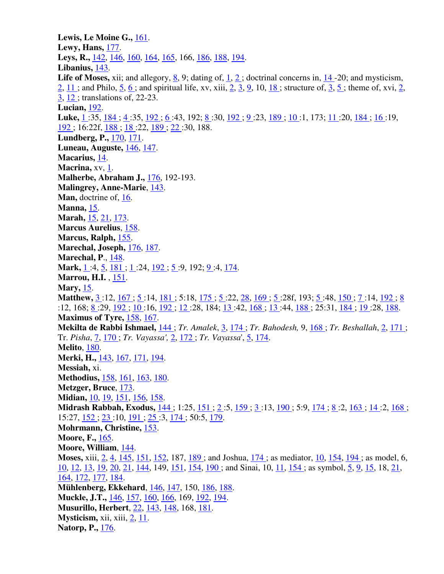**Lewis, Le Moine G.,** 161. **Lewy, Hans,** 177. **Leys, R.,** 142, 146, 160, 164, 165, 166, 186, 188, 194. **Libanius,** 143. Life of Moses, xii; and allegory, 8, 9; dating of, 1, 2; doctrinal concerns in, 14 -20; and mysticism, 2, 11; and Philo, 5, 6; and spiritual life, xv, xiii, 2, 3, 9, 10, 18; structure of,  $3, 5$ ; theme of, xvi, 2, 3, 12 ; translations of, 22-23. **Lucian,** 192. Luke, 1:35, 184; 4:35, 192; 6:43, 192; 8:30, 192; 9:23, 189; 10:1, 173; 11:20, 184; 16:19, 192; 16:22f, <u>188; 18</u>:22, <u>189; 22</u>:30, 188. **Lundberg, P.,** 170, 171. **Luneau, Auguste,** 146, 147. **Macarius,** 14. **Macrina**, *xv*, 1. **Malherbe, Abraham J.,** 176, 192-193. **Malingrey, Anne-Marie**, 143. **Man,** doctrine of, 16. **Manna,** 15. **Marah,** 15, 21, 173. **Marcus Aurelius**, 158. **Marcus, Ralph,** 155. **Marechal, Joseph,** 176, 187. **Marechal, P., 148. Mark,** 1:4, 5, 181; 1:24, 192; 5:9, 192; 9:4, 174. **Marrou, H.I.** , 151. **Mary,** 15. **Matthew, 3**:12, 167; 5:14, 181; 5:18, 175; 5:22, 28, 169; 5:28f, 193; 5:48, 150; 7:14, 192; 8 :12, 168; 8 :29, 192 ; 10 :16, 192 ; 12 :28, 184; 13 :42, 168 ; 13 :44, 188 ; 25:31, 184 ; 19 :28, 188. **Maximus of Tyre,** 158, 167. **Mekilta de Rabbi Ishmael,** 144 ; *Tr. Amalek*, 3, 174 ; *Tr. Bahodesh,* 9, 168 ; *Tr. Beshallah*, 2, 171 ; Tr. *Pisha*, 7, 170 ; *Tr. Vayassa',* 2, 172 ; *Tr. Vayassa*', 5, 174. **Melito**, 180. **Merki, H.,** 143, 167, 171, 194. **Messiah,** xi. **Methodius,** 158, 161, 163, 180. **Metzger, Bruce**, 173. **Midian,** 10, 19, 151, 156, 158. **Midrash Rabbah, Exodus,** 144 ; 1:25, 151 ; 2 :5, 159 ; 3 :13, 190 ; 5:9, 174 ; 8 :2, 163 ; 14 :2, 168 ; 15:27, 152 ; 23 :10, 191 ; 25 :3, 174 ; 50:5, 179. **Mohrmann, Christine,** 153. **Moore, F.,** 165. **Moore, William**, 144. **Moses,** xiii, 2, 4, 145, 151, 152, 187, 189; and Joshua, 174; as mediator, 10, 154, 194; as model, 6, 10, 12, 13, 19, 20, 21, 144, 149, 151, 154, 190 ; and Sinai, 10, 11, 154 ; as symbol, 5, 9, 15, 18, 21, 164, 172, 177, 184. **Mühlenberg, Ekkehard**, 146, 147, 150, 186, 188. **Muckle, J.T.,** 146, 157, 160, 166, 169, 192, 194. **Musurillo, Herbert**, 22, 143, 148, 168, 181. **Mysticism,** xii, xiii, 2, 11. **Natorp, P.,** 176.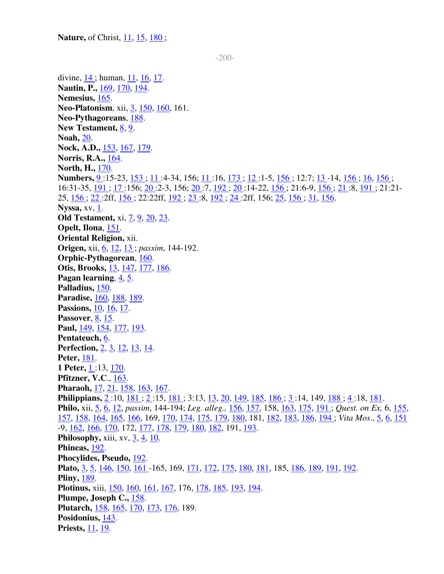-200-

divine,  $14$ ; human,  $11$ ,  $16$ ,  $17$ . **Nautin, P.,** 169, 170, 194. **Nemesius,** 165. **Neo-Platonism**, xii, 3, 150, 160, 161. **Neo-Pythagoreans**, 188. **New Testament,** 8, 9. **Noah,** 20. **Nock, A.D.,** 153, 167, 179. **Norris, R.A.,** 164. **North, H.,** 170. **Numbers,** 9 :15-23, 153 ; 11 :4-34, 156; 11 :16, 173 ; 12 :1-5, 156 ; 12:7; 13 -14, 156 ; 16, 156 ; 16:31-35, 191 ; 17 :156; 20 :2-3, 156; 20 :7, 192 ; 20 :14-22, 156 ; 21:6-9, 156 ; 21 :8, 191 ; 21:21- 25, 156 ; 22 :2ff, 156 ; 22:22ff, 192 ; 23 :8, 192 ; 24 :2ff, 156; 25, 156 ; 31, 156. **Nyssa,** xv, 1. **Old Testament,** xi, <u>7, 9, 20, 23</u>. **Opelt, Ilona**, 151. **Oriental Religion,** xii. **Origen,** xii, 6, 12, 13 ; *passim*, 144-192. **Orphic-Pythagorean**, 160. **Otis, Brooks,** 13, 147, 177, 186. **Pagan learning**, 4, 5. **Palladius,** 150. **Paradise,** 160, 188, 189. **Passions,** 10, 16, 17. **Passover**, <u>8, 15</u>. **Paul,** 149, 154, 177, 193. **Pentateuch,** 6. **Perfection, 2, 3, 12, 13, 14. Peter,** 181. **1 Peter,** 1 :13, 170. **Pfitzner, V.C**., 163. **Pharaoh,** 17, 21, 158, 163, 167. **Philippians, 2**:10, 181; 2:15, 181; 3:13, 13, 20, 149, 185, 186; 3:14, 149, 188; 4:18, 181. **Philo,** xii, 5, 6, 12, *passim*, 144-194; *Leg. alleg.,* 156, 157, 158, 163, 175, 191 ; *Quest. on Ex,* 6, 155, 157, 158, 164, 165, 166, 169, 170, 174, 175, 179, 180, 181, 182, 183, 186, 194 ; *Vita Mos*., 5, 6, 151 -9, 162, 166, 170, 172, 177, 178, 179, 180, 182, 191, 193. **Philosophy, xiii, xv, 3, 4, 10. Phineas,** 192. **Phocylides, Pseudo,** 192. **Plato,** 3, 5, 146, 150, 161 -165, 169, 171, 172, 175, 180, 181, 185, 186, 189, 191, 192. **Pliny,** 189. **Plotinus,** xiii, 150, 160, 161, 167, 176, 178, 185, 193, 194. **Plumpe, Joseph C.,** 158. **Plutarch,** 158, 165, 170, 173, 176, 189. **Posidonius,** 143. **Priests,** 11, 19.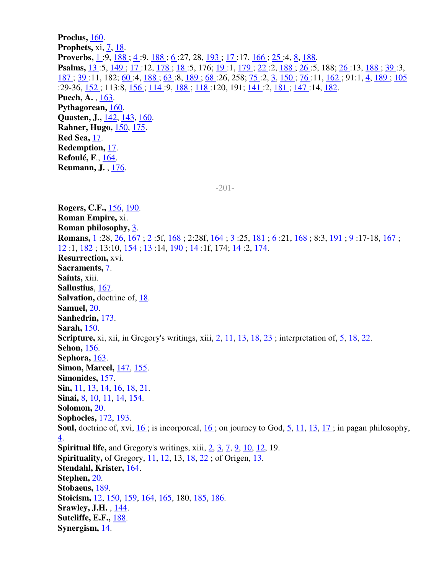**Proclus,** 160. **Prophets,** xi, 7, 18. **Proverbs,** 1 :9, 188 ; 4 :9, 188 ; 6 :27, 28, 193 ; 17 :17, 166 ; 25 :4, 8, 188. **Psalms,** 13:5, 149; 17:12, 178; 18:5, 176; 19:1, 179; 22:2, 188; 26:5, 188; 26:13, 188; 39:3, 187 ; 39 :11, 182; 60 :4, 188 ; 63 :8, 189 ; 68 :26, 258; 75 :2, 3, 150 ; 76 :11, 162 ; 91:1, 4, 189 ; 105 :29-36, 152 ; 113:8, 156 ; 114 :9, 188 ; 118 :120, 191; 141 :2, 181 ; 147 :14, 182. **Puech, A.** , 163. **Pythagorean,** 160. **Quasten, J.,** 142, 143, 160. **Rahner, Hugo,** 150, 175. **Red Sea,** 17. **Redemption,** 17. **Refoulé, F**., 164. **Reumann, J.** , 176.

-201-

**Rogers, C.F.,** 156, 190. **Roman Empire,** xi. **Roman philosophy,** 3. **Romans,** 1:28, 26, 167; 2:5f, 168; 2:28f, 164; 3:25, 181; 6:21, 168; 8:3, 191; 9:17-18, 167; 12 :1, 182 ; 13:10, 154 ; 13 :14, 190 ; 14 :1f, 174; 14 :2, 174. **Resurrection,** xvi. **Sacraments,** 7. **Saints,** xiii. **Sallustius**, 167. **Salvation,** doctrine of, 18. **Samuel,** 20. **Sanhedrin,** 173. **Sarah,** 150. **Scripture,** xi, xii, in Gregory's writings, xiii, 2, 11, 13, 18, 23; interpretation of, 5, 18, 22. **Sehon,** 156. **Sephora,** 163. **Simon, Marcel,** 147, 155. **Simonides,** 157. **Sin,** 11, 13, 14, 16, 18, 21. **Sinai, 8**, 10, 11, 14, 154. **Solomon,** 20. **Sophocles,** 172, 193. **Soul,** doctrine of, xvi, 16; is incorporeal,  $\underline{16}$ ; on journey to God,  $\underline{5}$ ,  $\underline{11}$ ,  $\underline{13}$ ,  $\underline{17}$ ; in pagan philosophy, 4. **Spiritual life,** and Gregory's writings, xiii, 2, 3, 7, 9, 10, 12, 19. **Spirituality,** of Gregory, 11, 12, 13, 18, 22; of Origen, 13. **Stendahl, Krister,** 164. **Stephen,** 20. **Stobaeus,** 189. **Stoicism,** 12, 150, 159, 164, 165, 180, 185, 186. **Srawley, J.H.** , 144. **Sutcliffe, E.F.,** 188. **Synergism,** 14.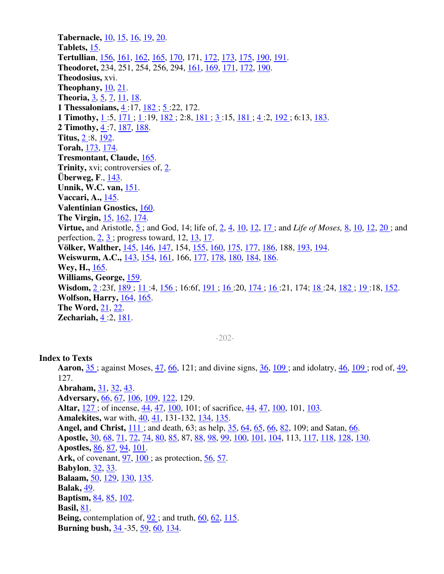**Tabernacle,** 10, 15, 16, 19, 20. **Tablets,** 15. **Tertullian**, 156, 161, 162, 165, 170, 171, 172, 173, 175, 190, 191. **Theodoret,** 234, 251, 254, 256, 294, 161, 169, 171, 172, 190. **Theodosius,** xvi. **Theophany,** 10, 21. **Theoria,** 3, 5, 7, 11, 18. **1 Thessalonians,** 4 :17, 182 ; 5 :22, 172. **1 Timothy, 1**:5, **171**; **1**:19, **182**; 2:8, **181**; **3**:15, **181**; **4**:2, **192**; 6:13, **183**. **2 Timothy,** 4 :7, 187, 188. **Titus,** 2 :8, 192. **Torah,** 173, 174. **Tresmontant, Claude,** 165. **Trinity,** xvi; controversies of, 2. **Überweg, F**., 143. **Unnik, W.C. van,** 151. **Vaccari, A.,** 145. **Valentinian Gnostics,** 160. **The Virgin,** 15, 162, 174. **Virtue,** and Aristotle, 5; and God, 14; life of, 2, 4, 10, 12, 17; and *Life of Moses*, 8, 10, 12, 20; and perfection,  $2$ ,  $3$ ; progress toward, 12, 13, 17. **Völker, Walther,** 145, 146, 147, 154, 155, 160, 175, 177, 186, 188, 193, 194. Weiswurm, A.C., 143, 154, 161, 166, 177, 178, 180, 184, 186. **Wey, H.,** 165. **Williams, George,** 159. **Wisdom,** 2 :23f, 189 ; 11 :4, 156 ; 16:6f, 191 ; 16 :20, 174 ; 16 :21, 174; 18 :24, 182 ; 19 :18, 152. **Wolfson, Harry,** 164, 165. **The Word,** 21, 22. **Zechariah, 4:2, 181.** 

-202-

# **Index to Texts**

**Aaron,** 35 ; against Moses, 47, 66, 121; and divine signs, 36, 109 ; and idolatry, 46, 109 ; rod of, 49, 127. **Abraham,** 31, 32, 43. **Adversary,** 66, 67, 106, 109, 122, 129. **Altar,** 127 ; of incense, 44, 47, 100, 101; of sacrifice, 44, 47, 100, 101, 103. **Amalekites,** war with,  $\frac{40}{11}$ , 131-132, 134, 135. **Angel, and Christ,** 111 ; and death, 63; as help, 35, 64, 65, 66, 82, 109; and Satan, 66. **Apostle,** 30, 68, 71, 72, 74, 80, 85, 87, 88, 98, 99, 100, 101, 104, 113, 117, 118, 128, 130. **Apostles,** 86, 87, 94, 101. Ark, of covenant, <u>97, 100</u>; as protection, 56, 57. **Babylon**, 32, 33. **Balaam,** 50, 129, 130, 135. **Balak,** 49. **Baptism,** 84, 85, 102. **Basil,** 81. **Being, contemplation of, 92; and truth, 60, 62, 115. Burning bush,** 34 -35, 59, 60, 134.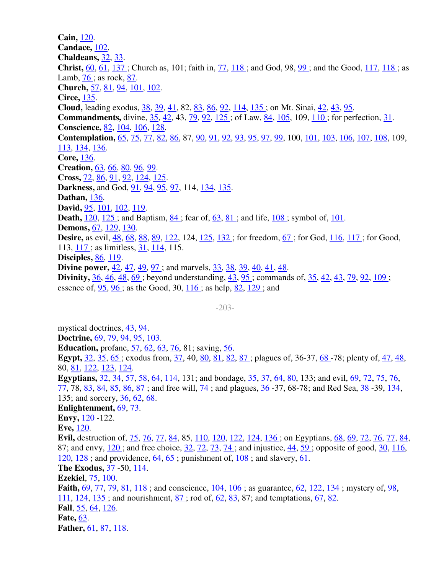**Cain,** 120. **Candace,** 102. **Chaldeans,** 32, 33. **Christ,** 60, 61, 137; Church as, 101; faith in, 77, 118; and God, 98, 99; and the Good, 117, 118; as Lamb, 76 ; as rock, 87. **Church,** 57, 81, 94, 101, 102. **Circe,** 135. **Cloud,** leading exodus, 38, 39, 41, 82, 83, 86, 92, 114, 135 ; on Mt. Sinai, 42, 43, 95. **Commandments,** divine, 35, 42, 43, 79, 92, 125 ; of Law, 84, 105, 109, 110 ; for perfection, 31. **Conscience,** 82, 104, 106, 128. **Contemplation,** 65, 75, 77, 82, 86, 87, 90, 91, 92, 93, 95, 97, 99, 100, 101, 103, 106, 107, 108, 109, 113, 134, 136. **Core,** 136. **Creation,** 63, 66, 80, 96, 99. **Cross,** 72, 86, 91, 92, 124, 125. **Darkness,** and God, 91, 94, 95, 97, 114, 134, 135. **Dathan,** 136. **David,** 95, 101, 102, 119. **Death,** 120, 125; and Baptism, 84; fear of, 63, 81; and life, 108; symbol of, 101. **Demons,** 67, 129, 130. **Desire,** as evil, 48, 68, 88, 89, 122, 124, 125, 132 ; for freedom, 67 ; for God, 116, 117 ; for Good, 113, 117 ; as limitless, 31, 114, 115. **Disciples,** 86, 119. **Divine power,** 42, 47, 49, 97 ; and marvels, 33, 38, 39, 40, 41, 48. **Divinity, 36, 46, 48, 69; beyond understanding, 43, 95; commands of, 35, 42, 43, 79, 92, 109;** essence of, 95, 96 ; as the Good, 30, 116 ; as help, 82, 129 ; and

-203-

 mystical doctrines, 43, 94. **Doctrine,** 69, 79, 94, 95, 103. **Education,** profane, 57, 62, 63, 76, 81; saving, 56. **Egypt, 32, 35, 65;** exodus from, 37, 40, 80, 81, 82, 87; plagues of, 36-37, 68 -78; plenty of, 47, 48, 80, 81, 122, 123, 124. **Egyptians,** 32, 34, 57, 58, 64, 114, 131; and bondage, 35, 37, 64, 80, 133; and evil, 69, 72, 75, 76, 77, 78, 83, 84, 85, 86, 87 ; and free will, 74 ; and plagues, 36 -37, 68-78; and Red Sea, 38 -39, 134, 135; and sorcery, 36, 62, 68. **Enlightenment,** 69, 73. **Envy,** 120 -122. **Eve,** 120. **Evil,** destruction of, <u>75, 76, 77, 84</u>, 85, <u>110, 120, 122, 124, 136</u>; on Egyptians, 68, 69, 72, 76, 77, 84, 87; and envy, 120 ; and free choice, 32, 72, 73, 74 ; and injustice, 44, 59 ; opposite of good, 30, 116,  $120, 128$ ; and providence,  $64, 65$ ; punishment of,  $108$ ; and slavery,  $61$ . **The Exodus,** 37 -50, 114. **Ezekiel**, 75, 100. **Faith, 69, 77, 79, 81, 118;** and conscience, 104, 106; as guarantee, 62, 122, 134; mystery of, 98, 111, 124, 135 ; and nourishment, 87 ; rod of, 62, 83, 87; and temptations, 67, 82. **Fall**, 55, 64, 126. **Fate,** 63. **Father,** 61, 87, 118.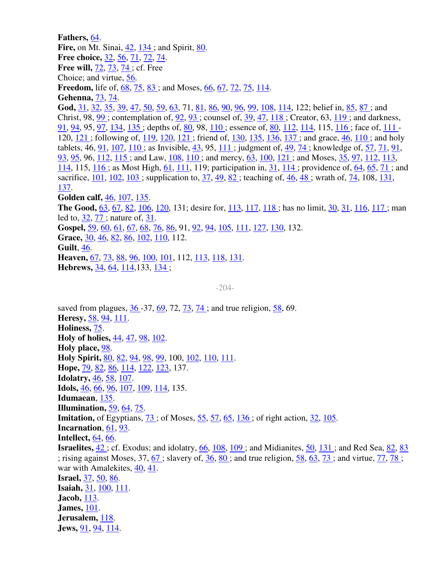**Fathers,** 64. **Fire, on Mt. Sinai,**  $\frac{42}{134}$ **; and Spirit, 80. Free choice,** 32, 56, 71, 72, 74. **Free will, 72, 73, 74; cf. Free**  Choice; and virtue, 56. **Freedom,** life of, 68, 75, 83 ; and Moses, 66, 67, 72, 75, 114. **Gehenna,** 73, 74. **God,** 31, 32, 35, 39, 47, 50, 59, 63, 71, 81, 86, 90, 96, 99, 108, 114, 122; belief in, 85, 87 ; and Christ, 98, 99 ; contemplation of, 92, 93 ; counsel of, 39, 47, 118 ; Creator, 63, 119 ; and darkness, 91, 94, 95, 97, 134, 135; depths of, 80, 98, 110; essence of, 80, 112, 114, 115, 116; face of, 111 -120, 121 ; following of, 119, 120, 121 ; friend of, 130, 135, 136, 137 ; and grace, 46, 110 ; and holy tablets, 46, 91, 107, 110 ; as Invisible, 43, 95, 111 ; judgment of, 49, 74 ; knowledge of, 57, 71, 91, 93, 95, 96, 112, 115 ; and Law, 108, 110 ; and mercy, 63, 100, 121 ; and Moses, 35, 97, 112, 113, 114, 115, 116 ; as Most High, 61, 111, 119; participation in, 31, 114 ; providence of, 64, 65, 71 ; and sacrifice, 101, 102, 103; supplication to, 37, 49, 82; teaching of, 46, 48; wrath of, 74, 108, 131, 137. **Golden calf,** 46, 107, 135. **The Good,** 63, 67, 82, 106, 120, 131; desire for, 113, 117, 118 ; has no limit, 30, 31, 116, 117 ; man led to, 32, 77 ; nature of, 31. **Gospel,** 59, 60, 61, 67, 68, 76, 86, 91, 92, 94, 105, 111, 127, 130, 132. Grace, <u>30, 46, 82, 86, 102, 110</u>, 112. **Guilt**, 46. **Heaven,** 67, 73, 88, 96, 100, 101, 112, 113, 118, 131. **Hebrews, 34, 64, 114, 133, 134;** 

# -204-

saved from plagues,  $36 - 37$ ,  $69$ ,  $72$ ,  $73$ ,  $74$ ; and true religion,  $58$ ,  $69$ . **Heresy,** 58, 94, 111. **Holiness,** 75. **Holy of holies,** 44, 47, 98, 102. **Holy place,** 98. **Holy Spirit,** 80, 82, 94, 98, 99, 100, 102, 110, 111. **Hope,** 79, 82, 86, 114, 122, 123, 137. **Idolatry,** 46, 58, 107. **Idols,** 46, 66, 96, 107, 109, 114, 135. **Idumaean**, 135. **Illumination,** 59, 64, 75. **Imitation,** of Egyptians,  $\overline{73}$ ; of Moses,  $\overline{55}$ ,  $\overline{57}$ ,  $\overline{65}$ ,  $\overline{136}$ ; of right action,  $\overline{32}$ ,  $\overline{105}$ . **Incarnation**, 61, 93. **Intellect,** 64, 66. **Israelites,** 42 ; cf. Exodus; and idolatry, 66, 108, 109 ; and Midianites, 50, 131 ; and Red Sea, 82, 83 ; rising against Moses,  $37, 67$ ; slavery of,  $36, 80$ ; and true religion,  $58, 63, 73$ ; and virtue,  $77, 78$ ; war with Amalekites, 40, 41. **Israel,** 37, 50, 86. **Isaiah,** 31, 100, 111. **Jacob,** 113. **James,** 101. **Jerusalem,** 118. **Jews,** 91, 94, 114.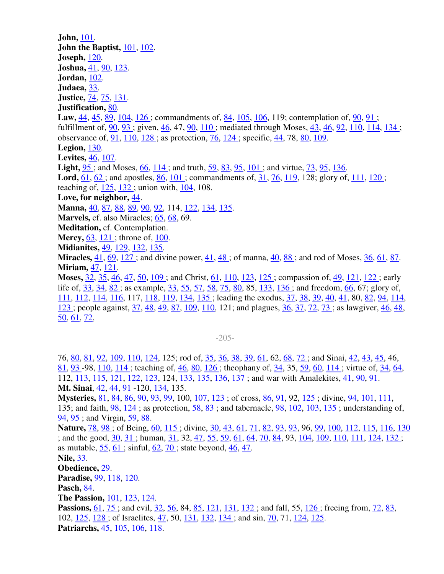**John,** 101. **John the Baptist,** 101, 102. **Joseph,** 120. **Joshua,** 41, 90, 123. **Jordan,** 102. **Judaea,** 33. **Justice,** 74, 75, 131. **Justification,** 80. **Law,** 44, 45, 89, 104, 126 ; commandments of, 84, 105, 106, 119; contemplation of, 90, 91 ; fulfillment of, 90, 93; given, 46, 47, 90, 110; mediated through Moses, 43, 46, 92, 110, 114, 134; observance of, 91, 110, 128 ; as protection, 76, 124 ; specific, 44, 78, 80, 109. **Legion,** 130. **Levites,** 46, 107. **Light,** 95 ; and Moses, 66, 114 ; and truth, 59, 83, 95, 101 ; and virtue, 73, 95, 136. **Lord,** 61, 62 ; and apostles, 86, 101 ; commandments of, 31, 76, 119, 128; glory of, 111, 120 ; teaching of, 125, 132 ; union with, 104, 108. **Love, for neighbor,** 44. **Manna,** 40, 87, 88, 89, 90, 92, 114, 122, 134, 135. **Marvels,** cf. also Miracles; 65, 68, 69. **Meditation,** cf. Contemplation. **Mercy, 63, 121; throne of, 100. Midianites,** 49, 129, 132, 135. **Miracles,** 41, 69, 127 ; and divine power, 41, 48 ; of manna, 40, 88 ; and rod of Moses, 36, 61, 87. **Miriam,** 47, 121. **Moses,** 32, 35, 46, 47, 50, 109 ; and Christ, 61, 110, 123, 125 ; compassion of, 49, 121, 122 ; early life of, 33, 34, 82 ; as example, 33, 55, 57, 58, 75, 80, 85, 133, 136 ; and freedom, 66, 67; glory of, 111, 112, 114, 116, 117, 118, 119, 134, 135 ; leading the exodus, 37, 38, 39, 40, 41, 80, 82, 94, 114,

123 ; people against, 37, 48, 49, 87, 109, 110, 121; and plagues, 36, 37, 72, 73 ; as lawgiver, 46, 48, 50, 61, 72,

-205-

 76, 80, 81, 92, 109, 110, 124, 125; rod of, 35, 36, 38, 39, 61, 62, 68, 72 ; and Sinai, 42, 43, 45, 46, 81, 93 -98, 110, 114 ; teaching of, 46, 80, 126 ; theophany of, 34, 35, 59, 60, 114 ; virtue of, 34, 64, 112, 113, 115, 121, 122, 123, 124, 133, 135, 136, 137 ; and war with Amalekites, 41, 90, 91. **Mt. Sinai**, 42, 44, 91 -120, 134, 135. **Mysteries,** 81, 84, 86, 90, 93, 99, 100, 107, 123 ; of cross, 86, 91, 92, 125 ; divine, 94, 101, 111, 135; and faith, 98, 124 ; as protection, 58, 83 ; and tabernacle, 98, 102, 103, 135 ; understanding of, 94, 95 ; and Virgin, 59, 88. **Nature,** 78, 98 ; of Being, 60, 115 ; divine, 30, 43, 61, 71, 82, 93, 93, 96, 99, 100, 112, 115, 116, 130 ; and the good, 30, 31; human, 31, 32, 47, 55, 59, 61, 64, 70, 84, 93, 104, 109, 110, 111, 124, 132; as mutable, 55, 61 ; sinful, 62, 70 ; state beyond, 46, 47. **Nile,** 33. **Obedience,** 29. **Paradise,** 99, 118, 120. **Pasch,** 84. **The Passion,** 101, 123, 124. **Passions,** 61, 75; and evil, 32, 56, 84, 85, 121, 131, 132; and fall, 55, 126; freeing from, 72, 83, 102, 125, 128 ; of Israelites, 47, 50, 131, 132, 134 ; and sin, 70, 71, 124, 125.

**Patriarchs,** 45, 105, 106, 118.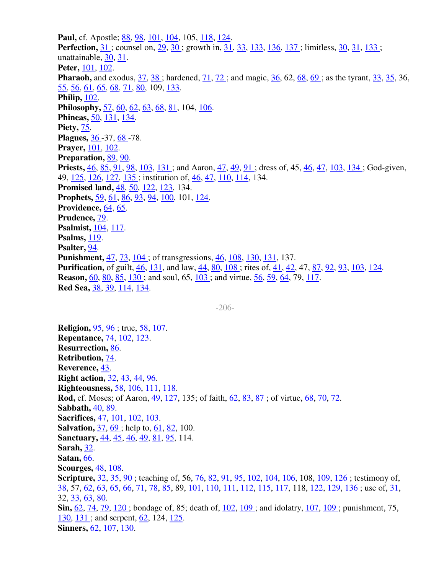**Paul,** cf. Apostle; 88, 98, 101, 104, 105, 118, 124. **Perfection, 31**; counsel on, 29, 30; growth in, 31, 33, 133, 136, 137; limitless, 30, 31, 133; unattainable, 30, 31. **Peter,** 101, 102. **Pharaoh,** and exodus, 37, 38; hardened, 71, 72; and magic, 36, 62, 68, 69; as the tyrant, 33, 35, 36, 55, 56, 61, 65, 68, 71, 80, 109, 133. **Philip,** 102. **Philosophy,** 57, 60, 62, 63, 68, 81, 104, 106. **Phineas,** 50, 131, 134. **Piety,** 75. **Plagues,** 36 -37, 68 -78. **Prayer,** 101, 102. **Preparation,** 89, 90. **Priests, 46, 85, 91, 98, 103, 131; and Aaron, 47, 49, 91; dress of, 45, 46, 47, 103, 134; God-given,** 49, 125, 126, 127, 135 ; institution of, 46, 47, 110, 114, 134. **Promised land,** 48, 50, 122, 123, 134. **Prophets,** 59, 61, 86, 93, 94, 100, 101, 124. **Providence,** 64, 65. **Prudence,** 79. **Psalmist,** 104, 117. **Psalms,** 119. **Psalter,** 94. **Punishment,** 47, 73, 104 ; of transgressions, 46, 108, 130, 131, 137. **Purification,** of guilt, 46, 131, and law, 44, 80, 108 ; rites of, 41, 42, 47, 87, 92, 93, 103, 124. **Reason,** 60, 80, 85, 130; and soul, 65, 103; and virtue, 56, 59, 64, 79, 117. **Red Sea,** 38, 39, 114, 134.

#### -206-

**Religion,** 95, 96 ; true, 58, 107. **Repentance,** 74, 102, 123. **Resurrection,** 86. **Retribution,** 74. **Reverence,** 43. **Right action, 32, 43, 44, 96. Righteousness,** 58, 106, 111, 118. **Rod,** cf. Moses; of Aaron, 49, 127, 135; of faith, 62, 83, 87 ; of virtue, 68, 70, 72. **Sabbath,** 40, 89. **Sacrifices,** 47, 101, 102, 103. **Salvation,** 37, 69 ; help to, 61, 82, 100. **Sanctuary,** 44, 45, 46, 49, 81, 95, 114. **Sarah,** 32. **Satan,** 66. **Scourges,** 48, 108. **Scripture, 32, 35, 90**; teaching of, 56, 76, 82, 91, 95, 102, 104, 106, 108, 109, 126; testimony of, 38, 57, 62, 63, 65, 66, 71, 78, 85, 89, 101, 110, 111, 112, 115, 117, 118, 122, 129, 136 ; use of, 31, 32, 33, 63, 80. **Sin,** 62, 74, 79, 120 ; bondage of, 85; death of, 102, 109 ; and idolatry, 107, 109 ; punishment, 75, 130, 131; and serpent, 62, 124, 125. **Sinners,** 62, 107, 130.